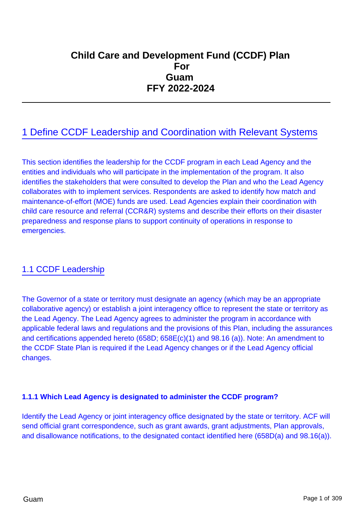# **Child Care and Development Fund (CCDF) Plan**  *Force the Excess of Texas Force the Excess of Texas Force the Excess force the Excess force the Excess force the Excess force the Excess force the Excess force the Excess force the Excess force the Excess force the Exce*  **Guam FFY 2022-2024**

# 1 Define CCDF Leadership and Coordination with Relevant Systems

This section identifies the leadership for the CCDF program in each Lead Agency and the entities and individuals who will participate in the implementation of the program. It also identifies the stakeholders that were consulted to develop the Plan and who the Lead Agency collaborates with to implement services. Respondents are asked to identify how match and maintenance-of-effort (MOE) funds are used. Lead Agencies explain their coordination with child care resource and referral (CCR&R) systems and describe their efforts on their disaster preparedness and response plans to support continuity of operations in response to emergencies.

## 1.1 CCDF Leadership

The Governor of a state or territory must designate an agency (which may be an appropriate collaborative agency) or establish a joint interagency office to represent the state or territory as the Lead Agency. The Lead Agency agrees to administer the program in accordance with applicable federal laws and regulations and the provisions of this Plan, including the assurances and certifications appended hereto (658D; 658E(c)(1) and 98.16 (a)). Note: An amendment to the CCDF State Plan is required if the Lead Agency changes or if the Lead Agency official changes.

### **1.1.1 Which Lead Agency is designated to administer the CCDF program?**

Identify the Lead Agency or joint interagency office designated by the state or territory. ACF will send official grant correspondence, such as grant awards, grant adjustments, Plan approvals, and disallowance notifications, to the designated contact identified here (658D(a) and 98.16(a)).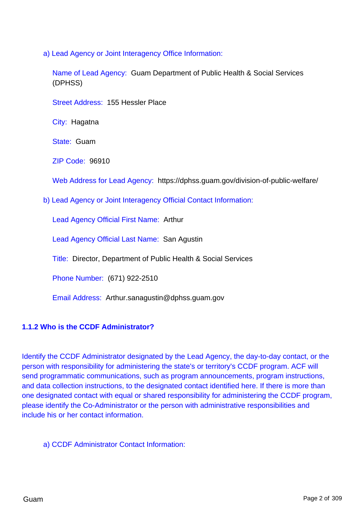a) Lead Agency or Joint Interagency Office Information:

Name of Lead Agency: Guam Department of Public Health & Social Services (DPHSS)

Street Address: 155 Hessler Place

City: Hagatna

State: Guam

ZIP Code: 96910

Web Address for Lead Agency: https://dphss.guam.gov/division-of-public-welfare/

b) Lead Agency or Joint Interagency Official Contact Information:

Lead Agency Official First Name: Arthur

Lead Agency Official Last Name: San Agustin

Title: Director, Department of Public Health & Social Services

Phone Number: (671) 922-2510

Email Address: Arthur.sanagustin@dphss.guam.gov

### **1.1.2 Who is the CCDF Administrator?**

Identify the CCDF Administrator designated by the Lead Agency, the day-to-day contact, or the person with responsibility for administering the state's or territory's CCDF program. ACF will send programmatic communications, such as program announcements, program instructions, and data collection instructions, to the designated contact identified here. If there is more than one designated contact with equal or shared responsibility for administering the CCDF program, please identify the Co-Administrator or the person with administrative responsibilities and include his or her contact information.

a) CCDF Administrator Contact Information: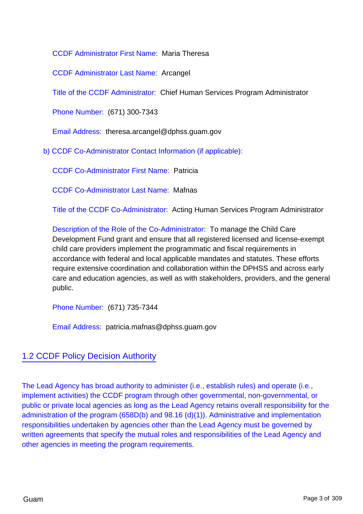CCDF Administrator First Name: Maria Theresa

CCDF Administrator Last Name: Arcangel

Title of the CCDF Administrator: Chief Human Services Program Administrator

Phone Number: (671) 300-7343

Email Address: theresa.arcangel@dphss.guam.gov

b) CCDF Co-Administrator Contact Information (if applicable):

CCDF Co-Administrator First Name: Patricia

CCDF Co-Administrator Last Name: Mafnas

Title of the CCDF Co-Administrator: Acting Human Services Program Administrator

Description of the Role of the Co-Administrator: To manage the Child Care Development Fund grant and ensure that all registered licensed and license-exempt child care providers implement the programmatic and fiscal requirements in accordance with federal and local applicable mandates and statutes. These efforts require extensive coordination and collaboration within the DPHSS and across early care and education agencies, as well as with stakeholders, providers, and the general public.

Phone Number: (671) 735-7344

Email Address: patricia.mafnas@dphss.guam.gov

## 1.2 CCDF Policy Decision Authority

The Lead Agency has broad authority to administer (i.e., establish rules) and operate (i.e., implement activities) the CCDF program through other governmental, non-governmental, or public or private local agencies as long as the Lead Agency retains overall responsibility for the administration of the program (658D(b) and 98.16 (d)(1)). Administrative and implementation responsibilities undertaken by agencies other than the Lead Agency must be governed by written agreements that specify the mutual roles and responsibilities of the Lead Agency and other agencies in meeting the program requirements.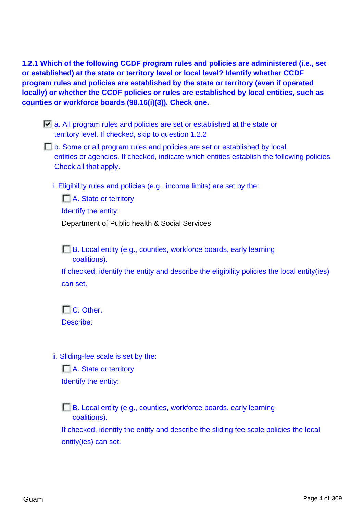**1.2.1 Which of the following CCDF program rules and policies are administered (i.e., set or established) at the state or territory level or local level? Identify whether CCDF program rules and policies are established by the state or territory (even if operated locally) or whether the CCDF policies or rules are established by local entities, such as counties or workforce boards (98.16(i)(3)). Check one.**

- a. All program rules and policies are set or established at the state or territory level. If checked, skip to question 1.2.2.
- b. Some or all program rules and policies are set or established by local entities or agencies. If checked, indicate which entities establish the following policies. Check all that apply.
	- i. Eligibility rules and policies (e.g., income limits) are set by the:

**N.** State or territory Identify the entity: Department of Public health & Social Services

B. Local entity (e.g., counties, workforce boards, early learning coalitions).

If checked, identify the entity and describe the eligibility policies the local entity(ies) can set.

 $\Box$  C. Other. Describe:

ii. Sliding-fee scale is set by the:

A. State or territory Identify the entity:

**B.** Local entity (e.g., counties, workforce boards, early learning coalitions).

If checked, identify the entity and describe the sliding fee scale policies the local entity(ies) can set.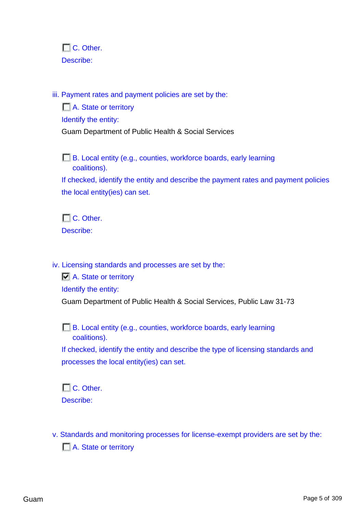$\Box$  C. Other. Describe:

iii. Payment rates and payment policies are set by the:

A. State or territory Identify the entity: Guam Department of Public Health & Social Services

B. Local entity (e.g., counties, workforce boards, early learning coalitions).

If checked, identify the entity and describe the payment rates and payment policies the local entity(ies) can set.

 $\Box$  C. Other. Describe:

iv. Licensing standards and processes are set by the:

A. State or territory Identify the entity: Guam Department of Public Health & Social Services, Public Law 31-73

B. Local entity (e.g., counties, workforce boards, early learning coalitions).

If checked, identify the entity and describe the type of licensing standards and processes the local entity(ies) can set.

 $\Box$  C. Other. Describe:

v. Standards and monitoring processes for license-exempt providers are set by the: A. State or territory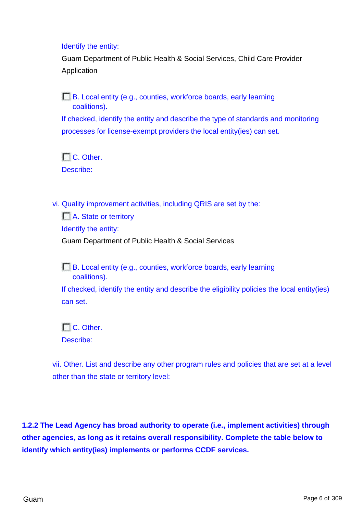Identify the entity:

Guam Department of Public Health & Social Services, Child Care Provider Application

**B.** Local entity (e.g., counties, workforce boards, early learning coalitions). If checked, identify the entity and describe the type of standards and monitoring processes for license-exempt providers the local entity(ies) can set.

 $\Box$  C. Other. Describe:

vi. Quality improvement activities, including QRIS are set by the:

A. State or territory Identify the entity: Guam Department of Public Health & Social Services

**B.** Local entity (e.g., counties, workforce boards, early learning coalitions).

If checked, identify the entity and describe the eligibility policies the local entity(ies) can set.

 $\Box$  C. Other. Describe:

vii. Other. List and describe any other program rules and policies that are set at a level other than the state or territory level:

**1.2.2 The Lead Agency has broad authority to operate (i.e., implement activities) through other agencies, as long as it retains overall responsibility. Complete the table below to identify which entity(ies) implements or performs CCDF services.**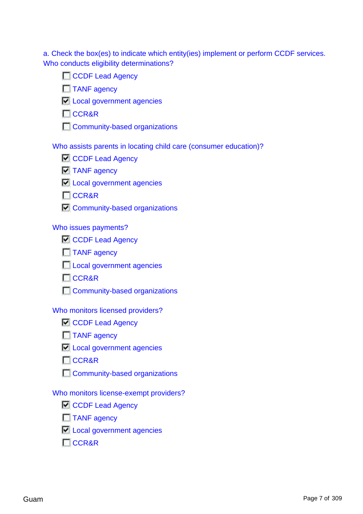a. Check the box(es) to indicate which entity(ies) implement or perform CCDF services. Who conducts eligibility determinations?

|  |  | CCDF Lead Agency |  |
|--|--|------------------|--|
|  |  |                  |  |

TANF agency

**Local government agencies** 

**CCR&R** 

**Community-based organizations** 

Who assists parents in locating child care (consumer education)?

| <b>N</b> CCDF Lead Agency |  |  |
|---------------------------|--|--|
|---------------------------|--|--|

- $\n **TANF**$  agency
- $\Box$  Local government agencies

**T**CCR&R

 $\Box$  Community-based organizations

### Who issues payments?

| <b>CCDF Lead Agency</b> |
|-------------------------|
|-------------------------|

- **TANF** agency
- **Local government agencies**
- **T**CCR&R
- **Community-based organizations**

### Who monitors licensed providers?

- CCDF Lead Agency
- TANF agency
- **Local government agencies**
- **CCR&R**
- **Community-based organizations**

### Who monitors license-exempt providers?

- CCDF Lead Agency
- $\Box$  TANF agency
- **Local government agencies**
- **T**CCR&R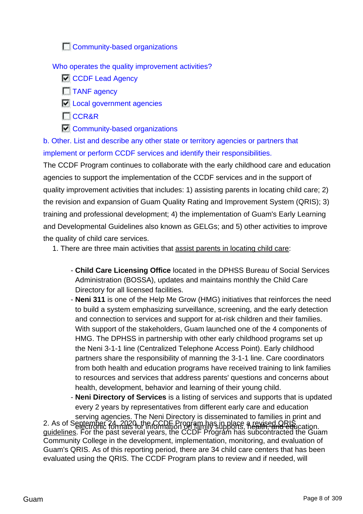**Community-based organizations** 

Who operates the quality improvement activities?

**CCDF** Lead Agency

**T**TANF agency

**Local government agencies** 

**CCR&R** 

 $\Box$  Community-based organizations

b. Other. List and describe any other state or territory agencies or partners that implement or perform CCDF services and identify their responsibilities.

The CCDF Program continues to collaborate with the early childhood care and education agencies to support the implementation of the CCDF services and in the support of quality improvement activities that includes: 1) assisting parents in locating child care; 2) the revision and expansion of Guam Quality Rating and Improvement System (QRIS); 3) training and professional development; 4) the implementation of Guam's Early Learning and Developmental Guidelines also known as GELGs; and 5) other activities to improve the quality of child care services.

1. There are three main activities that assist parents in locating child care:

- **Child Care Licensing Office** located in the DPHSS Bureau of Social Services Administration (BOSSA), updates and maintains monthly the Child Care Directory for all licensed facilities.
- **Neni 311** is one of the Help Me Grow (HMG) initiatives that reinforces the need to build a system emphasizing surveillance, screening, and the early detection and connection to services and support for at-risk children and their families. With support of the stakeholders, Guam launched one of the 4 components of HMG. The DPHSS in partnership with other early childhood programs set up the Neni 3-1-1 line (Centralized Telephone Access Point). Early childhood partners share the responsibility of manning the 3-1-1 line. Care coordinators from both health and education programs have received training to link families to resources and services that address parents' questions and concerns about health, development, behavior and learning of their young child.

- **Neni Directory of Services** is a listing of services and supports that is updated every 2 years by representatives from different early care and education

serving agencies. The Neni Directory is disseminated to families in print and 2. As of September 24, 2020, the CCDF Program has in place, a revised QRIS cation. guidelines. For the past several years, the CCDF Program has subcontracted the Guam Community College in the development, implementation, monitoring, and evaluation of Guam's QRIS. As of this reporting period, there are 34 child care centers that has been evaluated using the QRIS. The CCDF Program plans to review and if needed, will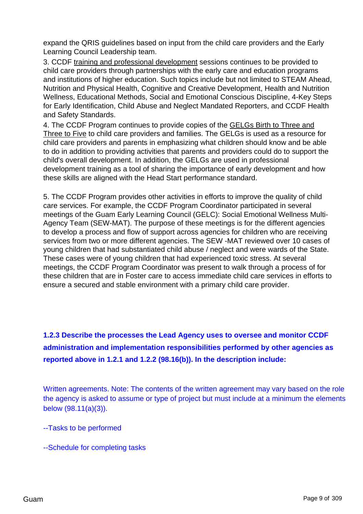expand the QRIS guidelines based on input from the child care providers and the Early Learning Council Leadership team.

3. CCDF training and professional development sessions continues to be provided to child care providers through partnerships with the early care and education programs and institutions of higher education. Such topics include but not limited to STEAM Ahead, Nutrition and Physical Health, Cognitive and Creative Development, Health and Nutrition Wellness, Educational Methods, Social and Emotional Conscious Discipline, 4-Key Steps for Early Identification, Child Abuse and Neglect Mandated Reporters, and CCDF Health and Safety Standards.

4. The CCDF Program continues to provide copies of the GELGs Birth to Three and Three to Five to child care providers and families. The GELGs is used as a resource for child care providers and parents in emphasizing what children should know and be able to do in addition to providing activities that parents and providers could do to support the child's overall development. In addition, the GELGs are used in professional development training as a tool of sharing the importance of early development and how these skills are aligned with the Head Start performance standard.

5. The CCDF Program provides other activities in efforts to improve the quality of child care services. For example, the CCDF Program Coordinator participated in several meetings of the Guam Early Learning Council (GELC): Social Emotional Wellness Multi-Agency Team (SEW-MAT). The purpose of these meetings is for the different agencies to develop a process and flow of support across agencies for children who are receiving services from two or more different agencies. The SEW -MAT reviewed over 10 cases of young children that had substantiated child abuse / neglect and were wards of the State. These cases were of young children that had experienced toxic stress. At several meetings, the CCDF Program Coordinator was present to walk through a process of for these children that are in Foster care to access immediate child care services in efforts to ensure a secured and stable environment with a primary child care provider.

**1.2.3 Describe the processes the Lead Agency uses to oversee and monitor CCDF administration and implementation responsibilities performed by other agencies as reported above in 1.2.1 and 1.2.2 (98.16(b)). In the description include:**

Written agreements. Note: The contents of the written agreement may vary based on the role the agency is asked to assume or type of project but must include at a minimum the elements below (98.11(a)(3)).

--Tasks to be performed

--Schedule for completing tasks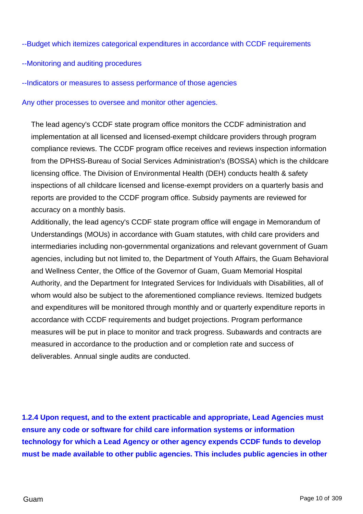### --Budget which itemizes categorical expenditures in accordance with CCDF requirements

### --Monitoring and auditing procedures

--Indicators or measures to assess performance of those agencies

Any other processes to oversee and monitor other agencies.

The lead agency's CCDF state program office monitors the CCDF administration and implementation at all licensed and licensed-exempt childcare providers through program compliance reviews. The CCDF program office receives and reviews inspection information from the DPHSS-Bureau of Social Services Administration's (BOSSA) which is the childcare licensing office. The Division of Environmental Health (DEH) conducts health & safety inspections of all childcare licensed and license-exempt providers on a quarterly basis and reports are provided to the CCDF program office. Subsidy payments are reviewed for accuracy on a monthly basis.

Additionally, the lead agency's CCDF state program office will engage in Memorandum of Understandings (MOUs) in accordance with Guam statutes, with child care providers and intermediaries including non-governmental organizations and relevant government of Guam agencies, including but not limited to, the Department of Youth Affairs, the Guam Behavioral and Wellness Center, the Office of the Governor of Guam, Guam Memorial Hospital Authority, and the Department for Integrated Services for Individuals with Disabilities, all of whom would also be subject to the aforementioned compliance reviews. Itemized budgets and expenditures will be monitored through monthly and or quarterly expenditure reports in accordance with CCDF requirements and budget projections. Program performance measures will be put in place to monitor and track progress. Subawards and contracts are measured in accordance to the production and or completion rate and success of deliverables. Annual single audits are conducted.

**1.2.4 Upon request, and to the extent practicable and appropriate, Lead Agencies must ensure any code or software for child care information systems or information technology for which a Lead Agency or other agency expends CCDF funds to develop must be made available to other public agencies. This includes public agencies in other**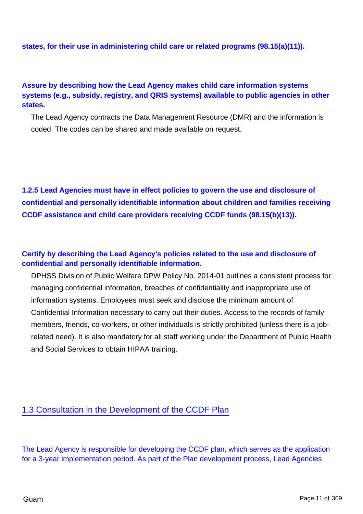**states, for their use in administering child care or related programs (98.15(a)(11)).**

### **Assure by describing how the Lead Agency makes child care information systems systems (e.g., subsidy, registry, and QRIS systems) available to public agencies in other states.**

The Lead Agency contracts the Data Management Resource (DMR) and the information is coded. The codes can be shared and made available on request.

**1.2.5 Lead Agencies must have in effect policies to govern the use and disclosure of confidential and personally identifiable information about children and families receiving CCDF assistance and child care providers receiving CCDF funds (98.15(b)(13)).**

### **Certify by describing the Lead Agency's policies related to the use and disclosure of confidential and personally identifiable information.**

DPHSS Division of Public Welfare DPW Policy No. 2014-01 outlines a consistent process for managing confidential information, breaches of confidentiality and inappropriate use of information systems. Employees must seek and disclose the minimum amount of Confidential Information necessary to carry out their duties. Access to the records of family members, friends, co-workers, or other individuals is strictly prohibited (unless there is a jobrelated need). It is also mandatory for all staff working under the Department of Public Health and Social Services to obtain HIPAA training.

### 1.3 Consultation in the Development of the CCDF Plan

The Lead Agency is responsible for developing the CCDF plan, which serves as the application for a 3-year implementation period. As part of the Plan development process, Lead Agencies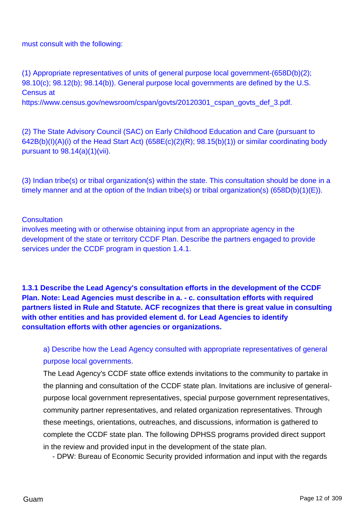must consult with the following:

(1) Appropriate representatives of units of general purpose local government-(658D(b)(2); 98.10(c); 98.12(b); 98.14(b)). General purpose local governments are defined by the U.S. Census at

https://www.census.gov/newsroom/cspan/govts/20120301\_cspan\_govts\_def\_3.pdf.

(2) The State Advisory Council (SAC) on Early Childhood Education and Care (pursuant to 642B(b)(I)(A)(i) of the Head Start Act) (658E(c)(2)(R); 98.15(b)(1)) or similar coordinating body pursuant to 98.14(a)(1)(vii).

(3) Indian tribe(s) or tribal organization(s) within the state. This consultation should be done in a timely manner and at the option of the Indian tribe(s) or tribal organization(s) (658D(b)(1)(E)).

### **Consultation**

involves meeting with or otherwise obtaining input from an appropriate agency in the development of the state or territory CCDF Plan. Describe the partners engaged to provide services under the CCDF program in question 1.4.1.

**1.3.1 Describe the Lead Agency's consultation efforts in the development of the CCDF Plan. Note: Lead Agencies must describe in a. - c. consultation efforts with required partners listed in Rule and Statute. ACF recognizes that there is great value in consulting with other entities and has provided element d. for Lead Agencies to identify consultation efforts with other agencies or organizations.**

# a) Describe how the Lead Agency consulted with appropriate representatives of general purpose local governments.

The Lead Agency's CCDF state office extends invitations to the community to partake in the planning and consultation of the CCDF state plan. Invitations are inclusive of generalpurpose local government representatives, special purpose government representatives, community partner representatives, and related organization representatives. Through these meetings, orientations, outreaches, and discussions, information is gathered to complete the CCDF state plan. The following DPHSS programs provided direct support in the review and provided input in the development of the state plan.

- DPW: Bureau of Economic Security provided information and input with the regards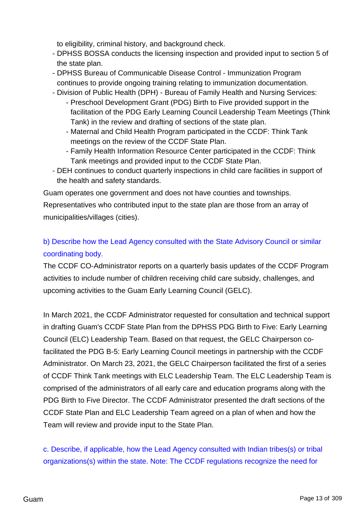to eligibility, criminal history, and background check.

- DPHSS BOSSA conducts the licensing inspection and provided input to section 5 of the state plan.
- DPHSS Bureau of Communicable Disease Control Immunization Program continues to provide ongoing training relating to immunization documentation.
- Division of Public Health (DPH) Bureau of Family Health and Nursing Services:
	- Preschool Development Grant (PDG) Birth to Five provided support in the facilitation of the PDG Early Learning Council Leadership Team Meetings (Think Tank) in the review and drafting of sections of the state plan.
	- Maternal and Child Health Program participated in the CCDF: Think Tank meetings on the review of the CCDF State Plan.
	- Family Health Information Resource Center participated in the CCDF: Think Tank meetings and provided input to the CCDF State Plan.
- DEH continues to conduct quarterly inspections in child care facilities in support of the health and safety standards.

Guam operates one government and does not have counties and townships.

Representatives who contributed input to the state plan are those from an array of municipalities/villages (cities).

# b) Describe how the Lead Agency consulted with the State Advisory Council or similar coordinating body.

The CCDF CO-Administrator reports on a quarterly basis updates of the CCDF Program activities to include number of children receiving child care subsidy, challenges, and upcoming activities to the Guam Early Learning Council (GELC).

In March 2021, the CCDF Administrator requested for consultation and technical support in drafting Guam's CCDF State Plan from the DPHSS PDG Birth to Five: Early Learning Council (ELC) Leadership Team. Based on that request, the GELC Chairperson cofacilitated the PDG B-5: Early Learning Council meetings in partnership with the CCDF Administrator. On March 23, 2021, the GELC Chairperson facilitated the first of a series of CCDF Think Tank meetings with ELC Leadership Team. The ELC Leadership Team is comprised of the administrators of all early care and education programs along with the PDG Birth to Five Director. The CCDF Administrator presented the draft sections of the CCDF State Plan and ELC Leadership Team agreed on a plan of when and how the Team will review and provide input to the State Plan.

c. Describe, if applicable, how the Lead Agency consulted with Indian tribes(s) or tribal organizations(s) within the state. Note: The CCDF regulations recognize the need for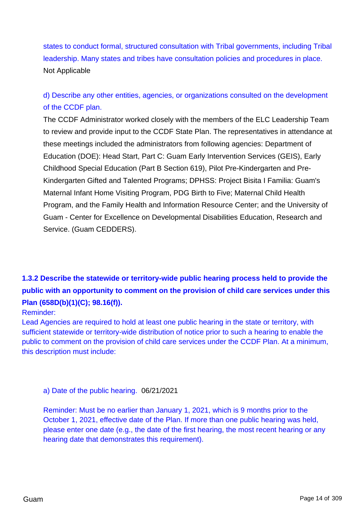states to conduct formal, structured consultation with Tribal governments, including Tribal leadership. Many states and tribes have consultation policies and procedures in place. Not Applicable

# d) Describe any other entities, agencies, or organizations consulted on the development of the CCDF plan.

The CCDF Administrator worked closely with the members of the ELC Leadership Team to review and provide input to the CCDF State Plan. The representatives in attendance at these meetings included the administrators from following agencies: Department of Education (DOE): Head Start, Part C: Guam Early Intervention Services (GEIS), Early Childhood Special Education (Part B Section 619), Pilot Pre-Kindergarten and Pre-Kindergarten Gifted and Talented Programs; DPHSS: Project Bisita I Familia: Guam's Maternal Infant Home Visiting Program, PDG Birth to Five; Maternal Child Health Program, and the Family Health and Information Resource Center; and the University of Guam - Center for Excellence on Developmental Disabilities Education, Research and Service. (Guam CEDDERS).

# **1.3.2 Describe the statewide or territory-wide public hearing process held to provide the public with an opportunity to comment on the provision of child care services under this Plan (658D(b)(1)(C); 98.16(f)).**

### Reminder:

Lead Agencies are required to hold at least one public hearing in the state or territory, with sufficient statewide or territory-wide distribution of notice prior to such a hearing to enable the public to comment on the provision of child care services under the CCDF Plan. At a minimum, this description must include:

a) Date of the public hearing. 06/21/2021

Reminder: Must be no earlier than January 1, 2021, which is 9 months prior to the October 1, 2021, effective date of the Plan. If more than one public hearing was held, please enter one date (e.g., the date of the first hearing, the most recent hearing or any hearing date that demonstrates this requirement).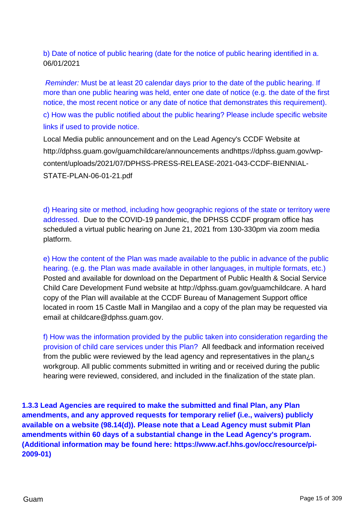b) Date of notice of public hearing (date for the notice of public hearing identified in a. 06/01/2021

Reminder: Must be at least 20 calendar days prior to the date of the public hearing. If more than one public hearing was held, enter one date of notice (e.g. the date of the first notice, the most recent notice or any date of notice that demonstrates this requirement). c) How was the public notified about the public hearing? Please include specific website links if used to provide notice.

Local Media public announcement and on the Lead Agency's CCDF Website at http://dphss.guam.gov/guamchildcare/announcements andhttps://dphss.guam.gov/wpcontent/uploads/2021/07/DPHSS-PRESS-RELEASE-2021-043-CCDF-BIENNIAL-STATE-PLAN-06-01-21.pdf

d) Hearing site or method, including how geographic regions of the state or territory were addressed. Due to the COVID-19 pandemic, the DPHSS CCDF program office has scheduled a virtual public hearing on June 21, 2021 from 130-330pm via zoom media platform.

e) How the content of the Plan was made available to the public in advance of the public hearing. (e.g. the Plan was made available in other languages, in multiple formats, etc.) Posted and available for download on the Department of Public Health & Social Service Child Care Development Fund website at http://dphss.guam.gov/guamchildcare. A hard copy of the Plan will available at the CCDF Bureau of Management Support office located in room 15 Castle Mall in Mangilao and a copy of the plan may be requested via email at childcare@dphss.guam.gov.

f) How was the information provided by the public taken into consideration regarding the provision of child care services under this Plan? All feedback and information received from the public were reviewed by the lead agency and representatives in the plan¿s workgroup. All public comments submitted in writing and or received during the public hearing were reviewed, considered, and included in the finalization of the state plan.

**1.3.3 Lead Agencies are required to make the submitted and final Plan, any Plan amendments, and any approved requests for temporary relief (i.e., waivers) publicly available on a website (98.14(d)). Please note that a Lead Agency must submit Plan amendments within 60 days of a substantial change in the Lead Agency's program. (Additional information may be found here: https://www.acf.hhs.gov/occ/resource/pi-2009-01)**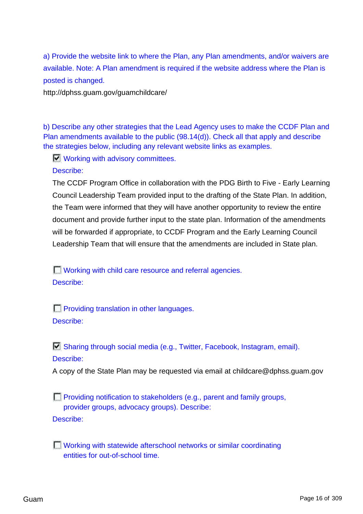a) Provide the website link to where the Plan, any Plan amendments, and/or waivers are available. Note: A Plan amendment is required if the website address where the Plan is posted is changed.

http://dphss.guam.gov/guamchildcare/

b) Describe any other strategies that the Lead Agency uses to make the CCDF Plan and Plan amendments available to the public (98.14(d)). Check all that apply and describe the strategies below, including any relevant website links as examples.

**Working with advisory committees.** 

Describe:

The CCDF Program Office in collaboration with the PDG Birth to Five - Early Learning Council Leadership Team provided input to the drafting of the State Plan. In addition, the Team were informed that they will have another opportunity to review the entire document and provide further input to the state plan. Information of the amendments will be forwarded if appropriate, to CCDF Program and the Early Learning Council Leadership Team that will ensure that the amendments are included in State plan.

**Norking with child care resource and referral agencies.** Describe:

**Providing translation in other languages.** Describe:

 $\Box$  Sharing through social media (e.g., Twitter, Facebook, Instagram, email). Describe:

A copy of the State Plan may be requested via email at childcare@dphss.guam.gov

**Providing notification to stakeholders (e.g., parent and family groups,** provider groups, advocacy groups). Describe: Describe:

**T** Working with statewide afterschool networks or similar coordinating entities for out-of-school time.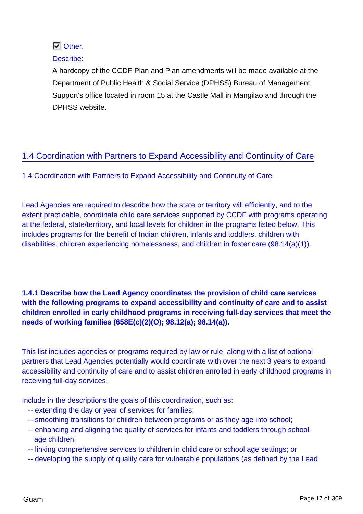## **N** Other.

### Describe:

A hardcopy of the CCDF Plan and Plan amendments will be made available at the Department of Public Health & Social Service (DPHSS) Bureau of Management Support's office located in room 15 at the Castle Mall in Mangilao and through the DPHSS website.

## 1.4 Coordination with Partners to Expand Accessibility and Continuity of Care

1.4 Coordination with Partners to Expand Accessibility and Continuity of Care

Lead Agencies are required to describe how the state or territory will efficiently, and to the extent practicable, coordinate child care services supported by CCDF with programs operating at the federal, state/territory, and local levels for children in the programs listed below. This includes programs for the benefit of Indian children, infants and toddlers, children with disabilities, children experiencing homelessness, and children in foster care (98.14(a)(1)).

### **1.4.1 Describe how the Lead Agency coordinates the provision of child care services with the following programs to expand accessibility and continuity of care and to assist children enrolled in early childhood programs in receiving full-day services that meet the needs of working families (658E(c)(2)(O); 98.12(a); 98.14(a)).**

This list includes agencies or programs required by law or rule, along with a list of optional partners that Lead Agencies potentially would coordinate with over the next 3 years to expand accessibility and continuity of care and to assist children enrolled in early childhood programs in receiving full-day services.

Include in the descriptions the goals of this coordination, such as:

- -- extending the day or year of services for families;
- -- smoothing transitions for children between programs or as they age into school;
- -- enhancing and aligning the quality of services for infants and toddlers through school age children;
- -- linking comprehensive services to children in child care or school age settings; or
- -- developing the supply of quality care for vulnerable populations (as defined by the Lead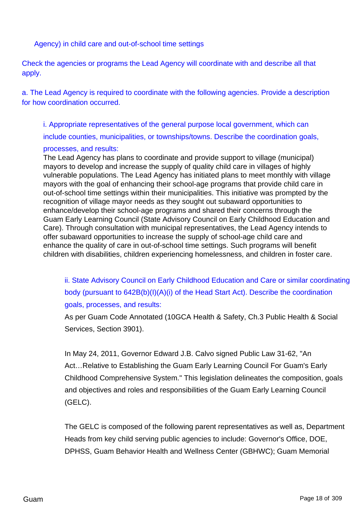Agency) in child care and out-of-school time settings

Check the agencies or programs the Lead Agency will coordinate with and describe all that apply.

a. The Lead Agency is required to coordinate with the following agencies. Provide a description for how coordination occurred.

i. Appropriate representatives of the general purpose local government, which can include counties, municipalities, or townships/towns. Describe the coordination goals,

### processes, and results:

The Lead Agency has plans to coordinate and provide support to village (municipal) mayors to develop and increase the supply of quality child care in villages of highly vulnerable populations. The Lead Agency has initiated plans to meet monthly with village mayors with the goal of enhancing their school-age programs that provide child care in out-of-school time settings within their municipalities. This initiative was prompted by the recognition of village mayor needs as they sought out subaward opportunities to enhance/develop their school-age programs and shared their concerns through the Guam Early Learning Council (State Advisory Council on Early Childhood Education and Care). Through consultation with municipal representatives, the Lead Agency intends to offer subaward opportunities to increase the supply of school-age child care and enhance the quality of care in out-of-school time settings. Such programs will benefit children with disabilities, children experiencing homelessness, and children in foster care.

ii. State Advisory Council on Early Childhood Education and Care or similar coordinating body (pursuant to 642B(b)(I)(A)(i) of the Head Start Act). Describe the coordination goals, processes, and results:

As per Guam Code Annotated (10GCA Health & Safety, Ch.3 Public Health & Social Services, Section 3901).

In May 24, 2011, Governor Edward J.B. Calvo signed Public Law 31-62, "An Act…Relative to Establishing the Guam Early Learning Council For Guam's Early Childhood Comprehensive System." This legislation delineates the composition, goals and objectives and roles and responsibilities of the Guam Early Learning Council (GELC).

The GELC is composed of the following parent representatives as well as, Department Heads from key child serving public agencies to include: Governor's Office, DOE, DPHSS, Guam Behavior Health and Wellness Center (GBHWC); Guam Memorial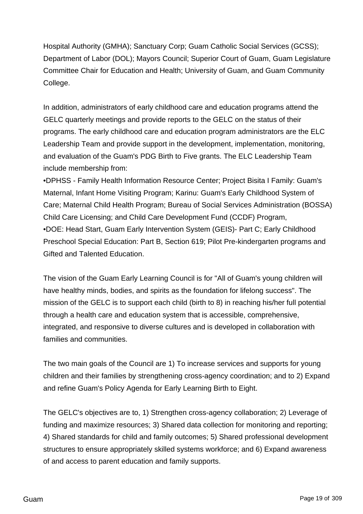Hospital Authority (GMHA); Sanctuary Corp; Guam Catholic Social Services (GCSS); Department of Labor (DOL); Mayors Council; Superior Court of Guam, Guam Legislature Committee Chair for Education and Health; University of Guam, and Guam Community College.

In addition, administrators of early childhood care and education programs attend the GELC quarterly meetings and provide reports to the GELC on the status of their programs. The early childhood care and education program administrators are the ELC Leadership Team and provide support in the development, implementation, monitoring, and evaluation of the Guam's PDG Birth to Five grants. The ELC Leadership Team include membership from:

•DPHSS - Family Health Information Resource Center; Project Bisita I Family: Guam's Maternal, Infant Home Visiting Program; Karinu: Guam's Early Childhood System of Care; Maternal Child Health Program; Bureau of Social Services Administration (BOSSA) Child Care Licensing; and Child Care Development Fund (CCDF) Program, •DOE: Head Start, Guam Early Intervention System (GEIS)- Part C; Early Childhood Preschool Special Education: Part B, Section 619; Pilot Pre-kindergarten programs and Gifted and Talented Education.

The vision of the Guam Early Learning Council is for "All of Guam's young children will have healthy minds, bodies, and spirits as the foundation for lifelong success". The mission of the GELC is to support each child (birth to 8) in reaching his/her full potential through a health care and education system that is accessible, comprehensive, integrated, and responsive to diverse cultures and is developed in collaboration with families and communities.

The two main goals of the Council are 1) To increase services and supports for young children and their families by strengthening cross-agency coordination; and to 2) Expand and refine Guam's Policy Agenda for Early Learning Birth to Eight.

The GELC's objectives are to, 1) Strengthen cross-agency collaboration; 2) Leverage of funding and maximize resources; 3) Shared data collection for monitoring and reporting; 4) Shared standards for child and family outcomes; 5) Shared professional development structures to ensure appropriately skilled systems workforce; and 6) Expand awareness of and access to parent education and family supports.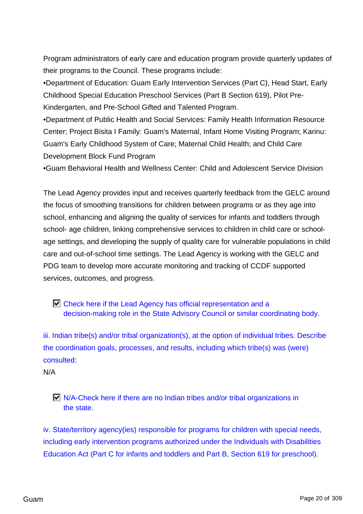Program administrators of early care and education program provide quarterly updates of their programs to the Council. These programs include:

•Department of Education: Guam Early Intervention Services (Part C), Head Start, Early Childhood Special Education Preschool Services (Part B Section 619), Pilot Pre-Kindergarten, and Pre-School Gifted and Talented Program.

•Department of Public Health and Social Services: Family Health Information Resource Center; Project Bisita I Family: Guam's Maternal, Infant Home Visiting Program; Karinu: Guam's Early Childhood System of Care; Maternal Child Health; and Child Care Development Block Fund Program

•Guam Behavioral Health and Wellness Center: Child and Adolescent Service Division

The Lead Agency provides input and receives quarterly feedback from the GELC around the focus of smoothing transitions for children between programs or as they age into school, enhancing and aligning the quality of services for infants and toddlers through school- age children, linking comprehensive services to children in child care or schoolage settings, and developing the supply of quality care for vulnerable populations in child care and out-of-school time settings. The Lead Agency is working with the GELC and PDG team to develop more accurate monitoring and tracking of CCDF supported services, outcomes, and progress.

Check here if the Lead Agency has official representation and a decision-making role in the State Advisory Council or similar coordinating body.

iii. Indian tribe(s) and/or tribal organization(s), at the option of individual tribes. Describe the coordination goals, processes, and results, including which tribe(s) was (were) consulted:

N/A

 $\Box$  N/A-Check here if there are no Indian tribes and/or tribal organizations in the state.

iv. State/territory agency(ies) responsible for programs for children with special needs, including early intervention programs authorized under the Individuals with Disabilities Education Act (Part C for infants and toddlers and Part B, Section 619 for preschool).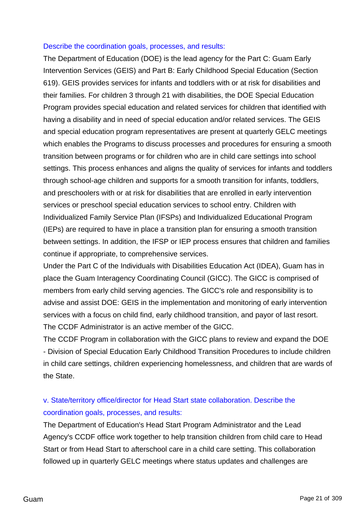#### Describe the coordination goals, processes, and results:

The Department of Education (DOE) is the lead agency for the Part C: Guam Early Intervention Services (GEIS) and Part B: Early Childhood Special Education (Section 619). GEIS provides services for infants and toddlers with or at risk for disabilities and their families. For children 3 through 21 with disabilities, the DOE Special Education Program provides special education and related services for children that identified with having a disability and in need of special education and/or related services. The GEIS and special education program representatives are present at quarterly GELC meetings which enables the Programs to discuss processes and procedures for ensuring a smooth transition between programs or for children who are in child care settings into school settings. This process enhances and aligns the quality of services for infants and toddlers through school-age children and supports for a smooth transition for infants, toddlers, and preschoolers with or at risk for disabilities that are enrolled in early intervention services or preschool special education services to school entry. Children with Individualized Family Service Plan (IFSPs) and Individualized Educational Program (IEPs) are required to have in place a transition plan for ensuring a smooth transition between settings. In addition, the IFSP or IEP process ensures that children and families continue if appropriate, to comprehensive services.

Under the Part C of the Individuals with Disabilities Education Act (IDEA), Guam has in place the Guam Interagency Coordinating Council (GICC). The GICC is comprised of members from early child serving agencies. The GICC's role and responsibility is to advise and assist DOE: GEIS in the implementation and monitoring of early intervention services with a focus on child find, early childhood transition, and payor of last resort. The CCDF Administrator is an active member of the GICC.

The CCDF Program in collaboration with the GICC plans to review and expand the DOE - Division of Special Education Early Childhood Transition Procedures to include children in child care settings, children experiencing homelessness, and children that are wards of the State.

## v. State/territory office/director for Head Start state collaboration. Describe the coordination goals, processes, and results:

The Department of Education's Head Start Program Administrator and the Lead Agency's CCDF office work together to help transition children from child care to Head Start or from Head Start to afterschool care in a child care setting. This collaboration followed up in quarterly GELC meetings where status updates and challenges are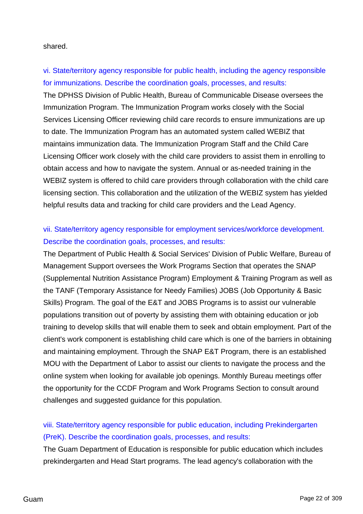shared.

vi. State/territory agency responsible for public health, including the agency responsible for immunizations. Describe the coordination goals, processes, and results: The DPHSS Division of Public Health, Bureau of Communicable Disease oversees the Immunization Program. The Immunization Program works closely with the Social Services Licensing Officer reviewing child care records to ensure immunizations are up to date. The Immunization Program has an automated system called WEBIZ that maintains immunization data. The Immunization Program Staff and the Child Care Licensing Officer work closely with the child care providers to assist them in enrolling to obtain access and how to navigate the system. Annual or as-needed training in the WEBIZ system is offered to child care providers through collaboration with the child care licensing section. This collaboration and the utilization of the WEBIZ system has yielded helpful results data and tracking for child care providers and the Lead Agency.

## vii. State/territory agency responsible for employment services/workforce development. Describe the coordination goals, processes, and results:

The Department of Public Health & Social Services' Division of Public Welfare, Bureau of Management Support oversees the Work Programs Section that operates the SNAP (Supplemental Nutrition Assistance Program) Employment & Training Program as well as the TANF (Temporary Assistance for Needy Families) JOBS (Job Opportunity & Basic Skills) Program. The goal of the E&T and JOBS Programs is to assist our vulnerable populations transition out of poverty by assisting them with obtaining education or job training to develop skills that will enable them to seek and obtain employment. Part of the client's work component is establishing child care which is one of the barriers in obtaining and maintaining employment. Through the SNAP E&T Program, there is an established MOU with the Department of Labor to assist our clients to navigate the process and the online system when looking for available job openings. Monthly Bureau meetings offer the opportunity for the CCDF Program and Work Programs Section to consult around challenges and suggested guidance for this population.

# viii. State/territory agency responsible for public education, including Prekindergarten (PreK). Describe the coordination goals, processes, and results:

The Guam Department of Education is responsible for public education which includes prekindergarten and Head Start programs. The lead agency's collaboration with the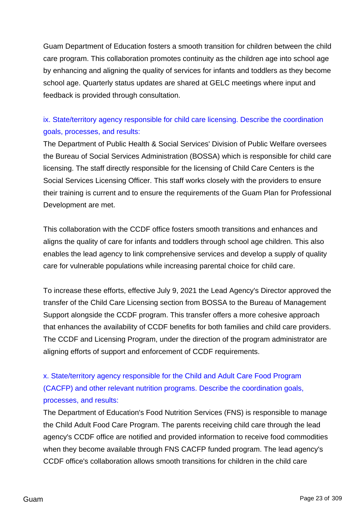Guam Department of Education fosters a smooth transition for children between the child care program. This collaboration promotes continuity as the children age into school age by enhancing and aligning the quality of services for infants and toddlers as they become school age. Quarterly status updates are shared at GELC meetings where input and feedback is provided through consultation.

## ix. State/territory agency responsible for child care licensing. Describe the coordination goals, processes, and results:

The Department of Public Health & Social Services' Division of Public Welfare oversees the Bureau of Social Services Administration (BOSSA) which is responsible for child care licensing. The staff directly responsible for the licensing of Child Care Centers is the Social Services Licensing Officer. This staff works closely with the providers to ensure their training is current and to ensure the requirements of the Guam Plan for Professional Development are met.

This collaboration with the CCDF office fosters smooth transitions and enhances and aligns the quality of care for infants and toddlers through school age children. This also enables the lead agency to link comprehensive services and develop a supply of quality care for vulnerable populations while increasing parental choice for child care.

To increase these efforts, effective July 9, 2021 the Lead Agency's Director approved the transfer of the Child Care Licensing section from BOSSA to the Bureau of Management Support alongside the CCDF program. This transfer offers a more cohesive approach that enhances the availability of CCDF benefits for both families and child care providers. The CCDF and Licensing Program, under the direction of the program administrator are aligning efforts of support and enforcement of CCDF requirements.

# x. State/territory agency responsible for the Child and Adult Care Food Program (CACFP) and other relevant nutrition programs. Describe the coordination goals, processes, and results:

The Department of Education's Food Nutrition Services (FNS) is responsible to manage the Child Adult Food Care Program. The parents receiving child care through the lead agency's CCDF office are notified and provided information to receive food commodities when they become available through FNS CACFP funded program. The lead agency's CCDF office's collaboration allows smooth transitions for children in the child care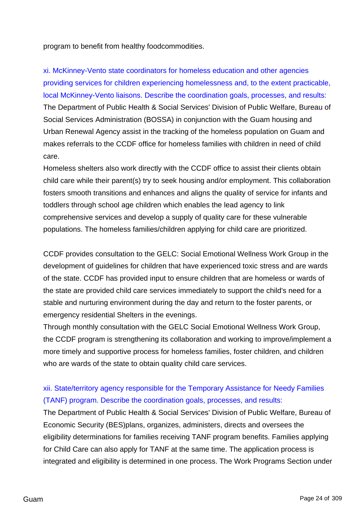program to benefit from healthy foodcommodities.

xi. McKinney-Vento state coordinators for homeless education and other agencies providing services for children experiencing homelessness and, to the extent practicable, local McKinney-Vento liaisons. Describe the coordination goals, processes, and results: The Department of Public Health & Social Services' Division of Public Welfare, Bureau of Social Services Administration (BOSSA) in conjunction with the Guam housing and Urban Renewal Agency assist in the tracking of the homeless population on Guam and makes referrals to the CCDF office for homeless families with children in need of child care.

Homeless shelters also work directly with the CCDF office to assist their clients obtain child care while their parent(s) try to seek housing and/or employment. This collaboration fosters smooth transitions and enhances and aligns the quality of service for infants and toddlers through school age children which enables the lead agency to link comprehensive services and develop a supply of quality care for these vulnerable populations. The homeless families/children applying for child care are prioritized.

CCDF provides consultation to the GELC: Social Emotional Wellness Work Group in the development of guidelines for children that have experienced toxic stress and are wards of the state. CCDF has provided input to ensure children that are homeless or wards of the state are provided child care services immediately to support the child's need for a stable and nurturing environment during the day and return to the foster parents, or emergency residential Shelters in the evenings.

Through monthly consultation with the GELC Social Emotional Wellness Work Group, the CCDF program is strengthening its collaboration and working to improve/implement a more timely and supportive process for homeless families, foster children, and children who are wards of the state to obtain quality child care services.

## xii. State/territory agency responsible for the Temporary Assistance for Needy Families (TANF) program. Describe the coordination goals, processes, and results:

The Department of Public Health & Social Services' Division of Public Welfare, Bureau of Economic Security (BES)plans, organizes, administers, directs and oversees the eligibility determinations for families receiving TANF program benefits. Families applying for Child Care can also apply for TANF at the same time. The application process is integrated and eligibility is determined in one process. The Work Programs Section under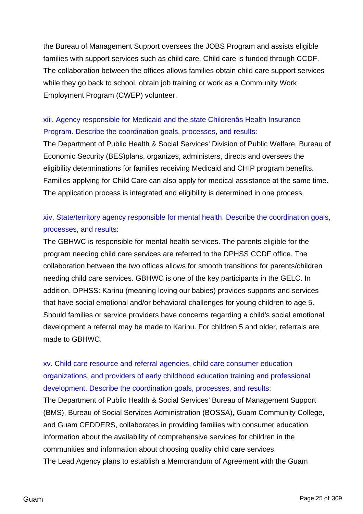the Bureau of Management Support oversees the JOBS Program and assists eligible families with support services such as child care. Child care is funded through CCDF. The collaboration between the offices allows families obtain child care support services while they go back to school, obtain job training or work as a Community Work Employment Program (CWEP) volunteer.

## xiii. Agency responsible for Medicaid and the state Childrenâs Health Insurance Program. Describe the coordination goals, processes, and results:

The Department of Public Health & Social Services' Division of Public Welfare, Bureau of Economic Security (BES)plans, organizes, administers, directs and oversees the eligibility determinations for families receiving Medicaid and CHIP program benefits. Families applying for Child Care can also apply for medical assistance at the same time. The application process is integrated and eligibility is determined in one process.

## xiv. State/territory agency responsible for mental health. Describe the coordination goals, processes, and results:

The GBHWC is responsible for mental health services. The parents eligible for the program needing child care services are referred to the DPHSS CCDF office. The collaboration between the two offices allows for smooth transitions for parents/children needing child care services. GBHWC is one of the key participants in the GELC. In addition, DPHSS: Karinu (meaning loving our babies) provides supports and services that have social emotional and/or behavioral challenges for young children to age 5. Should families or service providers have concerns regarding a child's social emotional development a referral may be made to Karinu. For children 5 and older, referrals are made to GBHWC.

# xv. Child care resource and referral agencies, child care consumer education organizations, and providers of early childhood education training and professional development. Describe the coordination goals, processes, and results:

The Department of Public Health & Social Services' Bureau of Management Support (BMS), Bureau of Social Services Administration (BOSSA), Guam Community College, and Guam CEDDERS, collaborates in providing families with consumer education information about the availability of comprehensive services for children in the communities and information about choosing quality child care services. The Lead Agency plans to establish a Memorandum of Agreement with the Guam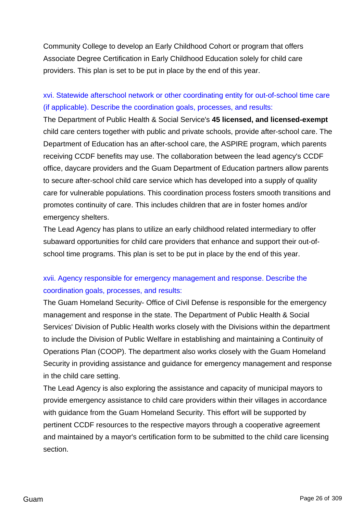Community College to develop an Early Childhood Cohort or program that offers Associate Degree Certification in Early Childhood Education solely for child care providers. This plan is set to be put in place by the end of this year.

## xvi. Statewide afterschool network or other coordinating entity for out-of-school time care (if applicable). Describe the coordination goals, processes, and results:

The Department of Public Health & Social Service's **45 licensed, and licensed-exempt** child care centers together with public and private schools, provide after-school care. The Department of Education has an after-school care, the ASPIRE program, which parents receiving CCDF benefits may use. The collaboration between the lead agency's CCDF office, daycare providers and the Guam Department of Education partners allow parents to secure after-school child care service which has developed into a supply of quality care for vulnerable populations. This coordination process fosters smooth transitions and promotes continuity of care. This includes children that are in foster homes and/or emergency shelters.

The Lead Agency has plans to utilize an early childhood related intermediary to offer subaward opportunities for child care providers that enhance and support their out-ofschool time programs. This plan is set to be put in place by the end of this year.

## xvii. Agency responsible for emergency management and response. Describe the coordination goals, processes, and results:

The Guam Homeland Security- Office of Civil Defense is responsible for the emergency management and response in the state. The Department of Public Health & Social Services' Division of Public Health works closely with the Divisions within the department to include the Division of Public Welfare in establishing and maintaining a Continuity of Operations Plan (COOP). The department also works closely with the Guam Homeland Security in providing assistance and guidance for emergency management and response in the child care setting.

The Lead Agency is also exploring the assistance and capacity of municipal mayors to provide emergency assistance to child care providers within their villages in accordance with guidance from the Guam Homeland Security. This effort will be supported by pertinent CCDF resources to the respective mayors through a cooperative agreement and maintained by a mayor's certification form to be submitted to the child care licensing section.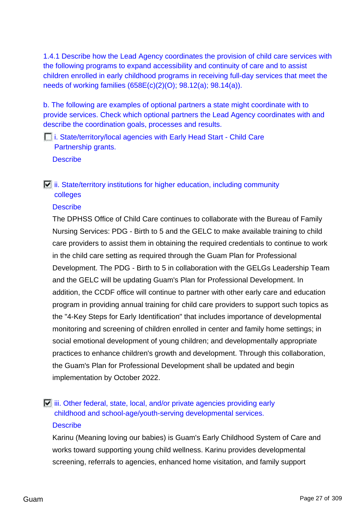1.4.1 Describe how the Lead Agency coordinates the provision of child care services with the following programs to expand accessibility and continuity of care and to assist children enrolled in early childhood programs in receiving full-day services that meet the needs of working families (658E(c)(2)(O); 98.12(a); 98.14(a)).

b. The following are examples of optional partners a state might coordinate with to provide services. Check which optional partners the Lead Agency coordinates with and describe the coordination goals, processes and results.

*i.* State/territory/local agencies with Early Head Start - Child Care Partnership grants. **Describe** 

## $\Box$  ii. State/territory institutions for higher education, including community colleges

### **Describe**

The DPHSS Office of Child Care continues to collaborate with the Bureau of Family Nursing Services: PDG - Birth to 5 and the GELC to make available training to child care providers to assist them in obtaining the required credentials to continue to work in the child care setting as required through the Guam Plan for Professional Development. The PDG - Birth to 5 in collaboration with the GELGs Leadership Team and the GELC will be updating Guam's Plan for Professional Development. In addition, the CCDF office will continue to partner with other early care and education program in providing annual training for child care providers to support such topics as the "4-Key Steps for Early Identification" that includes importance of developmental monitoring and screening of children enrolled in center and family home settings; in social emotional development of young children; and developmentally appropriate practices to enhance children's growth and development. Through this collaboration, the Guam's Plan for Professional Development shall be updated and begin implementation by October 2022.

## $\Box$  iii. Other federal, state, local, and/or private agencies providing early childhood and school-age/youth-serving developmental services. **Describe**

Karinu (Meaning loving our babies) is Guam's Early Childhood System of Care and works toward supporting young child wellness. Karinu provides developmental screening, referrals to agencies, enhanced home visitation, and family support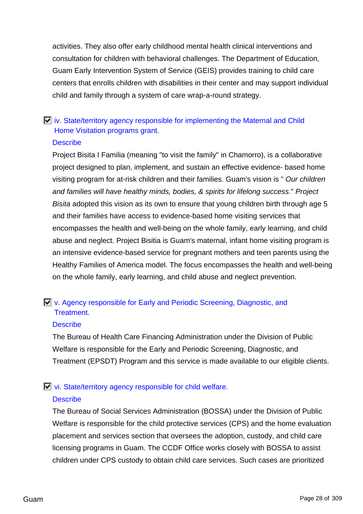activities. They also offer early childhood mental health clinical interventions and consultation for children with behavioral challenges. The Department of Education, Guam Early Intervention System of Service (GEIS) provides training to child care centers that enrolls children with disabilities in their center and may support individual child and family through a system of care wrap-a-round strategy.

# $\Box$  iv. State/territory agency responsible for implementing the Maternal and Child Home Visitation programs grant.

### **Describe**

Project Bisita I Familia (meaning "to visit the family" in Chamorro), is a collaborative project designed to plan, implement, and sustain an effective evidence- based home visiting program for at-risk children and their families. Guam's vision is " Our children and families will have healthy minds, bodies, & spirits for lifelong success." Project Bisita adopted this vision as its own to ensure that young children birth through age 5 and their families have access to evidence-based home visiting services that encompasses the health and well-being on the whole family, early learning, and child abuse and neglect. Project Bisitia is Guam's maternal, infant home visiting program is an intensive evidence-based service for pregnant mothers and teen parents using the Healthy Families of America model. The focus encompasses the health and well-being on the whole family, early learning, and child abuse and neglect prevention.

## **E** v. Agency responsible for Early and Periodic Screening, Diagnostic, and Treatment.

### **Describe**

The Bureau of Health Care Financing Administration under the Division of Public Welfare is responsible for the Early and Periodic Screening, Diagnostic, and Treatment (EPSDT) Program and this service is made available to our eligible clients.

### vi. State/territory agency responsible for child welfare.

### **Describe**

The Bureau of Social Services Administration (BOSSA) under the Division of Public Welfare is responsible for the child protective services (CPS) and the home evaluation placement and services section that oversees the adoption, custody, and child care licensing programs in Guam. The CCDF Office works closely with BOSSA to assist children under CPS custody to obtain child care services. Such cases are prioritized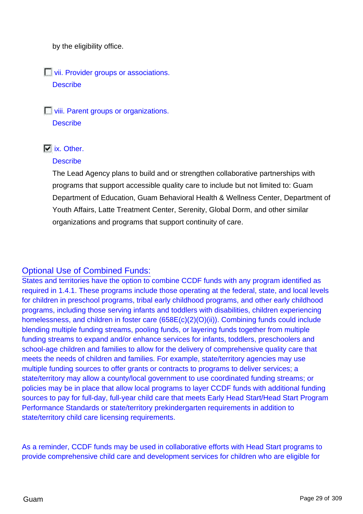by the eligibility office.

**Vii. Provider groups or associations. Describe** 

**T** viii. Parent groups or organizations. **Describe** 

## $\overline{V}$  ix. Other.

### **Describe**

The Lead Agency plans to build and or strengthen collaborative partnerships with programs that support accessible quality care to include but not limited to: Guam Department of Education, Guam Behavioral Health & Wellness Center, Department of Youth Affairs, Latte Treatment Center, Serenity, Global Dorm, and other similar organizations and programs that support continuity of care.

## Optional Use of Combined Funds:

States and territories have the option to combine CCDF funds with any program identified as required in 1.4.1. These programs include those operating at the federal, state, and local levels for children in preschool programs, tribal early childhood programs, and other early childhood programs, including those serving infants and toddlers with disabilities, children experiencing homelessness, and children in foster care (658E(c)(2)(O)(ii)). Combining funds could include blending multiple funding streams, pooling funds, or layering funds together from multiple funding streams to expand and/or enhance services for infants, toddlers, preschoolers and school-age children and families to allow for the delivery of comprehensive quality care that meets the needs of children and families. For example, state/territory agencies may use multiple funding sources to offer grants or contracts to programs to deliver services; a state/territory may allow a county/local government to use coordinated funding streams; or policies may be in place that allow local programs to layer CCDF funds with additional funding sources to pay for full-day, full-year child care that meets Early Head Start/Head Start Program Performance Standards or state/territory prekindergarten requirements in addition to state/territory child care licensing requirements.

As a reminder, CCDF funds may be used in collaborative efforts with Head Start programs to provide comprehensive child care and development services for children who are eligible for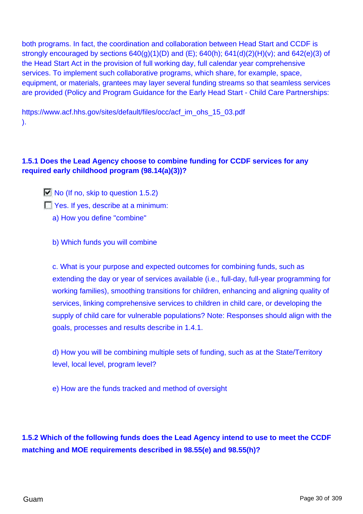both programs. In fact, the coordination and collaboration between Head Start and CCDF is strongly encouraged by sections  $640(g)(1)(D)$  and  $(E)$ ;  $640(h)$ ;  $641(d)(2)(H)(v)$ ; and  $642(e)(3)$  of the Head Start Act in the provision of full working day, full calendar year comprehensive services. To implement such collaborative programs, which share, for example, space, equipment, or materials, grantees may layer several funding streams so that seamless services are provided (Policy and Program Guidance for the Early Head Start - Child Care Partnerships:

https://www.acf.hhs.gov/sites/default/files/occ/acf\_im\_ohs\_15\_03.pdf ).

### **1.5.1 Does the Lead Agency choose to combine funding for CCDF services for any required early childhood program (98.14(a)(3))?**

 $\Box$  No (If no, skip to question 1.5.2) **T** Yes. If yes, describe at a minimum: a) How you define "combine"

b) Which funds you will combine

c. What is your purpose and expected outcomes for combining funds, such as extending the day or year of services available (i.e., full-day, full-year programming for working families), smoothing transitions for children, enhancing and aligning quality of services, linking comprehensive services to children in child care, or developing the supply of child care for vulnerable populations? Note: Responses should align with the goals, processes and results describe in 1.4.1.

d) How you will be combining multiple sets of funding, such as at the State/Territory level, local level, program level?

e) How are the funds tracked and method of oversight

**1.5.2 Which of the following funds does the Lead Agency intend to use to meet the CCDF matching and MOE requirements described in 98.55(e) and 98.55(h)?**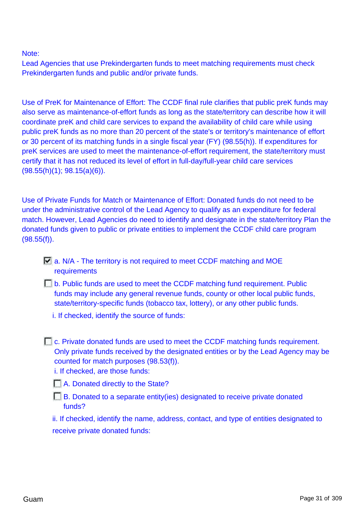Note:

Lead Agencies that use Prekindergarten funds to meet matching requirements must check Prekindergarten funds and public and/or private funds.

Use of PreK for Maintenance of Effort: The CCDF final rule clarifies that public preK funds may also serve as maintenance-of-effort funds as long as the state/territory can describe how it will coordinate preK and child care services to expand the availability of child care while using public preK funds as no more than 20 percent of the state's or territory's maintenance of effort or 30 percent of its matching funds in a single fiscal year (FY) (98.55(h)). If expenditures for preK services are used to meet the maintenance-of-effort requirement, the state/territory must certify that it has not reduced its level of effort in full-day/full-year child care services  $(98.55(h)(1); 98.15(a)(6)).$ 

Use of Private Funds for Match or Maintenance of Effort: Donated funds do not need to be under the administrative control of the Lead Agency to qualify as an expenditure for federal match. However, Lead Agencies do need to identify and designate in the state/territory Plan the donated funds given to public or private entities to implement the CCDF child care program (98.55(f)).

- $\Box$  a. N/A The territory is not required to meet CCDF matching and MOE requirements
- **D.** b. Public funds are used to meet the CCDF matching fund requirement. Public funds may include any general revenue funds, county or other local public funds, state/territory-specific funds (tobacco tax, lottery), or any other public funds.
	- i. If checked, identify the source of funds:

**E.** c. Private donated funds are used to meet the CCDF matching funds requirement. Only private funds received by the designated entities or by the Lead Agency may be counted for match purposes (98.53(f)). i. If checked, are those funds:

**A.** Donated directly to the State?

 $\Box$  B. Donated to a separate entity(ies) designated to receive private donated funds?

ii. If checked, identify the name, address, contact, and type of entities designated to receive private donated funds: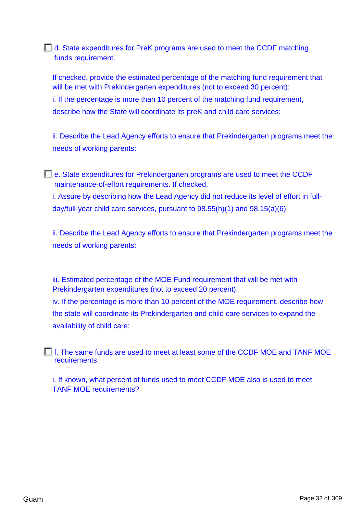d. State expenditures for PreK programs are used to meet the CCDF matching funds requirement.

If checked, provide the estimated percentage of the matching fund requirement that will be met with Prekindergarten expenditures (not to exceed 30 percent): i. If the percentage is more than 10 percent of the matching fund requirement, describe how the State will coordinate its preK and child care services:

ii. Describe the Lead Agency efforts to ensure that Prekindergarten programs meet the needs of working parents:

e. State expenditures for Prekindergarten programs are used to meet the CCDF maintenance-of-effort requirements. If checked,

i. Assure by describing how the Lead Agency did not reduce its level of effort in fullday/full-year child care services, pursuant to 98.55(h)(1) and 98.15(a)(6).

ii. Describe the Lead Agency efforts to ensure that Prekindergarten programs meet the needs of working parents:

iii. Estimated percentage of the MOE Fund requirement that will be met with Prekindergarten expenditures (not to exceed 20 percent): iv. If the percentage is more than 10 percent of the MOE requirement, describe how the state will coordinate its Prekindergarten and child care services to expand the availability of child care:

f. The same funds are used to meet at least some of the CCDF MOE and TANF MOE requirements.

i. If known, what percent of funds used to meet CCDF MOE also is used to meet TANF MOE requirements?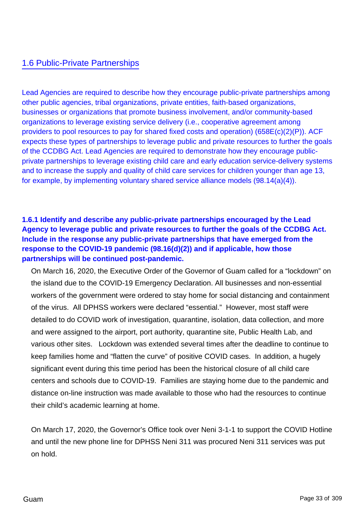## 1.6 Public-Private Partnerships

Lead Agencies are required to describe how they encourage public-private partnerships among other public agencies, tribal organizations, private entities, faith-based organizations, businesses or organizations that promote business involvement, and/or community-based organizations to leverage existing service delivery (i.e., cooperative agreement among providers to pool resources to pay for shared fixed costs and operation) (658E(c)(2)(P)). ACF expects these types of partnerships to leverage public and private resources to further the goals of the CCDBG Act. Lead Agencies are required to demonstrate how they encourage publicprivate partnerships to leverage existing child care and early education service-delivery systems and to increase the supply and quality of child care services for children younger than age 13, for example, by implementing voluntary shared service alliance models (98.14(a)(4)).

## **1.6.1 Identify and describe any public-private partnerships encouraged by the Lead Agency to leverage public and private resources to further the goals of the CCDBG Act. Include in the response any public-private partnerships that have emerged from the response to the COVID-19 pandemic (98.16(d)(2)) and if applicable, how those partnerships will be continued post-pandemic.**

On March 16, 2020, the Executive Order of the Governor of Guam called for a "lockdown" on the island due to the COVID-19 Emergency Declaration. All businesses and non-essential workers of the government were ordered to stay home for social distancing and containment of the virus. All DPHSS workers were declared "essential." However, most staff were detailed to do COVID work of investigation, quarantine, isolation, data collection, and more and were assigned to the airport, port authority, quarantine site, Public Health Lab, and various other sites. Lockdown was extended several times after the deadline to continue to keep families home and "flatten the curve" of positive COVID cases. In addition, a hugely significant event during this time period has been the historical closure of all child care centers and schools due to COVID-19. Families are staying home due to the pandemic and distance on-line instruction was made available to those who had the resources to continue their child's academic learning at home.

On March 17, 2020, the Governor's Office took over Neni 3-1-1 to support the COVID Hotline and until the new phone line for DPHSS Neni 311 was procured Neni 311 services was put on hold.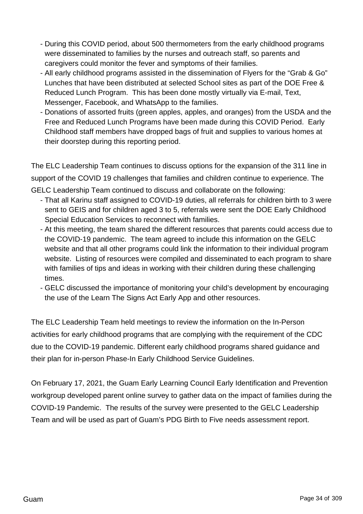- During this COVID period, about 500 thermometers from the early childhood programs were disseminated to families by the nurses and outreach staff, so parents and caregivers could monitor the fever and symptoms of their families.
- All early childhood programs assisted in the dissemination of Flyers for the "Grab & Go" Lunches that have been distributed at selected School sites as part of the DOE Free & Reduced Lunch Program. This has been done mostly virtually via E-mail, Text, Messenger, Facebook, and WhatsApp to the families.
- Donations of assorted fruits (green apples, apples, and oranges) from the USDA and the Free and Reduced Lunch Programs have been made during this COVID Period. Early Childhood staff members have dropped bags of fruit and supplies to various homes at their doorstep during this reporting period.

The ELC Leadership Team continues to discuss options for the expansion of the 311 line in support of the COVID 19 challenges that families and children continue to experience. The GELC Leadership Team continued to discuss and collaborate on the following:

- That all Karinu staff assigned to COVID-19 duties, all referrals for children birth to 3 were sent to GEIS and for children aged 3 to 5, referrals were sent the DOE Early Childhood Special Education Services to reconnect with families.
- At this meeting, the team shared the different resources that parents could access due to the COVID-19 pandemic. The team agreed to include this information on the GELC website and that all other programs could link the information to their individual program website. Listing of resources were compiled and disseminated to each program to share with families of tips and ideas in working with their children during these challenging times.
- GELC discussed the importance of monitoring your child's development by encouraging the use of the Learn The Signs Act Early App and other resources.

The ELC Leadership Team held meetings to review the information on the In-Person activities for early childhood programs that are complying with the requirement of the CDC due to the COVID-19 pandemic. Different early childhood programs shared guidance and their plan for in-person Phase-In Early Childhood Service Guidelines.

On February 17, 2021, the Guam Early Learning Council Early Identification and Prevention workgroup developed parent online survey to gather data on the impact of families during the COVID-19 Pandemic. The results of the survey were presented to the GELC Leadership Team and will be used as part of Guam's PDG Birth to Five needs assessment report.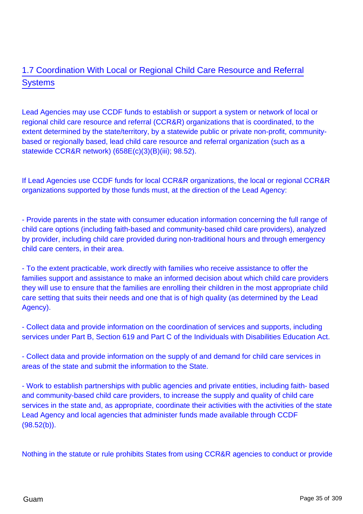# 1.7 Coordination With Local or Regional Child Care Resource and Referral **Systems**

Lead Agencies may use CCDF funds to establish or support a system or network of local or regional child care resource and referral (CCR&R) organizations that is coordinated, to the extent determined by the state/territory, by a statewide public or private non-profit, communitybased or regionally based, lead child care resource and referral organization (such as a statewide CCR&R network) (658E(c)(3)(B)(iii); 98.52).

If Lead Agencies use CCDF funds for local CCR&R organizations, the local or regional CCR&R organizations supported by those funds must, at the direction of the Lead Agency:

- Provide parents in the state with consumer education information concerning the full range of child care options (including faith-based and community-based child care providers), analyzed by provider, including child care provided during non-traditional hours and through emergency child care centers, in their area.

- To the extent practicable, work directly with families who receive assistance to offer the families support and assistance to make an informed decision about which child care providers they will use to ensure that the families are enrolling their children in the most appropriate child care setting that suits their needs and one that is of high quality (as determined by the Lead Agency).

- Collect data and provide information on the coordination of services and supports, including services under Part B, Section 619 and Part C of the Individuals with Disabilities Education Act.

- Collect data and provide information on the supply of and demand for child care services in areas of the state and submit the information to the State.

- Work to establish partnerships with public agencies and private entities, including faith- based and community-based child care providers, to increase the supply and quality of child care services in the state and, as appropriate, coordinate their activities with the activities of the state Lead Agency and local agencies that administer funds made available through CCDF  $(98.52(b))$ .

Nothing in the statute or rule prohibits States from using CCR&R agencies to conduct or provide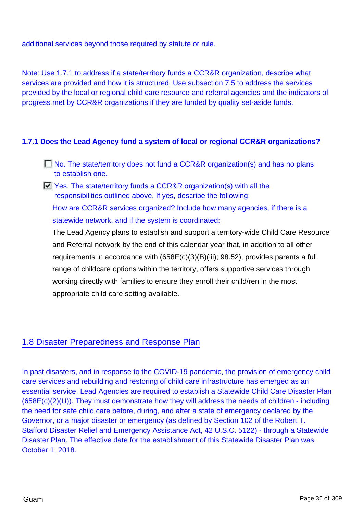additional services beyond those required by statute or rule.

Note: Use 1.7.1 to address if a state/territory funds a CCR&R organization, describe what services are provided and how it is structured. Use subsection 7.5 to address the services provided by the local or regional child care resource and referral agencies and the indicators of progress met by CCR&R organizations if they are funded by quality set-aside funds.

### **1.7.1 Does the Lead Agency fund a system of local or regional CCR&R organizations?**

- $\Box$  No. The state/territory does not fund a CCR&R organization(s) and has no plans to establish one.
- Yes. The state/territory funds a CCR&R organization(s) with all the responsibilities outlined above. If yes, describe the following:

How are CCR&R services organized? Include how many agencies, if there is a statewide network, and if the system is coordinated:

The Lead Agency plans to establish and support a territory-wide Child Care Resource and Referral network by the end of this calendar year that, in addition to all other requirements in accordance with (658E(c)(3)(B)(iii); 98.52), provides parents a full range of childcare options within the territory, offers supportive services through working directly with families to ensure they enroll their child/ren in the most appropriate child care setting available.

### 1.8 Disaster Preparedness and Response Plan

In past disasters, and in response to the COVID-19 pandemic, the provision of emergency child care services and rebuilding and restoring of child care infrastructure has emerged as an essential service. Lead Agencies are required to establish a Statewide Child Care Disaster Plan  $(658E(c)(2)(U))$ . They must demonstrate how they will address the needs of children - including the need for safe child care before, during, and after a state of emergency declared by the Governor, or a major disaster or emergency (as defined by Section 102 of the Robert T. Stafford Disaster Relief and Emergency Assistance Act, 42 U.S.C. 5122) - through a Statewide Disaster Plan. The effective date for the establishment of this Statewide Disaster Plan was October 1, 2018.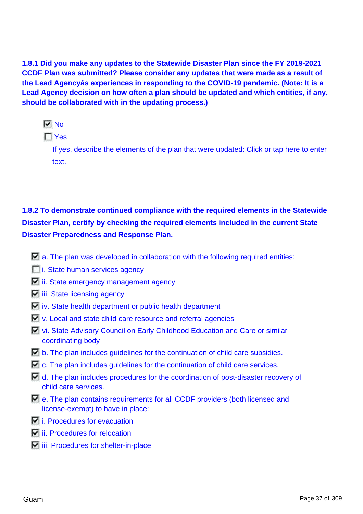**1.8.1 Did you make any updates to the Statewide Disaster Plan since the FY 2019-2021 CCDF Plan was submitted? Please consider any updates that were made as a result of the Lead Agencyâs experiences in responding to the COVID-19 pandemic. (Note: It is a Lead Agency decision on how often a plan should be updated and which entities, if any, should be collaborated with in the updating process.)**

 $\nabla$  No

 $\Gamma$  Yes

If yes, describe the elements of the plan that were updated: Click or tap here to enter text.

# **1.8.2 To demonstrate continued compliance with the required elements in the Statewide Disaster Plan, certify by checking the required elements included in the current State Disaster Preparedness and Response Plan.**

- $\Box$  a. The plan was developed in collaboration with the following required entities:
- **i.** State human services agency
- $\Box$  ii. State emergency management agency
- $\Box$  iii. State licensing agency
- $\blacksquare$  iv. State health department or public health department
- **v.** Local and state child care resource and referral agencies
- vi. State Advisory Council on Early Childhood Education and Care or similar coordinating body
- $\overline{W}$  b. The plan includes quidelines for the continuation of child care subsidies.
- $\Box$  c. The plan includes guidelines for the continuation of child care services.
- $\blacksquare$  d. The plan includes procedures for the coordination of post-disaster recovery of child care services.
- $\blacksquare$  e. The plan contains requirements for all CCDF providers (both licensed and license-exempt) to have in place:
- **i.** Procedures for evacuation
- $\overline{E}$  ii. Procedures for relocation
- $\Box$  iii. Procedures for shelter-in-place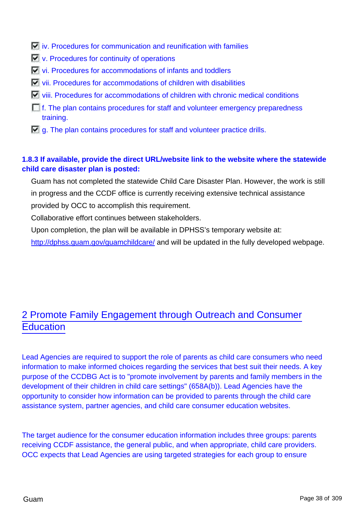- $\overline{W}$  iv. Procedures for communication and reunification with families
- $\Box$  v. Procedures for continuity of operations
- vi. Procedures for accommodations of infants and toddlers
- vii. Procedures for accommodations of children with disabilities
- viii. Procedures for accommodations of children with chronic medical conditions
- $\Box$  f. The plan contains procedures for staff and volunteer emergency preparedness training.
- $\Box$  g. The plan contains procedures for staff and volunteer practice drills.

## **1.8.3 If available, provide the direct URL/website link to the website where the statewide child care disaster plan is posted:**

Guam has not completed the statewide Child Care Disaster Plan. However, the work is still in progress and the CCDF office is currently receiving extensive technical assistance provided by OCC to accomplish this requirement.

Collaborative effort continues between stakeholders.

Upon completion, the plan will be available in DPHSS's temporary website at:

<http://dphss.guam.gov/guamchildcare/> and will be updated in the fully developed webpage.

# 2 Promote Family Engagement through Outreach and Consumer **Education**

Lead Agencies are required to support the role of parents as child care consumers who need information to make informed choices regarding the services that best suit their needs. A key purpose of the CCDBG Act is to "promote involvement by parents and family members in the development of their children in child care settings" (658A(b)). Lead Agencies have the opportunity to consider how information can be provided to parents through the child care assistance system, partner agencies, and child care consumer education websites.

The target audience for the consumer education information includes three groups: parents receiving CCDF assistance, the general public, and when appropriate, child care providers. OCC expects that Lead Agencies are using targeted strategies for each group to ensure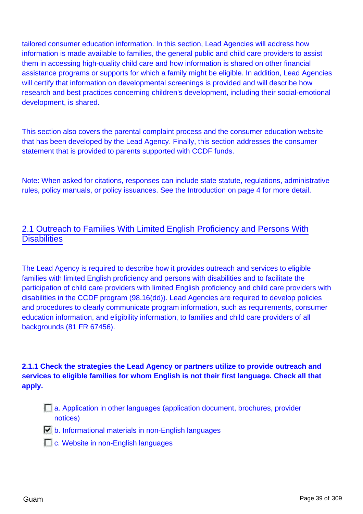tailored consumer education information. In this section, Lead Agencies will address how information is made available to families, the general public and child care providers to assist them in accessing high-quality child care and how information is shared on other financial assistance programs or supports for which a family might be eligible. In addition, Lead Agencies will certify that information on developmental screenings is provided and will describe how research and best practices concerning children's development, including their social-emotional development, is shared.

This section also covers the parental complaint process and the consumer education website that has been developed by the Lead Agency. Finally, this section addresses the consumer statement that is provided to parents supported with CCDF funds.

Note: When asked for citations, responses can include state statute, regulations, administrative rules, policy manuals, or policy issuances. See the Introduction on page 4 for more detail.

## 2.1 Outreach to Families With Limited English Proficiency and Persons With **Disabilities**

The Lead Agency is required to describe how it provides outreach and services to eligible families with limited English proficiency and persons with disabilities and to facilitate the participation of child care providers with limited English proficiency and child care providers with disabilities in the CCDF program (98.16(dd)). Lead Agencies are required to develop policies and procedures to clearly communicate program information, such as requirements, consumer education information, and eligibility information, to families and child care providers of all backgrounds (81 FR 67456).

## **2.1.1 Check the strategies the Lead Agency or partners utilize to provide outreach and services to eligible families for whom English is not their first language. Check all that apply.**

- a. Application in other languages (application document, brochures, provider notices)
- $\Box$  b. Informational materials in non-English languages
- **C.** Website in non-English languages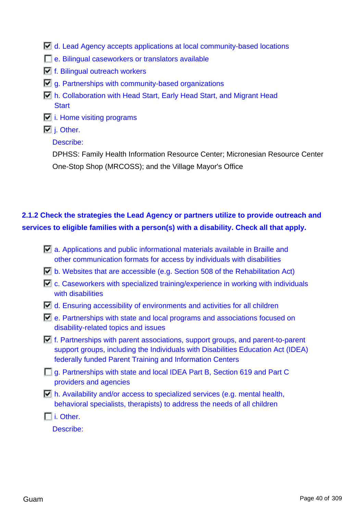- d. Lead Agency accepts applications at local community-based locations
- e. Bilingual caseworkers or translators available
- $\Box$  f. Bilingual outreach workers
- $\Box$  g. Partnerships with community-based organizations
- h. Collaboration with Head Start, Early Head Start, and Migrant Head **Start**
- $\overline{\Box}$  i. Home visiting programs
- $\overline{\blacksquare}$  j. Other.

### Describe:

DPHSS: Family Health Information Resource Center; Micronesian Resource Center One-Stop Shop (MRCOSS); and the Village Mayor's Office

# **2.1.2 Check the strategies the Lead Agency or partners utilize to provide outreach and services to eligible families with a person(s) with a disability. Check all that apply.**

| <b>Z</b> a. Applications and public informational materials available in Braille and<br>other communication formats for access by individuals with disabilities                                                                                      |  |
|------------------------------------------------------------------------------------------------------------------------------------------------------------------------------------------------------------------------------------------------------|--|
| b. Websites that are accessible (e.g. Section 508 of the Rehabilitation Act)                                                                                                                                                                         |  |
| $\Box$ c. Caseworkers with specialized training/experience in working with individuals<br>with disabilities                                                                                                                                          |  |
| $\Box$ d. Ensuring accessibility of environments and activities for all children                                                                                                                                                                     |  |
| $\blacksquare$ e. Partnerships with state and local programs and associations focused on<br>disability-related topics and issues                                                                                                                     |  |
| $\blacktriangleright$ f. Partnerships with parent associations, support groups, and parent-to-parent<br>support groups, including the Individuals with Disabilities Education Act (IDEA)<br>federally funded Parent Training and Information Centers |  |
| g. Partnerships with state and local IDEA Part B, Section 619 and Part C<br>providers and agencies                                                                                                                                                   |  |
| $\blacksquare$ h. Availability and/or access to specialized services (e.g. mental health,<br>behavioral specialists, therapists) to address the needs of all children                                                                                |  |
| i. Other.                                                                                                                                                                                                                                            |  |

Describe: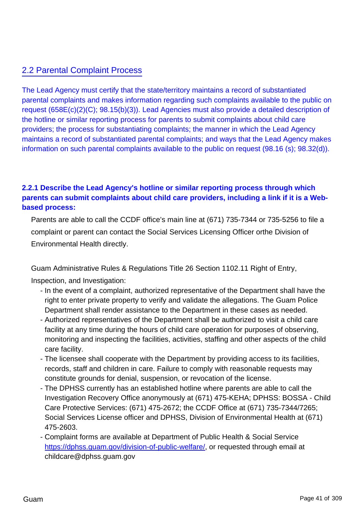# 2.2 Parental Complaint Process

The Lead Agency must certify that the state/territory maintains a record of substantiated parental complaints and makes information regarding such complaints available to the public on request (658E(c)(2)(C); 98.15(b)(3)). Lead Agencies must also provide a detailed description of the hotline or similar reporting process for parents to submit complaints about child care providers; the process for substantiating complaints; the manner in which the Lead Agency maintains a record of substantiated parental complaints; and ways that the Lead Agency makes information on such parental complaints available to the public on request (98.16 (s); 98.32(d)).

## **2.2.1 Describe the Lead Agency's hotline or similar reporting process through which parents can submit complaints about child care providers, including a link if it is a Webbased process:**

Parents are able to call the CCDF office's main line at (671) 735-7344 or 735-5256 to file a complaint or parent can contact the Social Services Licensing Officer orthe Division of Environmental Health directly.

Guam Administrative Rules & Regulations Title 26 Section 1102.11 Right of Entry,

Inspection, and Investigation:

- In the event of a complaint, authorized representative of the Department shall have the right to enter private property to verify and validate the allegations. The Guam Police Department shall render assistance to the Department in these cases as needed.
- Authorized representatives of the Department shall be authorized to visit a child care facility at any time during the hours of child care operation for purposes of observing, monitoring and inspecting the facilities, activities, staffing and other aspects of the child care facility.
- The licensee shall cooperate with the Department by providing access to its facilities, records, staff and children in care. Failure to comply with reasonable requests may constitute grounds for denial, suspension, or revocation of the license.
- The DPHSS currently has an established hotline where parents are able to call the Investigation Recovery Office anonymously at (671) 475-KEHA; DPHSS: BOSSA - Child Care Protective Services: (671) 475-2672; the CCDF Office at (671) 735-7344/7265; Social Services License officer and DPHSS, Division of Environmental Health at (671) 475-2603.
- Complaint forms are available at Department of Public Health & Social Service <https://dphss.guam.gov/division-of-public-welfare/>, or requested through email at childcare@dphss.guam.gov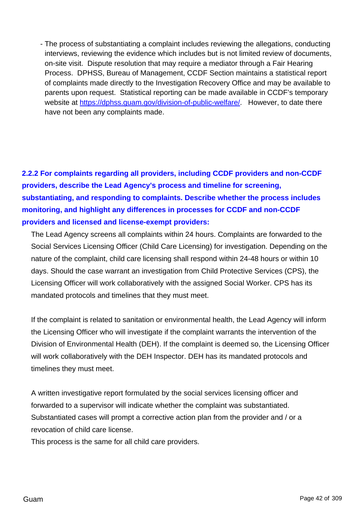- The process of substantiating a complaint includes reviewing the allegations, conducting interviews, reviewing the evidence which includes but is not limited review of documents, on-site visit. Dispute resolution that may require a mediator through a Fair Hearing Process. DPHSS, Bureau of Management, CCDF Section maintains a statistical report of complaints made directly to the Investigation Recovery Office and may be available to parents upon request. Statistical reporting can be made available in CCDF's temporary website at <https://dphss.guam.gov/division-of-public-welfare/>. However, to date there have not been any complaints made.

**2.2.2 For complaints regarding all providers, including CCDF providers and non-CCDF providers, describe the Lead Agency's process and timeline for screening, substantiating, and responding to complaints. Describe whether the process includes monitoring, and highlight any differences in processes for CCDF and non-CCDF providers and licensed and license-exempt providers:**

The Lead Agency screens all complaints within 24 hours. Complaints are forwarded to the Social Services Licensing Officer (Child Care Licensing) for investigation. Depending on the nature of the complaint, child care licensing shall respond within 24-48 hours or within 10 days. Should the case warrant an investigation from Child Protective Services (CPS), the Licensing Officer will work collaboratively with the assigned Social Worker. CPS has its mandated protocols and timelines that they must meet.

If the complaint is related to sanitation or environmental health, the Lead Agency will inform the Licensing Officer who will investigate if the complaint warrants the intervention of the Division of Environmental Health (DEH). If the complaint is deemed so, the Licensing Officer will work collaboratively with the DEH Inspector. DEH has its mandated protocols and timelines they must meet.

A written investigative report formulated by the social services licensing officer and forwarded to a supervisor will indicate whether the complaint was substantiated. Substantiated cases will prompt a corrective action plan from the provider and / or a revocation of child care license.

This process is the same for all child care providers.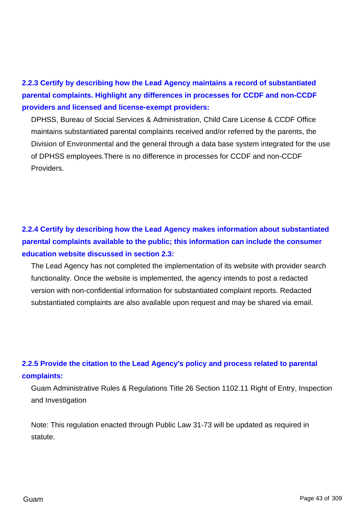**2.2.3 Certify by describing how the Lead Agency maintains a record of substantiated parental complaints. Highlight any differences in processes for CCDF and non-CCDF providers and licensed and license-exempt providers:**

DPHSS, Bureau of Social Services & Administration, Child Care License & CCDF Office maintains substantiated parental complaints received and/or referred by the parents, the Division of Environmental and the general through a data base system integrated for the use of DPHSS employees.There is no difference in processes for CCDF and non-CCDF Providers.

# **2.2.4 Certify by describing how the Lead Agency makes information about substantiated parental complaints available to the public; this information can include the consumer education website discussed in section 2.3:**

The Lead Agency has not completed the implementation of its website with provider search functionality. Once the website is implemented, the agency intends to post a redacted version with non-confidential information for substantiated complaint reports. Redacted substantiated complaints are also available upon request and may be shared via email.

# **2.2.5 Provide the citation to the Lead Agency's policy and process related to parental complaints:**

Guam Administrative Rules & Regulations Title 26 Section 1102.11 Right of Entry, Inspection and Investigation

Note: This regulation enacted through Public Law 31-73 will be updated as required in statute.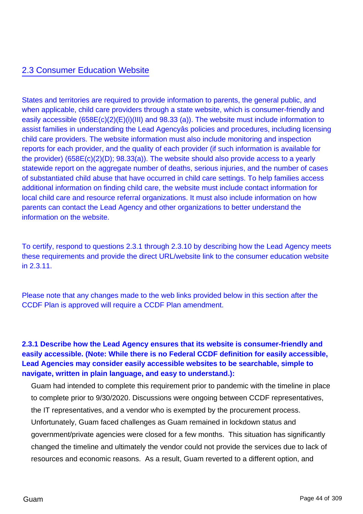## 2.3 Consumer Education Website

States and territories are required to provide information to parents, the general public, and when applicable, child care providers through a state website, which is consumer-friendly and easily accessible (658E(c)(2)(E)(i)(III) and 98.33 (a)). The website must include information to assist families in understanding the Lead Agencyâs policies and procedures, including licensing child care providers. The website information must also include monitoring and inspection reports for each provider, and the quality of each provider (if such information is available for the provider) (658E(c)(2)(D); 98.33(a)). The website should also provide access to a yearly statewide report on the aggregate number of deaths, serious injuries, and the number of cases of substantiated child abuse that have occurred in child care settings. To help families access additional information on finding child care, the website must include contact information for local child care and resource referral organizations. It must also include information on how parents can contact the Lead Agency and other organizations to better understand the information on the website.

To certify, respond to questions 2.3.1 through 2.3.10 by describing how the Lead Agency meets these requirements and provide the direct URL/website link to the consumer education website in 2.3.11.

Please note that any changes made to the web links provided below in this section after the CCDF Plan is approved will require a CCDF Plan amendment.

## **2.3.1 Describe how the Lead Agency ensures that its website is consumer-friendly and easily accessible. (Note: While there is no Federal CCDF definition for easily accessible, Lead Agencies may consider easily accessible websites to be searchable, simple to navigate, written in plain language, and easy to understand.):**

Guam had intended to complete this requirement prior to pandemic with the timeline in place to complete prior to 9/30/2020. Discussions were ongoing between CCDF representatives, the IT representatives, and a vendor who is exempted by the procurement process. Unfortunately, Guam faced challenges as Guam remained in lockdown status and government/private agencies were closed for a few months. This situation has significantly changed the timeline and ultimately the vendor could not provide the services due to lack of resources and economic reasons. As a result, Guam reverted to a different option, and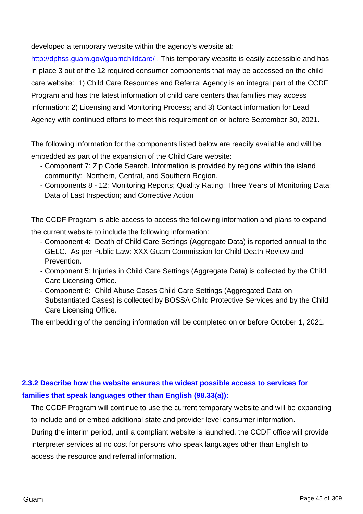developed a temporary website within the agency's website at:

<http://dphss.guam.gov/guamchildcare/>. This temporary website is easily accessible and has in place 3 out of the 12 required consumer components that may be accessed on the child care website: 1) Child Care Resources and Referral Agency is an integral part of the CCDF Program and has the latest information of child care centers that families may access information; 2) Licensing and Monitoring Process; and 3) Contact information for Lead Agency with continued efforts to meet this requirement on or before September 30, 2021.

The following information for the components listed below are readily available and will be embedded as part of the expansion of the Child Care website:

- Component 7: Zip Code Search. Information is provided by regions within the island community: Northern, Central, and Southern Region.
- Components 8 12: Monitoring Reports; Quality Rating; Three Years of Monitoring Data; Data of Last Inspection; and Corrective Action

The CCDF Program is able access to access the following information and plans to expand the current website to include the following information:

- Component 4: Death of Child Care Settings (Aggregate Data) is reported annual to the GELC. As per Public Law: XXX Guam Commission for Child Death Review and Prevention.
- Component 5: Injuries in Child Care Settings (Aggregate Data) is collected by the Child Care Licensing Office.
- Component 6: Child Abuse Cases Child Care Settings (Aggregated Data on Substantiated Cases) is collected by BOSSA Child Protective Services and by the Child Care Licensing Office.

The embedding of the pending information will be completed on or before October 1, 2021.

# **2.3.2 Describe how the website ensures the widest possible access to services for families that speak languages other than English (98.33(a)):**

The CCDF Program will continue to use the current temporary website and will be expanding to include and or embed additional state and provider level consumer information.

During the interim period, until a compliant website is launched, the CCDF office will provide interpreter services at no cost for persons who speak languages other than English to access the resource and referral information.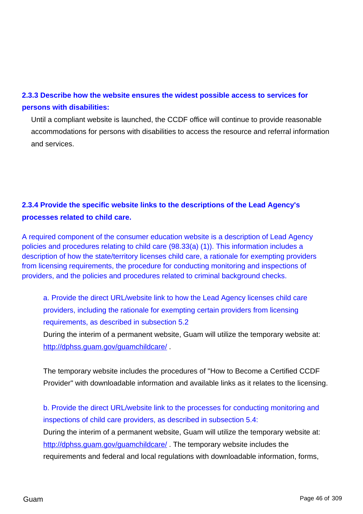# **2.3.3 Describe how the website ensures the widest possible access to services for persons with disabilities:**

Until a compliant website is launched, the CCDF office will continue to provide reasonable accommodations for persons with disabilities to access the resource and referral information and services.

# **2.3.4 Provide the specific website links to the descriptions of the Lead Agency's processes related to child care.**

A required component of the consumer education website is a description of Lead Agency policies and procedures relating to child care (98.33(a) (1)). This information includes a description of how the state/territory licenses child care, a rationale for exempting providers from licensing requirements, the procedure for conducting monitoring and inspections of providers, and the policies and procedures related to criminal background checks.

a. Provide the direct URL/website link to how the Lead Agency licenses child care providers, including the rationale for exempting certain providers from licensing requirements, as described in subsection 5.2

During the interim of a permanent website, Guam will utilize the temporary website at: <http://dphss.guam.gov/guamchildcare/> .

The temporary website includes the procedures of "How to Become a Certified CCDF Provider" with downloadable information and available links as it relates to the licensing.

b. Provide the direct URL/website link to the processes for conducting monitoring and inspections of child care providers, as described in subsection 5.4:

During the interim of a permanent website, Guam will utilize the temporary website at: <http://dphss.guam.gov/guamchildcare/> . The temporary website includes the requirements and federal and local regulations with downloadable information, forms,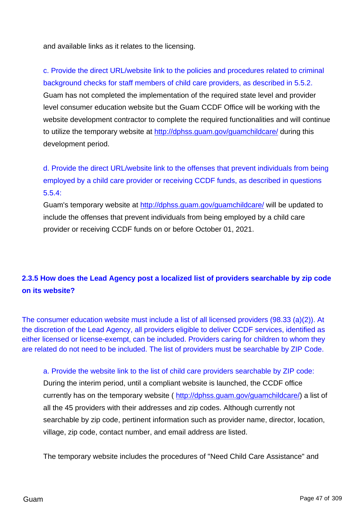and available links as it relates to the licensing.

c. Provide the direct URL/website link to the policies and procedures related to criminal background checks for staff members of child care providers, as described in 5.5.2. Guam has not completed the implementation of the required state level and provider level consumer education website but the Guam CCDF Office will be working with the website development contractor to complete the required functionalities and will continue to utilize the temporary website at <http://dphss.guam.gov/guamchildcare/> during this development period.

d. Provide the direct URL/website link to the offenses that prevent individuals from being employed by a child care provider or receiving CCDF funds, as described in questions 5.5.4:

Guam's temporary website at <http://dphss.guam.gov/guamchildcare/> will be updated to include the offenses that prevent individuals from being employed by a child care provider or receiving CCDF funds on or before October 01, 2021.

# **2.3.5 How does the Lead Agency post a localized list of providers searchable by zip code on its website?**

The consumer education website must include a list of all licensed providers (98.33 (a)(2)). At the discretion of the Lead Agency, all providers eligible to deliver CCDF services, identified as either licensed or license-exempt, can be included. Providers caring for children to whom they are related do not need to be included. The list of providers must be searchable by ZIP Code.

a. Provide the website link to the list of child care providers searchable by ZIP code:

During the interim period, until a compliant website is launched, the CCDF office currently has on the temporary website (<http://dphss.guam.gov/guamchildcare/>) a list of all the 45 providers with their addresses and zip codes. Although currently not searchable by zip code, pertinent information such as provider name, director, location, village, zip code, contact number, and email address are listed.

The temporary website includes the procedures of "Need Child Care Assistance" and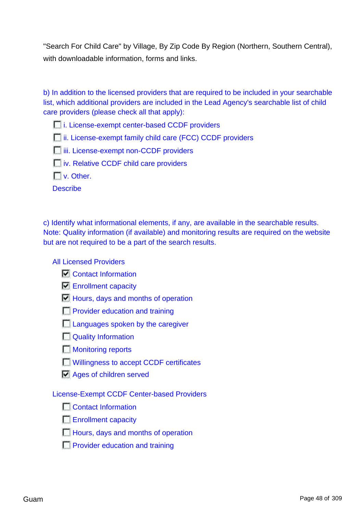"Search For Child Care" by Village, By Zip Code By Region (Northern, Southern Central), with downloadable information, forms and links.

b) In addition to the licensed providers that are required to be included in your searchable list, which additional providers are included in the Lead Agency's searchable list of child care providers (please check all that apply):

**i.** License-exempt center-based CCDF providers

**i**ii. License-exempt family child care (FCC) CCDF providers

**iii.** License-exempt non-CCDF providers

**interative CCDF** child care providers

 $\Box$  v. Other.

**Describe** 

c) Identify what informational elements, if any, are available in the searchable results. Note: Quality information (if available) and monitoring results are required on the website but are not required to be a part of the search results.

All Licensed Providers

Contact Information

**E**nrollment capacity

 $\Box$  Hours, days and months of operation

**Provider education and training** 

**Languages spoken by the caregiver** 

Quality Information

**Monitoring reports** 

**Willingness to accept CCDF certificates** 

**Ages of children served** 

License-Exempt CCDF Center-based Providers

**Contact Information** 

**Enrollment capacity** 

**Hours, days and months of operation** 

**Provider education and training**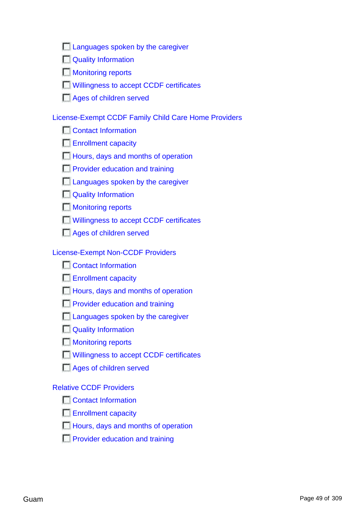| Languages spoken by the caregiver |  |  |
|-----------------------------------|--|--|
|                                   |  |  |
|                                   |  |  |
|                                   |  |  |

| <b>Quality Information</b> |  |  |
|----------------------------|--|--|
|                            |  |  |

**Monitoring reports** 

**Willingness to accept CCDF certificates** 

**Ages of children served** 

## License-Exempt CCDF Family Child Care Home Providers

**Contact Information** 

**Enrollment capacity** 

**Hours, days and months of operation** 

**Provider education and training** 

**Languages spoken by the caregiver** 

Quality Information

**Monitoring reports** 

**Willingness to accept CCDF certificates** 

Ages of children served

## License-Exempt Non-CCDF Providers

**T** Contact Information

Enrollment capacity

**Hours, days and months of operation** 

- **Provider education and training**
- **Languages spoken by the caregiver**
- Quality Information
- **Monitoring reports**
- Willingness to accept CCDF certificates
- Ages of children served

### Relative CCDF Providers

**Contact Information** 

- **Enrollment capacity**
- **Hours, days and months of operation**
- **Provider education and training**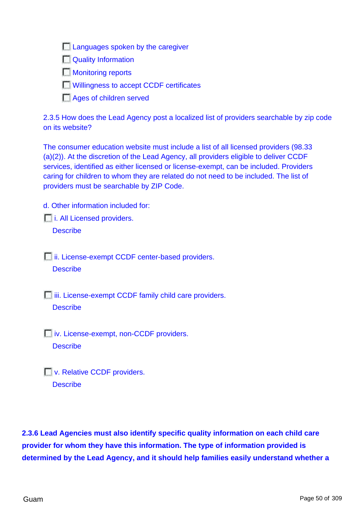**Languages spoken by the caregiver** 

**N**Quality Information

**Monitoring reports** 

**Willingness to accept CCDF certificates** 

**Ages of children served** 

2.3.5 How does the Lead Agency post a localized list of providers searchable by zip code on its website?

The consumer education website must include a list of all licensed providers (98.33 (a)(2)). At the discretion of the Lead Agency, all providers eligible to deliver CCDF services, identified as either licensed or license-exempt, can be included. Providers caring for children to whom they are related do not need to be included. The list of providers must be searchable by ZIP Code.

d. Other information included for:

*i.* All Licensed providers.

**Describe** 

**i**ii. License-exempt CCDF center-based providers. **Describe** 

 $\Box$  iii. License-exempt CCDF family child care providers. **Describe** 

*iv.* License-exempt, non-CCDF providers. **Describe** 

**No. Relative CCDF providers. Describe** 

**2.3.6 Lead Agencies must also identify specific quality information on each child care provider for whom they have this information. The type of information provided is determined by the Lead Agency, and it should help families easily understand whether a**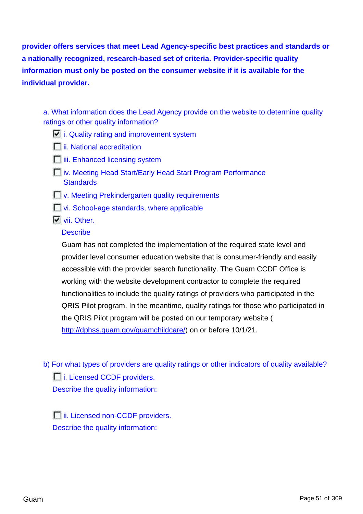**provider offers services that meet Lead Agency-specific best practices and standards or a nationally recognized, research-based set of criteria. Provider-specific quality information must only be posted on the consumer website if it is available for the individual provider.**

a. What information does the Lead Agency provide on the website to determine quality ratings or other quality information?

- $\Box$  i. Quality rating and improvement system
- *<u>I</u>*ii. National accreditation
- **iii.** Enhanced licensing system
- **iv. Meeting Head Start/Early Head Start Program Performance Standards**
- **No. Meeting Prekindergarten quality requirements**
- **Vi.** School-age standards, where applicable
- **Vii.** Other.

### **Describe**

Guam has not completed the implementation of the required state level and provider level consumer education website that is consumer-friendly and easily accessible with the provider search functionality. The Guam CCDF Office is working with the website development contractor to complete the required functionalities to include the quality ratings of providers who participated in the QRIS Pilot program. In the meantime, quality ratings for those who participated in the QRIS Pilot program will be posted on our temporary website ( [http://dphss.guam.gov/guamchildcare/\)](http://dphss.guam.gov/guamchildcare/) on or before 10/1/21.

b) For what types of providers are quality ratings or other indicators of quality available? i. Licensed CCDF providers. Describe the quality information:

**iii.** Licensed non-CCDF providers. Describe the quality information: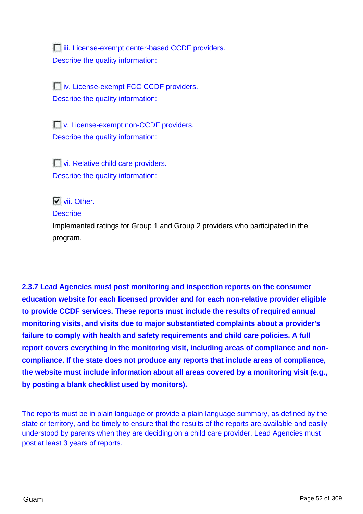**iii.** License-exempt center-based CCDF providers. Describe the quality information:

iv. License-exempt FCC CCDF providers. Describe the quality information:

**No. License-exempt non-CCDF providers.** Describe the quality information:

**Vi. Relative child care providers.** Describe the quality information:

## **N** vii. Other.

### **Describe**

Implemented ratings for Group 1 and Group 2 providers who participated in the program.

**2.3.7 Lead Agencies must post monitoring and inspection reports on the consumer education website for each licensed provider and for each non-relative provider eligible to provide CCDF services. These reports must include the results of required annual monitoring visits, and visits due to major substantiated complaints about a provider's failure to comply with health and safety requirements and child care policies. A full report covers everything in the monitoring visit, including areas of compliance and noncompliance. If the state does not produce any reports that include areas of compliance, the website must include information about all areas covered by a monitoring visit (e.g., by posting a blank checklist used by monitors).**

The reports must be in plain language or provide a plain language summary, as defined by the state or territory, and be timely to ensure that the results of the reports are available and easily understood by parents when they are deciding on a child care provider. Lead Agencies must post at least 3 years of reports.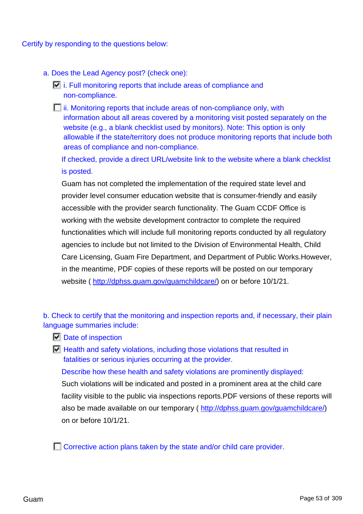#### Certify by responding to the questions below:

- a. Does the Lead Agency post? (check one):
	- $\Box$  i. Full monitoring reports that include areas of compliance and non-compliance.
	- $\Box$  ii. Monitoring reports that include areas of non-compliance only, with information about all areas covered by a monitoring visit posted separately on the website (e.g., a blank checklist used by monitors). Note: This option is only allowable if the state/territory does not produce monitoring reports that include both areas of compliance and non-compliance.

If checked, provide a direct URL/website link to the website where a blank checklist is posted.

Guam has not completed the implementation of the required state level and provider level consumer education website that is consumer-friendly and easily accessible with the provider search functionality. The Guam CCDF Office is working with the website development contractor to complete the required functionalities which will include full monitoring reports conducted by all regulatory agencies to include but not limited to the Division of Environmental Health, Child Care Licensing, Guam Fire Department, and Department of Public Works.However, in the meantime, PDF copies of these reports will be posted on our temporary website (<http://dphss.guam.gov/guamchildcare/>) on or before 10/1/21.

b. Check to certify that the monitoring and inspection reports and, if necessary, their plain language summaries include:

- Date of inspection
- $\Box$  Health and safety violations, including those violations that resulted in fatalities or serious injuries occurring at the provider.

Describe how these health and safety violations are prominently displayed: Such violations will be indicated and posted in a prominent area at the child care facility visible to the public via inspections reports.PDF versions of these reports will also be made available on our temporary ( [http://dphss.guam.gov/guamchildcare/\)](http://dphss.guam.gov/guamchildcare/) on or before 10/1/21.

Corrective action plans taken by the state and/or child care provider.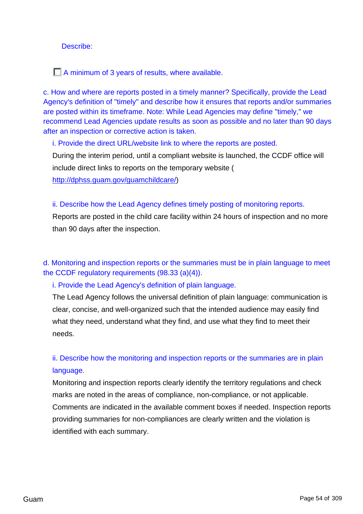#### Describe:

A minimum of 3 years of results, where available.

c. How and where are reports posted in a timely manner? Specifically, provide the Lead Agency's definition of "timely" and describe how it ensures that reports and/or summaries are posted within its timeframe. Note: While Lead Agencies may define "timely," we recommend Lead Agencies update results as soon as possible and no later than 90 days after an inspection or corrective action is taken.

i. Provide the direct URL/website link to where the reports are posted.

During the interim period, until a compliant website is launched, the CCDF office will include direct links to reports on the temporary website (

[http://dphss.guam.gov/guamchildcare/\)](http://dphss.guam.gov/guamchildcare/)

### ii. Describe how the Lead Agency defines timely posting of monitoring reports.

Reports are posted in the child care facility within 24 hours of inspection and no more than 90 days after the inspection.

d. Monitoring and inspection reports or the summaries must be in plain language to meet the CCDF regulatory requirements (98.33 (a)(4)).

i. Provide the Lead Agency's definition of plain language.

The Lead Agency follows the universal definition of plain language: communication is clear, concise, and well-organized such that the intended audience may easily find what they need, understand what they find, and use what they find to meet their needs.

ii. Describe how the monitoring and inspection reports or the summaries are in plain language.

Monitoring and inspection reports clearly identify the territory regulations and check marks are noted in the areas of compliance, non-compliance, or not applicable. Comments are indicated in the available comment boxes if needed. Inspection reports providing summaries for non-compliances are clearly written and the violation is identified with each summary.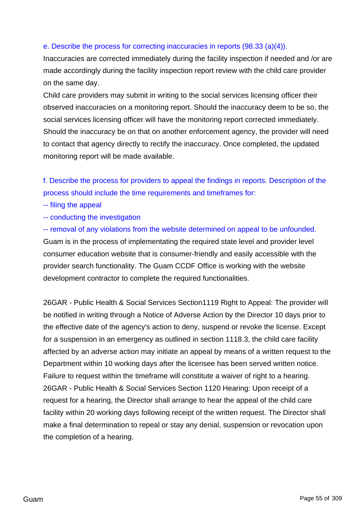### e. Describe the process for correcting inaccuracies in reports (98.33 (a)(4)).

Inaccuracies are corrected immediately during the facility inspection if needed and /or are made accordingly during the facility inspection report review with the child care provider on the same day.

Child care providers may submit in writing to the social services licensing officer their observed inaccuracies on a monitoring report. Should the inaccuracy deem to be so, the social services licensing officer will have the monitoring report corrected immediately. Should the inaccuracy be on that on another enforcement agency, the provider will need to contact that agency directly to rectify the inaccuracy. Once completed, the updated monitoring report will be made available.

f. Describe the process for providers to appeal the findings in reports. Description of the process should include the time requirements and timeframes for:

- -- filing the appeal
- -- conducting the investigation

-- removal of any violations from the website determined on appeal to be unfounded. Guam is in the process of implementating the required state level and provider level consumer education website that is consumer-friendly and easily accessible with the provider search functionality. The Guam CCDF Office is working with the website development contractor to complete the required functionalities.

26GAR - Public Health & Social Services Section1119 Right to Appeal: The provider will be notified in writing through a Notice of Adverse Action by the Director 10 days prior to the effective date of the agency's action to deny, suspend or revoke the license. Except for a suspension in an emergency as outlined in section 1118.3, the child care facility affected by an adverse action may initiate an appeal by means of a written request to the Department within 10 working days after the licensee has been served written notice. Failure to request within the timeframe will constitute a waiver of right to a hearing. 26GAR - Public Health & Social Services Section 1120 Hearing: Upon receipt of a request for a hearing, the Director shall arrange to hear the appeal of the child care facility within 20 working days following receipt of the written request. The Director shall make a final determination to repeal or stay any denial, suspension or revocation upon the completion of a hearing.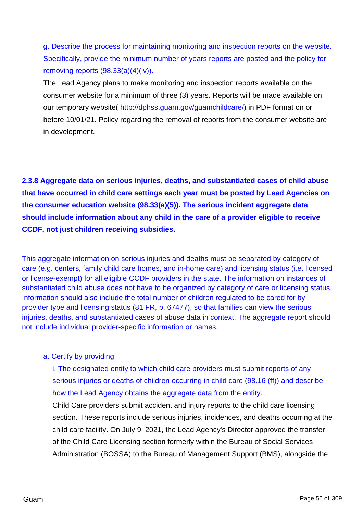g. Describe the process for maintaining monitoring and inspection reports on the website. Specifically, provide the minimum number of years reports are posted and the policy for removing reports (98.33(a)(4)(iv)).

The Lead Agency plans to make monitoring and inspection reports available on the consumer website for a minimum of three (3) years. Reports will be made available on our temporary website( [http://dphss.guam.gov/guamchildcare/\)](http://dphss.guam.gov/guamchildcare/) in PDF format on or before 10/01/21. Policy regarding the removal of reports from the consumer website are in development.

**2.3.8 Aggregate data on serious injuries, deaths, and substantiated cases of child abuse that have occurred in child care settings each year must be posted by Lead Agencies on the consumer education website (98.33(a)(5)). The serious incident aggregate data should include information about any child in the care of a provider eligible to receive CCDF, not just children receiving subsidies.**

This aggregate information on serious injuries and deaths must be separated by category of care (e.g. centers, family child care homes, and in-home care) and licensing status (i.e. licensed or license-exempt) for all eligible CCDF providers in the state. The information on instances of substantiated child abuse does not have to be organized by category of care or licensing status. Information should also include the total number of children regulated to be cared for by provider type and licensing status (81 FR, p. 67477), so that families can view the serious injuries, deaths, and substantiated cases of abuse data in context. The aggregate report should not include individual provider-specific information or names.

#### a. Certify by providing:

i. The designated entity to which child care providers must submit reports of any serious injuries or deaths of children occurring in child care (98.16 (ff)) and describe how the Lead Agency obtains the aggregate data from the entity.

Child Care providers submit accident and injury reports to the child care licensing section. These reports include serious injuries, incidences, and deaths occurring at the child care facility. On July 9, 2021, the Lead Agency's Director approved the transfer of the Child Care Licensing section formerly within the Bureau of Social Services Administration (BOSSA) to the Bureau of Management Support (BMS), alongside the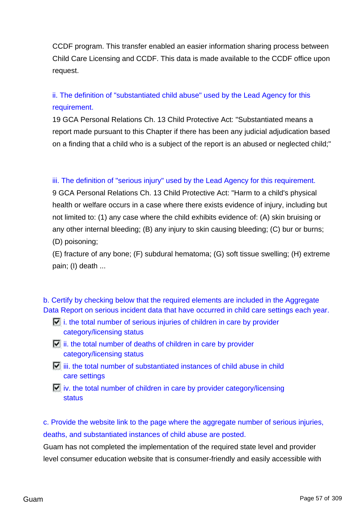CCDF program. This transfer enabled an easier information sharing process between Child Care Licensing and CCDF. This data is made available to the CCDF office upon request.

# ii. The definition of "substantiated child abuse" used by the Lead Agency for this requirement.

19 GCA Personal Relations Ch. 13 Child Protective Act: "Substantiated means a report made pursuant to this Chapter if there has been any judicial adjudication based on a finding that a child who is a subject of the report is an abused or neglected child;"

### iii. The definition of "serious injury" used by the Lead Agency for this requirement.

9 GCA Personal Relations Ch. 13 Child Protective Act: "Harm to a child's physical health or welfare occurs in a case where there exists evidence of injury, including but not limited to: (1) any case where the child exhibits evidence of: (A) skin bruising or any other internal bleeding; (B) any injury to skin causing bleeding; (C) bur or burns; (D) poisoning;

(E) fracture of any bone; (F) subdural hematoma; (G) soft tissue swelling; (H) extreme pain; (I) death ...

b. Certify by checking below that the required elements are included in the Aggregate Data Report on serious incident data that have occurred in child care settings each year.

- $\Box$  i. the total number of serious injuries of children in care by provider category/licensing status
- $\Box$  ii. the total number of deaths of children in care by provider category/licensing status
- $\mathbf{E}$  iii. the total number of substantiated instances of child abuse in child care settings

 $\Box$  iv. the total number of children in care by provider category/licensing status

c. Provide the website link to the page where the aggregate number of serious injuries, deaths, and substantiated instances of child abuse are posted.

Guam has not completed the implementation of the required state level and provider level consumer education website that is consumer-friendly and easily accessible with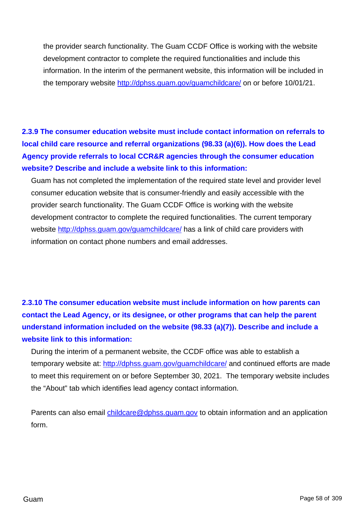the provider search functionality. The Guam CCDF Office is working with the website development contractor to complete the required functionalities and include this information. In the interim of the permanent website, this information will be included in the temporary website <http://dphss.guam.gov/guamchildcare/> on or before 10/01/21.

# **2.3.9 The consumer education website must include contact information on referrals to local child care resource and referral organizations (98.33 (a)(6)). How does the Lead Agency provide referrals to local CCR&R agencies through the consumer education website? Describe and include a website link to this information:**

Guam has not completed the implementation of the required state level and provider level consumer education website that is consumer-friendly and easily accessible with the provider search functionality. The Guam CCDF Office is working with the website development contractor to complete the required functionalities. The current temporary website <http://dphss.guam.gov/guamchildcare/> has a link of child care providers with information on contact phone numbers and email addresses.

# **2.3.10 The consumer education website must include information on how parents can contact the Lead Agency, or its designee, or other programs that can help the parent understand information included on the website (98.33 (a)(7)). Describe and include a website link to this information:**

During the interim of a permanent website, the CCDF office was able to establish a temporary website at: <http://dphss.guam.gov/guamchildcare/> and continued efforts are made to meet this requirement on or before September 30, 2021. The temporary website includes the "About" tab which identifies lead agency contact information.

Parents can also email [childcare@dphss.guam.gov](mailto:childcare@dphss.guam.gov) to obtain information and an application form.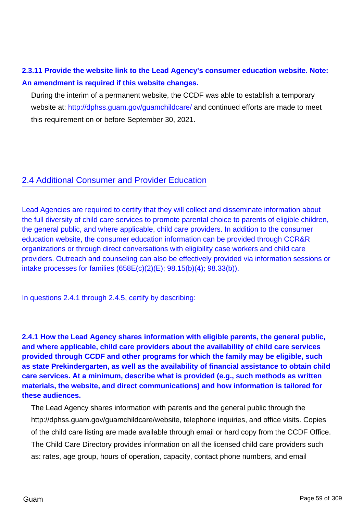# **2.3.11 Provide the website link to the Lead Agency's consumer education website. Note: An amendment is required if this website changes.**

During the interim of a permanent website, the CCDF was able to establish a temporary website at: <http://dphss.guam.gov/guamchildcare/> and continued efforts are made to meet this requirement on or before September 30, 2021.

## 2.4 Additional Consumer and Provider Education

Lead Agencies are required to certify that they will collect and disseminate information about the full diversity of child care services to promote parental choice to parents of eligible children, the general public, and where applicable, child care providers. In addition to the consumer education website, the consumer education information can be provided through CCR&R organizations or through direct conversations with eligibility case workers and child care providers. Outreach and counseling can also be effectively provided via information sessions or intake processes for families (658E(c)(2)(E); 98.15(b)(4); 98.33(b)).

In questions 2.4.1 through 2.4.5, certify by describing:

**2.4.1 How the Lead Agency shares information with eligible parents, the general public, and where applicable, child care providers about the availability of child care services provided through CCDF and other programs for which the family may be eligible, such as state Prekindergarten, as well as the availability of financial assistance to obtain child care services. At a minimum, describe what is provided (e.g., such methods as written materials, the website, and direct communications) and how information is tailored for these audiences.**

The Lead Agency shares information with parents and the general public through the http://dphss.guam.gov/guamchildcare/website, telephone inquiries, and office visits. Copies of the child care listing are made available through email or hard copy from the CCDF Office. The Child Care Directory provides information on all the licensed child care providers such as: rates, age group, hours of operation, capacity, contact phone numbers, and email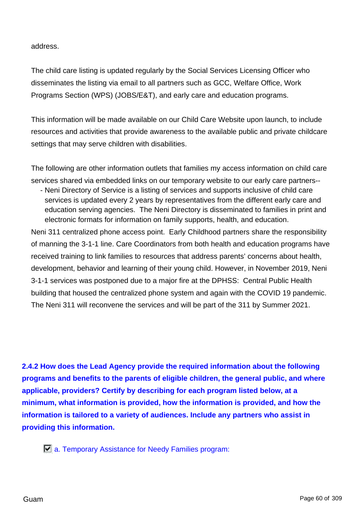address.

The child care listing is updated regularly by the Social Services Licensing Officer who disseminates the listing via email to all partners such as GCC, Welfare Office, Work Programs Section (WPS) (JOBS/E&T), and early care and education programs.

This information will be made available on our Child Care Website upon launch, to include resources and activities that provide awareness to the available public and private childcare settings that may serve children with disabilities.

The following are other information outlets that families my access information on child care services shared via embedded links on our temporary website to our early care partners-- - Neni Directory of Service is a listing of services and supports inclusive of child care

services is updated every 2 years by representatives from the different early care and education serving agencies. The Neni Directory is disseminated to families in print and electronic formats for information on family supports, health, and education.

Neni 311 centralized phone access point. Early Childhood partners share the responsibility of manning the 3-1-1 line. Care Coordinators from both health and education programs have received training to link families to resources that address parents' concerns about health, development, behavior and learning of their young child. However, in November 2019, Neni 3-1-1 services was postponed due to a major fire at the DPHSS: Central Public Health building that housed the centralized phone system and again with the COVID 19 pandemic. The Neni 311 will reconvene the services and will be part of the 311 by Summer 2021.

**2.4.2 How does the Lead Agency provide the required information about the following programs and benefits to the parents of eligible children, the general public, and where applicable, providers? Certify by describing for each program listed below, at a minimum, what information is provided, how the information is provided, and how the information is tailored to a variety of audiences. Include any partners who assist in providing this information.**

a. Temporary Assistance for Needy Families program: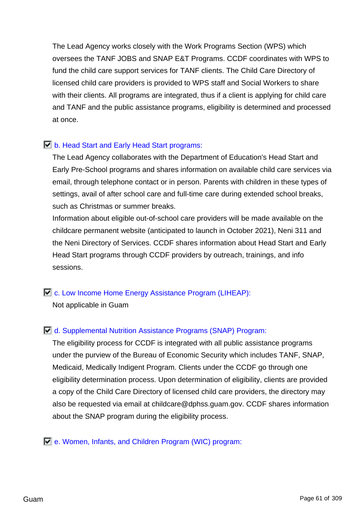The Lead Agency works closely with the Work Programs Section (WPS) which oversees the TANF JOBS and SNAP E&T Programs. CCDF coordinates with WPS to fund the child care support services for TANF clients. The Child Care Directory of licensed child care providers is provided to WPS staff and Social Workers to share with their clients. All programs are integrated, thus if a client is applying for child care and TANF and the public assistance programs, eligibility is determined and processed at once.

## **b.** Head Start and Early Head Start programs:

The Lead Agency collaborates with the Department of Education's Head Start and Early Pre-School programs and shares information on available child care services via email, through telephone contact or in person. Parents with children in these types of settings, avail of after school care and full-time care during extended school breaks, such as Christmas or summer breaks.

Information about eligible out-of-school care providers will be made available on the childcare permanent website (anticipated to launch in October 2021), Neni 311 and the Neni Directory of Services. CCDF shares information about Head Start and Early Head Start programs through CCDF providers by outreach, trainings, and info sessions.

# **E.** c. Low Income Home Energy Assistance Program (LIHEAP):

Not applicable in Guam

## d. Supplemental Nutrition Assistance Programs (SNAP) Program:

The eligibility process for CCDF is integrated with all public assistance programs under the purview of the Bureau of Economic Security which includes TANF, SNAP, Medicaid, Medically Indigent Program. Clients under the CCDF go through one eligibility determination process. Upon determination of eligibility, clients are provided a copy of the Child Care Directory of licensed child care providers, the directory may also be requested via email at childcare@dphss.guam.gov. CCDF shares information about the SNAP program during the eligibility process.

## e. Women, Infants, and Children Program (WIC) program: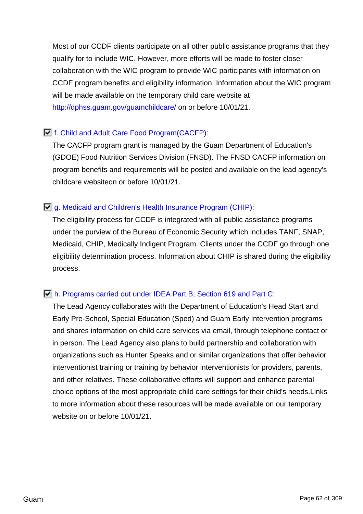Most of our CCDF clients participate on all other public assistance programs that they qualify for to include WIC. However, more efforts will be made to foster closer collaboration with the WIC program to provide WIC participants with information on CCDF program benefits and eligibility information. Information about the WIC program will be made available on the temporary child care website at <http://dphss.guam.gov/guamchildcare/> on or before 10/01/21.

## f. Child and Adult Care Food Program(CACFP):

The CACFP program grant is managed by the Guam Department of Education's (GDOE) Food Nutrition Services Division (FNSD). The FNSD CACFP information on program benefits and requirements will be posted and available on the lead agency's childcare websiteon or before 10/01/21.

## g. Medicaid and Children's Health Insurance Program (CHIP):

The eligibility process for CCDF is integrated with all public assistance programs under the purview of the Bureau of Economic Security which includes TANF, SNAP, Medicaid, CHIP, Medically Indigent Program. Clients under the CCDF go through one eligibility determination process. Information about CHIP is shared during the eligibility process.

### h. Programs carried out under IDEA Part B, Section 619 and Part C:

The Lead Agency collaborates with the Department of Education's Head Start and Early Pre-School, Special Education (Sped) and Guam Early Intervention programs and shares information on child care services via email, through telephone contact or in person. The Lead Agency also plans to build partnership and collaboration with organizations such as Hunter Speaks and or similar organizations that offer behavior interventionist training or training by behavior interventionists for providers, parents, and other relatives. These collaborative efforts will support and enhance parental choice options of the most appropriate child care settings for their child's needs.Links to more information about these resources will be made available on our temporary website on or before 10/01/21.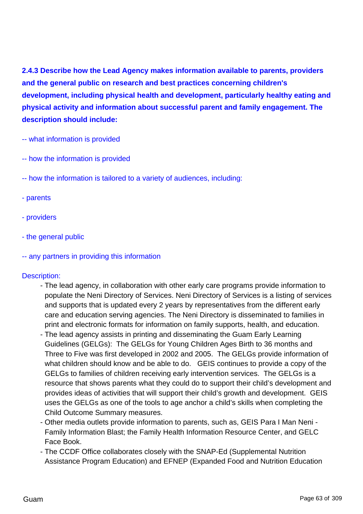**2.4.3 Describe how the Lead Agency makes information available to parents, providers and the general public on research and best practices concerning children's development, including physical health and development, particularly healthy eating and physical activity and information about successful parent and family engagement. The description should include:**

- -- what information is provided
- -- how the information is provided
- -- how the information is tailored to a variety of audiences, including:
- parents
- providers
- the general public
- -- any partners in providing this information

#### Description:

- The lead agency, in collaboration with other early care programs provide information to populate the Neni Directory of Services. Neni Directory of Services is a listing of services and supports that is updated every 2 years by representatives from the different early care and education serving agencies. The Neni Directory is disseminated to families in print and electronic formats for information on family supports, health, and education.
- The lead agency assists in printing and disseminating the Guam Early Learning Guidelines (GELGs): The GELGs for Young Children Ages Birth to 36 months and Three to Five was first developed in 2002 and 2005. The GELGs provide information of what children should know and be able to do. GEIS continues to provide a copy of the GELGs to families of children receiving early intervention services. The GELGs is a resource that shows parents what they could do to support their child's development and provides ideas of activities that will support their child's growth and development. GEIS uses the GELGs as one of the tools to age anchor a child's skills when completing the Child Outcome Summary measures.
- Other media outlets provide information to parents, such as, GEIS Para I Man Neni Family Information Blast; the Family Health Information Resource Center, and GELC Face Book.
- The CCDF Office collaborates closely with the SNAP-Ed (Supplemental Nutrition Assistance Program Education) and EFNEP (Expanded Food and Nutrition Education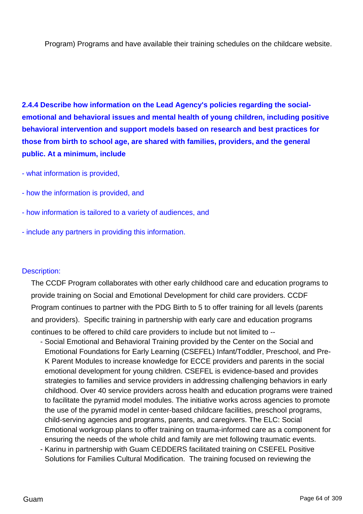Program) Programs and have available their training schedules on the childcare website.

**2.4.4 Describe how information on the Lead Agency's policies regarding the socialemotional and behavioral issues and mental health of young children, including positive behavioral intervention and support models based on research and best practices for those from birth to school age, are shared with families, providers, and the general public. At a minimum, include**

- what information is provided,
- how the information is provided, and
- how information is tailored to a variety of audiences, and
- include any partners in providing this information.

#### Description:

The CCDF Program collaborates with other early childhood care and education programs to provide training on Social and Emotional Development for child care providers. CCDF Program continues to partner with the PDG Birth to 5 to offer training for all levels (parents and providers). Specific training in partnership with early care and education programs continues to be offered to child care providers to include but not limited to --

- Social Emotional and Behavioral Training provided by the Center on the Social and Emotional Foundations for Early Learning (CSEFEL) Infant/Toddler, Preschool, and Pre-K Parent Modules to increase knowledge for ECCE providers and parents in the social emotional development for young children. CSEFEL is evidence-based and provides strategies to families and service providers in addressing challenging behaviors in early childhood. Over 40 service providers across health and education programs were trained to facilitate the pyramid model modules. The initiative works across agencies to promote the use of the pyramid model in center-based childcare facilities, preschool programs, child-serving agencies and programs, parents, and caregivers. The ELC: Social Emotional workgroup plans to offer training on trauma-informed care as a component for ensuring the needs of the whole child and family are met following traumatic events.
- Karinu in partnership with Guam CEDDERS facilitated training on CSEFEL Positive Solutions for Families Cultural Modification. The training focused on reviewing the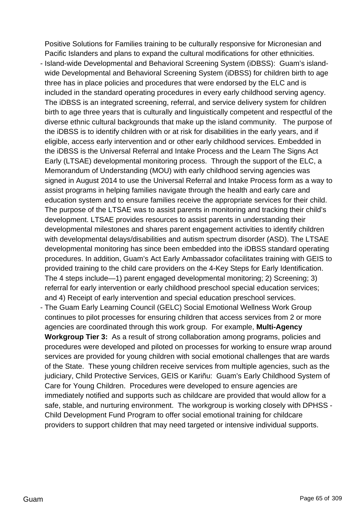Positive Solutions for Families training to be culturally responsive for Micronesian and Pacific Islanders and plans to expand the cultural modifications for other ethnicities.

- Island-wide Developmental and Behavioral Screening System (iDBSS): Guam's islandwide Developmental and Behavioral Screening System (iDBSS) for children birth to age three has in place policies and procedures that were endorsed by the ELC and is included in the standard operating procedures in every early childhood serving agency. The iDBSS is an integrated screening, referral, and service delivery system for children birth to age three years that is culturally and linguistically competent and respectful of the diverse ethnic cultural backgrounds that make up the island community. The purpose of the iDBSS is to identify children with or at risk for disabilities in the early years, and if eligible, access early intervention and or other early childhood services. Embedded in the iDBSS is the Universal Referral and Intake Process and the Learn The Signs Act Early (LTSAE) developmental monitoring process. Through the support of the ELC, a Memorandum of Understanding (MOU) with early childhood serving agencies was signed in August 2014 to use the Universal Referral and Intake Process form as a way to assist programs in helping families navigate through the health and early care and education system and to ensure families receive the appropriate services for their child. The purpose of the LTSAE was to assist parents in monitoring and tracking their child's development. LTSAE provides resources to assist parents in understanding their developmental milestones and shares parent engagement activities to identify children with developmental delays/disabilities and autism spectrum disorder (ASD). The LTSAE developmental monitoring has since been embedded into the iDBSS standard operating procedures. In addition, Guam's Act Early Ambassador cofacilitates training with GEIS to provided training to the child care providers on the 4-Key Steps for Early Identification. The 4 steps include—1) parent engaged developmental monitoring; 2) Screening; 3) referral for early intervention or early childhood preschool special education services; and 4) Receipt of early intervention and special education preschool services.
- The Guam Early Learning Council (GELC) Social Emotional Wellness Work Group continues to pilot processes for ensuring children that access services from 2 or more agencies are coordinated through this work group. For example, **Multi-Agency Workgroup Tier 3:** As a result of strong collaboration among programs, policies and procedures were developed and piloted on processes for working to ensure wrap around services are provided for young children with social emotional challenges that are wards of the State. These young children receive services from multiple agencies, such as the judiciary, Child Protective Services, GEIS or Kariñu: Guam's Early Childhood System of Care for Young Children. Procedures were developed to ensure agencies are immediately notified and supports such as childcare are provided that would allow for a safe, stable, and nurturing environment. The workgroup is working closely with DPHSS - Child Development Fund Program to offer social emotional training for childcare providers to support children that may need targeted or intensive individual supports.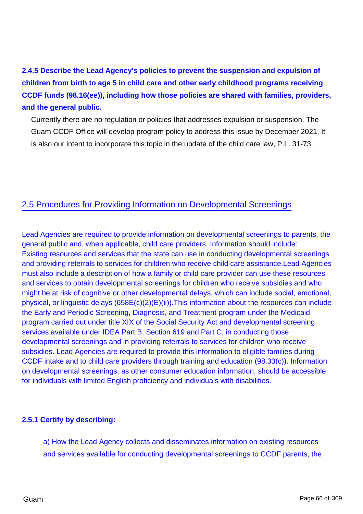**2.4.5 Describe the Lead Agency's policies to prevent the suspension and expulsion of children from birth to age 5 in child care and other early childhood programs receiving CCDF funds (98.16(ee)), including how those policies are shared with families, providers, and the general public.**

Currently there are no regulation or policies that addresses expulsion or suspension. The Guam CCDF Office will develop program policy to address this issue by December 2021. It is also our intent to incorporate this topic in the update of the child care law, P.L. 31-73.

## 2.5 Procedures for Providing Information on Developmental Screenings

Lead Agencies are required to provide information on developmental screenings to parents, the general public and, when applicable, child care providers. Information should include: Existing resources and services that the state can use in conducting developmental screenings and providing referrals to services for children who receive child care assistance.Lead Agencies must also include a description of how a family or child care provider can use these resources and services to obtain developmental screenings for children who receive subsidies and who might be at risk of cognitive or other developmental delays, which can include social, emotional, physical, or linguistic delays (658E(c)(2)(E)(ii)).This information about the resources can include the Early and Periodic Screening, Diagnosis, and Treatment program under the Medicaid program carried out under title XIX of the Social Security Act and developmental screening services available under IDEA Part B, Section 619 and Part C, in conducting those developmental screenings and in providing referrals to services for children who receive subsidies. Lead Agencies are required to provide this information to eligible families during CCDF intake and to child care providers through training and education (98.33(c)). Information on developmental screenings, as other consumer education information, should be accessible for individuals with limited English proficiency and individuals with disabilities.

### **2.5.1 Certify by describing:**

a) How the Lead Agency collects and disseminates information on existing resources and services available for conducting developmental screenings to CCDF parents, the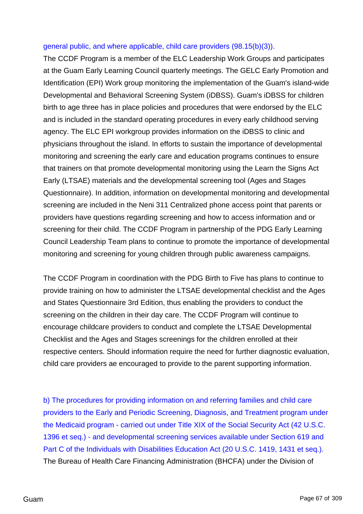#### general public, and where applicable, child care providers (98.15(b)(3)).

The CCDF Program is a member of the ELC Leadership Work Groups and participates at the Guam Early Learning Council quarterly meetings. The GELC Early Promotion and Identification (EPI) Work group monitoring the implementation of the Guam's island-wide Developmental and Behavioral Screening System (iDBSS). Guam's iDBSS for children birth to age three has in place policies and procedures that were endorsed by the ELC and is included in the standard operating procedures in every early childhood serving agency. The ELC EPI workgroup provides information on the iDBSS to clinic and physicians throughout the island. In efforts to sustain the importance of developmental monitoring and screening the early care and education programs continues to ensure that trainers on that promote developmental monitoring using the Learn the Signs Act Early (LTSAE) materials and the developmental screening tool (Ages and Stages Questionnaire). In addition, information on developmental monitoring and developmental screening are included in the Neni 311 Centralized phone access point that parents or providers have questions regarding screening and how to access information and or screening for their child. The CCDF Program in partnership of the PDG Early Learning Council Leadership Team plans to continue to promote the importance of developmental monitoring and screening for young children through public awareness campaigns.

The CCDF Program in coordination with the PDG Birth to Five has plans to continue to provide training on how to administer the LTSAE developmental checklist and the Ages and States Questionnaire 3rd Edition, thus enabling the providers to conduct the screening on the children in their day care. The CCDF Program will continue to encourage childcare providers to conduct and complete the LTSAE Developmental Checklist and the Ages and Stages screenings for the children enrolled at their respective centers. Should information require the need for further diagnostic evaluation, child care providers ae encouraged to provide to the parent supporting information.

b) The procedures for providing information on and referring families and child care providers to the Early and Periodic Screening, Diagnosis, and Treatment program under the Medicaid program - carried out under Title XIX of the Social Security Act (42 U.S.C. 1396 et seq.) - and developmental screening services available under Section 619 and Part C of the Individuals with Disabilities Education Act (20 U.S.C. 1419, 1431 et seq.). The Bureau of Health Care Financing Administration (BHCFA) under the Division of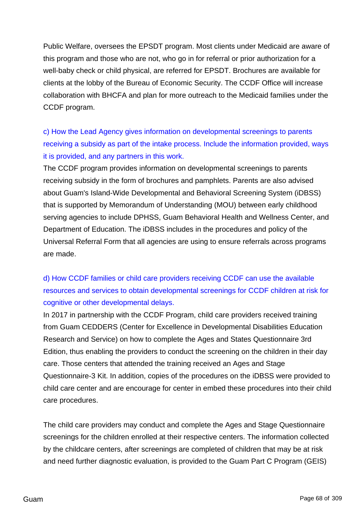Public Welfare, oversees the EPSDT program. Most clients under Medicaid are aware of this program and those who are not, who go in for referral or prior authorization for a well-baby check or child physical, are referred for EPSDT. Brochures are available for clients at the lobby of the Bureau of Economic Security. The CCDF Office will increase collaboration with BHCFA and plan for more outreach to the Medicaid families under the CCDF program.

c) How the Lead Agency gives information on developmental screenings to parents receiving a subsidy as part of the intake process. Include the information provided, ways it is provided, and any partners in this work.

The CCDF program provides information on developmental screenings to parents receiving subsidy in the form of brochures and pamphlets. Parents are also advised about Guam's Island-Wide Developmental and Behavioral Screening System (iDBSS) that is supported by Memorandum of Understanding (MOU) between early childhood serving agencies to include DPHSS, Guam Behavioral Health and Wellness Center, and Department of Education. The iDBSS includes in the procedures and policy of the Universal Referral Form that all agencies are using to ensure referrals across programs are made.

# d) How CCDF families or child care providers receiving CCDF can use the available resources and services to obtain developmental screenings for CCDF children at risk for cognitive or other developmental delays.

In 2017 in partnership with the CCDF Program, child care providers received training from Guam CEDDERS (Center for Excellence in Developmental Disabilities Education Research and Service) on how to complete the Ages and States Questionnaire 3rd Edition, thus enabling the providers to conduct the screening on the children in their day care. Those centers that attended the training received an Ages and Stage Questionnaire-3 Kit. In addition, copies of the procedures on the iDBSS were provided to child care center and are encourage for center in embed these procedures into their child care procedures.

The child care providers may conduct and complete the Ages and Stage Questionnaire screenings for the children enrolled at their respective centers. The information collected by the childcare centers, after screenings are completed of children that may be at risk and need further diagnostic evaluation, is provided to the Guam Part C Program (GEIS)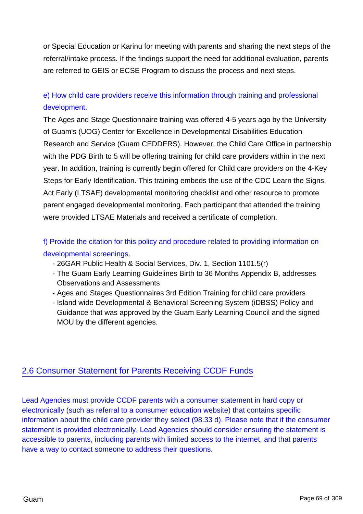or Special Education or Karinu for meeting with parents and sharing the next steps of the referral/intake process. If the findings support the need for additional evaluation, parents are referred to GEIS or ECSE Program to discuss the process and next steps.

# e) How child care providers receive this information through training and professional development.

The Ages and Stage Questionnaire training was offered 4-5 years ago by the University of Guam's (UOG) Center for Excellence in Developmental Disabilities Education Research and Service (Guam CEDDERS). However, the Child Care Office in partnership with the PDG Birth to 5 will be offering training for child care providers within in the next year. In addition, training is currently begin offered for Child care providers on the 4-Key Steps for Early Identification. This training embeds the use of the CDC Learn the Signs. Act Early (LTSAE) developmental monitoring checklist and other resource to promote parent engaged developmental monitoring. Each participant that attended the training were provided LTSAE Materials and received a certificate of completion.

# f) Provide the citation for this policy and procedure related to providing information on developmental screenings.

- 26GAR Public Health & Social Services, Div. 1, Section 1101.5(r)
- The Guam Early Learning Guidelines Birth to 36 Months Appendix B, addresses Observations and Assessments
- Ages and Stages Questionnaires 3rd Edition Training for child care providers
- Island wide Developmental & Behavioral Screening System (iDBSS) Policy and Guidance that was approved by the Guam Early Learning Council and the signed MOU by the different agencies.

## 2.6 Consumer Statement for Parents Receiving CCDF Funds

Lead Agencies must provide CCDF parents with a consumer statement in hard copy or electronically (such as referral to a consumer education website) that contains specific information about the child care provider they select (98.33 d). Please note that if the consumer statement is provided electronically, Lead Agencies should consider ensuring the statement is accessible to parents, including parents with limited access to the internet, and that parents have a way to contact someone to address their questions.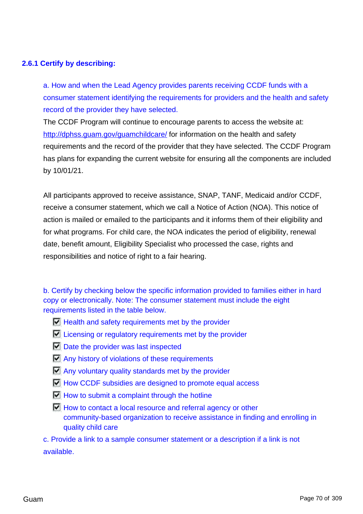### **2.6.1 Certify by describing:**

a. How and when the Lead Agency provides parents receiving CCDF funds with a consumer statement identifying the requirements for providers and the health and safety record of the provider they have selected.

The CCDF Program will continue to encourage parents to access the website at: <http://dphss.guam.gov/guamchildcare/> for information on the health and safety requirements and the record of the provider that they have selected. The CCDF Program has plans for expanding the current website for ensuring all the components are included by 10/01/21.

All participants approved to receive assistance, SNAP, TANF, Medicaid and/or CCDF, receive a consumer statement, which we call a Notice of Action (NOA). This notice of action is mailed or emailed to the participants and it informs them of their eligibility and for what programs. For child care, the NOA indicates the period of eligibility, renewal date, benefit amount, Eligibility Specialist who processed the case, rights and responsibilities and notice of right to a fair hearing.

b. Certify by checking below the specific information provided to families either in hard copy or electronically. Note: The consumer statement must include the eight requirements listed in the table below.

- $\Box$  Health and safety requirements met by the provider
- $\Box$  Licensing or regulatory requirements met by the provider
- $\nabla$  Date the provider was last inspected
- **M** Any history of violations of these requirements
- $\Box$  Any voluntary quality standards met by the provider
- $\blacksquare$  How CCDF subsidies are designed to promote equal access
- $\Box$  How to submit a complaint through the hotline
- $\Box$  How to contact a local resource and referral agency or other community-based organization to receive assistance in finding and enrolling in quality child care

c. Provide a link to a sample consumer statement or a description if a link is not available.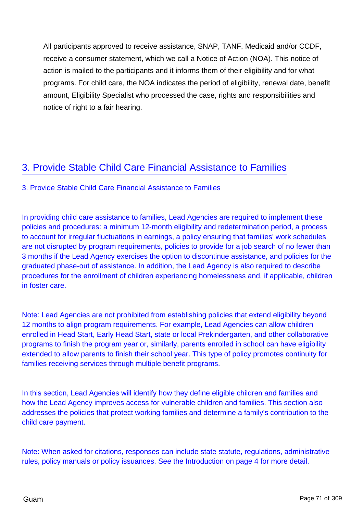All participants approved to receive assistance, SNAP, TANF, Medicaid and/or CCDF, receive a consumer statement, which we call a Notice of Action (NOA). This notice of action is mailed to the participants and it informs them of their eligibility and for what programs. For child care, the NOA indicates the period of eligibility, renewal date, benefit amount, Eligibility Specialist who processed the case, rights and responsibilities and notice of right to a fair hearing.

# 3. Provide Stable Child Care Financial Assistance to Families

### 3. Provide Stable Child Care Financial Assistance to Families

In providing child care assistance to families, Lead Agencies are required to implement these policies and procedures: a minimum 12-month eligibility and redetermination period, a process to account for irregular fluctuations in earnings, a policy ensuring that families' work schedules are not disrupted by program requirements, policies to provide for a job search of no fewer than 3 months if the Lead Agency exercises the option to discontinue assistance, and policies for the graduated phase-out of assistance. In addition, the Lead Agency is also required to describe procedures for the enrollment of children experiencing homelessness and, if applicable, children in foster care.

Note: Lead Agencies are not prohibited from establishing policies that extend eligibility beyond 12 months to align program requirements. For example, Lead Agencies can allow children enrolled in Head Start, Early Head Start, state or local Prekindergarten, and other collaborative programs to finish the program year or, similarly, parents enrolled in school can have eligibility extended to allow parents to finish their school year. This type of policy promotes continuity for families receiving services through multiple benefit programs.

In this section, Lead Agencies will identify how they define eligible children and families and how the Lead Agency improves access for vulnerable children and families. This section also addresses the policies that protect working families and determine a family's contribution to the child care payment.

Note: When asked for citations, responses can include state statute, regulations, administrative rules, policy manuals or policy issuances. See the Introduction on page 4 for more detail.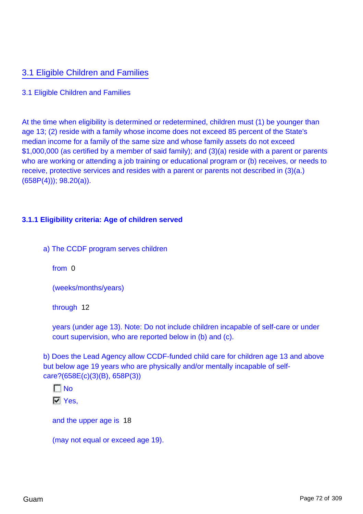# 3.1 Eligible Children and Families

### 3.1 Eligible Children and Families

At the time when eligibility is determined or redetermined, children must (1) be younger than age 13; (2) reside with a family whose income does not exceed 85 percent of the State's median income for a family of the same size and whose family assets do not exceed \$1,000,000 (as certified by a member of said family); and (3)(a) reside with a parent or parents who are working or attending a job training or educational program or (b) receives, or needs to receive, protective services and resides with a parent or parents not described in (3)(a.) (658P(4))); 98.20(a)).

### **3.1.1 Eligibility criteria: Age of children served**

a) The CCDF program serves children

from 0

(weeks/months/years)

through 12

years (under age 13). Note: Do not include children incapable of self-care or under court supervision, who are reported below in (b) and (c).

b) Does the Lead Agency allow CCDF-funded child care for children age 13 and above but below age 19 years who are physically and/or mentally incapable of selfcare?(658E(c)(3)(B), 658P(3))

 $\Gamma$  No  $\nabla$  Yes.

and the upper age is 18

(may not equal or exceed age 19).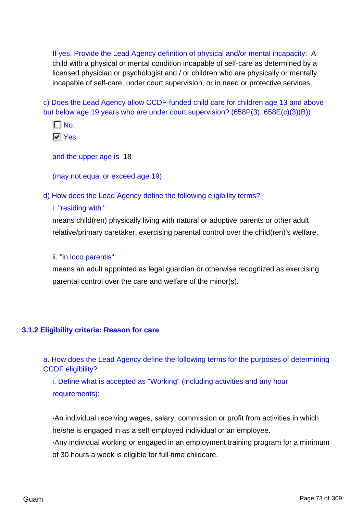If yes, Provide the Lead Agency definition of physical and/or mental incapacity: A child with a physical or mental condition incapable of self-care as determined by a licensed physician or psychologist and / or children who are physically or mentally incapable of self-care, under court supervision, or in need or protective services.

c) Does the Lead Agency allow CCDF-funded child care for children age 13 and above but below age 19 years who are under court supervision? (658P(3), 658E(c)(3)(B))



and the upper age is 18

(may not equal or exceed age 19)

d) How does the Lead Agency define the following eligibility terms?

#### i. "residing with":

means child(ren) physically living with natural or adoptive parents or other adult relative/primary caretaker, exercising parental control over the child(ren)'s welfare.

#### ii. "in loco parentis":

means an adult appointed as legal guardian or otherwise recognized as exercising parental control over the care and welfare of the minor(s).

#### **3.1.2 Eligibility criteria: Reason for care**

a. How does the Lead Agency define the following terms for the purposes of determining CCDF eligibility?

i. Define what is accepted as "Working" (including activities and any hour requirements):

·An individual receiving wages, salary, commission or profit from activities in which he/she is engaged in as a self-employed individual or an employee.

·Any individual working or engaged in an employment training program for a minimum of 30 hours a week is eligible for full-time childcare.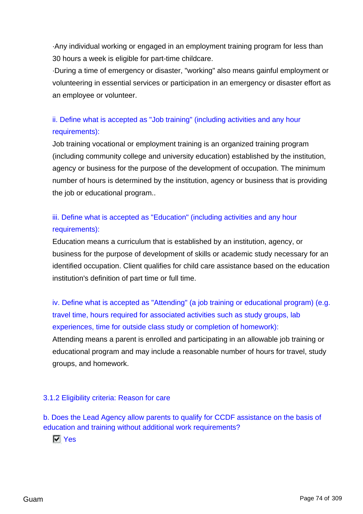·Any individual working or engaged in an employment training program for less than 30 hours a week is eligible for part-time childcare.

·During a time of emergency or disaster, "working" also means gainful employment or volunteering in essential services or participation in an emergency or disaster effort as an employee or volunteer.

# ii. Define what is accepted as "Job training" (including activities and any hour requirements):

Job training vocational or employment training is an organized training program (including community college and university education) established by the institution, agency or business for the purpose of the development of occupation. The minimum number of hours is determined by the institution, agency or business that is providing the job or educational program..

# iii. Define what is accepted as "Education" (including activities and any hour requirements):

Education means a curriculum that is established by an institution, agency, or business for the purpose of development of skills or academic study necessary for an identified occupation. Client qualifies for child care assistance based on the education institution's definition of part time or full time.

iv. Define what is accepted as "Attending" (a job training or educational program) (e.g. travel time, hours required for associated activities such as study groups, lab experiences, time for outside class study or completion of homework):

Attending means a parent is enrolled and participating in an allowable job training or educational program and may include a reasonable number of hours for travel, study groups, and homework.

## 3.1.2 Eligibility criteria: Reason for care

b. Does the Lead Agency allow parents to qualify for CCDF assistance on the basis of education and training without additional work requirements?

**IV** Yes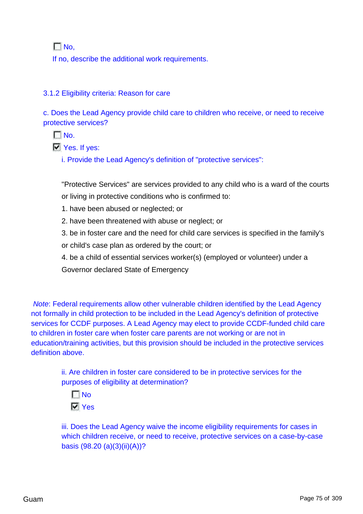$\Gamma$  No.

If no, describe the additional work requirements.

## 3.1.2 Eligibility criteria: Reason for care

c. Does the Lead Agency provide child care to children who receive, or need to receive protective services?

 $\Box$  No.

**Ves.** If yes:

i. Provide the Lead Agency's definition of "protective services":

"Protective Services" are services provided to any child who is a ward of the courts or living in protective conditions who is confirmed to:

- 1. have been abused or neglected; or
- 2. have been threatened with abuse or neglect; or
- 3. be in foster care and the need for child care services is specified in the family's
- or child's case plan as ordered by the court; or
- 4. be a child of essential services worker(s) (employed or volunteer) under a

Governor declared State of Emergency

Note: Federal requirements allow other vulnerable children identified by the Lead Agency not formally in child protection to be included in the Lead Agency's definition of protective services for CCDF purposes. A Lead Agency may elect to provide CCDF-funded child care to children in foster care when foster care parents are not working or are not in education/training activities, but this provision should be included in the protective services definition above.

> ii. Are children in foster care considered to be in protective services for the purposes of eligibility at determination?

 $\Gamma$ No **N** Yes

iii. Does the Lead Agency waive the income eligibility requirements for cases in which children receive, or need to receive, protective services on a case-by-case basis (98.20 (a)(3)(ii)(A))?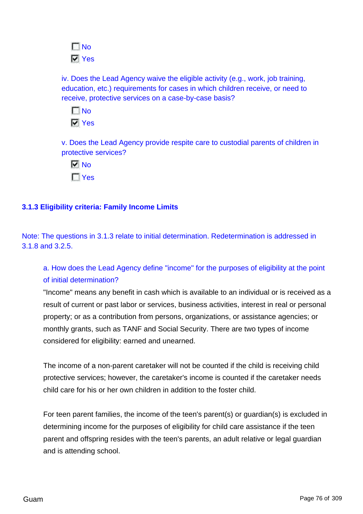

iv. Does the Lead Agency waive the eligible activity (e.g., work, job training, education, etc.) requirements for cases in which children receive, or need to receive, protective services on a case-by-case basis?

 $\Gamma$ No **N** Yes

v. Does the Lead Agency provide respite care to custodial parents of children in protective services?

 $\overline{M}$  No  $\Gamma$  Yes

## **3.1.3 Eligibility criteria: Family Income Limits**

Note: The questions in 3.1.3 relate to initial determination. Redetermination is addressed in 3.1.8 and 3.2.5.

# a. How does the Lead Agency define "income" for the purposes of eligibility at the point of initial determination?

"Income" means any benefit in cash which is available to an individual or is received as a result of current or past labor or services, business activities, interest in real or personal property; or as a contribution from persons, organizations, or assistance agencies; or monthly grants, such as TANF and Social Security. There are two types of income considered for eligibility: earned and unearned.

The income of a non-parent caretaker will not be counted if the child is receiving child protective services; however, the caretaker's income is counted if the caretaker needs child care for his or her own children in addition to the foster child.

For teen parent families, the income of the teen's parent(s) or guardian(s) is excluded in determining income for the purposes of eligibility for child care assistance if the teen parent and offspring resides with the teen's parents, an adult relative or legal guardian and is attending school.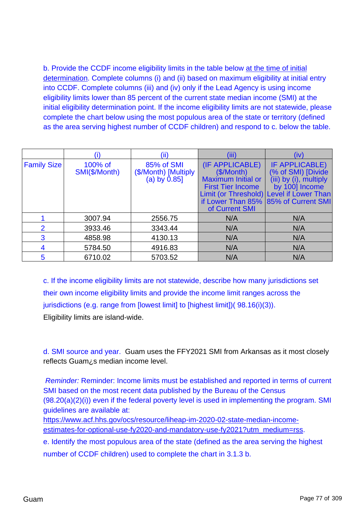b. Provide the CCDF income eligibility limits in the table below at the time of initial determination. Complete columns (i) and (ii) based on maximum eligibility at initial entry into CCDF. Complete columns (iii) and (iv) only if the Lead Agency is using income eligibility limits lower than 85 percent of the current state median income (SMI) at the initial eligibility determination point. If the income eligibility limits are not statewide, please complete the chart below using the most populous area of the state or territory (defined as the area serving highest number of CCDF children) and respond to c. below the table.

|                    |                                                                                   | (ii)    | (iii)                                                                                                                         | (iv)                                                                                                                                                       |
|--------------------|-----------------------------------------------------------------------------------|---------|-------------------------------------------------------------------------------------------------------------------------------|------------------------------------------------------------------------------------------------------------------------------------------------------------|
| <b>Family Size</b> | 85% of SMI<br>100% of<br>SMI(\$/Month)<br>(\$/Month) [Multiply<br>(a) by $0.85$ ] |         | (IF APPLICABLE)<br>(\$/Month)<br><b>Maximum Initial or</b><br><b>First Tier Income</b><br>if Lower Than 85%<br>of Current SMI | <b>IF APPLICABLE)</b><br>(% of SMI) [Divide]<br>(iii) by (i), multiply<br>by 100] Income<br>Limit (or Threshold) Level if Lower Than<br>85% of Current SMI |
|                    | 3007.94                                                                           | 2556.75 | N/A                                                                                                                           | N/A                                                                                                                                                        |
| $\mathcal{P}$      | 3933.46                                                                           | 3343.44 | N/A                                                                                                                           | N/A                                                                                                                                                        |
| 3                  | 4858.98                                                                           | 4130.13 | N/A                                                                                                                           | N/A                                                                                                                                                        |
| 4                  | 5784.50                                                                           | 4916.83 | N/A                                                                                                                           | N/A                                                                                                                                                        |
| 5                  | 6710.02                                                                           | 5703.52 | N/A                                                                                                                           | N/A                                                                                                                                                        |

c. If the income eligibility limits are not statewide, describe how many jurisdictions set their own income eligibility limits and provide the income limit ranges across the jurisdictions (e.g. range from [lowest limit] to [highest limit])( 98.16(i)(3)). Eligibility limits are island-wide.

d. SMI source and year. Guam uses the FFY2021 SMI from Arkansas as it most closely reflects Guam¿s median income level.

Reminder: Reminder: Income limits must be established and reported in terms of current SMI based on the most recent data published by the Bureau of the Census (98.20(a)(2)(i)) even if the federal poverty level is used in implementing the program. SMI guidelines are available at:

[https://www.acf.hhs.gov/ocs/resource/liheap-im-2020-02-state-median-income](%20https://www.acf.hhs.gov/ocs/resource/liheap-im-2020-02-state-median-income-estimates-for-optional-use-fy2020-and-mandatory-use-fy2021?utm_medium=rss)[estimates-for-optional-use-fy2020-and-mandatory-use-fy2021?utm\\_medium=rss.](%20https://www.acf.hhs.gov/ocs/resource/liheap-im-2020-02-state-median-income-estimates-for-optional-use-fy2020-and-mandatory-use-fy2021?utm_medium=rss)

e. Identify the most populous area of the state (defined as the area serving the highest number of CCDF children) used to complete the chart in 3.1.3 b.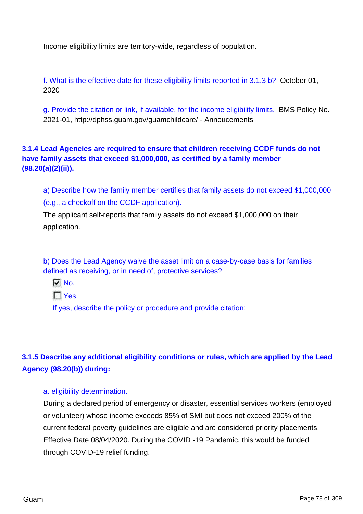Income eligibility limits are territory-wide, regardless of population.

f. What is the effective date for these eligibility limits reported in 3.1.3 b? October 01, 2020

g. Provide the citation or link, if available, for the income eligibility limits. BMS Policy No. 2021-01, http://dphss.guam.gov/guamchildcare/ - Annoucements

**3.1.4 Lead Agencies are required to ensure that children receiving CCDF funds do not have family assets that exceed \$1,000,000, as certified by a family member (98.20(a)(2)(ii)).**

a) Describe how the family member certifies that family assets do not exceed \$1,000,000 (e.g., a checkoff on the CCDF application).

The applicant self-reports that family assets do not exceed \$1,000,000 on their application.

b) Does the Lead Agency waive the asset limit on a case-by-case basis for families defined as receiving, or in need of, protective services?

 $\nabla$  No.

 $\Gamma$  Yes.

If yes, describe the policy or procedure and provide citation:

# **3.1.5 Describe any additional eligibility conditions or rules, which are applied by the Lead Agency (98.20(b)) during:**

#### a. eligibility determination.

During a declared period of emergency or disaster, essential services workers (employed or volunteer) whose income exceeds 85% of SMI but does not exceed 200% of the current federal poverty guidelines are eligible and are considered priority placements. Effective Date 08/04/2020. During the COVID -19 Pandemic, this would be funded through COVID-19 relief funding.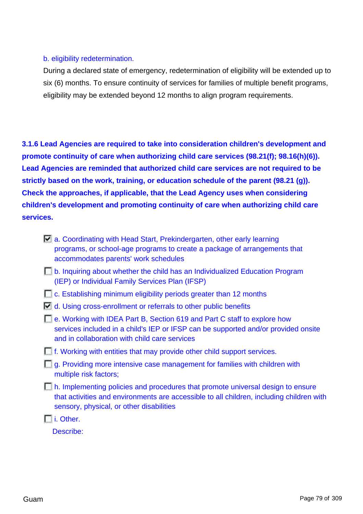### b. eligibility redetermination.

During a declared state of emergency, redetermination of eligibility will be extended up to six (6) months. To ensure continuity of services for families of multiple benefit programs, eligibility may be extended beyond 12 months to align program requirements.

**3.1.6 Lead Agencies are required to take into consideration children's development and promote continuity of care when authorizing child care services (98.21(f); 98.16(h)(6)). Lead Agencies are reminded that authorized child care services are not required to be strictly based on the work, training, or education schedule of the parent (98.21 (g)). Check the approaches, if applicable, that the Lead Agency uses when considering children's development and promoting continuity of care when authorizing child care services.**

- $\Box$  a. Coordinating with Head Start, Prekindergarten, other early learning programs, or school-age programs to create a package of arrangements that accommodates parents' work schedules
- b. Inquiring about whether the child has an Individualized Education Program (IEP) or Individual Family Services Plan (IFSP)
- **C.** Establishing minimum eligibility periods greater than 12 months
- $\Box$  d. Using cross-enrollment or referrals to other public benefits
- **E.** e. Working with IDEA Part B, Section 619 and Part C staff to explore how services included in a child's IEP or IFSP can be supported and/or provided onsite and in collaboration with child care services
- **F.** If. Working with entities that may provide other child support services.
- $\Box$  g. Providing more intensive case management for families with children with multiple risk factors;
- h. Implementing policies and procedures that promote universal design to ensure that activities and environments are accessible to all children, including children with sensory, physical, or other disabilities

i. Other.

Describe: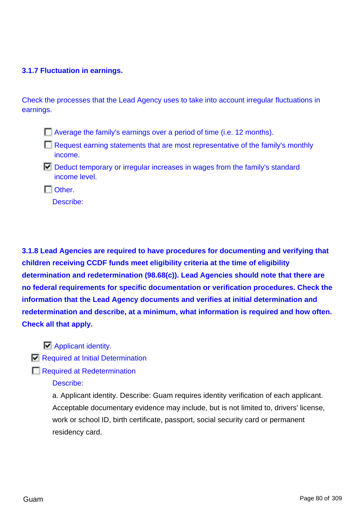### **3.1.7 Fluctuation in earnings.**

Check the processes that the Lead Agency uses to take into account irregular fluctuations in earnings.

- Average the family's earnings over a period of time (i.e. 12 months).
- $\Box$  Request earning statements that are most representative of the family's monthly income.
- $\Box$  Deduct temporary or irregular increases in wages from the family's standard income level.
- $\Box$  Other.

Describe:

**3.1.8 Lead Agencies are required to have procedures for documenting and verifying that children receiving CCDF funds meet eligibility criteria at the time of eligibility determination and redetermination (98.68(c)). Lead Agencies should note that there are no federal requirements for specific documentation or verification procedures. Check the information that the Lead Agency documents and verifies at initial determination and redetermination and describe, at a minimum, what information is required and how often. Check all that apply.**

- **Applicant identity.**
- Required at Initial Determination
- Required at Redetermination
	- Describe:

a. Applicant identity. Describe: Guam requires identity verification of each applicant. Acceptable documentary evidence may include, but is not limited to, drivers' license, work or school ID, birth certificate, passport, social security card or permanent residency card.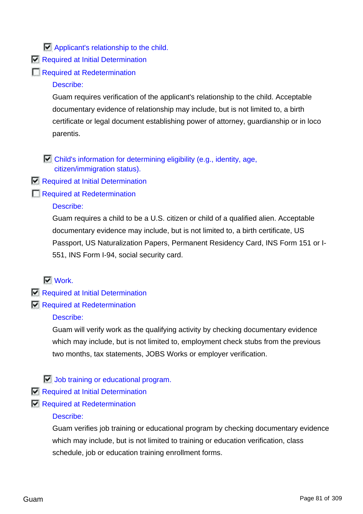## **Applicant's relationship to the child.**

- Required at Initial Determination
- Required at Redetermination

## Describe:

Guam requires verification of the applicant's relationship to the child. Acceptable documentary evidence of relationship may include, but is not limited to, a birth certificate or legal document establishing power of attorney, guardianship or in loco parentis.

 $\Box$  Child's information for determining eligibility (e.g., identity, age, citizen/immigration status).

- Required at Initial Determination
- Required at Redetermination

### Describe:

Guam requires a child to be a U.S. citizen or child of a qualified alien. Acceptable documentary evidence may include, but is not limited to, a birth certificate, US Passport, US Naturalization Papers, Permanent Residency Card, INS Form 151 or I-551, INS Form I-94, social security card.

## $\nabla$  Work.

- Required at Initial Determination
- Required at Redetermination

#### Describe:

Guam will verify work as the qualifying activity by checking documentary evidence which may include, but is not limited to, employment check stubs from the previous two months, tax statements, JOBS Works or employer verification.

## **Job training or educational program.**

- Required at Initial Determination
- Required at Redetermination

#### Describe:

Guam verifies job training or educational program by checking documentary evidence which may include, but is not limited to training or education verification, class schedule, job or education training enrollment forms.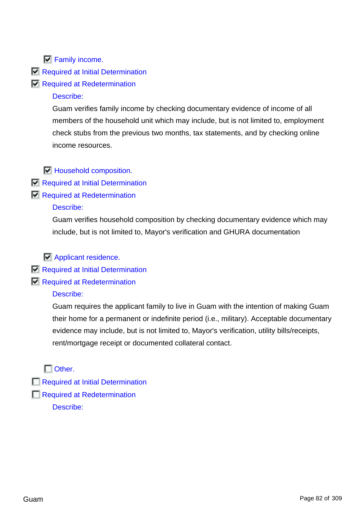$\n **Family income**$ .

Required at Initial Determination

Required at Redetermination

## Describe:

Guam verifies family income by checking documentary evidence of income of all members of the household unit which may include, but is not limited to, employment check stubs from the previous two months, tax statements, and by checking online income resources.

 $\Box$  Household composition.

- Required at Initial Determination
- Required at Redetermination

## Describe:

Guam verifies household composition by checking documentary evidence which may include, but is not limited to, Mayor's verification and GHURA documentation

**Applicant residence.** 

- Required at Initial Determination
- Required at Redetermination

## Describe:

Guam requires the applicant family to live in Guam with the intention of making Guam their home for a permanent or indefinite period (i.e., military). Acceptable documentary evidence may include, but is not limited to, Mayor's verification, utility bills/receipts, rent/mortgage receipt or documented collateral contact.

 $\Box$  Other.

- Required at Initial Determination
- Required at Redetermination
	- Describe: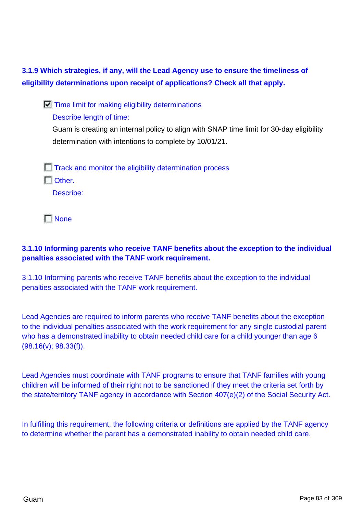**3.1.9 Which strategies, if any, will the Lead Agency use to ensure the timeliness of eligibility determinations upon receipt of applications? Check all that apply.**

 $\Box$  Time limit for making eligibility determinations

Describe length of time:

Guam is creating an internal policy to align with SNAP time limit for 30-day eligibility determination with intentions to complete by 10/01/21.

 $\Box$  Track and monitor the eligibility determination process  $\Gamma$  Other. Describe:

**None** 

## **3.1.10 Informing parents who receive TANF benefits about the exception to the individual penalties associated with the TANF work requirement.**

3.1.10 Informing parents who receive TANF benefits about the exception to the individual penalties associated with the TANF work requirement.

Lead Agencies are required to inform parents who receive TANF benefits about the exception to the individual penalties associated with the work requirement for any single custodial parent who has a demonstrated inability to obtain needed child care for a child younger than age 6 (98.16(v); 98.33(f)).

Lead Agencies must coordinate with TANF programs to ensure that TANF families with young children will be informed of their right not to be sanctioned if they meet the criteria set forth by the state/territory TANF agency in accordance with Section 407(e)(2) of the Social Security Act.

In fulfilling this requirement, the following criteria or definitions are applied by the TANF agency to determine whether the parent has a demonstrated inability to obtain needed child care.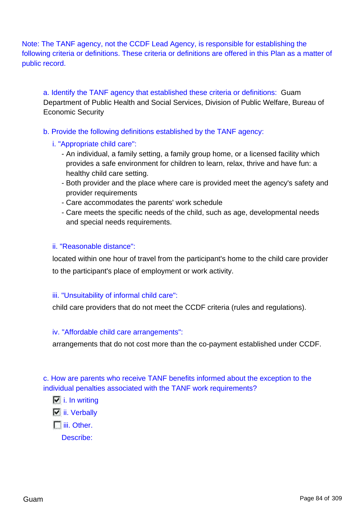Note: The TANF agency, not the CCDF Lead Agency, is responsible for establishing the following criteria or definitions. These criteria or definitions are offered in this Plan as a matter of public record.

a. Identify the TANF agency that established these criteria or definitions: Guam Department of Public Health and Social Services, Division of Public Welfare, Bureau of Economic Security

b. Provide the following definitions established by the TANF agency:

- i. "Appropriate child care":
	- An individual, a family setting, a family group home, or a licensed facility which provides a safe environment for children to learn, relax, thrive and have fun: a healthy child care setting.
	- Both provider and the place where care is provided meet the agency's safety and provider requirements
	- Care accommodates the parents' work schedule
	- Care meets the specific needs of the child, such as age, developmental needs and special needs requirements.

#### ii. "Reasonable distance":

located within one hour of travel from the participant's home to the child care provider to the participant's place of employment or work activity.

## iii. "Unsuitability of informal child care":

child care providers that do not meet the CCDF criteria (rules and regulations).

#### iv. "Affordable child care arrangements":

arrangements that do not cost more than the co-payment established under CCDF.

c. How are parents who receive TANF benefits informed about the exception to the individual penalties associated with the TANF work requirements?

#### $\Box$  i. In writing

 $\Box$  ii. Verbally

**I**iii. Other.

Describe: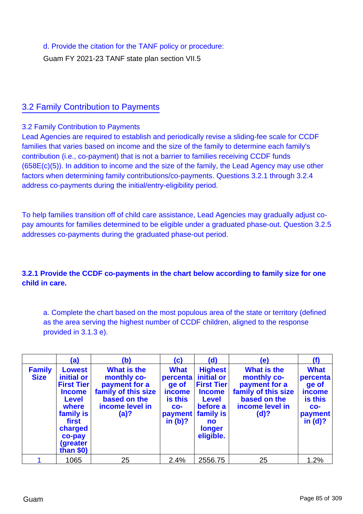d. Provide the citation for the TANF policy or procedure:

Guam FY 2021-23 TANF state plan section VII.5

## 3.2 Family Contribution to Payments

### 3.2 Family Contribution to Payments

Lead Agencies are required to establish and periodically revise a sliding-fee scale for CCDF families that varies based on income and the size of the family to determine each family's contribution (i.e., co-payment) that is not a barrier to families receiving CCDF funds (658E(c)(5)). In addition to income and the size of the family, the Lead Agency may use other factors when determining family contributions/co-payments. Questions 3.2.1 through 3.2.4 address co-payments during the initial/entry-eligibility period.

To help families transition off of child care assistance, Lead Agencies may gradually adjust copay amounts for families determined to be eligible under a graduated phase-out. Question 3.2.5 addresses co-payments during the graduated phase-out period.

## **3.2.1 Provide the CCDF co-payments in the chart below according to family size for one child in care.**

a. Complete the chart based on the most populous area of the state or territory (defined as the area serving the highest number of CCDF children, aligned to the response provided in 3.1.3 e).

|                              | (a)                                                                                                                                                             | (b)                                                                                                           | (c)                                                                                          | (d)                                                                                                                                             | (e)                                                                                                                  | (f)                                                                                   |
|------------------------------|-----------------------------------------------------------------------------------------------------------------------------------------------------------------|---------------------------------------------------------------------------------------------------------------|----------------------------------------------------------------------------------------------|-------------------------------------------------------------------------------------------------------------------------------------------------|----------------------------------------------------------------------------------------------------------------------|---------------------------------------------------------------------------------------|
| <b>Family</b><br><b>Size</b> | <b>Lowest</b><br>initial or<br><b>First Tier</b><br><b>Income</b><br><b>Level</b><br>where<br>family is<br>first<br>charged<br>co-pay<br>(greater<br>than $$0)$ | What is the<br>monthly co-<br>payment for a<br>family of this size<br>based on the<br>income level in<br>(a)? | <b>What</b><br>percenta<br>ge of<br><b>income</b><br>is this<br>$CO -$<br>payment<br>in (b)? | <b>Highest</b><br>initial or<br><b>First Tier</b><br><b>Income</b><br><b>Level</b><br>before a<br>family is<br><b>no</b><br>longer<br>eligible. | <b>What is the</b><br>monthly co-<br>payment for a<br>family of this size<br>based on the<br>income level in<br>(d)? | <b>What</b><br>percenta<br>ge of<br>income<br>is this<br>$CO -$<br>payment<br>in (d)? |
|                              | 1065                                                                                                                                                            | 25                                                                                                            | 2.4%                                                                                         | 2556.75                                                                                                                                         | 25                                                                                                                   | 1.2%                                                                                  |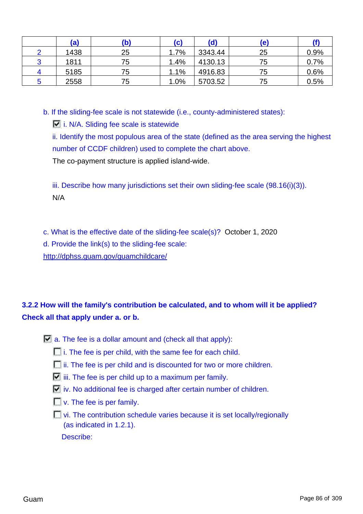| (a)  | (b) | (c)  | (d)     | (e) |      |
|------|-----|------|---------|-----|------|
| 1438 | 25  | 1.7% | 3343.44 | 25  | 0.9% |
| 1811 | 75  | 1.4% | 4130.13 | 75  | 0.7% |
| 5185 | 75  | 1.1% | 4916.83 | 75  | 0.6% |
| 2558 | 75  | 1.0% | 5703.52 | 75  | 0.5% |

b. If the sliding-fee scale is not statewide (i.e., county-administered states):

 $\Box$  i. N/A. Sliding fee scale is statewide

ii. Identify the most populous area of the state (defined as the area serving the highest number of CCDF children) used to complete the chart above. The co-payment structure is applied island-wide.

iii. Describe how many jurisdictions set their own sliding-fee scale (98.16(i)(3)). N/A

c. What is the effective date of the sliding-fee scale(s)? October 1, 2020

d. Provide the link(s) to the sliding-fee scale:

<http://dphss.guam.gov/guamchildcare/>

# **3.2.2 How will the family's contribution be calculated, and to whom will it be applied? Check all that apply under a. or b.**

- $\Box$  a. The fee is a dollar amount and (check all that apply):
	- $\Box$  i. The fee is per child, with the same fee for each child.
	- $\Box$  ii. The fee is per child and is discounted for two or more children.
	- $\Box$  iii. The fee is per child up to a maximum per family.
	- $\Box$  iv. No additional fee is charged after certain number of children.
	- $\Box$  v. The fee is per family.
	- $\Box$  vi. The contribution schedule varies because it is set locally/regionally (as indicated in 1.2.1). Describe: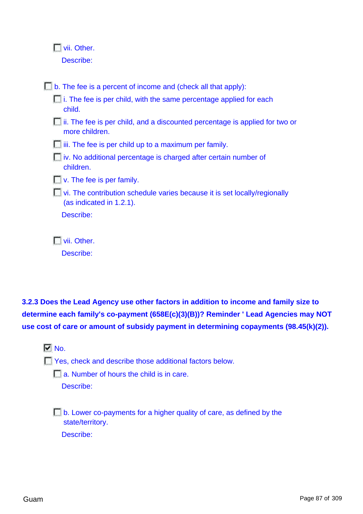|  |  | Vii. Other. |
|--|--|-------------|
|  |  |             |

Describe:

 $\Box$  b. The fee is a percent of income and (check all that apply):  $\Box$  i. The fee is per child, with the same percentage applied for each child. **i**ii. The fee is per child, and a discounted percentage is applied for two or more children.  $\Box$  iii. The fee is per child up to a maximum per family. iv. No additional percentage is charged after certain number of children.  $\Box$  v. The fee is per family. **T** vi. The contribution schedule varies because it is set locally/regionally (as indicated in 1.2.1). Describe: **Nii.** Other.

**3.2.3 Does the Lead Agency use other factors in addition to income and family size to determine each family's co-payment (658E(c)(3)(B))? Reminder ' Lead Agencies may NOT use cost of care or amount of subsidy payment in determining copayments (98.45(k)(2)).**

 $\nabla$  No.

T Yes, check and describe those additional factors below.

**a.** Number of hours the child is in care.

Describe:

Describe:

 $\Box$  b. Lower co-payments for a higher quality of care, as defined by the state/territory. Describe: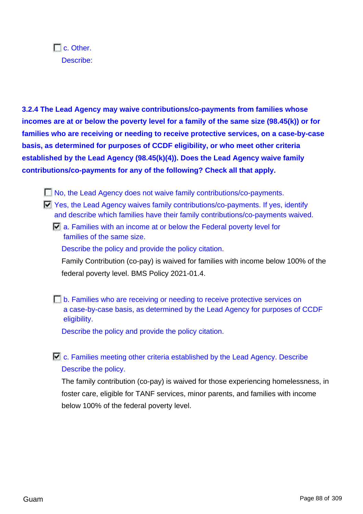$\Box$  c. Other. Describe:

**3.2.4 The Lead Agency may waive contributions/co-payments from families whose incomes are at or below the poverty level for a family of the same size (98.45(k)) or for families who are receiving or needing to receive protective services, on a case-by-case basis, as determined for purposes of CCDF eligibility, or who meet other criteria established by the Lead Agency (98.45(k)(4)). Does the Lead Agency waive family contributions/co-payments for any of the following? Check all that apply.**

- No, the Lead Agency does not waive family contributions/co-payments.
- Yes, the Lead Agency waives family contributions/co-payments. If yes, identify and describe which families have their family contributions/co-payments waived.
	- $\Box$  a. Families with an income at or below the Federal poverty level for families of the same size.

Describe the policy and provide the policy citation.

Family Contribution (co-pay) is waived for families with income below 100% of the federal poverty level. BMS Policy 2021-01.4.

**F** b. Families who are receiving or needing to receive protective services on a case-by-case basis, as determined by the Lead Agency for purposes of CCDF eligibility.

Describe the policy and provide the policy citation.

 $\Box$  c. Families meeting other criteria established by the Lead Agency. Describe Describe the policy.

The family contribution (co-pay) is waived for those experiencing homelessness, in foster care, eligible for TANF services, minor parents, and families with income below 100% of the federal poverty level.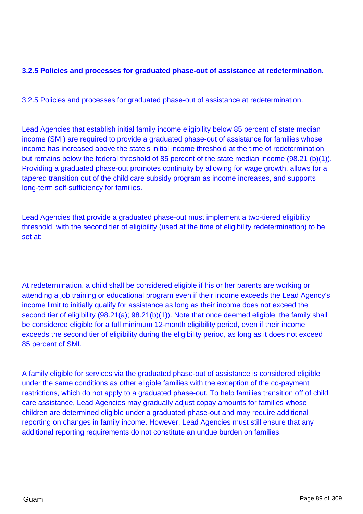## **3.2.5 Policies and processes for graduated phase-out of assistance at redetermination.**

3.2.5 Policies and processes for graduated phase-out of assistance at redetermination.

Lead Agencies that establish initial family income eligibility below 85 percent of state median income (SMI) are required to provide a graduated phase-out of assistance for families whose income has increased above the state's initial income threshold at the time of redetermination but remains below the federal threshold of 85 percent of the state median income (98.21 (b)(1)). Providing a graduated phase-out promotes continuity by allowing for wage growth, allows for a tapered transition out of the child care subsidy program as income increases, and supports long-term self-sufficiency for families.

Lead Agencies that provide a graduated phase-out must implement a two-tiered eligibility threshold, with the second tier of eligibility (used at the time of eligibility redetermination) to be set at:

At redetermination, a child shall be considered eligible if his or her parents are working or attending a job training or educational program even if their income exceeds the Lead Agency's income limit to initially qualify for assistance as long as their income does not exceed the second tier of eligibility (98.21(a); 98.21(b)(1)). Note that once deemed eligible, the family shall be considered eligible for a full minimum 12-month eligibility period, even if their income exceeds the second tier of eligibility during the eligibility period, as long as it does not exceed 85 percent of SMI.

A family eligible for services via the graduated phase-out of assistance is considered eligible under the same conditions as other eligible families with the exception of the co-payment restrictions, which do not apply to a graduated phase-out. To help families transition off of child care assistance, Lead Agencies may gradually adjust copay amounts for families whose children are determined eligible under a graduated phase-out and may require additional reporting on changes in family income. However, Lead Agencies must still ensure that any additional reporting requirements do not constitute an undue burden on families.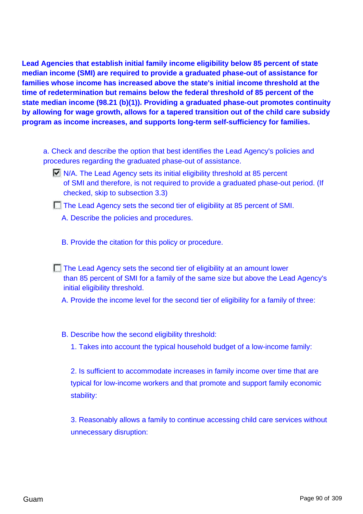**Lead Agencies that establish initial family income eligibility below 85 percent of state median income (SMI) are required to provide a graduated phase-out of assistance for families whose income has increased above the state's initial income threshold at the time of redetermination but remains below the federal threshold of 85 percent of the state median income (98.21 (b)(1)). Providing a graduated phase-out promotes continuity by allowing for wage growth, allows for a tapered transition out of the child care subsidy program as income increases, and supports long-term self-sufficiency for families.**

- a. Check and describe the option that best identifies the Lead Agency's policies and procedures regarding the graduated phase-out of assistance.
	- $\Box$  N/A. The Lead Agency sets its initial eligibility threshold at 85 percent of SMI and therefore, is not required to provide a graduated phase-out period. (If checked, skip to subsection 3.3)
	- The Lead Agency sets the second tier of eligibility at 85 percent of SMI.
		- A. Describe the policies and procedures.
		- B. Provide the citation for this policy or procedure.
	- The Lead Agency sets the second tier of eligibility at an amount lower than 85 percent of SMI for a family of the same size but above the Lead Agency's initial eligibility threshold.
		- A. Provide the income level for the second tier of eligibility for a family of three:
		- B. Describe how the second eligibility threshold:
			- 1. Takes into account the typical household budget of a low-income family:

2. Is sufficient to accommodate increases in family income over time that are typical for low-income workers and that promote and support family economic stability:

3. Reasonably allows a family to continue accessing child care services without unnecessary disruption: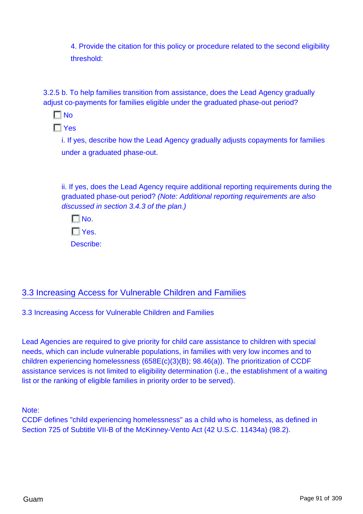4. Provide the citation for this policy or procedure related to the second eligibility threshold:

3.2.5 b. To help families transition from assistance, does the Lead Agency gradually adjust co-payments for families eligible under the graduated phase-out period?

 $\Box$ No

 $\Gamma$  Yes

i. If yes, describe how the Lead Agency gradually adjusts copayments for families under a graduated phase-out.

ii. If yes, does the Lead Agency require additional reporting requirements during the graduated phase-out period? (Note: Additional reporting requirements are also discussed in section 3.4.3 of the plan.)

 $\Box$  No.  $\Box$  Yes. Describe:

# 3.3 Increasing Access for Vulnerable Children and Families

3.3 Increasing Access for Vulnerable Children and Families

Lead Agencies are required to give priority for child care assistance to children with special needs, which can include vulnerable populations, in families with very low incomes and to children experiencing homelessness (658E(c)(3)(B); 98.46(a)). The prioritization of CCDF assistance services is not limited to eligibility determination (i.e., the establishment of a waiting list or the ranking of eligible families in priority order to be served).

Note:

CCDF defines "child experiencing homelessness" as a child who is homeless, as defined in Section 725 of Subtitle VII-B of the McKinney-Vento Act (42 U.S.C. 11434a) (98.2).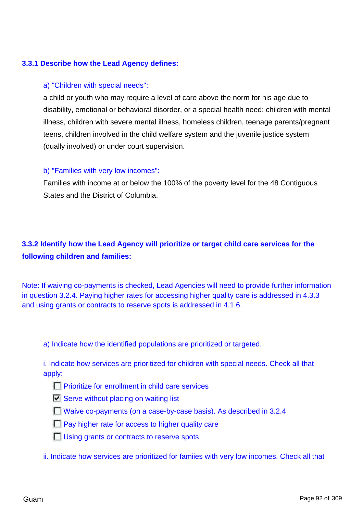### **3.3.1 Describe how the Lead Agency defines:**

#### a) "Children with special needs":

a child or youth who may require a level of care above the norm for his age due to disability, emotional or behavioral disorder, or a special health need; children with mental illness, children with severe mental illness, homeless children, teenage parents/pregnant teens, children involved in the child welfare system and the juvenile justice system (dually involved) or under court supervision.

#### b) "Families with very low incomes":

Families with income at or below the 100% of the poverty level for the 48 Contiguous States and the District of Columbia.

# **3.3.2 Identify how the Lead Agency will prioritize or target child care services for the following children and families:**

Note: If waiving co-payments is checked, Lead Agencies will need to provide further information in question 3.2.4. Paying higher rates for accessing higher quality care is addressed in 4.3.3 and using grants or contracts to reserve spots is addressed in 4.1.6.

a) Indicate how the identified populations are prioritized or targeted.

i. Indicate how services are prioritized for children with special needs. Check all that apply:

- **Prioritize for enrollment in child care services**
- $\Box$  Serve without placing on waiting list
- Waive co-payments (on a case-by-case basis). As described in 3.2.4
- $\Box$  Pay higher rate for access to higher quality care
- **Using grants or contracts to reserve spots**
- ii. Indicate how services are prioritized for famiies with very low incomes. Check all that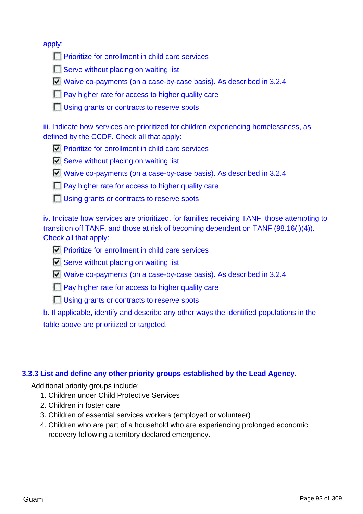apply:

- **Prioritize for enrollment in child care services**
- Serve without placing on waiting list
- Waive co-payments (on a case-by-case basis). As described in 3.2.4
- **Pay higher rate for access to higher quality care**
- **Using grants or contracts to reserve spots**

iii. Indicate how services are prioritized for children experiencing homelessness, as defined by the CCDF. Check all that apply:

- $\nabla$  Prioritize for enrollment in child care services
- $\overline{\triangledown}$  Serve without placing on waiting list
- Waive co-payments (on a case-by-case basis). As described in 3.2.4
- **Pay higher rate for access to higher quality care**
- **Using grants or contracts to reserve spots**

iv. Indicate how services are prioritized, for families receiving TANF, those attempting to transition off TANF, and those at risk of becoming dependent on TANF (98.16(i)(4)). Check all that apply:

- $\nabla$  Prioritize for enrollment in child care services
- $\Box$  Serve without placing on waiting list
- Waive co-payments (on a case-by-case basis). As described in 3.2.4
- **Pay higher rate for access to higher quality care**
- **Using grants or contracts to reserve spots**

b. If applicable, identify and describe any other ways the identified populations in the table above are prioritized or targeted.

#### **3.3.3 List and define any other priority groups established by the Lead Agency.**

Additional priority groups include:

- 1. Children under Child Protective Services
- 2. Children in foster care
- 3. Children of essential services workers (employed or volunteer)
- 4. Children who are part of a household who are experiencing prolonged economic recovery following a territory declared emergency.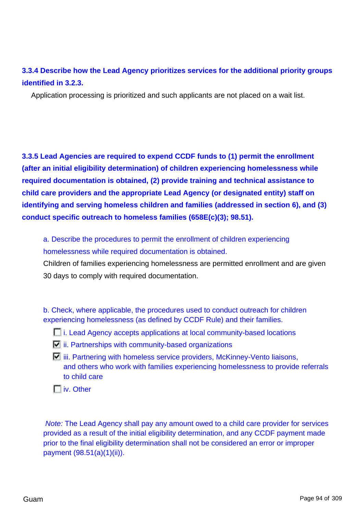# **3.3.4 Describe how the Lead Agency prioritizes services for the additional priority groups identified in 3.2.3.**

Application processing is prioritized and such applicants are not placed on a wait list.

**3.3.5 Lead Agencies are required to expend CCDF funds to (1) permit the enrollment (after an initial eligibility determination) of children experiencing homelessness while required documentation is obtained, (2) provide training and technical assistance to child care providers and the appropriate Lead Agency (or designated entity) staff on identifying and serving homeless children and families (addressed in section 6), and (3) conduct specific outreach to homeless families (658E(c)(3); 98.51).**

a. Describe the procedures to permit the enrollment of children experiencing homelessness while required documentation is obtained.

Children of families experiencing homelessness are permitted enrollment and are given 30 days to comply with required documentation.

b. Check, where applicable, the procedures used to conduct outreach for children experiencing homelessness (as defined by CCDF Rule) and their families.

- **i.** Lead Agency accepts applications at local community-based locations
- $\Box$  ii. Partnerships with community-based organizations
- $\Box$  iii. Partnering with homeless service providers, McKinney-Vento liaisons, and others who work with families experiencing homelessness to provide referrals to child care
- **IT** iv. Other

Note: The Lead Agency shall pay any amount owed to a child care provider for services provided as a result of the initial eligibility determination, and any CCDF payment made prior to the final eligibility determination shall not be considered an error or improper payment (98.51(a)(1)(ii)).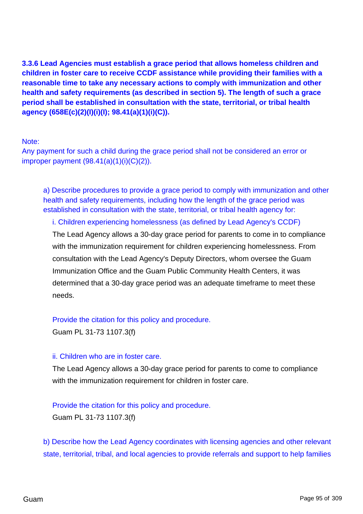**3.3.6 Lead Agencies must establish a grace period that allows homeless children and children in foster care to receive CCDF assistance while providing their families with a reasonable time to take any necessary actions to comply with immunization and other health and safety requirements (as described in section 5). The length of such a grace period shall be established in consultation with the state, territorial, or tribal health agency (658E(c)(2)(I)(i)(I); 98.41(a)(1)(i)(C)).**

Note:

Any payment for such a child during the grace period shall not be considered an error or improper payment  $(98.41(a)(1)(i)(C)(2))$ .

a) Describe procedures to provide a grace period to comply with immunization and other health and safety requirements, including how the length of the grace period was established in consultation with the state, territorial, or tribal health agency for:

## i. Children experiencing homelessness (as defined by Lead Agency's CCDF)

The Lead Agency allows a 30-day grace period for parents to come in to compliance with the immunization requirement for children experiencing homelessness. From consultation with the Lead Agency's Deputy Directors, whom oversee the Guam Immunization Office and the Guam Public Community Health Centers, it was determined that a 30-day grace period was an adequate timeframe to meet these needs.

#### Provide the citation for this policy and procedure.

Guam PL 31-73 1107.3(f)

#### ii. Children who are in foster care.

The Lead Agency allows a 30-day grace period for parents to come to compliance with the immunization requirement for children in foster care.

## Provide the citation for this policy and procedure.

Guam PL 31-73 1107.3(f)

b) Describe how the Lead Agency coordinates with licensing agencies and other relevant state, territorial, tribal, and local agencies to provide referrals and support to help families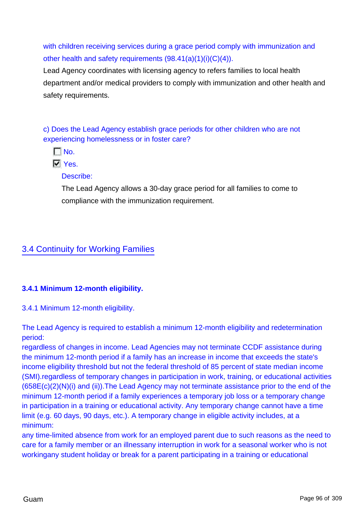with children receiving services during a grace period comply with immunization and other health and safety requirements (98.41(a)(1)(i)(C)(4)).

Lead Agency coordinates with licensing agency to refers families to local health department and/or medical providers to comply with immunization and other health and safety requirements.

c) Does the Lead Agency establish grace periods for other children who are not experiencing homelessness or in foster care?

 $\Gamma$  No.

**N** Yes.

Describe:

The Lead Agency allows a 30-day grace period for all families to come to compliance with the immunization requirement.

# 3.4 Continuity for Working Families

## **3.4.1 Minimum 12-month eligibility.**

3.4.1 Minimum 12-month eligibility.

The Lead Agency is required to establish a minimum 12-month eligibility and redetermination period:

regardless of changes in income. Lead Agencies may not terminate CCDF assistance during the minimum 12-month period if a family has an increase in income that exceeds the state's income eligibility threshold but not the federal threshold of 85 percent of state median income (SMI).regardless of temporary changes in participation in work, training, or educational activities (658E(c)(2)(N)(i) and (ii)).The Lead Agency may not terminate assistance prior to the end of the minimum 12-month period if a family experiences a temporary job loss or a temporary change in participation in a training or educational activity. Any temporary change cannot have a time limit (e.g. 60 days, 90 days, etc.). A temporary change in eligible activity includes, at a minimum:

any time-limited absence from work for an employed parent due to such reasons as the need to care for a family member or an illnessany interruption in work for a seasonal worker who is not workingany student holiday or break for a parent participating in a training or educational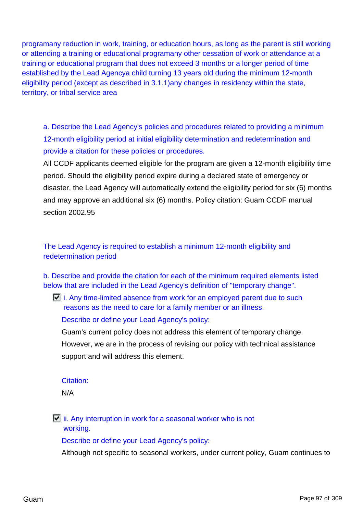programany reduction in work, training, or education hours, as long as the parent is still working or attending a training or educational programany other cessation of work or attendance at a training or educational program that does not exceed 3 months or a longer period of time established by the Lead Agencya child turning 13 years old during the minimum 12-month eligibility period (except as described in 3.1.1)any changes in residency within the state, territory, or tribal service area

a. Describe the Lead Agency's policies and procedures related to providing a minimum 12-month eligibility period at initial eligibility determination and redetermination and provide a citation for these policies or procedures.

All CCDF applicants deemed eligible for the program are given a 12-month eligibility time period. Should the eligibility period expire during a declared state of emergency or disaster, the Lead Agency will automatically extend the eligibility period for six (6) months and may approve an additional six (6) months. Policy citation: Guam CCDF manual section 2002.95

The Lead Agency is required to establish a minimum 12-month eligibility and redetermination period

b. Describe and provide the citation for each of the minimum required elements listed below that are included in the Lead Agency's definition of "temporary change".

 $\Box$  i. Any time-limited absence from work for an employed parent due to such reasons as the need to care for a family member or an illness.

Describe or define your Lead Agency's policy:

Guam's current policy does not address this element of temporary change. However, we are in the process of revising our policy with technical assistance support and will address this element.

## Citation:

N/A

 $\Box$  ii. Any interruption in work for a seasonal worker who is not working.

Describe or define your Lead Agency's policy:

Although not specific to seasonal workers, under current policy, Guam continues to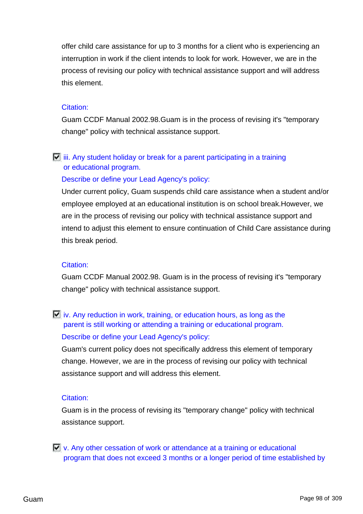offer child care assistance for up to 3 months for a client who is experiencing an interruption in work if the client intends to look for work. However, we are in the process of revising our policy with technical assistance support and will address this element.

### Citation:

Guam CCDF Manual 2002.98.Guam is in the process of revising it's "temporary change" policy with technical assistance support.

# $\Box$  iii. Any student holiday or break for a parent participating in a training or educational program.

## Describe or define your Lead Agency's policy:

Under current policy, Guam suspends child care assistance when a student and/or employee employed at an educational institution is on school break.However, we are in the process of revising our policy with technical assistance support and intend to adjust this element to ensure continuation of Child Care assistance during this break period.

## Citation:

Guam CCDF Manual 2002.98. Guam is in the process of revising it's "temporary change" policy with technical assistance support.

# $\Box$  iv. Any reduction in work, training, or education hours, as long as the parent is still working or attending a training or educational program. Describe or define your Lead Agency's policy:

Guam's current policy does not specifically address this element of temporary change. However, we are in the process of revising our policy with technical assistance support and will address this element.

## Citation:

Guam is in the process of revising its "temporary change" policy with technical assistance support.

 $\Box$  v. Any other cessation of work or attendance at a training or educational program that does not exceed 3 months or a longer period of time established by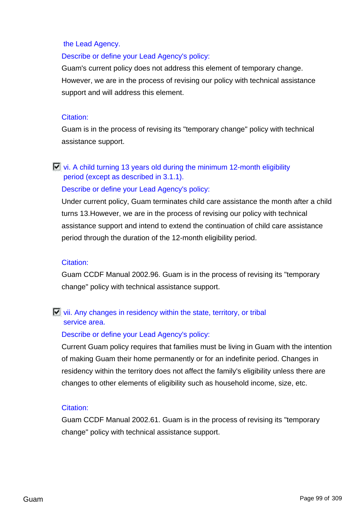#### the Lead Agency.

#### Describe or define your Lead Agency's policy:

Guam's current policy does not address this element of temporary change. However, we are in the process of revising our policy with technical assistance support and will address this element.

#### Citation:

Guam is in the process of revising its "temporary change" policy with technical assistance support.

## $\Box$  vi. A child turning 13 years old during the minimum 12-month eligibility period (except as described in 3.1.1).

#### Describe or define your Lead Agency's policy:

Under current policy, Guam terminates child care assistance the month after a child turns 13.However, we are in the process of revising our policy with technical assistance support and intend to extend the continuation of child care assistance period through the duration of the 12-month eligibility period.

#### Citation:

Guam CCDF Manual 2002.96. Guam is in the process of revising its "temporary change" policy with technical assistance support.

### $\Box$  vii. Any changes in residency within the state, territory, or tribal service area.

#### Describe or define your Lead Agency's policy:

Current Guam policy requires that families must be living in Guam with the intention of making Guam their home permanently or for an indefinite period. Changes in residency within the territory does not affect the family's eligibility unless there are changes to other elements of eligibility such as household income, size, etc.

#### Citation:

Guam CCDF Manual 2002.61. Guam is in the process of revising its "temporary change" policy with technical assistance support.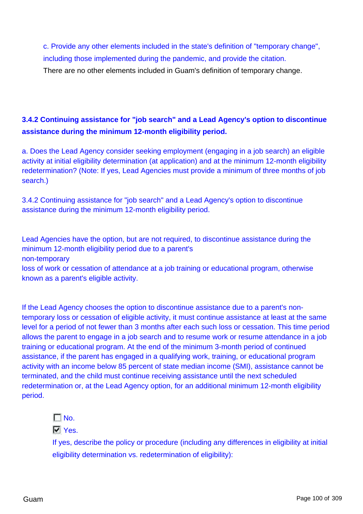c. Provide any other elements included in the state's definition of "temporary change", including those implemented during the pandemic, and provide the citation.

There are no other elements included in Guam's definition of temporary change.

## **3.4.2 Continuing assistance for "job search" and a Lead Agency's option to discontinue assistance during the minimum 12-month eligibility period.**

a. Does the Lead Agency consider seeking employment (engaging in a job search) an eligible activity at initial eligibility determination (at application) and at the minimum 12-month eligibility redetermination? (Note: If yes, Lead Agencies must provide a minimum of three months of job search.)

3.4.2 Continuing assistance for "job search" and a Lead Agency's option to discontinue assistance during the minimum 12-month eligibility period.

Lead Agencies have the option, but are not required, to discontinue assistance during the minimum 12-month eligibility period due to a parent's non-temporary loss of work or cessation of attendance at a job training or educational program, otherwise known as a parent's eligible activity.

If the Lead Agency chooses the option to discontinue assistance due to a parent's nontemporary loss or cessation of eligible activity, it must continue assistance at least at the same level for a period of not fewer than 3 months after each such loss or cessation. This time period allows the parent to engage in a job search and to resume work or resume attendance in a job training or educational program. At the end of the minimum 3-month period of continued assistance, if the parent has engaged in a qualifying work, training, or educational program activity with an income below 85 percent of state median income (SMI), assistance cannot be terminated, and the child must continue receiving assistance until the next scheduled redetermination or, at the Lead Agency option, for an additional minimum 12-month eligibility period.

 $\Gamma$  No.

**M** Yes.

If yes, describe the policy or procedure (including any differences in eligibility at initial eligibility determination vs. redetermination of eligibility):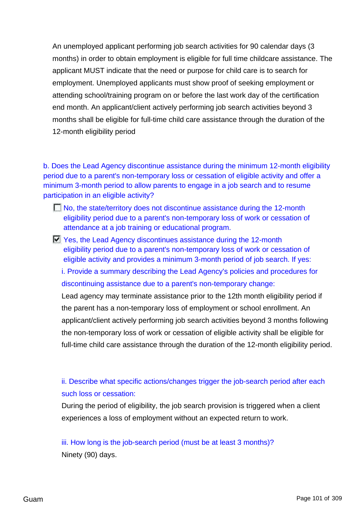An unemployed applicant performing job search activities for 90 calendar days (3 months) in order to obtain employment is eligible for full time childcare assistance. The applicant MUST indicate that the need or purpose for child care is to search for employment. Unemployed applicants must show proof of seeking employment or attending school/training program on or before the last work day of the certification end month. An applicant/client actively performing job search activities beyond 3 months shall be eligible for full-time child care assistance through the duration of the 12-month eligibility period

b. Does the Lead Agency discontinue assistance during the minimum 12-month eligibility period due to a parent's non-temporary loss or cessation of eligible activity and offer a minimum 3-month period to allow parents to engage in a job search and to resume participation in an eligible activity?

- No, the state/territory does not discontinue assistance during the 12-month eligibility period due to a parent's non-temporary loss of work or cessation of attendance at a job training or educational program.
- Yes, the Lead Agency discontinues assistance during the 12-month eligibility period due to a parent's non-temporary loss of work or cessation of eligible activity and provides a minimum 3-month period of job search. If yes:

i. Provide a summary describing the Lead Agency's policies and procedures for discontinuing assistance due to a parent's non-temporary change:

Lead agency may terminate assistance prior to the 12th month eligibility period if the parent has a non-temporary loss of employment or school enrollment. An applicant/client actively performing job search activities beyond 3 months following the non-temporary loss of work or cessation of eligible activity shall be eligible for full-time child care assistance through the duration of the 12-month eligibility period.

ii. Describe what specific actions/changes trigger the job-search period after each such loss or cessation:

During the period of eligibility, the job search provision is triggered when a client experiences a loss of employment without an expected return to work.

iii. How long is the job-search period (must be at least 3 months)? Ninety (90) days.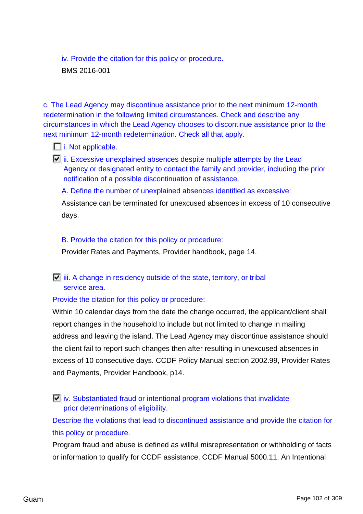iv. Provide the citation for this policy or procedure. BMS 2016-001

c. The Lead Agency may discontinue assistance prior to the next minimum 12-month redetermination in the following limited circumstances. Check and describe any circumstances in which the Lead Agency chooses to discontinue assistance prior to the next minimum 12-month redetermination. Check all that apply.

### $\Box$  i. Not applicable.

 $\Box$  ii. Excessive unexplained absences despite multiple attempts by the Lead Agency or designated entity to contact the family and provider, including the prior notification of a possible discontinuation of assistance.

#### A. Define the number of unexplained absences identified as excessive:

Assistance can be terminated for unexcused absences in excess of 10 consecutive days.

### B. Provide the citation for this policy or procedure:

Provider Rates and Payments, Provider handbook, page 14.

## $\overline{V}$  iii. A change in residency outside of the state, territory, or tribal service area.

## Provide the citation for this policy or procedure:

Within 10 calendar days from the date the change occurred, the applicant/client shall report changes in the household to include but not limited to change in mailing address and leaving the island. The Lead Agency may discontinue assistance should the client fail to report such changes then after resulting in unexcused absences in excess of 10 consecutive days. CCDF Policy Manual section 2002.99, Provider Rates and Payments, Provider Handbook, p14.

 $\Box$  iv. Substantiated fraud or intentional program violations that invalidate prior determinations of eligibility.

Describe the violations that lead to discontinued assistance and provide the citation for this policy or procedure.

Program fraud and abuse is defined as willful misrepresentation or withholding of facts or information to qualify for CCDF assistance. CCDF Manual 5000.11. An Intentional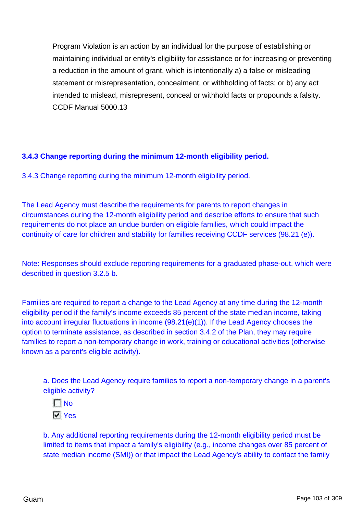Program Violation is an action by an individual for the purpose of establishing or maintaining individual or entity's eligibility for assistance or for increasing or preventing a reduction in the amount of grant, which is intentionally a) a false or misleading statement or misrepresentation, concealment, or withholding of facts; or b) any act intended to mislead, misrepresent, conceal or withhold facts or propounds a falsity. CCDF Manual 5000.13

## **3.4.3 Change reporting during the minimum 12-month eligibility period.**

3.4.3 Change reporting during the minimum 12-month eligibility period.

The Lead Agency must describe the requirements for parents to report changes in circumstances during the 12-month eligibility period and describe efforts to ensure that such requirements do not place an undue burden on eligible families, which could impact the continuity of care for children and stability for families receiving CCDF services (98.21 (e)).

Note: Responses should exclude reporting requirements for a graduated phase-out, which were described in question 3.2.5 b.

Families are required to report a change to the Lead Agency at any time during the 12-month eligibility period if the family's income exceeds 85 percent of the state median income, taking into account irregular fluctuations in income (98.21(e)(1)). If the Lead Agency chooses the option to terminate assistance, as described in section 3.4.2 of the Plan, they may require families to report a non-temporary change in work, training or educational activities (otherwise known as a parent's eligible activity).

a. Does the Lead Agency require families to report a non-temporary change in a parent's eligible activity?



b. Any additional reporting requirements during the 12-month eligibility period must be limited to items that impact a family's eligibility (e.g., income changes over 85 percent of state median income (SMI)) or that impact the Lead Agency's ability to contact the family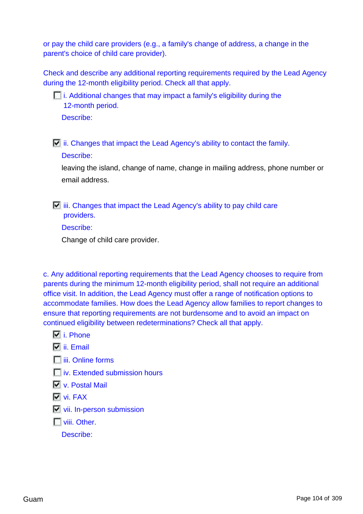or pay the child care providers (e.g., a family's change of address, a change in the parent's choice of child care provider).

Check and describe any additional reporting requirements required by the Lead Agency during the 12-month eligibility period. Check all that apply.

 $\Box$  i. Additional changes that may impact a family's eligibility during the 12-month period. Describe:

 $\Box$  ii. Changes that impact the Lead Agency's ability to contact the family.

### Describe:

leaving the island, change of name, change in mailing address, phone number or email address.

 $\Box$  iii. Changes that impact the Lead Agency's ability to pay child care providers.

Describe:

Change of child care provider.

c. Any additional reporting requirements that the Lead Agency chooses to require from parents during the minimum 12-month eligibility period, shall not require an additional office visit. In addition, the Lead Agency must offer a range of notification options to accommodate families. How does the Lead Agency allow families to report changes to ensure that reporting requirements are not burdensome and to avoid an impact on continued eligibility between redeterminations? Check all that apply.

- **N** i. Phone
- **M** ii. Email
- $\Box$  iii. Online forms
- $\Box$  iv. Extended submission hours
- v. Postal Mail
- **Vi.** FAX
- **Vii.** In-person submission
- **T** viii. Other.

Describe: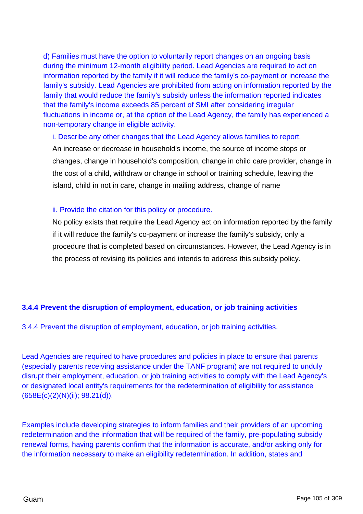d) Families must have the option to voluntarily report changes on an ongoing basis during the minimum 12-month eligibility period. Lead Agencies are required to act on information reported by the family if it will reduce the family's co-payment or increase the family's subsidy. Lead Agencies are prohibited from acting on information reported by the family that would reduce the family's subsidy unless the information reported indicates that the family's income exceeds 85 percent of SMI after considering irregular fluctuations in income or, at the option of the Lead Agency, the family has experienced a non-temporary change in eligible activity.

#### i. Describe any other changes that the Lead Agency allows families to report.

An increase or decrease in household's income, the source of income stops or changes, change in household's composition, change in child care provider, change in the cost of a child, withdraw or change in school or training schedule, leaving the island, child in not in care, change in mailing address, change of name

### ii. Provide the citation for this policy or procedure.

No policy exists that require the Lead Agency act on information reported by the family if it will reduce the family's co-payment or increase the family's subsidy, only a procedure that is completed based on circumstances. However, the Lead Agency is in the process of revising its policies and intends to address this subsidy policy.

## **3.4.4 Prevent the disruption of employment, education, or job training activities**

3.4.4 Prevent the disruption of employment, education, or job training activities.

Lead Agencies are required to have procedures and policies in place to ensure that parents (especially parents receiving assistance under the TANF program) are not required to unduly disrupt their employment, education, or job training activities to comply with the Lead Agency's or designated local entity's requirements for the redetermination of eligibility for assistance (658E(c)(2)(N)(ii); 98.21(d)).

Examples include developing strategies to inform families and their providers of an upcoming redetermination and the information that will be required of the family, pre-populating subsidy renewal forms, having parents confirm that the information is accurate, and/or asking only for the information necessary to make an eligibility redetermination. In addition, states and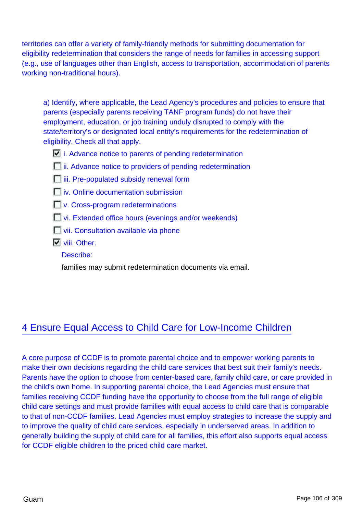territories can offer a variety of family-friendly methods for submitting documentation for eligibility redetermination that considers the range of needs for families in accessing support (e.g., use of languages other than English, access to transportation, accommodation of parents working non-traditional hours).

a) Identify, where applicable, the Lead Agency's procedures and policies to ensure that parents (especially parents receiving TANF program funds) do not have their employment, education, or job training unduly disrupted to comply with the state/territory's or designated local entity's requirements for the redetermination of eligibility. Check all that apply.

- $\Box$  i. Advance notice to parents of pending redetermination
- **ii.** Advance notice to providers of pending redetermination
- $\Box$  iii. Pre-populated subsidy renewal form
- *iv.* Online documentation submission
- **No.** Cross-program redeterminations
- vi. Extended office hours (evenings and/or weekends)
- **T** vii. Consultation available via phone
- **Viii. Other.**

Describe:

families may submit redetermination documents via email.

# 4 Ensure Equal Access to Child Care for Low-Income Children

A core purpose of CCDF is to promote parental choice and to empower working parents to make their own decisions regarding the child care services that best suit their family's needs. Parents have the option to choose from center-based care, family child care, or care provided in the child's own home. In supporting parental choice, the Lead Agencies must ensure that families receiving CCDF funding have the opportunity to choose from the full range of eligible child care settings and must provide families with equal access to child care that is comparable to that of non-CCDF families. Lead Agencies must employ strategies to increase the supply and to improve the quality of child care services, especially in underserved areas. In addition to generally building the supply of child care for all families, this effort also supports equal access for CCDF eligible children to the priced child care market.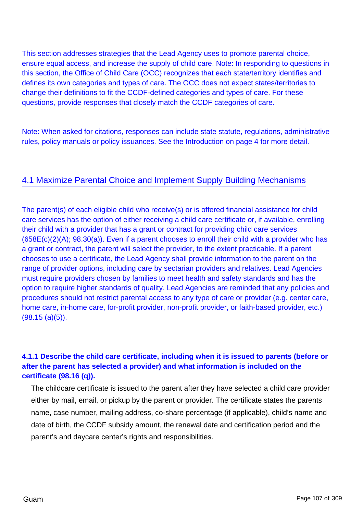This section addresses strategies that the Lead Agency uses to promote parental choice, ensure equal access, and increase the supply of child care. Note: In responding to questions in this section, the Office of Child Care (OCC) recognizes that each state/territory identifies and defines its own categories and types of care. The OCC does not expect states/territories to change their definitions to fit the CCDF-defined categories and types of care. For these questions, provide responses that closely match the CCDF categories of care.

Note: When asked for citations, responses can include state statute, regulations, administrative rules, policy manuals or policy issuances. See the Introduction on page 4 for more detail.

## 4.1 Maximize Parental Choice and Implement Supply Building Mechanisms

The parent(s) of each eligible child who receive(s) or is offered financial assistance for child care services has the option of either receiving a child care certificate or, if available, enrolling their child with a provider that has a grant or contract for providing child care services (658E(c)(2)(A); 98.30(a)). Even if a parent chooses to enroll their child with a provider who has a grant or contract, the parent will select the provider, to the extent practicable. If a parent chooses to use a certificate, the Lead Agency shall provide information to the parent on the range of provider options, including care by sectarian providers and relatives. Lead Agencies must require providers chosen by families to meet health and safety standards and has the option to require higher standards of quality. Lead Agencies are reminded that any policies and procedures should not restrict parental access to any type of care or provider (e.g. center care, home care, in-home care, for-profit provider, non-profit provider, or faith-based provider, etc.) (98.15 (a)(5)).

## **4.1.1 Describe the child care certificate, including when it is issued to parents (before or after the parent has selected a provider) and what information is included on the certificate (98.16 (q)).**

The childcare certificate is issued to the parent after they have selected a child care provider either by mail, email, or pickup by the parent or provider. The certificate states the parents name, case number, mailing address, co-share percentage (if applicable), child's name and date of birth, the CCDF subsidy amount, the renewal date and certification period and the parent's and daycare center's rights and responsibilities.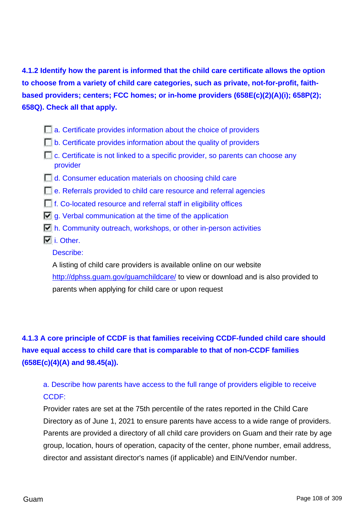**4.1.2 Identify how the parent is informed that the child care certificate allows the option to choose from a variety of child care categories, such as private, not-for-profit, faithbased providers; centers; FCC homes; or in-home providers (658E(c)(2)(A)(i); 658P(2); 658Q). Check all that apply.**

- **a.** Certificate provides information about the choice of providers
- $\Box$  b. Certificate provides information about the quality of providers
- $\Box$  c. Certificate is not linked to a specific provider, so parents can choose any provider
- **d.** Consumer education materials on choosing child care
- e. Referrals provided to child care resource and referral agencies
- f. Co-located resource and referral staff in eligibility offices
- $\Box$  g. Verbal communication at the time of the application
- $\Box$  h. Community outreach, workshops, or other in-person activities
- $\overline{V}$  i. Other.

Describe:

A listing of child care providers is available online on our website <http://dphss.guam.gov/guamchildcare/> to view or download and is also provided to parents when applying for child care or upon request

**4.1.3 A core principle of CCDF is that families receiving CCDF-funded child care should have equal access to child care that is comparable to that of non-CCDF families (658E(c)(4)(A) and 98.45(a)).**

a. Describe how parents have access to the full range of providers eligible to receive CCDF:

Provider rates are set at the 75th percentile of the rates reported in the Child Care Directory as of June 1, 2021 to ensure parents have access to a wide range of providers. Parents are provided a directory of all child care providers on Guam and their rate by age group, location, hours of operation, capacity of the center, phone number, email address, director and assistant director's names (if applicable) and EIN/Vendor number.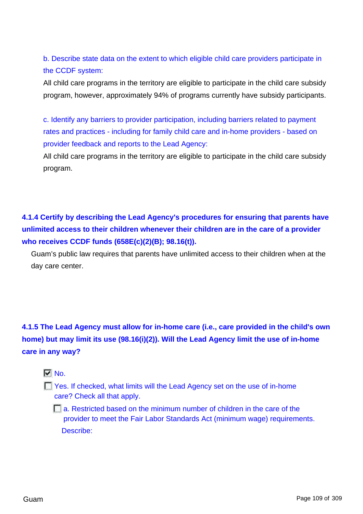b. Describe state data on the extent to which eligible child care providers participate in the CCDF system:

All child care programs in the territory are eligible to participate in the child care subsidy program, however, approximately 94% of programs currently have subsidy participants.

c. Identify any barriers to provider participation, including barriers related to payment rates and practices - including for family child care and in-home providers - based on provider feedback and reports to the Lead Agency:

All child care programs in the territory are eligible to participate in the child care subsidy program.

**4.1.4 Certify by describing the Lead Agency's procedures for ensuring that parents have unlimited access to their children whenever their children are in the care of a provider who receives CCDF funds (658E(c)(2)(B); 98.16(t)).**

Guam's public law requires that parents have unlimited access to their children when at the day care center.

**4.1.5 The Lead Agency must allow for in-home care (i.e., care provided in the child's own home) but may limit its use (98.16(i)(2)). Will the Lead Agency limit the use of in-home care in any way?**

# $\nabla$  No.

**The Yes. If checked, what limits will the Lead Agency set on the use of in-home** care? Check all that apply.

**a.** Restricted based on the minimum number of children in the care of the provider to meet the Fair Labor Standards Act (minimum wage) requirements. Describe: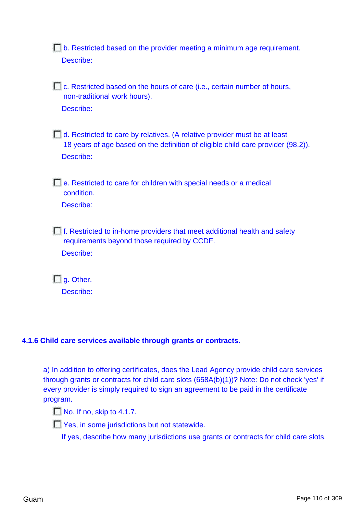**b.** Restricted based on the provider meeting a minimum age requirement. Describe:

**C.** Restricted based on the hours of care (i.e., certain number of hours, non-traditional work hours). Describe:

d. Restricted to care by relatives. (A relative provider must be at least 18 years of age based on the definition of eligible child care provider (98.2)). Describe:

e. Restricted to care for children with special needs or a medical condition.

Describe:

 $\Box$  f. Restricted to in-home providers that meet additional health and safety requirements beyond those required by CCDF. Describe:

**g.** Other. Describe:

## **4.1.6 Child care services available through grants or contracts.**

a) In addition to offering certificates, does the Lead Agency provide child care services through grants or contracts for child care slots (658A(b)(1))? Note: Do not check 'yes' if every provider is simply required to sign an agreement to be paid in the certificate program.

No. If no, skip to 4.1.7.

**T** Yes, in some jurisdictions but not statewide.

If yes, describe how many jurisdictions use grants or contracts for child care slots.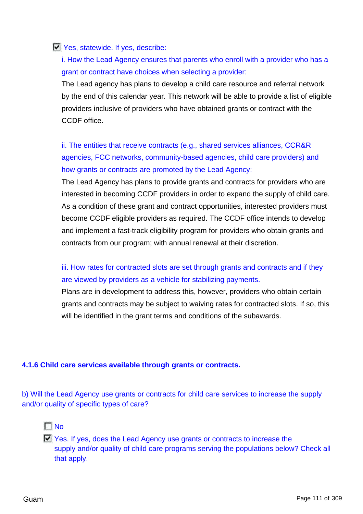## **Yes, statewide. If yes, describe:**

i. How the Lead Agency ensures that parents who enroll with a provider who has a grant or contract have choices when selecting a provider:

The Lead agency has plans to develop a child care resource and referral network by the end of this calendar year. This network will be able to provide a list of eligible providers inclusive of providers who have obtained grants or contract with the CCDF office.

# ii. The entities that receive contracts (e.g., shared services alliances, CCR&R agencies, FCC networks, community-based agencies, child care providers) and how grants or contracts are promoted by the Lead Agency:

The Lead Agency has plans to provide grants and contracts for providers who are interested in becoming CCDF providers in order to expand the supply of child care. As a condition of these grant and contract opportunities, interested providers must become CCDF eligible providers as required. The CCDF office intends to develop and implement a fast-track eligibility program for providers who obtain grants and contracts from our program; with annual renewal at their discretion.

# iii. How rates for contracted slots are set through grants and contracts and if they are viewed by providers as a vehicle for stabilizing payments.

Plans are in development to address this, however, providers who obtain certain grants and contracts may be subject to waiving rates for contracted slots. If so, this will be identified in the grant terms and conditions of the subawards.

#### **4.1.6 Child care services available through grants or contracts.**

b) Will the Lead Agency use grants or contracts for child care services to increase the supply and/or quality of specific types of care?



 $\Box$  Yes. If yes, does the Lead Agency use grants or contracts to increase the supply and/or quality of child care programs serving the populations below? Check all that apply.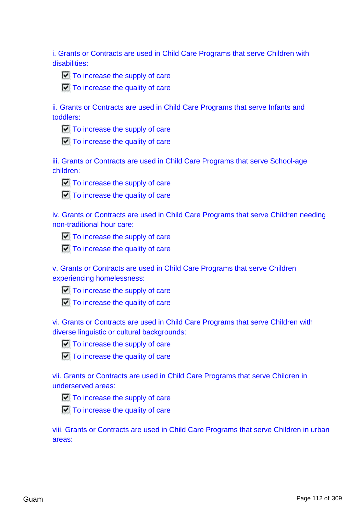i. Grants or Contracts are used in Child Care Programs that serve Children with disabilities:



 $\Box$  To increase the quality of care

ii. Grants or Contracts are used in Child Care Programs that serve Infants and toddlers:

 $\Box$  To increase the supply of care

 $\Box$  To increase the quality of care

iii. Grants or Contracts are used in Child Care Programs that serve School-age children:



 $\Box$  To increase the supply of care

 $\Box$  To increase the quality of care

iv. Grants or Contracts are used in Child Care Programs that serve Children needing non-traditional hour care:



 $\Box$  To increase the quality of care

v. Grants or Contracts are used in Child Care Programs that serve Children experiencing homelessness:

 $\Box$  To increase the supply of care

 $\Box$  To increase the quality of care

vi. Grants or Contracts are used in Child Care Programs that serve Children with diverse linguistic or cultural backgrounds:





vii. Grants or Contracts are used in Child Care Programs that serve Children in underserved areas:



 $\Box$  To increase the quality of care

viii. Grants or Contracts are used in Child Care Programs that serve Children in urban areas: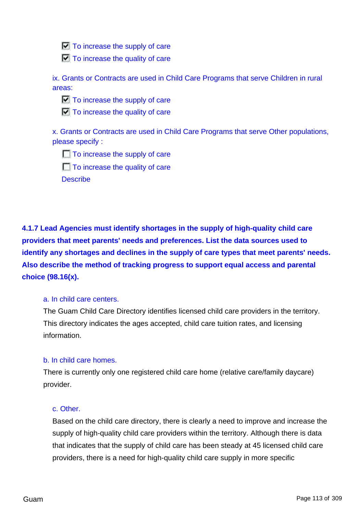$\Box$  To increase the supply of care

 $\Box$  To increase the quality of care

ix. Grants or Contracts are used in Child Care Programs that serve Children in rural areas:

 $\Box$  To increase the supply of care

 $\Box$  To increase the quality of care

x. Grants or Contracts are used in Child Care Programs that serve Other populations, please specify :

 $\Box$  To increase the supply of care

 $\Box$  To increase the quality of care

**Describe** 

**4.1.7 Lead Agencies must identify shortages in the supply of high-quality child care providers that meet parents' needs and preferences. List the data sources used to identify any shortages and declines in the supply of care types that meet parents' needs. Also describe the method of tracking progress to support equal access and parental choice (98.16(x).**

## a. In child care centers.

The Guam Child Care Directory identifies licensed child care providers in the territory. This directory indicates the ages accepted, child care tuition rates, and licensing information.

## b. In child care homes.

There is currently only one registered child care home (relative care/family daycare) provider.

## c. Other.

Based on the child care directory, there is clearly a need to improve and increase the supply of high-quality child care providers within the territory. Although there is data that indicates that the supply of child care has been steady at 45 licensed child care providers, there is a need for high-quality child care supply in more specific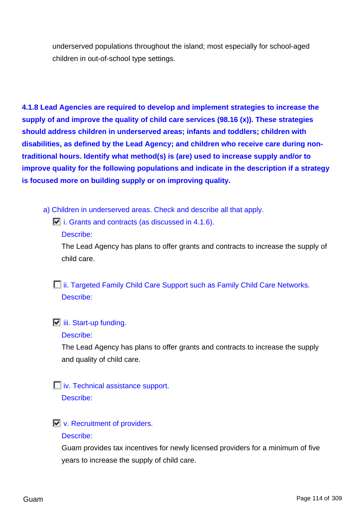underserved populations throughout the island; most especially for school-aged children in out-of-school type settings.

**4.1.8 Lead Agencies are required to develop and implement strategies to increase the supply of and improve the quality of child care services (98.16 (x)). These strategies should address children in underserved areas; infants and toddlers; children with disabilities, as defined by the Lead Agency; and children who receive care during nontraditional hours. Identify what method(s) is (are) used to increase supply and/or to improve quality for the following populations and indicate in the description if a strategy is focused more on building supply or on improving quality.**

- a) Children in underserved areas. Check and describe all that apply.
	- $\Box$  i. Grants and contracts (as discussed in 4.1.6).
		- Describe:

The Lead Agency has plans to offer grants and contracts to increase the supply of child care.

*i***ii. Targeted Family Child Care Support such as Family Child Care Networks.** Describe:

# $\overline{\mathbf{u}}$  iii. Start-up funding.

#### Describe:

The Lead Agency has plans to offer grants and contracts to increase the supply and quality of child care.

# *iv.* Technical assistance support.

Describe:

## **V.** Recruitment of providers.

#### Describe:

Guam provides tax incentives for newly licensed providers for a minimum of five years to increase the supply of child care.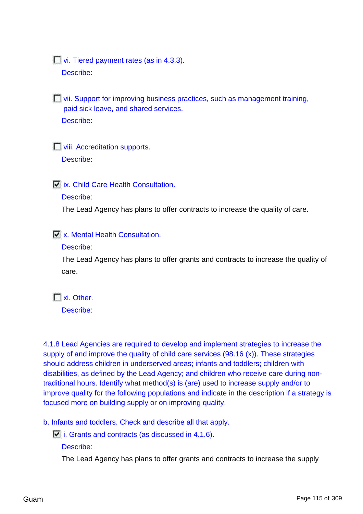**Vi.** Tiered payment rates (as in 4.3.3).

Describe:

vii. Support for improving business practices, such as management training, paid sick leave, and shared services. Describe:

**Viii. Accreditation supports.** Describe:

 $\overline{\triangledown}$  **ix. Child Care Health Consultation.** 

#### Describe:

The Lead Agency has plans to offer contracts to increase the quality of care.

**N** x. Mental Health Consultation.

## Describe:

The Lead Agency has plans to offer grants and contracts to increase the quality of care.

xi. Other.

Describe:

4.1.8 Lead Agencies are required to develop and implement strategies to increase the supply of and improve the quality of child care services (98.16 (x)). These strategies should address children in underserved areas; infants and toddlers; children with disabilities, as defined by the Lead Agency; and children who receive care during nontraditional hours. Identify what method(s) is (are) used to increase supply and/or to improve quality for the following populations and indicate in the description if a strategy is focused more on building supply or on improving quality.

b. Infants and toddlers. Check and describe all that apply.

 $\Box$  i. Grants and contracts (as discussed in 4.1.6).

Describe:

The Lead Agency has plans to offer grants and contracts to increase the supply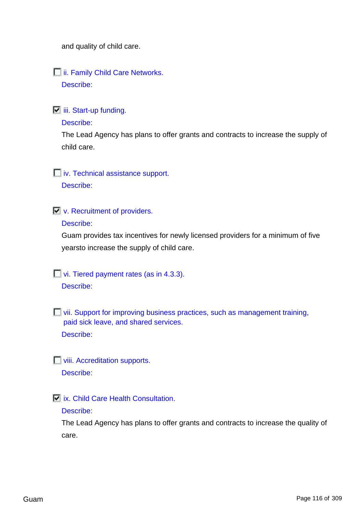and quality of child care.

#### **ii. Family Child Care Networks.**

Describe:

 $\overline{\mathbf{ii}}$  iii. Start-up funding.

#### Describe:

The Lead Agency has plans to offer grants and contracts to increase the supply of child care.

**iv.** Technical assistance support.

Describe:

 $\overline{\Box}$  v. Recruitment of providers.

Describe:

Guam provides tax incentives for newly licensed providers for a minimum of five yearsto increase the supply of child care.

 $\Box$  vi. Tiered payment rates (as in 4.3.3).

Describe:

**T** vii. Support for improving business practices, such as management training, paid sick leave, and shared services. Describe:

**Viii. Accreditation supports.** Describe:

ix. Child Care Health Consultation.

#### Describe:

The Lead Agency has plans to offer grants and contracts to increase the quality of care.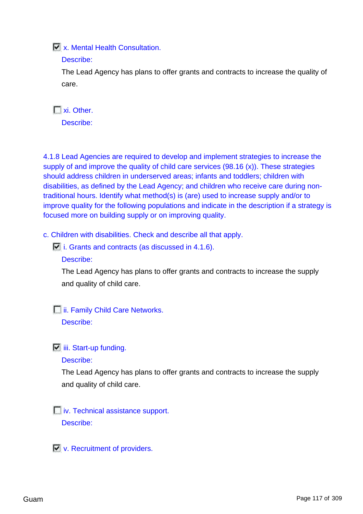**X.** Mental Health Consultation.

## Describe:

The Lead Agency has plans to offer grants and contracts to increase the quality of care.

xi. Other. Describe:

4.1.8 Lead Agencies are required to develop and implement strategies to increase the supply of and improve the quality of child care services (98.16 (x)). These strategies should address children in underserved areas; infants and toddlers; children with disabilities, as defined by the Lead Agency; and children who receive care during nontraditional hours. Identify what method(s) is (are) used to increase supply and/or to improve quality for the following populations and indicate in the description if a strategy is focused more on building supply or on improving quality.

c. Children with disabilities. Check and describe all that apply.

 $\Box$  i. Grants and contracts (as discussed in 4.1.6).

Describe:

The Lead Agency has plans to offer grants and contracts to increase the supply and quality of child care.

**iii. Family Child Care Networks.** 

Describe:

 $\overline{\mathbf{u}}$  iii. Start-up funding.

Describe:

The Lead Agency has plans to offer grants and contracts to increase the supply and quality of child care.

**iv.** Technical assistance support. Describe:

 $\nabla$  v. Recruitment of providers.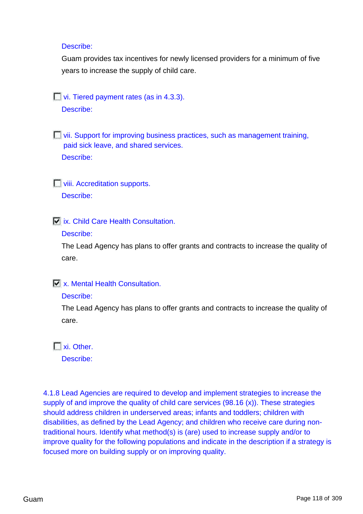#### Describe:

Guam provides tax incentives for newly licensed providers for a minimum of five years to increase the supply of child care.

 $\Box$  vi. Tiered payment rates (as in 4.3.3).

Describe:

**E** vii. Support for improving business practices, such as management training, paid sick leave, and shared services. Describe:

**Viii. Accreditation supports.** Describe:

*N* ix. Child Care Health Consultation.

Describe:

The Lead Agency has plans to offer grants and contracts to increase the quality of care.

## **X.** Mental Health Consultation.

#### Describe:

The Lead Agency has plans to offer grants and contracts to increase the quality of care.

T xi. Other.

Describe:

4.1.8 Lead Agencies are required to develop and implement strategies to increase the supply of and improve the quality of child care services (98.16 (x)). These strategies should address children in underserved areas; infants and toddlers; children with disabilities, as defined by the Lead Agency; and children who receive care during nontraditional hours. Identify what method(s) is (are) used to increase supply and/or to improve quality for the following populations and indicate in the description if a strategy is focused more on building supply or on improving quality.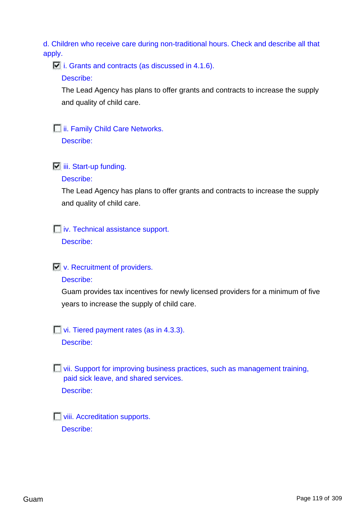d. Children who receive care during non-traditional hours. Check and describe all that apply.

 $\Box$  i. Grants and contracts (as discussed in 4.1.6).

Describe:

The Lead Agency has plans to offer grants and contracts to increase the supply and quality of child care.

**ii. Family Child Care Networks.** 

Describe:

 $\boxed{\phantom{a}}$  iii. Start-up funding.

Describe:

The Lead Agency has plans to offer grants and contracts to increase the supply and quality of child care.

**iv.** Technical assistance support.

Describe:

 $\overline{\Box}$  v. Recruitment of providers.

Describe:

Guam provides tax incentives for newly licensed providers for a minimum of five years to increase the supply of child care.

vi. Tiered payment rates (as in 4.3.3).

Describe:

**Notify-** vii. Support for improving business practices, such as management training, paid sick leave, and shared services. Describe:

**Viii. Accreditation supports.** Describe: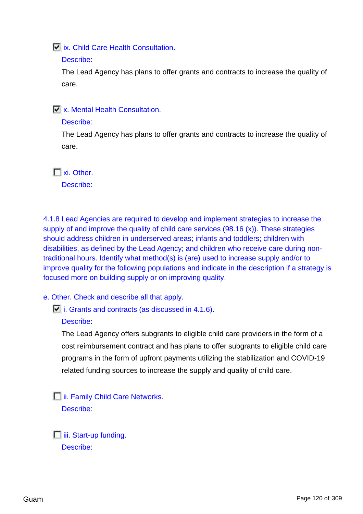**ix.** Child Care Health Consultation.

#### Describe:

The Lead Agency has plans to offer grants and contracts to increase the quality of care.

**No. Mental Health Consultation.** 

#### Describe:

The Lead Agency has plans to offer grants and contracts to increase the quality of care.

 $\Box$  xi. Other.

Describe:

4.1.8 Lead Agencies are required to develop and implement strategies to increase the supply of and improve the quality of child care services (98.16 (x)). These strategies should address children in underserved areas; infants and toddlers; children with disabilities, as defined by the Lead Agency; and children who receive care during nontraditional hours. Identify what method(s) is (are) used to increase supply and/or to improve quality for the following populations and indicate in the description if a strategy is focused more on building supply or on improving quality.

e. Other. Check and describe all that apply.

 $\Box$  i. Grants and contracts (as discussed in 4.1.6).

Describe:

The Lead Agency offers subgrants to eligible child care providers in the form of a cost reimbursement contract and has plans to offer subgrants to eligible child care programs in the form of upfront payments utilizing the stabilization and COVID-19 related funding sources to increase the supply and quality of child care.

**iii. Family Child Care Networks.** Describe:

 $\Box$  iii. Start-up funding. Describe: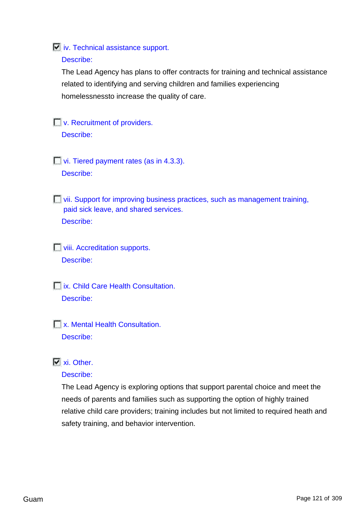#### **iv.** Technical assistance support.

#### Describe:

The Lead Agency has plans to offer contracts for training and technical assistance related to identifying and serving children and families experiencing homelessnessto increase the quality of care.

# **No. Recruitment of providers.**

Describe:

**vi.** Tiered payment rates (as in 4.3.3). Describe:

 $\Box$  vii. Support for improving business practices, such as management training, paid sick leave, and shared services. Describe:

**Viii. Accreditation supports.** Describe:

**Tix. Child Care Health Consultation.** Describe:

**T** x. Mental Health Consultation. Describe:

# $\nabla$  xi. Other.

#### Describe:

The Lead Agency is exploring options that support parental choice and meet the needs of parents and families such as supporting the option of highly trained relative child care providers; training includes but not limited to required heath and safety training, and behavior intervention.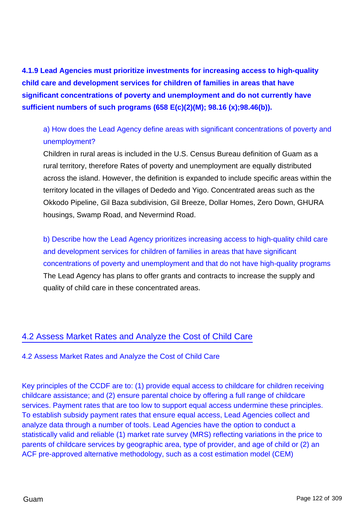**4.1.9 Lead Agencies must prioritize investments for increasing access to high-quality child care and development services for children of families in areas that have significant concentrations of poverty and unemployment and do not currently have sufficient numbers of such programs (658 E(c)(2)(M); 98.16 (x);98.46(b)).**

# a) How does the Lead Agency define areas with significant concentrations of poverty and unemployment?

Children in rural areas is included in the U.S. Census Bureau definition of Guam as a rural territory, therefore Rates of poverty and unemployment are equally distributed across the island. However, the definition is expanded to include specific areas within the territory located in the villages of Dededo and Yigo. Concentrated areas such as the Okkodo Pipeline, Gil Baza subdivision, Gil Breeze, Dollar Homes, Zero Down, GHURA housings, Swamp Road, and Nevermind Road.

b) Describe how the Lead Agency prioritizes increasing access to high-quality child care and development services for children of families in areas that have significant concentrations of poverty and unemployment and that do not have high-quality programs The Lead Agency has plans to offer grants and contracts to increase the supply and quality of child care in these concentrated areas.

# 4.2 Assess Market Rates and Analyze the Cost of Child Care

## 4.2 Assess Market Rates and Analyze the Cost of Child Care

Key principles of the CCDF are to: (1) provide equal access to childcare for children receiving childcare assistance; and (2) ensure parental choice by offering a full range of childcare services. Payment rates that are too low to support equal access undermine these principles. To establish subsidy payment rates that ensure equal access, Lead Agencies collect and analyze data through a number of tools. Lead Agencies have the option to conduct a statistically valid and reliable (1) market rate survey (MRS) reflecting variations in the price to parents of childcare services by geographic area, type of provider, and age of child or (2) an ACF pre-approved alternative methodology, such as a cost estimation model (CEM)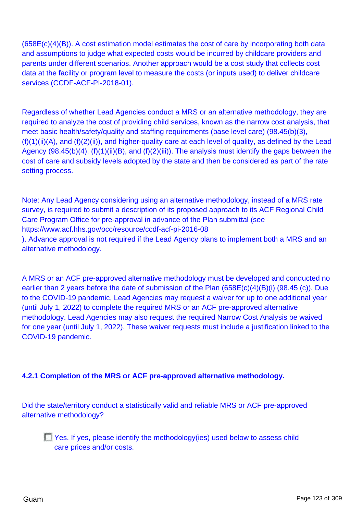$(658E(c)(4)(B))$ . A cost estimation model estimates the cost of care by incorporating both data and assumptions to judge what expected costs would be incurred by childcare providers and parents under different scenarios. Another approach would be a cost study that collects cost data at the facility or program level to measure the costs (or inputs used) to deliver childcare services (CCDF-ACF-PI-2018-01).

Regardless of whether Lead Agencies conduct a MRS or an alternative methodology, they are required to analyze the cost of providing child services, known as the narrow cost analysis, that meet basic health/safety/quality and staffing requirements (base level care) (98.45(b)(3),  $(f)(1)(ii)(A)$ , and  $(f)(2)(ii)$ , and higher-quality care at each level of quality, as defined by the Lead Agency (98.45(b)(4), (f)(1)(ii)(B), and (f)(2)(iii)). The analysis must identify the gaps between the cost of care and subsidy levels adopted by the state and then be considered as part of the rate setting process.

Note: Any Lead Agency considering using an alternative methodology, instead of a MRS rate survey, is required to submit a description of its proposed approach to its ACF Regional Child Care Program Office for pre-approval in advance of the Plan submittal (see https://www.acf.hhs.gov/occ/resource/ccdf-acf-pi-2016-08 ). Advance approval is not required if the Lead Agency plans to implement both a MRS and an alternative methodology.

A MRS or an ACF pre-approved alternative methodology must be developed and conducted no earlier than 2 years before the date of submission of the Plan (658E(c)(4)(B)(i) (98.45 (c)). Due to the COVID-19 pandemic, Lead Agencies may request a waiver for up to one additional year (until July 1, 2022) to complete the required MRS or an ACF pre-approved alternative methodology. Lead Agencies may also request the required Narrow Cost Analysis be waived for one year (until July 1, 2022). These waiver requests must include a justification linked to the COVID-19 pandemic.

## **4.2.1 Completion of the MRS or ACF pre-approved alternative methodology.**

Did the state/territory conduct a statistically valid and reliable MRS or ACF pre-approved alternative methodology?

 $\Box$  Yes. If yes, please identify the methodology(ies) used below to assess child care prices and/or costs.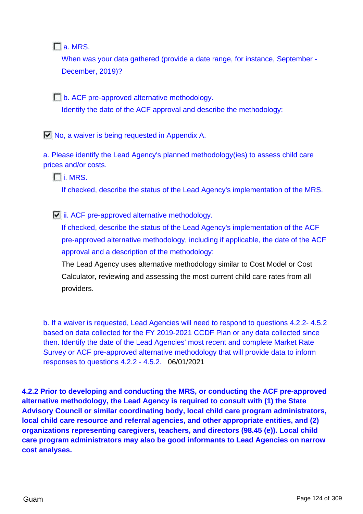$\Box$  a. MRS.

When was your data gathered (provide a date range, for instance, September - December, 2019)?

**b.** ACF pre-approved alternative methodology. Identify the date of the ACF approval and describe the methodology:

No, a waiver is being requested in Appendix A.

a. Please identify the Lead Agency's planned methodology(ies) to assess child care prices and/or costs.

i. MRS.

If checked, describe the status of the Lead Agency's implementation of the MRS.

 $\Box$  ii. ACF pre-approved alternative methodology.

If checked, describe the status of the Lead Agency's implementation of the ACF pre-approved alternative methodology, including if applicable, the date of the ACF approval and a description of the methodology:

The Lead Agency uses alternative methodology similar to Cost Model or Cost Calculator, reviewing and assessing the most current child care rates from all providers.

b. If a waiver is requested, Lead Agencies will need to respond to questions 4.2.2- 4.5.2 based on data collected for the FY 2019-2021 CCDF Plan or any data collected since then. Identify the date of the Lead Agencies' most recent and complete Market Rate Survey or ACF pre-approved alternative methodology that will provide data to inform responses to questions 4.2.2 - 4.5.2. 06/01/2021

**4.2.2 Prior to developing and conducting the MRS, or conducting the ACF pre-approved alternative methodology, the Lead Agency is required to consult with (1) the State Advisory Council or similar coordinating body, local child care program administrators, local child care resource and referral agencies, and other appropriate entities, and (2) organizations representing caregivers, teachers, and directors (98.45 (e)). Local child care program administrators may also be good informants to Lead Agencies on narrow cost analyses.**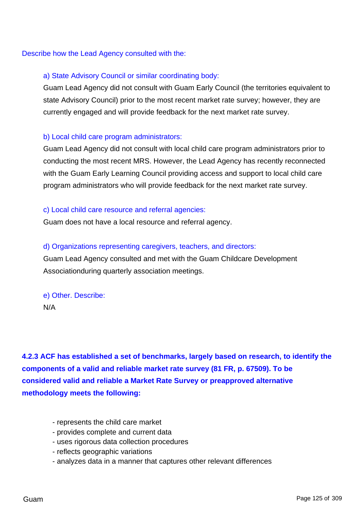Describe how the Lead Agency consulted with the:

## a) State Advisory Council or similar coordinating body:

Guam Lead Agency did not consult with Guam Early Council (the territories equivalent to state Advisory Council) prior to the most recent market rate survey; however, they are currently engaged and will provide feedback for the next market rate survey.

## b) Local child care program administrators:

Guam Lead Agency did not consult with local child care program administrators prior to conducting the most recent MRS. However, the Lead Agency has recently reconnected with the Guam Early Learning Council providing access and support to local child care program administrators who will provide feedback for the next market rate survey.

#### c) Local child care resource and referral agencies:

Guam does not have a local resource and referral agency.

#### d) Organizations representing caregivers, teachers, and directors:

Guam Lead Agency consulted and met with the Guam Childcare Development Associationduring quarterly association meetings.

e) Other. Describe: N/A

**4.2.3 ACF has established a set of benchmarks, largely based on research, to identify the components of a valid and reliable market rate survey (81 FR, p. 67509). To be considered valid and reliable a Market Rate Survey or preapproved alternative methodology meets the following:**

- represents the child care market
- provides complete and current data
- uses rigorous data collection procedures
- reflects geographic variations
- analyzes data in a manner that captures other relevant differences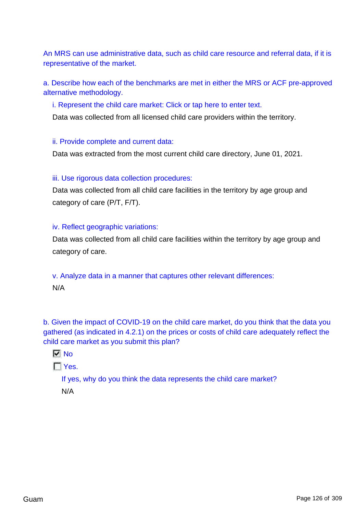An MRS can use administrative data, such as child care resource and referral data, if it is representative of the market.

a. Describe how each of the benchmarks are met in either the MRS or ACF pre-approved alternative methodology.

i. Represent the child care market: Click or tap here to enter text.

Data was collected from all licensed child care providers within the territory.

ii. Provide complete and current data:

Data was extracted from the most current child care directory, June 01, 2021.

#### iii. Use rigorous data collection procedures:

Data was collected from all child care facilities in the territory by age group and category of care (P/T, F/T).

## iv. Reflect geographic variations:

Data was collected from all child care facilities within the territory by age group and category of care.

v. Analyze data in a manner that captures other relevant differences: N/A

b. Given the impact of COVID-19 on the child care market, do you think that the data you gathered (as indicated in 4.2.1) on the prices or costs of child care adequately reflect the child care market as you submit this plan?

```
\nabla No
```
 $\Gamma$  Yes.

If yes, why do you think the data represents the child care market?

N/A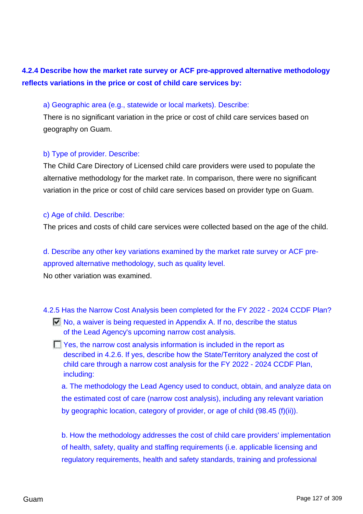# **4.2.4 Describe how the market rate survey or ACF pre-approved alternative methodology reflects variations in the price or cost of child care services by:**

#### a) Geographic area (e.g., statewide or local markets). Describe:

There is no significant variation in the price or cost of child care services based on geography on Guam.

#### b) Type of provider. Describe:

The Child Care Directory of Licensed child care providers were used to populate the alternative methodology for the market rate. In comparison, there were no significant variation in the price or cost of child care services based on provider type on Guam.

#### c) Age of child. Describe:

The prices and costs of child care services were collected based on the age of the child.

# d. Describe any other key variations examined by the market rate survey or ACF preapproved alternative methodology, such as quality level.

No other variation was examined.

#### 4.2.5 Has the Narrow Cost Analysis been completed for the FY 2022 - 2024 CCDF Plan?

- $\Box$  No, a waiver is being requested in Appendix A. If no, describe the status of the Lead Agency's upcoming narrow cost analysis.
- **T** Yes, the narrow cost analysis information is included in the report as described in 4.2.6. If yes, describe how the State/Territory analyzed the cost of child care through a narrow cost analysis for the FY 2022 - 2024 CCDF Plan, including:

a. The methodology the Lead Agency used to conduct, obtain, and analyze data on the estimated cost of care (narrow cost analysis), including any relevant variation by geographic location, category of provider, or age of child (98.45 (f)(ii)).

b. How the methodology addresses the cost of child care providers' implementation of health, safety, quality and staffing requirements (i.e. applicable licensing and regulatory requirements, health and safety standards, training and professional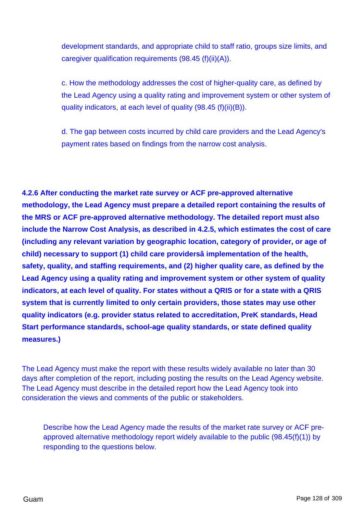development standards, and appropriate child to staff ratio, groups size limits, and caregiver qualification requirements (98.45 (f)(ii)(A)).

c. How the methodology addresses the cost of higher-quality care, as defined by the Lead Agency using a quality rating and improvement system or other system of quality indicators, at each level of quality (98.45 (f)(ii)(B)).

d. The gap between costs incurred by child care providers and the Lead Agency's payment rates based on findings from the narrow cost analysis.

**4.2.6 After conducting the market rate survey or ACF pre-approved alternative methodology, the Lead Agency must prepare a detailed report containing the results of the MRS or ACF pre-approved alternative methodology. The detailed report must also include the Narrow Cost Analysis, as described in 4.2.5, which estimates the cost of care (including any relevant variation by geographic location, category of provider, or age of child) necessary to support (1) child care providersâ implementation of the health, safety, quality, and staffing requirements, and (2) higher quality care, as defined by the Lead Agency using a quality rating and improvement system or other system of quality indicators, at each level of quality. For states without a QRIS or for a state with a QRIS system that is currently limited to only certain providers, those states may use other quality indicators (e.g. provider status related to accreditation, PreK standards, Head Start performance standards, school-age quality standards, or state defined quality measures.)**

The Lead Agency must make the report with these results widely available no later than 30 days after completion of the report, including posting the results on the Lead Agency website. The Lead Agency must describe in the detailed report how the Lead Agency took into consideration the views and comments of the public or stakeholders.

Describe how the Lead Agency made the results of the market rate survey or ACF preapproved alternative methodology report widely available to the public (98.45(f)(1)) by responding to the questions below.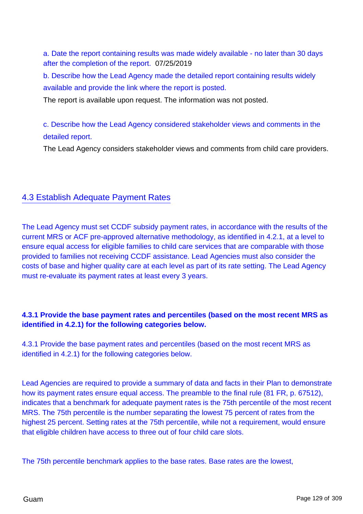a. Date the report containing results was made widely available - no later than 30 days after the completion of the report. 07/25/2019

b. Describe how the Lead Agency made the detailed report containing results widely available and provide the link where the report is posted.

The report is available upon request. The information was not posted.

c. Describe how the Lead Agency considered stakeholder views and comments in the detailed report.

The Lead Agency considers stakeholder views and comments from child care providers.

# 4.3 Establish Adequate Payment Rates

The Lead Agency must set CCDF subsidy payment rates, in accordance with the results of the current MRS or ACF pre-approved alternative methodology, as identified in 4.2.1, at a level to ensure equal access for eligible families to child care services that are comparable with those provided to families not receiving CCDF assistance. Lead Agencies must also consider the costs of base and higher quality care at each level as part of its rate setting. The Lead Agency must re-evaluate its payment rates at least every 3 years.

# **4.3.1 Provide the base payment rates and percentiles (based on the most recent MRS as identified in 4.2.1) for the following categories below.**

4.3.1 Provide the base payment rates and percentiles (based on the most recent MRS as identified in 4.2.1) for the following categories below.

Lead Agencies are required to provide a summary of data and facts in their Plan to demonstrate how its payment rates ensure equal access. The preamble to the final rule (81 FR, p. 67512), indicates that a benchmark for adequate payment rates is the 75th percentile of the most recent MRS. The 75th percentile is the number separating the lowest 75 percent of rates from the highest 25 percent. Setting rates at the 75th percentile, while not a requirement, would ensure that eligible children have access to three out of four child care slots.

The 75th percentile benchmark applies to the base rates. Base rates are the lowest,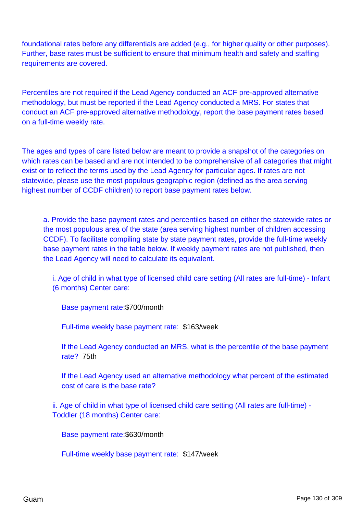foundational rates before any differentials are added (e.g., for higher quality or other purposes). Further, base rates must be sufficient to ensure that minimum health and safety and staffing requirements are covered.

Percentiles are not required if the Lead Agency conducted an ACF pre-approved alternative methodology, but must be reported if the Lead Agency conducted a MRS. For states that conduct an ACF pre-approved alternative methodology, report the base payment rates based on a full-time weekly rate.

The ages and types of care listed below are meant to provide a snapshot of the categories on which rates can be based and are not intended to be comprehensive of all categories that might exist or to reflect the terms used by the Lead Agency for particular ages. If rates are not statewide, please use the most populous geographic region (defined as the area serving highest number of CCDF children) to report base payment rates below.

a. Provide the base payment rates and percentiles based on either the statewide rates or the most populous area of the state (area serving highest number of children accessing CCDF). To facilitate compiling state by state payment rates, provide the full-time weekly base payment rates in the table below. If weekly payment rates are not published, then the Lead Agency will need to calculate its equivalent.

i. Age of child in what type of licensed child care setting (All rates are full-time) - Infant (6 months) Center care:

Base payment rate:\$700/month

Full-time weekly base payment rate: \$163/week

If the Lead Agency conducted an MRS, what is the percentile of the base payment rate? 75th

If the Lead Agency used an alternative methodology what percent of the estimated cost of care is the base rate?

ii. Age of child in what type of licensed child care setting (All rates are full-time) - Toddler (18 months) Center care:

Base payment rate:\$630/month

Full-time weekly base payment rate: \$147/week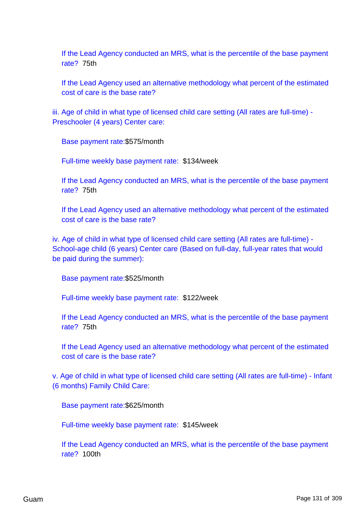If the Lead Agency conducted an MRS, what is the percentile of the base payment rate? 75th

If the Lead Agency used an alternative methodology what percent of the estimated cost of care is the base rate?

iii. Age of child in what type of licensed child care setting (All rates are full-time) -Preschooler (4 years) Center care:

Base payment rate:\$575/month

Full-time weekly base payment rate: \$134/week

If the Lead Agency conducted an MRS, what is the percentile of the base payment rate? 75th

If the Lead Agency used an alternative methodology what percent of the estimated cost of care is the base rate?

iv. Age of child in what type of licensed child care setting (All rates are full-time) - School-age child (6 years) Center care (Based on full-day, full-year rates that would be paid during the summer):

Base payment rate:\$525/month

Full-time weekly base payment rate: \$122/week

If the Lead Agency conducted an MRS, what is the percentile of the base payment rate? 75th

If the Lead Agency used an alternative methodology what percent of the estimated cost of care is the base rate?

v. Age of child in what type of licensed child care setting (All rates are full-time) - Infant (6 months) Family Child Care:

Base payment rate:\$625/month

Full-time weekly base payment rate: \$145/week

If the Lead Agency conducted an MRS, what is the percentile of the base payment rate? 100th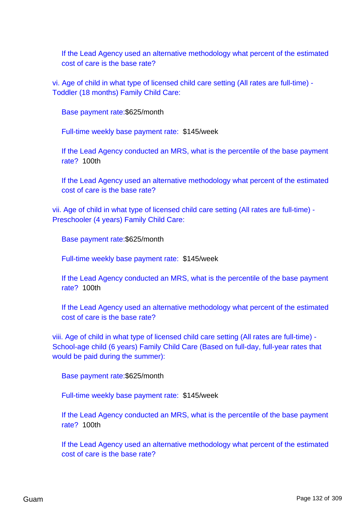If the Lead Agency used an alternative methodology what percent of the estimated cost of care is the base rate?

vi. Age of child in what type of licensed child care setting (All rates are full-time) - Toddler (18 months) Family Child Care:

Base payment rate:\$625/month

Full-time weekly base payment rate: \$145/week

If the Lead Agency conducted an MRS, what is the percentile of the base payment rate? 100th

If the Lead Agency used an alternative methodology what percent of the estimated cost of care is the base rate?

vii. Age of child in what type of licensed child care setting (All rates are full-time) - Preschooler (4 years) Family Child Care:

Base payment rate:\$625/month

Full-time weekly base payment rate: \$145/week

If the Lead Agency conducted an MRS, what is the percentile of the base payment rate? 100th

If the Lead Agency used an alternative methodology what percent of the estimated cost of care is the base rate?

viii. Age of child in what type of licensed child care setting (All rates are full-time) - School-age child (6 years) Family Child Care (Based on full-day, full-year rates that would be paid during the summer):

Base payment rate:\$625/month

Full-time weekly base payment rate: \$145/week

If the Lead Agency conducted an MRS, what is the percentile of the base payment rate? 100th

If the Lead Agency used an alternative methodology what percent of the estimated cost of care is the base rate?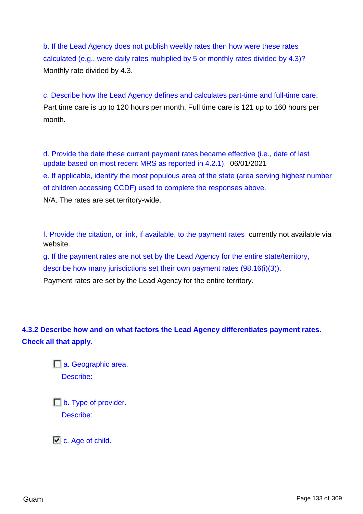b. If the Lead Agency does not publish weekly rates then how were these rates calculated (e.g., were daily rates multiplied by 5 or monthly rates divided by 4.3)? Monthly rate divided by 4.3.

c. Describe how the Lead Agency defines and calculates part-time and full-time care. Part time care is up to 120 hours per month. Full time care is 121 up to 160 hours per month.

d. Provide the date these current payment rates became effective (i.e., date of last update based on most recent MRS as reported in 4.2.1). 06/01/2021 e. If applicable, identify the most populous area of the state (area serving highest number of children accessing CCDF) used to complete the responses above. N/A. The rates are set territory-wide.

f. Provide the citation, or link, if available, to the payment rates currently not available via website.

g. If the payment rates are not set by the Lead Agency for the entire state/territory, describe how many jurisdictions set their own payment rates (98.16(i)(3)).

Payment rates are set by the Lead Agency for the entire territory.

**4.3.2 Describe how and on what factors the Lead Agency differentiates payment rates. Check all that apply.**

> a. Geographic area. Describe:

**b.** Type of provider. Describe:

 $\Box$  c. Age of child.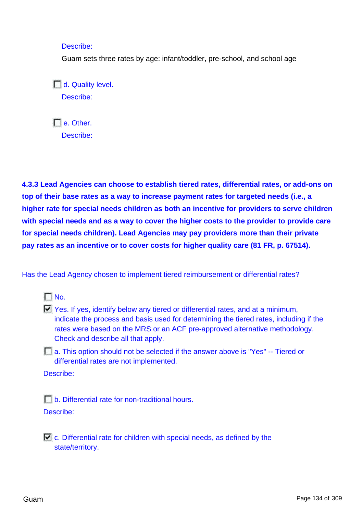Describe:

Guam sets three rates by age: infant/toddler, pre-school, and school age

 $\Box$  d. Quality level. Describe:

 $\Box$  e. Other. Describe:

**4.3.3 Lead Agencies can choose to establish tiered rates, differential rates, or add-ons on top of their base rates as a way to increase payment rates for targeted needs (i.e., a higher rate for special needs children as both an incentive for providers to serve children with special needs and as a way to cover the higher costs to the provider to provide care for special needs children). Lead Agencies may pay providers more than their private pay rates as an incentive or to cover costs for higher quality care (81 FR, p. 67514).**

Has the Lead Agency chosen to implement tiered reimbursement or differential rates?



 $\Box$  Yes. If yes, identify below any tiered or differential rates, and at a minimum, indicate the process and basis used for determining the tiered rates, including if the rates were based on the MRS or an ACF pre-approved alternative methodology. Check and describe all that apply.

a. This option should not be selected if the answer above is "Yes" -- Tiered or differential rates are not implemented.

Describe:

b. Differential rate for non-traditional hours. Describe:

 $\Box$  c. Differential rate for children with special needs, as defined by the state/territory.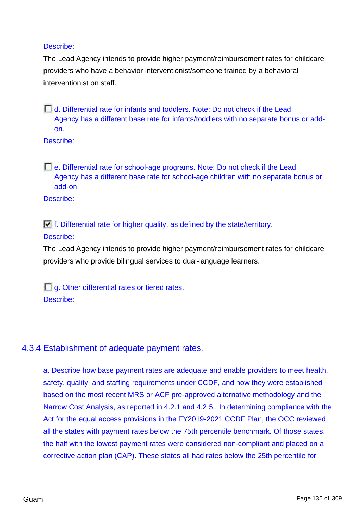## Describe:

The Lead Agency intends to provide higher payment/reimbursement rates for childcare providers who have a behavior interventionist/someone trained by a behavioral interventionist on staff.

d. Differential rate for infants and toddlers. Note: Do not check if the Lead Agency has a different base rate for infants/toddlers with no separate bonus or addon.

Describe:

e. Differential rate for school-age programs. Note: Do not check if the Lead Agency has a different base rate for school-age children with no separate bonus or add-on.

Describe:

 $\Box$  f. Differential rate for higher quality, as defined by the state/territory.

## Describe:

The Lead Agency intends to provide higher payment/reimbursement rates for childcare providers who provide bilingual services to dual-language learners.

 $\Box$  g. Other differential rates or tiered rates. Describe:

# 4.3.4 Establishment of adequate payment rates.

a. Describe how base payment rates are adequate and enable providers to meet health, safety, quality, and staffing requirements under CCDF, and how they were established based on the most recent MRS or ACF pre-approved alternative methodology and the Narrow Cost Analysis, as reported in 4.2.1 and 4.2.5.. In determining compliance with the Act for the equal access provisions in the FY2019-2021 CCDF Plan, the OCC reviewed all the states with payment rates below the 75th percentile benchmark. Of those states, the half with the lowest payment rates were considered non-compliant and placed on a corrective action plan (CAP). These states all had rates below the 25th percentile for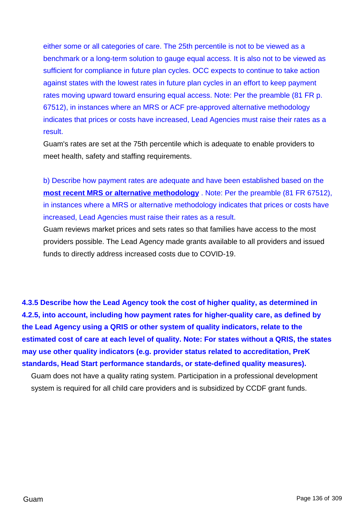either some or all categories of care. The 25th percentile is not to be viewed as a benchmark or a long-term solution to gauge equal access. It is also not to be viewed as sufficient for compliance in future plan cycles. OCC expects to continue to take action against states with the lowest rates in future plan cycles in an effort to keep payment rates moving upward toward ensuring equal access. Note: Per the preamble (81 FR p. 67512), in instances where an MRS or ACF pre-approved alternative methodology indicates that prices or costs have increased, Lead Agencies must raise their rates as a result.

Guam's rates are set at the 75th percentile which is adequate to enable providers to meet health, safety and staffing requirements.

b) Describe how payment rates are adequate and have been established based on the **most recent MRS or alternative methodology** . Note: Per the preamble (81 FR 67512), in instances where a MRS or alternative methodology indicates that prices or costs have increased, Lead Agencies must raise their rates as a result.

Guam reviews market prices and sets rates so that families have access to the most providers possible. The Lead Agency made grants available to all providers and issued funds to directly address increased costs due to COVID-19.

**4.3.5 Describe how the Lead Agency took the cost of higher quality, as determined in 4.2.5, into account, including how payment rates for higher-quality care, as defined by the Lead Agency using a QRIS or other system of quality indicators, relate to the estimated cost of care at each level of quality. Note: For states without a QRIS, the states may use other quality indicators (e.g. provider status related to accreditation, PreK standards, Head Start performance standards, or state-defined quality measures).**

Guam does not have a quality rating system. Participation in a professional development system is required for all child care providers and is subsidized by CCDF grant funds.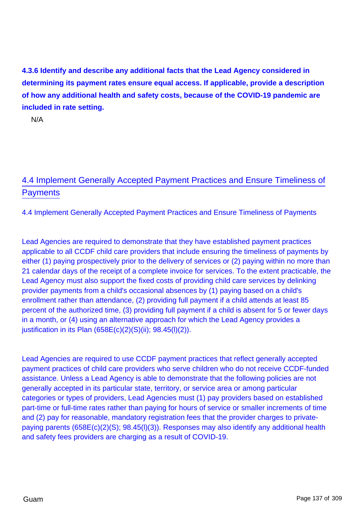**4.3.6 Identify and describe any additional facts that the Lead Agency considered in determining its payment rates ensure equal access. If applicable, provide a description of how any additional health and safety costs, because of the COVID-19 pandemic are included in rate setting.**

N/A

# 4.4 Implement Generally Accepted Payment Practices and Ensure Timeliness of **Payments**

4.4 Implement Generally Accepted Payment Practices and Ensure Timeliness of Payments

Lead Agencies are required to demonstrate that they have established payment practices applicable to all CCDF child care providers that include ensuring the timeliness of payments by either (1) paying prospectively prior to the delivery of services or (2) paying within no more than 21 calendar days of the receipt of a complete invoice for services. To the extent practicable, the Lead Agency must also support the fixed costs of providing child care services by delinking provider payments from a child's occasional absences by (1) paying based on a child's enrollment rather than attendance, (2) providing full payment if a child attends at least 85 percent of the authorized time, (3) providing full payment if a child is absent for 5 or fewer days in a month, or (4) using an alternative approach for which the Lead Agency provides a justification in its Plan  $(658E(c)(2)(S)(ii); 98.45(1)(2)).$ 

Lead Agencies are required to use CCDF payment practices that reflect generally accepted payment practices of child care providers who serve children who do not receive CCDF-funded assistance. Unless a Lead Agency is able to demonstrate that the following policies are not generally accepted in its particular state, territory, or service area or among particular categories or types of providers, Lead Agencies must (1) pay providers based on established part-time or full-time rates rather than paying for hours of service or smaller increments of time and (2) pay for reasonable, mandatory registration fees that the provider charges to privatepaying parents (658E(c)(2)(S); 98.45(l)(3)). Responses may also identify any additional health and safety fees providers are charging as a result of COVID-19.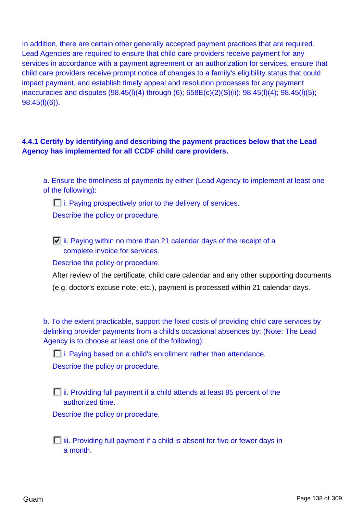In addition, there are certain other generally accepted payment practices that are required. Lead Agencies are required to ensure that child care providers receive payment for any services in accordance with a payment agreement or an authorization for services, ensure that child care providers receive prompt notice of changes to a family's eligibility status that could impact payment, and establish timely appeal and resolution processes for any payment inaccuracies and disputes (98.45(l)(4) through (6); 658E(c)(2)(S)(ii); 98.45(l)(4); 98.45(l)(5); 98.45(l)(6)).

# **4.4.1 Certify by identifying and describing the payment practices below that the Lead Agency has implemented for all CCDF child care providers.**

a. Ensure the timeliness of payments by either (Lead Agency to implement at least one of the following):

 $\Box$  i. Paying prospectively prior to the delivery of services.

Describe the policy or procedure.

 $\Box$  ii. Paying within no more than 21 calendar days of the receipt of a complete invoice for services.

Describe the policy or procedure.

After review of the certificate, child care calendar and any other supporting documents

(e.g. doctor's excuse note, etc.), payment is processed within 21 calendar days.

b. To the extent practicable, support the fixed costs of providing child care services by delinking provider payments from a child's occasional absences by: (Note: The Lead Agency is to choose at least one of the following):

**i.** Paying based on a child's enrollment rather than attendance.

Describe the policy or procedure.

 $\Box$  ii. Providing full payment if a child attends at least 85 percent of the authorized time.

Describe the policy or procedure.

 $\Box$  iii. Providing full payment if a child is absent for five or fewer days in a month.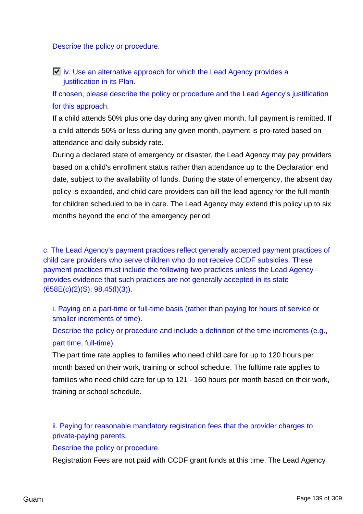Describe the policy or procedure.

 $\Box$  iv. Use an alternative approach for which the Lead Agency provides a justification in its Plan.

If chosen, please describe the policy or procedure and the Lead Agency's justification for this approach.

If a child attends 50% plus one day during any given month, full payment is remitted. If a child attends 50% or less during any given month, payment is pro-rated based on attendance and daily subsidy rate.

During a declared state of emergency or disaster, the Lead Agency may pay providers based on a child's enrollment status rather than attendance up to the Declaration end date, subject to the availability of funds. During the state of emergency, the absent day policy is expanded, and child care providers can bill the lead agency for the full month for children scheduled to be in care. The Lead Agency may extend this policy up to six months beyond the end of the emergency period.

c. The Lead Agency's payment practices reflect generally accepted payment practices of child care providers who serve children who do not receive CCDF subsidies. These payment practices must include the following two practices unless the Lead Agency provides evidence that such practices are not generally accepted in its state (658E(c)(2)(S); 98.45(l)(3)).

i. Paying on a part-time or full-time basis (rather than paying for hours of service or smaller increments of time).

Describe the policy or procedure and include a definition of the time increments (e.g., part time, full-time).

The part time rate applies to families who need child care for up to 120 hours per month based on their work, training or school schedule. The fulltime rate applies to families who need child care for up to 121 - 160 hours per month based on their work, training or school schedule.

ii. Paying for reasonable mandatory registration fees that the provider charges to private-paying parents.

Describe the policy or procedure.

Registration Fees are not paid with CCDF grant funds at this time. The Lead Agency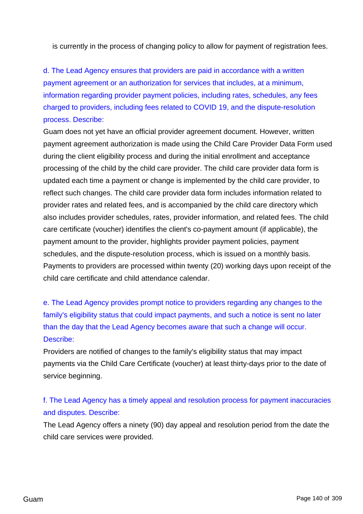is currently in the process of changing policy to allow for payment of registration fees.

d. The Lead Agency ensures that providers are paid in accordance with a written payment agreement or an authorization for services that includes, at a minimum, information regarding provider payment policies, including rates, schedules, any fees charged to providers, including fees related to COVID 19, and the dispute-resolution process. Describe:

Guam does not yet have an official provider agreement document. However, written payment agreement authorization is made using the Child Care Provider Data Form used during the client eligibility process and during the initial enrollment and acceptance processing of the child by the child care provider. The child care provider data form is updated each time a payment or change is implemented by the child care provider, to reflect such changes. The child care provider data form includes information related to provider rates and related fees, and is accompanied by the child care directory which also includes provider schedules, rates, provider information, and related fees. The child care certificate (voucher) identifies the client's co-payment amount (if applicable), the payment amount to the provider, highlights provider payment policies, payment schedules, and the dispute-resolution process, which is issued on a monthly basis. Payments to providers are processed within twenty (20) working days upon receipt of the child care certificate and child attendance calendar.

e. The Lead Agency provides prompt notice to providers regarding any changes to the family's eligibility status that could impact payments, and such a notice is sent no later than the day that the Lead Agency becomes aware that such a change will occur. Describe:

Providers are notified of changes to the family's eligibility status that may impact payments via the Child Care Certificate (voucher) at least thirty-days prior to the date of service beginning.

# f. The Lead Agency has a timely appeal and resolution process for payment inaccuracies and disputes. Describe:

The Lead Agency offers a ninety (90) day appeal and resolution period from the date the child care services were provided.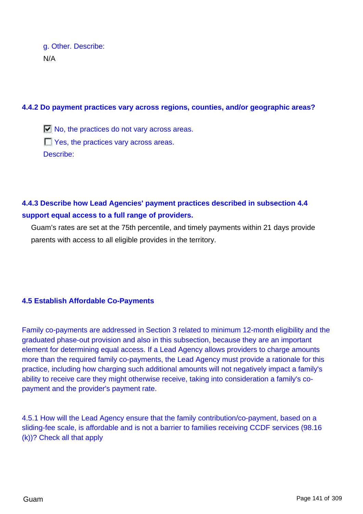g. Other. Describe: N/A

#### **4.4.2 Do payment practices vary across regions, counties, and/or geographic areas?**

 $\Box$  No, the practices do not vary across areas. **T** Yes, the practices vary across areas. Describe:

# **4.4.3 Describe how Lead Agencies' payment practices described in subsection 4.4 support equal access to a full range of providers.**

Guam's rates are set at the 75th percentile, and timely payments within 21 days provide parents with access to all eligible provides in the territory.

## **4.5 Establish Affordable Co-Payments**

Family co-payments are addressed in Section 3 related to minimum 12-month eligibility and the graduated phase-out provision and also in this subsection, because they are an important element for determining equal access. If a Lead Agency allows providers to charge amounts more than the required family co-payments, the Lead Agency must provide a rationale for this practice, including how charging such additional amounts will not negatively impact a family's ability to receive care they might otherwise receive, taking into consideration a family's copayment and the provider's payment rate.

4.5.1 How will the Lead Agency ensure that the family contribution/co-payment, based on a sliding-fee scale, is affordable and is not a barrier to families receiving CCDF services (98.16 (k))? Check all that apply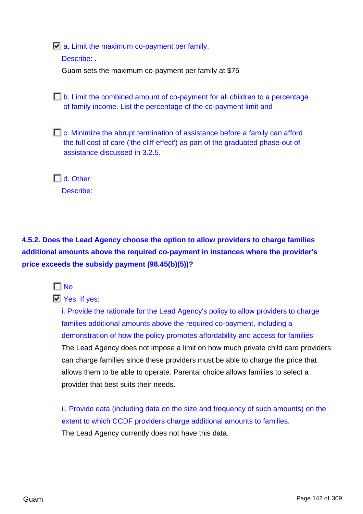$\overline{V}$  a. Limit the maximum co-payment per family.

Describe:

Guam sets the maximum co-payment per family at \$75

 $\Box$  b. Limit the combined amount of co-payment for all children to a percentage of family income. List the percentage of the co-payment limit and

 $\Box$  c. Minimize the abrupt termination of assistance before a family can afford the full cost of care ('the cliff effect') as part of the graduated phase-out of assistance discussed in 3.2.5.

 $\Box$  d. Other.

Describe:

**4.5.2. Does the Lead Agency choose the option to allow providers to charge families additional amounts above the required co-payment in instances where the provider's price exceeds the subsidy payment (98.45(b)(5))?**



# **N** Yes. If yes:

i. Provide the rationale for the Lead Agency's policy to allow providers to charge families additional amounts above the required co-payment, including a demonstration of how the policy promotes affordability and access for families. The Lead Agency does not impose a limit on how much private child care providers can charge families since these providers must be able to charge the price that allows them to be able to operate. Parental choice allows families to select a provider that best suits their needs.

ii. Provide data (including data on the size and frequency of such amounts) on the extent to which CCDF providers charge additional amounts to families. The Lead Agency currently does not have this data.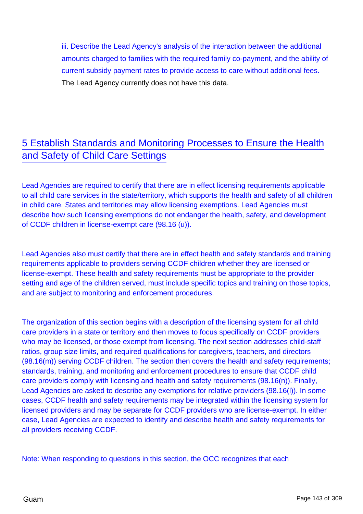iii. Describe the Lead Agency's analysis of the interaction between the additional amounts charged to families with the required family co-payment, and the ability of current subsidy payment rates to provide access to care without additional fees. The Lead Agency currently does not have this data.

# 5 Establish Standards and Monitoring Processes to Ensure the Health and Safety of Child Care Settings

Lead Agencies are required to certify that there are in effect licensing requirements applicable to all child care services in the state/territory, which supports the health and safety of all children in child care. States and territories may allow licensing exemptions. Lead Agencies must describe how such licensing exemptions do not endanger the health, safety, and development of CCDF children in license-exempt care (98.16 (u)).

Lead Agencies also must certify that there are in effect health and safety standards and training requirements applicable to providers serving CCDF children whether they are licensed or license-exempt. These health and safety requirements must be appropriate to the provider setting and age of the children served, must include specific topics and training on those topics, and are subject to monitoring and enforcement procedures.

The organization of this section begins with a description of the licensing system for all child care providers in a state or territory and then moves to focus specifically on CCDF providers who may be licensed, or those exempt from licensing. The next section addresses child-staff ratios, group size limits, and required qualifications for caregivers, teachers, and directors (98.16(m)) serving CCDF children. The section then covers the health and safety requirements; standards, training, and monitoring and enforcement procedures to ensure that CCDF child care providers comply with licensing and health and safety requirements (98.16(n)). Finally, Lead Agencies are asked to describe any exemptions for relative providers (98.16(l)). In some cases, CCDF health and safety requirements may be integrated within the licensing system for licensed providers and may be separate for CCDF providers who are license-exempt. In either case, Lead Agencies are expected to identify and describe health and safety requirements for all providers receiving CCDF.

Note: When responding to questions in this section, the OCC recognizes that each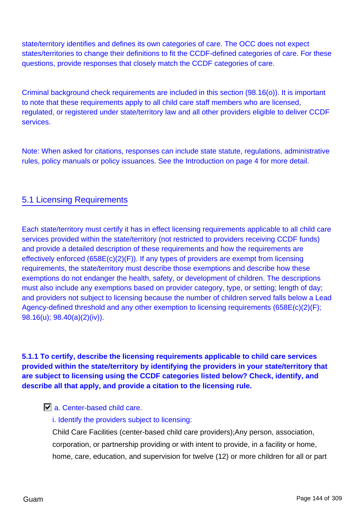state/territory identifies and defines its own categories of care. The OCC does not expect states/territories to change their definitions to fit the CCDF-defined categories of care. For these questions, provide responses that closely match the CCDF categories of care.

Criminal background check requirements are included in this section (98.16(o)). It is important to note that these requirements apply to all child care staff members who are licensed, regulated, or registered under state/territory law and all other providers eligible to deliver CCDF services.

Note: When asked for citations, responses can include state statute, regulations, administrative rules, policy manuals or policy issuances. See the Introduction on page 4 for more detail.

# 5.1 Licensing Requirements

Each state/territory must certify it has in effect licensing requirements applicable to all child care services provided within the state/territory (not restricted to providers receiving CCDF funds) and provide a detailed description of these requirements and how the requirements are effectively enforced (658E(c)(2)(F)). If any types of providers are exempt from licensing requirements, the state/territory must describe those exemptions and describe how these exemptions do not endanger the health, safety, or development of children. The descriptions must also include any exemptions based on provider category, type, or setting; length of day; and providers not subject to licensing because the number of children served falls below a Lead Agency-defined threshold and any other exemption to licensing requirements (658E(c)(2)(F); 98.16(u); 98.40(a)(2)(iv)).

**5.1.1 To certify, describe the licensing requirements applicable to child care services provided within the state/territory by identifying the providers in your state/territory that are subject to licensing using the CCDF categories listed below? Check, identify, and describe all that apply, and provide a citation to the licensing rule.**

## **a.** Center-based child care.

i. Identify the providers subject to licensing:

Child Care Facilities (center-based child care providers);Any person, association, corporation, or partnership providing or with intent to provide, in a facility or home, home, care, education, and supervision for twelve (12) or more children for all or part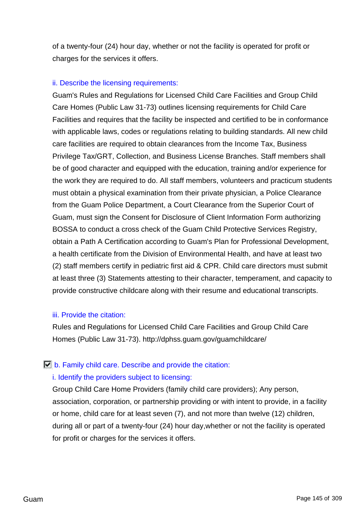of a twenty-four (24) hour day, whether or not the facility is operated for profit or charges for the services it offers.

### ii. Describe the licensing requirements:

Guam's Rules and Regulations for Licensed Child Care Facilities and Group Child Care Homes (Public Law 31-73) outlines licensing requirements for Child Care Facilities and requires that the facility be inspected and certified to be in conformance with applicable laws, codes or regulations relating to building standards. All new child care facilities are required to obtain clearances from the Income Tax, Business Privilege Tax/GRT, Collection, and Business License Branches. Staff members shall be of good character and equipped with the education, training and/or experience for the work they are required to do. All staff members, volunteers and practicum students must obtain a physical examination from their private physician, a Police Clearance from the Guam Police Department, a Court Clearance from the Superior Court of Guam, must sign the Consent for Disclosure of Client Information Form authorizing BOSSA to conduct a cross check of the Guam Child Protective Services Registry, obtain a Path A Certification according to Guam's Plan for Professional Development, a health certificate from the Division of Environmental Health, and have at least two (2) staff members certify in pediatric first aid & CPR. Child care directors must submit at least three (3) Statements attesting to their character, temperament, and capacity to provide constructive childcare along with their resume and educational transcripts.

### iii. Provide the citation:

Rules and Regulations for Licensed Child Care Facilities and Group Child Care Homes (Public Law 31-73). http://dphss.guam.gov/guamchildcare/

### $\Box$  b. Family child care. Describe and provide the citation:

## i. Identify the providers subject to licensing:

Group Child Care Home Providers (family child care providers); Any person, association, corporation, or partnership providing or with intent to provide, in a facility or home, child care for at least seven (7), and not more than twelve (12) children, during all or part of a twenty-four (24) hour day,whether or not the facility is operated for profit or charges for the services it offers.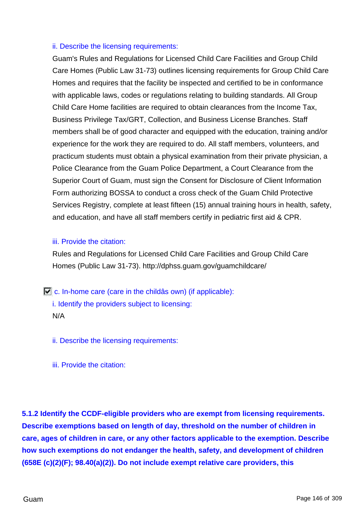### ii. Describe the licensing requirements:

Guam's Rules and Regulations for Licensed Child Care Facilities and Group Child Care Homes (Public Law 31-73) outlines licensing requirements for Group Child Care Homes and requires that the facility be inspected and certified to be in conformance with applicable laws, codes or regulations relating to building standards. All Group Child Care Home facilities are required to obtain clearances from the Income Tax, Business Privilege Tax/GRT, Collection, and Business License Branches. Staff members shall be of good character and equipped with the education, training and/or experience for the work they are required to do. All staff members, volunteers, and practicum students must obtain a physical examination from their private physician, a Police Clearance from the Guam Police Department, a Court Clearance from the Superior Court of Guam, must sign the Consent for Disclosure of Client Information Form authorizing BOSSA to conduct a cross check of the Guam Child Protective Services Registry, complete at least fifteen (15) annual training hours in health, safety, and education, and have all staff members certify in pediatric first aid & CPR.

### iii. Provide the citation:

Rules and Regulations for Licensed Child Care Facilities and Group Child Care Homes (Public Law 31-73). http://dphss.guam.gov/guamchildcare/

 $\Box$  c. In-home care (care in the childâs own) (if applicable): i. Identify the providers subject to licensing: N/A

ii. Describe the licensing requirements:

iii. Provide the citation:

**5.1.2 Identify the CCDF-eligible providers who are exempt from licensing requirements. Describe exemptions based on length of day, threshold on the number of children in care, ages of children in care, or any other factors applicable to the exemption. Describe how such exemptions do not endanger the health, safety, and development of children (658E (c)(2)(F); 98.40(a)(2)). Do not include exempt relative care providers, this**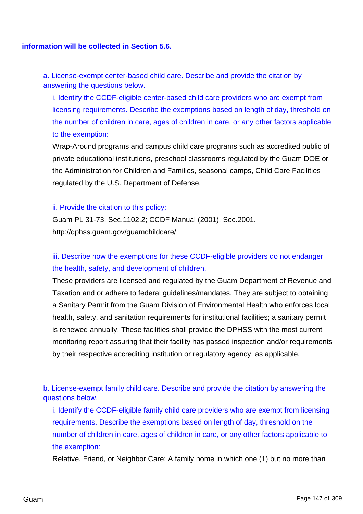#### **information will be collected in Section 5.6.**

a. License-exempt center-based child care. Describe and provide the citation by answering the questions below.

i. Identify the CCDF-eligible center-based child care providers who are exempt from licensing requirements. Describe the exemptions based on length of day, threshold on the number of children in care, ages of children in care, or any other factors applicable to the exemption:

Wrap-Around programs and campus child care programs such as accredited public of private educational institutions, preschool classrooms regulated by the Guam DOE or the Administration for Children and Families, seasonal camps, Child Care Facilities regulated by the U.S. Department of Defense.

#### ii. Provide the citation to this policy:

Guam PL 31-73, Sec.1102.2; CCDF Manual (2001), Sec.2001. http://dphss.guam.gov/guamchildcare/

## iii. Describe how the exemptions for these CCDF-eligible providers do not endanger the health, safety, and development of children.

These providers are licensed and regulated by the Guam Department of Revenue and Taxation and or adhere to federal guidelines/mandates. They are subject to obtaining a Sanitary Permit from the Guam Division of Environmental Health who enforces local health, safety, and sanitation requirements for institutional facilities; a sanitary permit is renewed annually. These facilities shall provide the DPHSS with the most current monitoring report assuring that their facility has passed inspection and/or requirements by their respective accrediting institution or regulatory agency, as applicable.

b. License-exempt family child care. Describe and provide the citation by answering the questions below.

i. Identify the CCDF-eligible family child care providers who are exempt from licensing requirements. Describe the exemptions based on length of day, threshold on the number of children in care, ages of children in care, or any other factors applicable to the exemption:

Relative, Friend, or Neighbor Care: A family home in which one (1) but no more than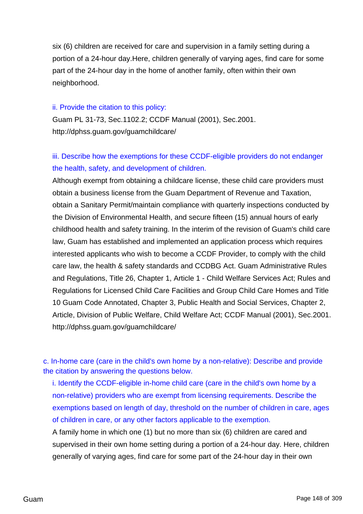six (6) children are received for care and supervision in a family setting during a portion of a 24-hour day.Here, children generally of varying ages, find care for some part of the 24-hour day in the home of another family, often within their own neighborhood.

#### ii. Provide the citation to this policy:

Guam PL 31-73, Sec.1102.2; CCDF Manual (2001), Sec.2001. http://dphss.guam.gov/guamchildcare/

## iii. Describe how the exemptions for these CCDF-eligible providers do not endanger the health, safety, and development of children.

Although exempt from obtaining a childcare license, these child care providers must obtain a business license from the Guam Department of Revenue and Taxation, obtain a Sanitary Permit/maintain compliance with quarterly inspections conducted by the Division of Environmental Health, and secure fifteen (15) annual hours of early childhood health and safety training. In the interim of the revision of Guam's child care law, Guam has established and implemented an application process which requires interested applicants who wish to become a CCDF Provider, to comply with the child care law, the health & safety standards and CCDBG Act. Guam Administrative Rules and Regulations, Title 26, Chapter 1, Article 1 - Child Welfare Services Act; Rules and Regulations for Licensed Child Care Facilities and Group Child Care Homes and Title 10 Guam Code Annotated, Chapter 3, Public Health and Social Services, Chapter 2, Article, Division of Public Welfare, Child Welfare Act; CCDF Manual (2001), Sec.2001. http://dphss.guam.gov/guamchildcare/

c. In-home care (care in the child's own home by a non-relative): Describe and provide the citation by answering the questions below.

i. Identify the CCDF-eligible in-home child care (care in the child's own home by a non-relative) providers who are exempt from licensing requirements. Describe the exemptions based on length of day, threshold on the number of children in care, ages of children in care, or any other factors applicable to the exemption.

A family home in which one (1) but no more than six (6) children are cared and supervised in their own home setting during a portion of a 24-hour day. Here, children generally of varying ages, find care for some part of the 24-hour day in their own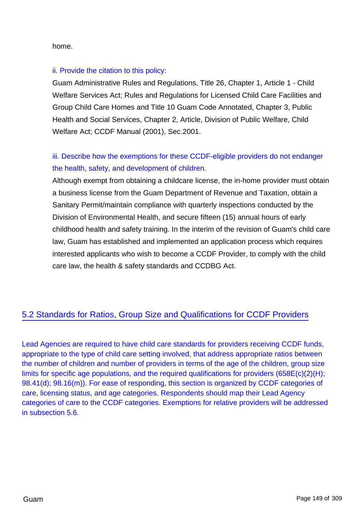home.

### ii. Provide the citation to this policy:

Guam Administrative Rules and Regulations, Title 26, Chapter 1, Article 1 - Child Welfare Services Act; Rules and Regulations for Licensed Child Care Facilities and Group Child Care Homes and Title 10 Guam Code Annotated, Chapter 3, Public Health and Social Services, Chapter 2, Article, Division of Public Welfare, Child Welfare Act; CCDF Manual (2001), Sec.2001.

## iii. Describe how the exemptions for these CCDF-eligible providers do not endanger the health, safety, and development of children.

Although exempt from obtaining a childcare license, the in-home provider must obtain a business license from the Guam Department of Revenue and Taxation, obtain a Sanitary Permit/maintain compliance with quarterly inspections conducted by the Division of Environmental Health, and secure fifteen (15) annual hours of early childhood health and safety training. In the interim of the revision of Guam's child care law, Guam has established and implemented an application process which requires interested applicants who wish to become a CCDF Provider, to comply with the child care law, the health & safety standards and CCDBG Act.

## 5.2 Standards for Ratios, Group Size and Qualifications for CCDF Providers

Lead Agencies are required to have child care standards for providers receiving CCDF funds, appropriate to the type of child care setting involved, that address appropriate ratios between the number of children and number of providers in terms of the age of the children, group size limits for specific age populations, and the required qualifications for providers (658E(c)(2)(H); 98.41(d); 98.16(m)). For ease of responding, this section is organized by CCDF categories of care, licensing status, and age categories. Respondents should map their Lead Agency categories of care to the CCDF categories. Exemptions for relative providers will be addressed in subsection 5.6.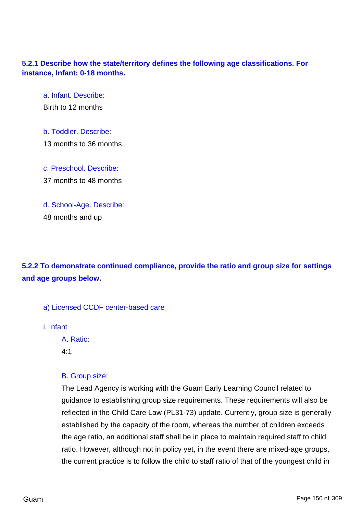## **5.2.1 Describe how the state/territory defines the following age classifications. For instance, Infant: 0-18 months.**

a. Infant. Describe:

Birth to 12 months

- b. Toddler. Describe: 13 months to 36 months.
- c. Preschool. Describe: 37 months to 48 months
- d. School-Age. Describe: 48 months and up

# **5.2.2 To demonstrate continued compliance, provide the ratio and group size for settings and age groups below.**

- a) Licensed CCDF center-based care
- i. Infant

A. Ratio:

4:1

## B. Group size:

The Lead Agency is working with the Guam Early Learning Council related to guidance to establishing group size requirements. These requirements will also be reflected in the Child Care Law (PL31-73) update. Currently, group size is generally established by the capacity of the room, whereas the number of children exceeds the age ratio, an additional staff shall be in place to maintain required staff to child ratio. However, although not in policy yet, in the event there are mixed-age groups, the current practice is to follow the child to staff ratio of that of the youngest child in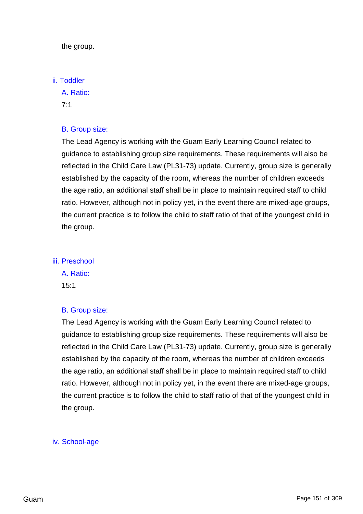the group.

#### ii. Toddler

A. Ratio:

7:1

## B. Group size:

The Lead Agency is working with the Guam Early Learning Council related to guidance to establishing group size requirements. These requirements will also be reflected in the Child Care Law (PL31-73) update. Currently, group size is generally established by the capacity of the room, whereas the number of children exceeds the age ratio, an additional staff shall be in place to maintain required staff to child ratio. However, although not in policy yet, in the event there are mixed-age groups, the current practice is to follow the child to staff ratio of that of the youngest child in the group.

## iii. Preschool

A. Ratio:

15:1

### B. Group size:

The Lead Agency is working with the Guam Early Learning Council related to guidance to establishing group size requirements. These requirements will also be reflected in the Child Care Law (PL31-73) update. Currently, group size is generally established by the capacity of the room, whereas the number of children exceeds the age ratio, an additional staff shall be in place to maintain required staff to child ratio. However, although not in policy yet, in the event there are mixed-age groups, the current practice is to follow the child to staff ratio of that of the youngest child in the group.

### iv. School-age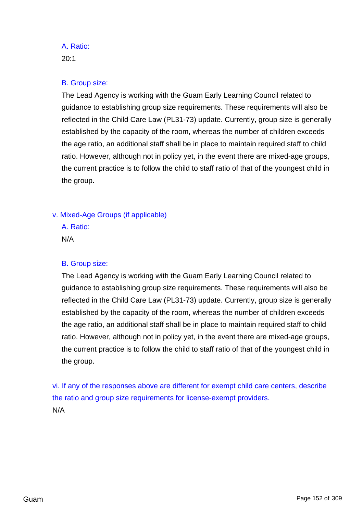## A. Ratio:

20:1

## B. Group size:

The Lead Agency is working with the Guam Early Learning Council related to guidance to establishing group size requirements. These requirements will also be reflected in the Child Care Law (PL31-73) update. Currently, group size is generally established by the capacity of the room, whereas the number of children exceeds the age ratio, an additional staff shall be in place to maintain required staff to child ratio. However, although not in policy yet, in the event there are mixed-age groups, the current practice is to follow the child to staff ratio of that of the youngest child in the group.

## v. Mixed-Age Groups (if applicable)

A. Ratio: N/A

## B. Group size:

The Lead Agency is working with the Guam Early Learning Council related to guidance to establishing group size requirements. These requirements will also be reflected in the Child Care Law (PL31-73) update. Currently, group size is generally established by the capacity of the room, whereas the number of children exceeds the age ratio, an additional staff shall be in place to maintain required staff to child ratio. However, although not in policy yet, in the event there are mixed-age groups, the current practice is to follow the child to staff ratio of that of the youngest child in the group.

vi. If any of the responses above are different for exempt child care centers, describe the ratio and group size requirements for license-exempt providers. N/A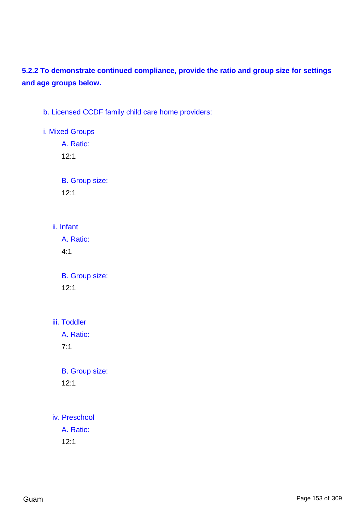# **5.2.2 To demonstrate continued compliance, provide the ratio and group size for settings and age groups below.**

b. Licensed CCDF family child care home providers:

i. Mixed Groups A. Ratio:

12:1

B. Group size:

12:1

ii. Infant

A. Ratio: 4:1

B. Group size: 12:1

iii. Toddler

A. Ratio:

7:1

B. Group size: 12:1

iv. Preschool A. Ratio:

12:1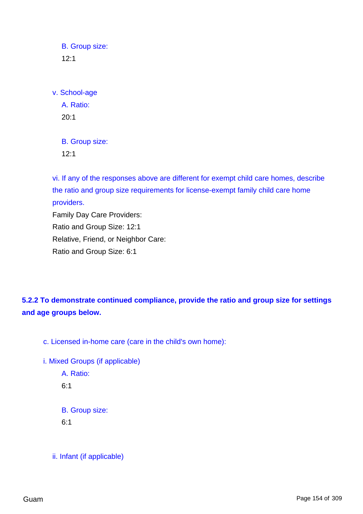B. Group size:  $12:1$ 

v. School-age

A. Ratio: 20:1

B. Group size: 12:1

vi. If any of the responses above are different for exempt child care homes, describe the ratio and group size requirements for license-exempt family child care home providers. Family Day Care Providers: Ratio and Group Size: 12:1

Relative, Friend, or Neighbor Care:

Ratio and Group Size: 6:1

**5.2.2 To demonstrate continued compliance, provide the ratio and group size for settings and age groups below.**

c. Licensed in-home care (care in the child's own home):

i. Mixed Groups (if applicable) A. Ratio: 6:1

B. Group size:

6:1

ii. Infant (if applicable)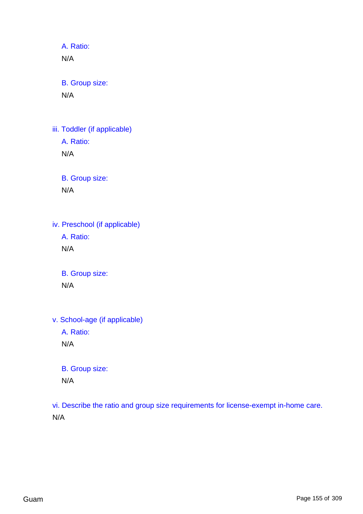A. Ratio: N/A

B. Group size: N/A

iii. Toddler (if applicable) A. Ratio: N/A

> B. Group size: N/A

iv. Preschool (if applicable) A. Ratio: N/A

> B. Group size: N/A

v. School-age (if applicable)

A. Ratio:

N/A

B. Group size:

N/A

vi. Describe the ratio and group size requirements for license-exempt in-home care. N/A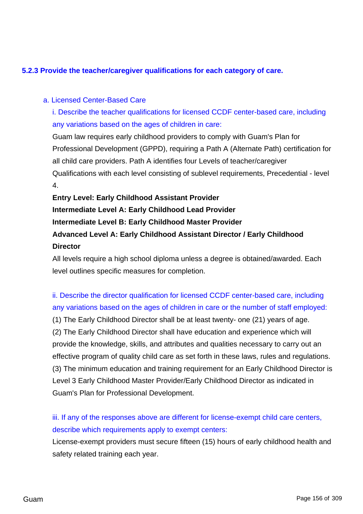## **5.2.3 Provide the teacher/caregiver qualifications for each category of care.**

### a. Licensed Center-Based Care

i. Describe the teacher qualifications for licensed CCDF center-based care, including any variations based on the ages of children in care:

Guam law requires early childhood providers to comply with Guam's Plan for Professional Development (GPPD), requiring a Path A (Alternate Path) certification for all child care providers. Path A identifies four Levels of teacher/caregiver Qualifications with each level consisting of sublevel requirements, Precedential - level 4.

**Entry Level: Early Childhood Assistant Provider Intermediate Level A: Early Childhood Lead Provider Intermediate Level B: Early Childhood Master Provider Advanced Level A: Early Childhood Assistant Director / Early Childhood Director**

All levels require a high school diploma unless a degree is obtained/awarded. Each level outlines specific measures for completion.

ii. Describe the director qualification for licensed CCDF center-based care, including any variations based on the ages of children in care or the number of staff employed: (1) The Early Childhood Director shall be at least twenty- one (21) years of age. (2) The Early Childhood Director shall have education and experience which will provide the knowledge, skills, and attributes and qualities necessary to carry out an effective program of quality child care as set forth in these laws, rules and regulations. (3) The minimum education and training requirement for an Early Childhood Director is Level 3 Early Childhood Master Provider/Early Childhood Director as indicated in Guam's Plan for Professional Development.

iii. If any of the responses above are different for license-exempt child care centers, describe which requirements apply to exempt centers:

License-exempt providers must secure fifteen (15) hours of early childhood health and safety related training each year.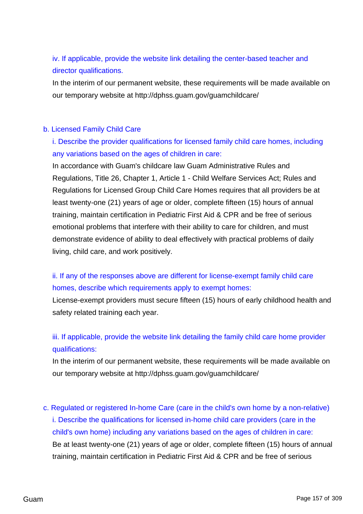iv. If applicable, provide the website link detailing the center-based teacher and director qualifications.

In the interim of our permanent website, these requirements will be made available on our temporary website at http://dphss.guam.gov/guamchildcare/

### b. Licensed Family Child Care

# i. Describe the provider qualifications for licensed family child care homes, including any variations based on the ages of children in care:

In accordance with Guam's childcare law Guam Administrative Rules and Regulations, Title 26, Chapter 1, Article 1 - Child Welfare Services Act; Rules and Regulations for Licensed Group Child Care Homes requires that all providers be at least twenty-one (21) years of age or older, complete fifteen (15) hours of annual training, maintain certification in Pediatric First Aid & CPR and be free of serious emotional problems that interfere with their ability to care for children, and must demonstrate evidence of ability to deal effectively with practical problems of daily living, child care, and work positively.

# ii. If any of the responses above are different for license-exempt family child care homes, describe which requirements apply to exempt homes:

License-exempt providers must secure fifteen (15) hours of early childhood health and safety related training each year.

## iii. If applicable, provide the website link detailing the family child care home provider qualifications:

In the interim of our permanent website, these requirements will be made available on our temporary website at http://dphss.guam.gov/guamchildcare/

c. Regulated or registered In-home Care (care in the child's own home by a non-relative) i. Describe the qualifications for licensed in-home child care providers (care in the child's own home) including any variations based on the ages of children in care: Be at least twenty-one (21) years of age or older, complete fifteen (15) hours of annual training, maintain certification in Pediatric First Aid & CPR and be free of serious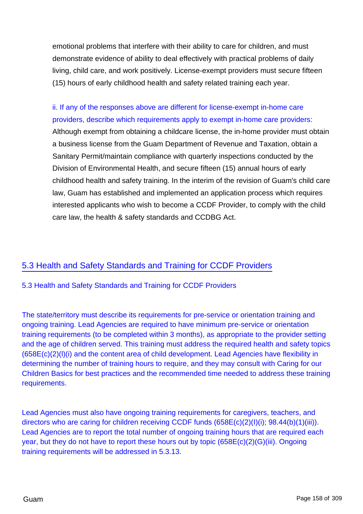emotional problems that interfere with their ability to care for children, and must demonstrate evidence of ability to deal effectively with practical problems of daily living, child care, and work positively. License-exempt providers must secure fifteen (15) hours of early childhood health and safety related training each year.

ii. If any of the responses above are different for license-exempt in-home care providers, describe which requirements apply to exempt in-home care providers: Although exempt from obtaining a childcare license, the in-home provider must obtain a business license from the Guam Department of Revenue and Taxation, obtain a Sanitary Permit/maintain compliance with quarterly inspections conducted by the Division of Environmental Health, and secure fifteen (15) annual hours of early childhood health and safety training. In the interim of the revision of Guam's child care law, Guam has established and implemented an application process which requires interested applicants who wish to become a CCDF Provider, to comply with the child care law, the health & safety standards and CCDBG Act.

## 5.3 Health and Safety Standards and Training for CCDF Providers

## 5.3 Health and Safety Standards and Training for CCDF Providers

The state/territory must describe its requirements for pre-service or orientation training and ongoing training. Lead Agencies are required to have minimum pre-service or orientation training requirements (to be completed within 3 months), as appropriate to the provider setting and the age of children served. This training must address the required health and safety topics (658E(c)(2)(l)(i) and the content area of child development. Lead Agencies have flexibility in determining the number of training hours to require, and they may consult with Caring for our Children Basics for best practices and the recommended time needed to address these training requirements.

Lead Agencies must also have ongoing training requirements for caregivers, teachers, and directors who are caring for children receiving CCDF funds (658E(c)(2)(I)(i); 98.44(b)(1)(iii)). Lead Agencies are to report the total number of ongoing training hours that are required each year, but they do not have to report these hours out by topic (658E(c)(2)(G)(iii). Ongoing training requirements will be addressed in 5.3.13.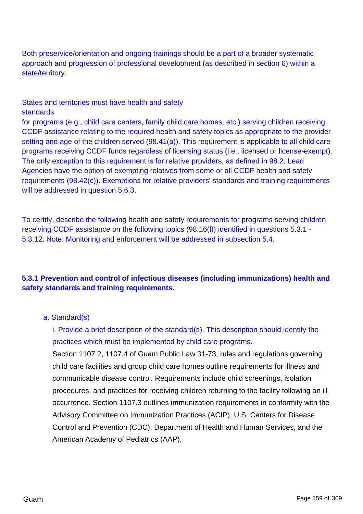Both preservice/orientation and ongoing trainings should be a part of a broader systematic approach and progression of professional development (as described in section 6) within a state/territory.

## States and territories must have health and safety standards

for programs (e.g., child care centers, family child care homes, etc.) serving children receiving CCDF assistance relating to the required health and safety topics as appropriate to the provider setting and age of the children served (98.41(a)). This requirement is applicable to all child care programs receiving CCDF funds regardless of licensing status (i.e., licensed or license-exempt). The only exception to this requirement is for relative providers, as defined in 98.2. Lead Agencies have the option of exempting relatives from some or all CCDF health and safety requirements (98.42(c)). Exemptions for relative providers' standards and training requirements will be addressed in question 5.6.3.

To certify, describe the following health and safety requirements for programs serving children receiving CCDF assistance on the following topics (98.16(l)) identified in questions 5.3.1 - 5.3.12. Note: Monitoring and enforcement will be addressed in subsection 5.4.

## **5.3.1 Prevention and control of infectious diseases (including immunizations) health and safety standards and training requirements.**

### a. Standard(s)

i. Provide a brief description of the standard(s). This description should identify the practices which must be implemented by child care programs.

Section 1107.2, 1107.4 of Guam Public Law 31-73, rules and regulations governing child care facilities and group child care homes outline requirements for illness and communicable disease control. Requirements include child screenings, isolation procedures, and practices for receiving children returning to the facility following an ill occurrence. Section 1107.3 outlines immunization requirements in conformity with the Advisory Committee on Immunization Practices (ACIP), U.S. Centers for Disease Control and Prevention (CDC), Department of Health and Human Services, and the American Academy of Pediatrics (AAP).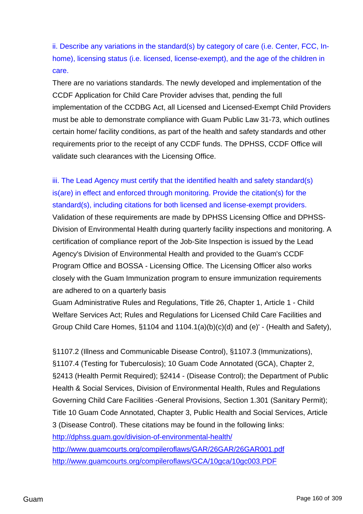ii. Describe any variations in the standard(s) by category of care (i.e. Center, FCC, Inhome), licensing status (i.e. licensed, license-exempt), and the age of the children in care.

There are no variations standards. The newly developed and implementation of the CCDF Application for Child Care Provider advises that, pending the full implementation of the CCDBG Act, all Licensed and Licensed-Exempt Child Providers must be able to demonstrate compliance with Guam Public Law 31-73, which outlines certain home/ facility conditions, as part of the health and safety standards and other requirements prior to the receipt of any CCDF funds. The DPHSS, CCDF Office will validate such clearances with the Licensing Office.

iii. The Lead Agency must certify that the identified health and safety standard(s) is(are) in effect and enforced through monitoring. Provide the citation(s) for the standard(s), including citations for both licensed and license-exempt providers.

Validation of these requirements are made by DPHSS Licensing Office and DPHSS-Division of Environmental Health during quarterly facility inspections and monitoring. A certification of compliance report of the Job-Site Inspection is issued by the Lead Agency's Division of Environmental Health and provided to the Guam's CCDF Program Office and BOSSA - Licensing Office. The Licensing Officer also works closely with the Guam Immunization program to ensure immunization requirements are adhered to on a quarterly basis

Guam Administrative Rules and Regulations, Title 26, Chapter 1, Article 1 - Child Welfare Services Act; Rules and Regulations for Licensed Child Care Facilities and Group Child Care Homes, §1104 and 1104.1(a)(b)(c)(d) and (e)' - (Health and Safety),

§1107.2 (Illness and Communicable Disease Control), §1107.3 (Immunizations), §1107.4 (Testing for Tuberculosis); 10 Guam Code Annotated (GCA), Chapter 2, §2413 (Health Permit Required); §2414 - (Disease Control); the Department of Public Health & Social Services, Division of Environmental Health, Rules and Regulations Governing Child Care Facilities -General Provisions, Section 1.301 (Sanitary Permit); Title 10 Guam Code Annotated, Chapter 3, Public Health and Social Services, Article 3 (Disease Control). These citations may be found in the following links: <http://dphss.guam.gov/division-of-environmental-health/> <http://www.guamcourts.org/compileroflaws/GAR/26GAR/26GAR001.pdf> <http://www.guamcourts.org/compileroflaws/GCA/10gca/10gc003.PDF>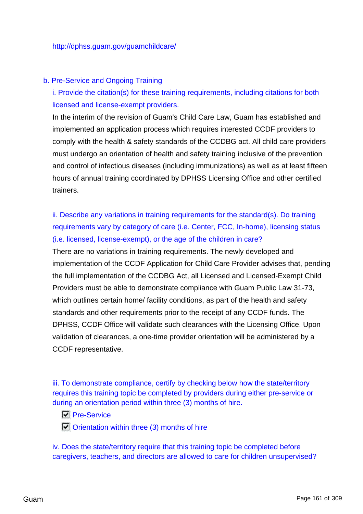### b. Pre-Service and Ongoing Training

i. Provide the citation(s) for these training requirements, including citations for both licensed and license-exempt providers.

In the interim of the revision of Guam's Child Care Law, Guam has established and implemented an application process which requires interested CCDF providers to comply with the health & safety standards of the CCDBG act. All child care providers must undergo an orientation of health and safety training inclusive of the prevention and control of infectious diseases (including immunizations) as well as at least fifteen hours of annual training coordinated by DPHSS Licensing Office and other certified trainers.

ii. Describe any variations in training requirements for the standard(s). Do training requirements vary by category of care (i.e. Center, FCC, In-home), licensing status (i.e. licensed, license-exempt), or the age of the children in care?

There are no variations in training requirements. The newly developed and implementation of the CCDF Application for Child Care Provider advises that, pending the full implementation of the CCDBG Act, all Licensed and Licensed-Exempt Child Providers must be able to demonstrate compliance with Guam Public Law 31-73, which outlines certain home/ facility conditions, as part of the health and safety standards and other requirements prior to the receipt of any CCDF funds. The DPHSS, CCDF Office will validate such clearances with the Licensing Office. Upon validation of clearances, a one-time provider orientation will be administered by a CCDF representative.

iii. To demonstrate compliance, certify by checking below how the state/territory requires this training topic be completed by providers during either pre-service or during an orientation period within three (3) months of hire.

- **Pre-Service**
- $\Box$  Orientation within three (3) months of hire

iv. Does the state/territory require that this training topic be completed before caregivers, teachers, and directors are allowed to care for children unsupervised?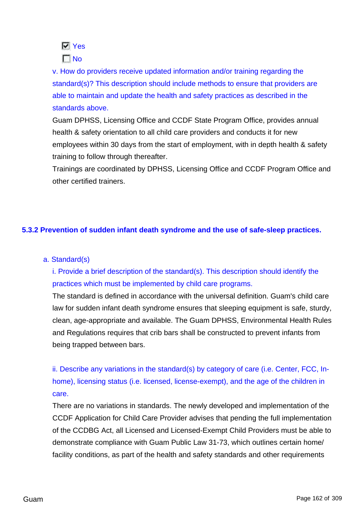

 $\Gamma$ No

v. How do providers receive updated information and/or training regarding the standard(s)? This description should include methods to ensure that providers are able to maintain and update the health and safety practices as described in the standards above.

Guam DPHSS, Licensing Office and CCDF State Program Office, provides annual health & safety orientation to all child care providers and conducts it for new employees within 30 days from the start of employment, with in depth health & safety training to follow through thereafter.

Trainings are coordinated by DPHSS, Licensing Office and CCDF Program Office and other certified trainers.

## **5.3.2 Prevention of sudden infant death syndrome and the use of safe-sleep practices.**

### a. Standard(s)

i. Provide a brief description of the standard(s). This description should identify the practices which must be implemented by child care programs.

The standard is defined in accordance with the universal definition. Guam's child care law for sudden infant death syndrome ensures that sleeping equipment is safe, sturdy, clean, age-appropriate and available. The Guam DPHSS, Environmental Health Rules and Regulations requires that crib bars shall be constructed to prevent infants from being trapped between bars.

ii. Describe any variations in the standard(s) by category of care (i.e. Center, FCC, Inhome), licensing status (i.e. licensed, license-exempt), and the age of the children in care.

There are no variations in standards. The newly developed and implementation of the CCDF Application for Child Care Provider advises that pending the full implementation of the CCDBG Act, all Licensed and Licensed-Exempt Child Providers must be able to demonstrate compliance with Guam Public Law 31-73, which outlines certain home/ facility conditions, as part of the health and safety standards and other requirements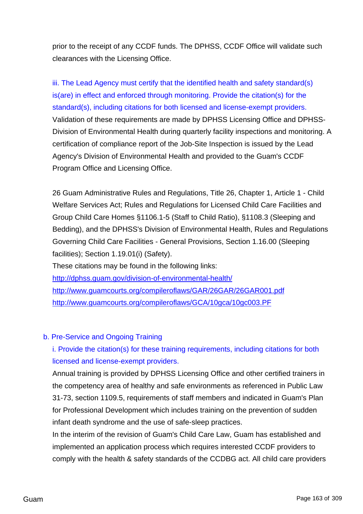prior to the receipt of any CCDF funds. The DPHSS, CCDF Office will validate such clearances with the Licensing Office.

iii. The Lead Agency must certify that the identified health and safety standard(s) is(are) in effect and enforced through monitoring. Provide the citation(s) for the standard(s), including citations for both licensed and license-exempt providers. Validation of these requirements are made by DPHSS Licensing Office and DPHSS-Division of Environmental Health during quarterly facility inspections and monitoring. A certification of compliance report of the Job-Site Inspection is issued by the Lead Agency's Division of Environmental Health and provided to the Guam's CCDF Program Office and Licensing Office.

26 Guam Administrative Rules and Regulations, Title 26, Chapter 1, Article 1 - Child Welfare Services Act; Rules and Regulations for Licensed Child Care Facilities and Group Child Care Homes §1106.1-5 (Staff to Child Ratio), §1108.3 (Sleeping and Bedding), and the DPHSS's Division of Environmental Health, Rules and Regulations Governing Child Care Facilities - General Provisions, Section 1.16.00 (Sleeping facilities); Section 1.19.01(i) (Safety).

These citations may be found in the following links: <http://dphss.guam.gov/division-of-environmental-health/> <http://www.guamcourts.org/compileroflaws/GAR/26GAR/26GAR001.pdf> <http://www.guamcourts.org/compileroflaws/GCA/10gca/10gc003.PF>

## b. Pre-Service and Ongoing Training

i. Provide the citation(s) for these training requirements, including citations for both licensed and license-exempt providers.

Annual training is provided by DPHSS Licensing Office and other certified trainers in the competency area of healthy and safe environments as referenced in Public Law 31-73, section 1109.5, requirements of staff members and indicated in Guam's Plan for Professional Development which includes training on the prevention of sudden infant death syndrome and the use of safe-sleep practices.

In the interim of the revision of Guam's Child Care Law, Guam has established and implemented an application process which requires interested CCDF providers to comply with the health & safety standards of the CCDBG act. All child care providers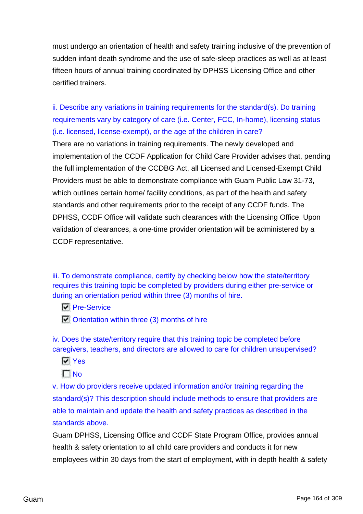must undergo an orientation of health and safety training inclusive of the prevention of sudden infant death syndrome and the use of safe-sleep practices as well as at least fifteen hours of annual training coordinated by DPHSS Licensing Office and other certified trainers.

ii. Describe any variations in training requirements for the standard(s). Do training requirements vary by category of care (i.e. Center, FCC, In-home), licensing status (i.e. licensed, license-exempt), or the age of the children in care?

There are no variations in training requirements. The newly developed and implementation of the CCDF Application for Child Care Provider advises that, pending the full implementation of the CCDBG Act, all Licensed and Licensed-Exempt Child Providers must be able to demonstrate compliance with Guam Public Law 31-73, which outlines certain home/ facility conditions, as part of the health and safety standards and other requirements prior to the receipt of any CCDF funds. The DPHSS, CCDF Office will validate such clearances with the Licensing Office. Upon validation of clearances, a one-time provider orientation will be administered by a CCDF representative.

iii. To demonstrate compliance, certify by checking below how the state/territory requires this training topic be completed by providers during either pre-service or during an orientation period within three (3) months of hire.

**Pre-Service** 

 $\Box$  Orientation within three (3) months of hire

iv. Does the state/territory require that this training topic be completed before caregivers, teachers, and directors are allowed to care for children unsupervised?

- **N** Yes
- $\Box$ No

v. How do providers receive updated information and/or training regarding the standard(s)? This description should include methods to ensure that providers are able to maintain and update the health and safety practices as described in the standards above.

Guam DPHSS, Licensing Office and CCDF State Program Office, provides annual health & safety orientation to all child care providers and conducts it for new employees within 30 days from the start of employment, with in depth health & safety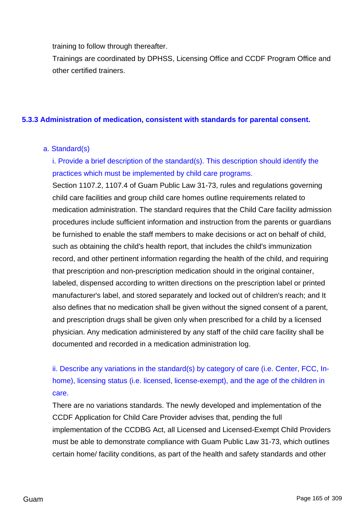training to follow through thereafter.

Trainings are coordinated by DPHSS, Licensing Office and CCDF Program Office and other certified trainers.

## **5.3.3 Administration of medication, consistent with standards for parental consent.**

## a. Standard(s)

i. Provide a brief description of the standard(s). This description should identify the practices which must be implemented by child care programs.

Section 1107.2, 1107.4 of Guam Public Law 31-73, rules and regulations governing child care facilities and group child care homes outline requirements related to medication administration. The standard requires that the Child Care facility admission procedures include sufficient information and instruction from the parents or guardians be furnished to enable the staff members to make decisions or act on behalf of child, such as obtaining the child's health report, that includes the child's immunization record, and other pertinent information regarding the health of the child, and requiring that prescription and non-prescription medication should in the original container, labeled, dispensed according to written directions on the prescription label or printed manufacturer's label, and stored separately and locked out of children's reach; and It also defines that no medication shall be given without the signed consent of a parent, and prescription drugs shall be given only when prescribed for a child by a licensed physician. Any medication administered by any staff of the child care facility shall be documented and recorded in a medication administration log.

ii. Describe any variations in the standard(s) by category of care (i.e. Center, FCC, Inhome), licensing status (i.e. licensed, license-exempt), and the age of the children in care.

There are no variations standards. The newly developed and implementation of the CCDF Application for Child Care Provider advises that, pending the full implementation of the CCDBG Act, all Licensed and Licensed-Exempt Child Providers must be able to demonstrate compliance with Guam Public Law 31-73, which outlines certain home/ facility conditions, as part of the health and safety standards and other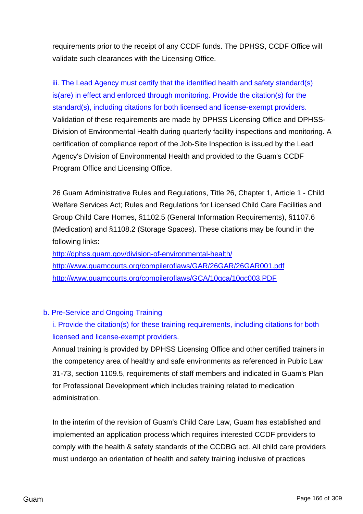requirements prior to the receipt of any CCDF funds. The DPHSS, CCDF Office will validate such clearances with the Licensing Office.

iii. The Lead Agency must certify that the identified health and safety standard(s) is(are) in effect and enforced through monitoring. Provide the citation(s) for the standard(s), including citations for both licensed and license-exempt providers. Validation of these requirements are made by DPHSS Licensing Office and DPHSS-Division of Environmental Health during quarterly facility inspections and monitoring. A certification of compliance report of the Job-Site Inspection is issued by the Lead Agency's Division of Environmental Health and provided to the Guam's CCDF Program Office and Licensing Office.

26 Guam Administrative Rules and Regulations, Title 26, Chapter 1, Article 1 - Child Welfare Services Act; Rules and Regulations for Licensed Child Care Facilities and Group Child Care Homes, §1102.5 (General Information Requirements), §1107.6 (Medication) and §1108.2 (Storage Spaces). These citations may be found in the following links:

<http://dphss.guam.gov/division-of-environmental-health/> <http://www.guamcourts.org/compileroflaws/GAR/26GAR/26GAR001.pdf> <http://www.guamcourts.org/compileroflaws/GCA/10gca/10gc003.PDF>

## b. Pre-Service and Ongoing Training

i. Provide the citation(s) for these training requirements, including citations for both licensed and license-exempt providers.

Annual training is provided by DPHSS Licensing Office and other certified trainers in the competency area of healthy and safe environments as referenced in Public Law 31-73, section 1109.5, requirements of staff members and indicated in Guam's Plan for Professional Development which includes training related to medication administration.

In the interim of the revision of Guam's Child Care Law, Guam has established and implemented an application process which requires interested CCDF providers to comply with the health & safety standards of the CCDBG act. All child care providers must undergo an orientation of health and safety training inclusive of practices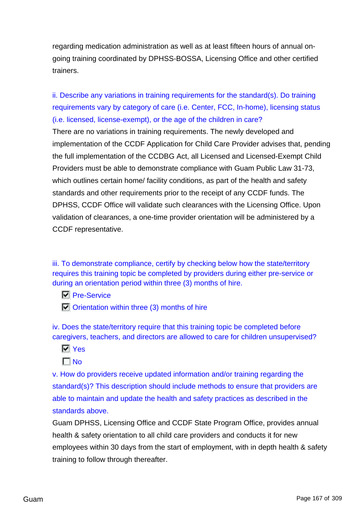regarding medication administration as well as at least fifteen hours of annual ongoing training coordinated by DPHSS-BOSSA, Licensing Office and other certified trainers.

ii. Describe any variations in training requirements for the standard(s). Do training requirements vary by category of care (i.e. Center, FCC, In-home), licensing status (i.e. licensed, license-exempt), or the age of the children in care?

There are no variations in training requirements. The newly developed and implementation of the CCDF Application for Child Care Provider advises that, pending the full implementation of the CCDBG Act, all Licensed and Licensed-Exempt Child Providers must be able to demonstrate compliance with Guam Public Law 31-73, which outlines certain home/ facility conditions, as part of the health and safety standards and other requirements prior to the receipt of any CCDF funds. The DPHSS, CCDF Office will validate such clearances with the Licensing Office. Upon validation of clearances, a one-time provider orientation will be administered by a CCDF representative.

iii. To demonstrate compliance, certify by checking below how the state/territory requires this training topic be completed by providers during either pre-service or during an orientation period within three (3) months of hire.

- **Pre-Service**
- $\Box$  Orientation within three (3) months of hire

iv. Does the state/territory require that this training topic be completed before caregivers, teachers, and directors are allowed to care for children unsupervised?

- **N** Yes
- $\Gamma$  No

v. How do providers receive updated information and/or training regarding the standard(s)? This description should include methods to ensure that providers are able to maintain and update the health and safety practices as described in the standards above.

Guam DPHSS, Licensing Office and CCDF State Program Office, provides annual health & safety orientation to all child care providers and conducts it for new employees within 30 days from the start of employment, with in depth health & safety training to follow through thereafter.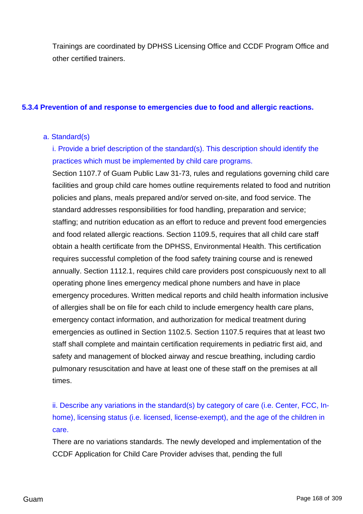Trainings are coordinated by DPHSS Licensing Office and CCDF Program Office and other certified trainers.

### **5.3.4 Prevention of and response to emergencies due to food and allergic reactions.**

### a. Standard(s)

i. Provide a brief description of the standard(s). This description should identify the practices which must be implemented by child care programs.

Section 1107.7 of Guam Public Law 31-73, rules and regulations governing child care facilities and group child care homes outline requirements related to food and nutrition policies and plans, meals prepared and/or served on-site, and food service. The standard addresses responsibilities for food handling, preparation and service; staffing; and nutrition education as an effort to reduce and prevent food emergencies and food related allergic reactions. Section 1109.5, requires that all child care staff obtain a health certificate from the DPHSS, Environmental Health. This certification requires successful completion of the food safety training course and is renewed annually. Section 1112.1, requires child care providers post conspicuously next to all operating phone lines emergency medical phone numbers and have in place emergency procedures. Written medical reports and child health information inclusive of allergies shall be on file for each child to include emergency health care plans, emergency contact information, and authorization for medical treatment during emergencies as outlined in Section 1102.5. Section 1107.5 requires that at least two staff shall complete and maintain certification requirements in pediatric first aid, and safety and management of blocked airway and rescue breathing, including cardio pulmonary resuscitation and have at least one of these staff on the premises at all times.

ii. Describe any variations in the standard(s) by category of care (i.e. Center, FCC, Inhome), licensing status (i.e. licensed, license-exempt), and the age of the children in care.

There are no variations standards. The newly developed and implementation of the CCDF Application for Child Care Provider advises that, pending the full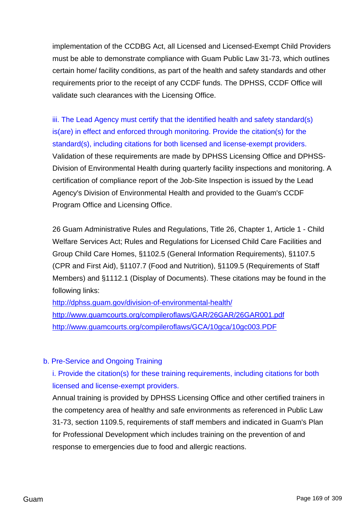implementation of the CCDBG Act, all Licensed and Licensed-Exempt Child Providers must be able to demonstrate compliance with Guam Public Law 31-73, which outlines certain home/ facility conditions, as part of the health and safety standards and other requirements prior to the receipt of any CCDF funds. The DPHSS, CCDF Office will validate such clearances with the Licensing Office.

iii. The Lead Agency must certify that the identified health and safety standard(s) is(are) in effect and enforced through monitoring. Provide the citation(s) for the standard(s), including citations for both licensed and license-exempt providers. Validation of these requirements are made by DPHSS Licensing Office and DPHSS-Division of Environmental Health during quarterly facility inspections and monitoring. A certification of compliance report of the Job-Site Inspection is issued by the Lead Agency's Division of Environmental Health and provided to the Guam's CCDF Program Office and Licensing Office.

26 Guam Administrative Rules and Regulations, Title 26, Chapter 1, Article 1 - Child Welfare Services Act; Rules and Regulations for Licensed Child Care Facilities and Group Child Care Homes, §1102.5 (General Information Requirements), §1107.5 (CPR and First Aid), §1107.7 (Food and Nutrition), §1109.5 (Requirements of Staff Members) and §1112.1 (Display of Documents). These citations may be found in the following links:

<http://dphss.guam.gov/division-of-environmental-health/> <http://www.guamcourts.org/compileroflaws/GAR/26GAR/26GAR001.pdf> <http://www.guamcourts.org/compileroflaws/GCA/10gca/10gc003.PDF>

## b. Pre-Service and Ongoing Training

i. Provide the citation(s) for these training requirements, including citations for both licensed and license-exempt providers.

Annual training is provided by DPHSS Licensing Office and other certified trainers in the competency area of healthy and safe environments as referenced in Public Law 31-73, section 1109.5, requirements of staff members and indicated in Guam's Plan for Professional Development which includes training on the prevention of and response to emergencies due to food and allergic reactions.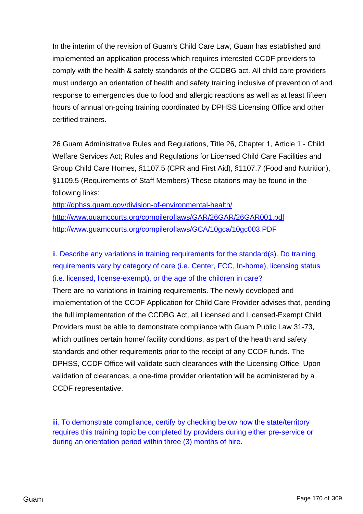In the interim of the revision of Guam's Child Care Law, Guam has established and implemented an application process which requires interested CCDF providers to comply with the health & safety standards of the CCDBG act. All child care providers must undergo an orientation of health and safety training inclusive of prevention of and response to emergencies due to food and allergic reactions as well as at least fifteen hours of annual on-going training coordinated by DPHSS Licensing Office and other certified trainers.

26 Guam Administrative Rules and Regulations, Title 26, Chapter 1, Article 1 - Child Welfare Services Act; Rules and Regulations for Licensed Child Care Facilities and Group Child Care Homes, §1107.5 (CPR and First Aid), §1107.7 (Food and Nutrition), §1109.5 (Requirements of Staff Members) These citations may be found in the following links:

<http://dphss.guam.gov/division-of-environmental-health/> <http://www.guamcourts.org/compileroflaws/GAR/26GAR/26GAR001.pdf> <http://www.guamcourts.org/compileroflaws/GCA/10gca/10gc003.PDF>

ii. Describe any variations in training requirements for the standard(s). Do training requirements vary by category of care (i.e. Center, FCC, In-home), licensing status (i.e. licensed, license-exempt), or the age of the children in care?

There are no variations in training requirements. The newly developed and implementation of the CCDF Application for Child Care Provider advises that, pending the full implementation of the CCDBG Act, all Licensed and Licensed-Exempt Child Providers must be able to demonstrate compliance with Guam Public Law 31-73, which outlines certain home/ facility conditions, as part of the health and safety standards and other requirements prior to the receipt of any CCDF funds. The DPHSS, CCDF Office will validate such clearances with the Licensing Office. Upon validation of clearances, a one-time provider orientation will be administered by a CCDF representative.

iii. To demonstrate compliance, certify by checking below how the state/territory requires this training topic be completed by providers during either pre-service or during an orientation period within three (3) months of hire.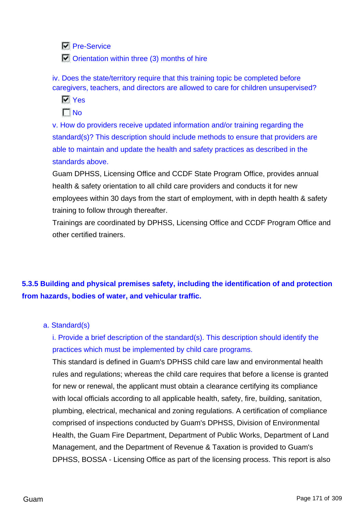**N** Pre-Service

**To Orientation within three (3) months of hire** 

iv. Does the state/territory require that this training topic be completed before caregivers, teachers, and directors are allowed to care for children unsupervised?

**Ves** 

 $\Gamma$  No

v. How do providers receive updated information and/or training regarding the standard(s)? This description should include methods to ensure that providers are able to maintain and update the health and safety practices as described in the standards above.

Guam DPHSS, Licensing Office and CCDF State Program Office, provides annual health & safety orientation to all child care providers and conducts it for new employees within 30 days from the start of employment, with in depth health & safety training to follow through thereafter.

Trainings are coordinated by DPHSS, Licensing Office and CCDF Program Office and other certified trainers.

# **5.3.5 Building and physical premises safety, including the identification of and protection from hazards, bodies of water, and vehicular traffic.**

## a. Standard(s)

i. Provide a brief description of the standard(s). This description should identify the practices which must be implemented by child care programs.

This standard is defined in Guam's DPHSS child care law and environmental health rules and regulations; whereas the child care requires that before a license is granted for new or renewal, the applicant must obtain a clearance certifying its compliance with local officials according to all applicable health, safety, fire, building, sanitation, plumbing, electrical, mechanical and zoning regulations. A certification of compliance comprised of inspections conducted by Guam's DPHSS, Division of Environmental Health, the Guam Fire Department, Department of Public Works, Department of Land Management, and the Department of Revenue & Taxation is provided to Guam's DPHSS, BOSSA - Licensing Office as part of the licensing process. This report is also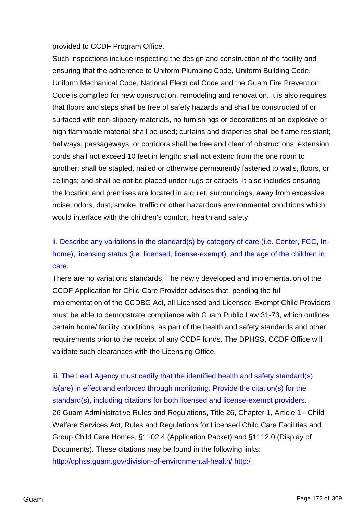provided to CCDF Program Office.

Such inspections include inspecting the design and construction of the facility and ensuring that the adherence to Uniform Plumbing Code, Uniform Building Code, Uniform Mechanical Code, National Electrical Code and the Guam Fire Prevention Code is compiled for new construction, remodeling and renovation. It is also requires that floors and steps shall be free of safety hazards and shall be constructed of or surfaced with non-slippery materials, no furnishings or decorations of an explosive or high flammable material shall be used; curtains and draperies shall be flame resistant; hallways, passageways, or corridors shall be free and clear of obstructions; extension cords shall not exceed 10 feet in length; shall not extend from the one room to another; shall be stapled, nailed or otherwise permanently fastened to walls, floors, or ceilings; and shall be not be placed under rugs or carpets. It also includes ensuring the location and premises are located in a quiet, surroundings, away from excessive noise, odors, dust, smoke, traffic or other hazardous environmental conditions which would interface with the children's comfort, health and safety.

ii. Describe any variations in the standard(s) by category of care (i.e. Center, FCC, Inhome), licensing status (i.e. licensed, license-exempt), and the age of the children in care.

There are no variations standards. The newly developed and implementation of the CCDF Application for Child Care Provider advises that, pending the full implementation of the CCDBG Act, all Licensed and Licensed-Exempt Child Providers must be able to demonstrate compliance with Guam Public Law 31-73, which outlines certain home/ facility conditions, as part of the health and safety standards and other requirements prior to the receipt of any CCDF funds. The DPHSS, CCDF Office will validate such clearances with the Licensing Office.

iii. The Lead Agency must certify that the identified health and safety standard(s) is(are) in effect and enforced through monitoring. Provide the citation(s) for the standard(s), including citations for both licensed and license-exempt providers. 26 Guam Administrative Rules and Regulations, Title 26, Chapter 1, Article 1 - Child Welfare Services Act; Rules and Regulations for Licensed Child Care Facilities and Group Child Care Homes, §1102.4 (Application Packet) and §1112.0 (Display of Documents). These citations may be found in the following links: <http://dphss.guam.gov/division-of-environmental-health/> [http:/](http://www.guamcourts.org/compileroflaws/GAR/26GAR/26GAR001.pdf)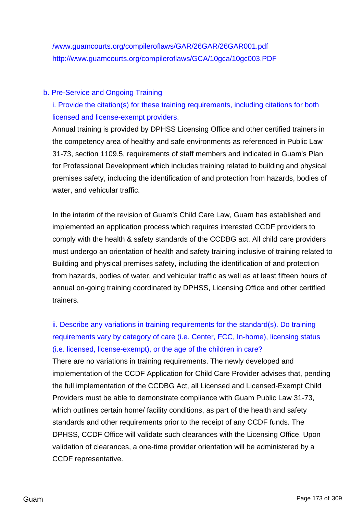## b. Pre-Service and Ongoing Training

i. Provide the citation(s) for these training requirements, including citations for both licensed and license-exempt providers.

Annual training is provided by DPHSS Licensing Office and other certified trainers in the competency area of healthy and safe environments as referenced in Public Law 31-73, section 1109.5, requirements of staff members and indicated in Guam's Plan for Professional Development which includes training related to building and physical premises safety, including the identification of and protection from hazards, bodies of water, and vehicular traffic.

In the interim of the revision of Guam's Child Care Law, Guam has established and implemented an application process which requires interested CCDF providers to comply with the health & safety standards of the CCDBG act. All child care providers must undergo an orientation of health and safety training inclusive of training related to Building and physical premises safety, including the identification of and protection from hazards, bodies of water, and vehicular traffic as well as at least fifteen hours of annual on-going training coordinated by DPHSS, Licensing Office and other certified trainers.

# ii. Describe any variations in training requirements for the standard(s). Do training requirements vary by category of care (i.e. Center, FCC, In-home), licensing status (i.e. licensed, license-exempt), or the age of the children in care?

There are no variations in training requirements. The newly developed and implementation of the CCDF Application for Child Care Provider advises that, pending the full implementation of the CCDBG Act, all Licensed and Licensed-Exempt Child Providers must be able to demonstrate compliance with Guam Public Law 31-73, which outlines certain home/ facility conditions, as part of the health and safety standards and other requirements prior to the receipt of any CCDF funds. The DPHSS, CCDF Office will validate such clearances with the Licensing Office. Upon validation of clearances, a one-time provider orientation will be administered by a CCDF representative.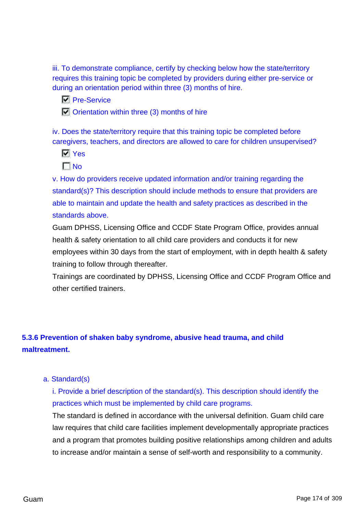iii. To demonstrate compliance, certify by checking below how the state/territory requires this training topic be completed by providers during either pre-service or during an orientation period within three (3) months of hire.

**Pre-Service** 

 $\Box$  Orientation within three (3) months of hire

iv. Does the state/territory require that this training topic be completed before caregivers, teachers, and directors are allowed to care for children unsupervised?

**Ves** 

 $\Gamma$ <sub>No</sub>

v. How do providers receive updated information and/or training regarding the standard(s)? This description should include methods to ensure that providers are able to maintain and update the health and safety practices as described in the standards above.

Guam DPHSS, Licensing Office and CCDF State Program Office, provides annual health & safety orientation to all child care providers and conducts it for new employees within 30 days from the start of employment, with in depth health & safety training to follow through thereafter.

Trainings are coordinated by DPHSS, Licensing Office and CCDF Program Office and other certified trainers.

# **5.3.6 Prevention of shaken baby syndrome, abusive head trauma, and child maltreatment.**

## a. Standard(s)

i. Provide a brief description of the standard(s). This description should identify the practices which must be implemented by child care programs.

The standard is defined in accordance with the universal definition. Guam child care law requires that child care facilities implement developmentally appropriate practices and a program that promotes building positive relationships among children and adults to increase and/or maintain a sense of self-worth and responsibility to a community.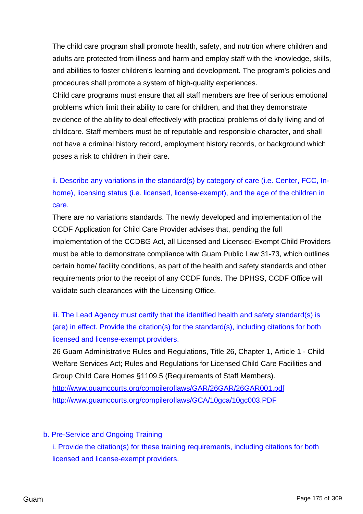The child care program shall promote health, safety, and nutrition where children and adults are protected from illness and harm and employ staff with the knowledge, skills, and abilities to foster children's learning and development. The program's policies and procedures shall promote a system of high-quality experiences.

Child care programs must ensure that all staff members are free of serious emotional problems which limit their ability to care for children, and that they demonstrate evidence of the ability to deal effectively with practical problems of daily living and of childcare. Staff members must be of reputable and responsible character, and shall not have a criminal history record, employment history records, or background which poses a risk to children in their care.

ii. Describe any variations in the standard(s) by category of care (i.e. Center, FCC, Inhome), licensing status (i.e. licensed, license-exempt), and the age of the children in care.

There are no variations standards. The newly developed and implementation of the CCDF Application for Child Care Provider advises that, pending the full implementation of the CCDBG Act, all Licensed and Licensed-Exempt Child Providers must be able to demonstrate compliance with Guam Public Law 31-73, which outlines certain home/ facility conditions, as part of the health and safety standards and other requirements prior to the receipt of any CCDF funds. The DPHSS, CCDF Office will validate such clearances with the Licensing Office.

iii. The Lead Agency must certify that the identified health and safety standard(s) is (are) in effect. Provide the citation(s) for the standard(s), including citations for both licensed and license-exempt providers.

26 Guam Administrative Rules and Regulations, Title 26, Chapter 1, Article 1 - Child Welfare Services Act; Rules and Regulations for Licensed Child Care Facilities and Group Child Care Homes §1109.5 (Requirements of Staff Members).

<http://www.guamcourts.org/compileroflaws/GAR/26GAR/26GAR001.pdf> <http://www.guamcourts.org/compileroflaws/GCA/10gca/10gc003.PDF>

b. Pre-Service and Ongoing Training

i. Provide the citation(s) for these training requirements, including citations for both licensed and license-exempt providers.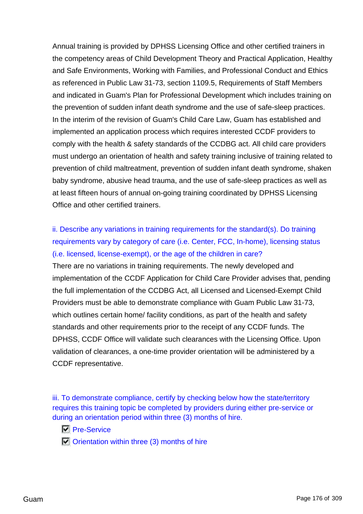Annual training is provided by DPHSS Licensing Office and other certified trainers in the competency areas of Child Development Theory and Practical Application, Healthy and Safe Environments, Working with Families, and Professional Conduct and Ethics as referenced in Public Law 31-73, section 1109.5, Requirements of Staff Members and indicated in Guam's Plan for Professional Development which includes training on the prevention of sudden infant death syndrome and the use of safe-sleep practices. In the interim of the revision of Guam's Child Care Law, Guam has established and implemented an application process which requires interested CCDF providers to comply with the health & safety standards of the CCDBG act. All child care providers must undergo an orientation of health and safety training inclusive of training related to prevention of child maltreatment, prevention of sudden infant death syndrome, shaken baby syndrome, abusive head trauma, and the use of safe-sleep practices as well as at least fifteen hours of annual on-going training coordinated by DPHSS Licensing Office and other certified trainers.

ii. Describe any variations in training requirements for the standard(s). Do training requirements vary by category of care (i.e. Center, FCC, In-home), licensing status (i.e. licensed, license-exempt), or the age of the children in care?

There are no variations in training requirements. The newly developed and implementation of the CCDF Application for Child Care Provider advises that, pending the full implementation of the CCDBG Act, all Licensed and Licensed-Exempt Child Providers must be able to demonstrate compliance with Guam Public Law 31-73, which outlines certain home/ facility conditions, as part of the health and safety standards and other requirements prior to the receipt of any CCDF funds. The DPHSS, CCDF Office will validate such clearances with the Licensing Office. Upon validation of clearances, a one-time provider orientation will be administered by a CCDF representative.

iii. To demonstrate compliance, certify by checking below how the state/territory requires this training topic be completed by providers during either pre-service or during an orientation period within three (3) months of hire.

**Pre-Service** 

 $\Box$  Orientation within three (3) months of hire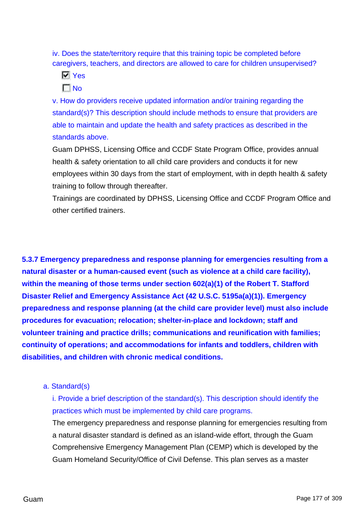iv. Does the state/territory require that this training topic be completed before caregivers, teachers, and directors are allowed to care for children unsupervised?

**N** Yes  $\Gamma$ No

v. How do providers receive updated information and/or training regarding the standard(s)? This description should include methods to ensure that providers are able to maintain and update the health and safety practices as described in the standards above.

Guam DPHSS, Licensing Office and CCDF State Program Office, provides annual health & safety orientation to all child care providers and conducts it for new employees within 30 days from the start of employment, with in depth health & safety training to follow through thereafter.

Trainings are coordinated by DPHSS, Licensing Office and CCDF Program Office and other certified trainers.

**5.3.7 Emergency preparedness and response planning for emergencies resulting from a natural disaster or a human-caused event (such as violence at a child care facility), within the meaning of those terms under section 602(a)(1) of the Robert T. Stafford Disaster Relief and Emergency Assistance Act (42 U.S.C. 5195a(a)(1)). Emergency preparedness and response planning (at the child care provider level) must also include procedures for evacuation; relocation; shelter-in-place and lockdown; staff and volunteer training and practice drills; communications and reunification with families; continuity of operations; and accommodations for infants and toddlers, children with disabilities, and children with chronic medical conditions.**

a. Standard(s)

i. Provide a brief description of the standard(s). This description should identify the practices which must be implemented by child care programs.

The emergency preparedness and response planning for emergencies resulting from a natural disaster standard is defined as an island-wide effort, through the Guam Comprehensive Emergency Management Plan (CEMP) which is developed by the Guam Homeland Security/Office of Civil Defense. This plan serves as a master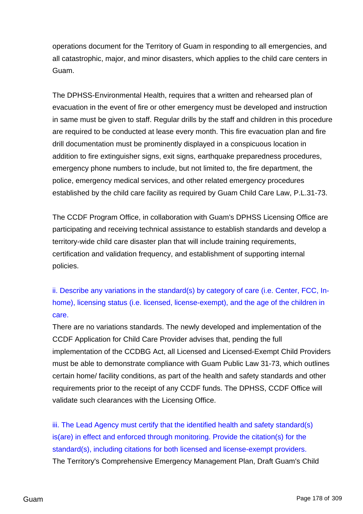operations document for the Territory of Guam in responding to all emergencies, and all catastrophic, major, and minor disasters, which applies to the child care centers in Guam.

The DPHSS-Environmental Health, requires that a written and rehearsed plan of evacuation in the event of fire or other emergency must be developed and instruction in same must be given to staff. Regular drills by the staff and children in this procedure are required to be conducted at lease every month. This fire evacuation plan and fire drill documentation must be prominently displayed in a conspicuous location in addition to fire extinguisher signs, exit signs, earthquake preparedness procedures, emergency phone numbers to include, but not limited to, the fire department, the police, emergency medical services, and other related emergency procedures established by the child care facility as required by Guam Child Care Law, P.L.31-73.

The CCDF Program Office, in collaboration with Guam's DPHSS Licensing Office are participating and receiving technical assistance to establish standards and develop a territory-wide child care disaster plan that will include training requirements, certification and validation frequency, and establishment of supporting internal policies.

ii. Describe any variations in the standard(s) by category of care (i.e. Center, FCC, Inhome), licensing status (i.e. licensed, license-exempt), and the age of the children in care.

There are no variations standards. The newly developed and implementation of the CCDF Application for Child Care Provider advises that, pending the full implementation of the CCDBG Act, all Licensed and Licensed-Exempt Child Providers must be able to demonstrate compliance with Guam Public Law 31-73, which outlines certain home/ facility conditions, as part of the health and safety standards and other requirements prior to the receipt of any CCDF funds. The DPHSS, CCDF Office will validate such clearances with the Licensing Office.

iii. The Lead Agency must certify that the identified health and safety standard(s) is(are) in effect and enforced through monitoring. Provide the citation(s) for the standard(s), including citations for both licensed and license-exempt providers. The Territory's Comprehensive Emergency Management Plan, Draft Guam's Child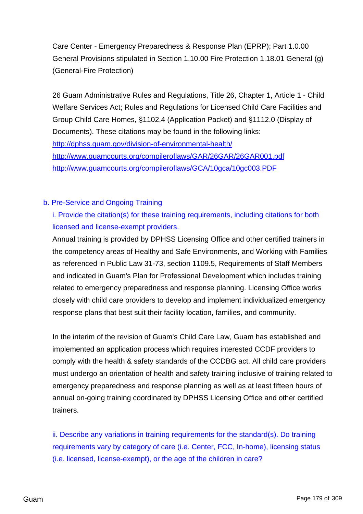Care Center - Emergency Preparedness & Response Plan (EPRP); Part 1.0.00 General Provisions stipulated in Section 1.10.00 Fire Protection 1.18.01 General (g) (General-Fire Protection)

26 Guam Administrative Rules and Regulations, Title 26, Chapter 1, Article 1 - Child Welfare Services Act; Rules and Regulations for Licensed Child Care Facilities and Group Child Care Homes, §1102.4 (Application Packet) and §1112.0 (Display of Documents). These citations may be found in the following links: <http://dphss.guam.gov/division-of-environmental-health/> <http://www.guamcourts.org/compileroflaws/GAR/26GAR/26GAR001.pdf> <http://www.guamcourts.org/compileroflaws/GCA/10gca/10gc003.PDF>

## b. Pre-Service and Ongoing Training

i. Provide the citation(s) for these training requirements, including citations for both licensed and license-exempt providers.

Annual training is provided by DPHSS Licensing Office and other certified trainers in the competency areas of Healthy and Safe Environments, and Working with Families as referenced in Public Law 31-73, section 1109.5, Requirements of Staff Members and indicated in Guam's Plan for Professional Development which includes training related to emergency preparedness and response planning. Licensing Office works closely with child care providers to develop and implement individualized emergency response plans that best suit their facility location, families, and community.

In the interim of the revision of Guam's Child Care Law, Guam has established and implemented an application process which requires interested CCDF providers to comply with the health & safety standards of the CCDBG act. All child care providers must undergo an orientation of health and safety training inclusive of training related to emergency preparedness and response planning as well as at least fifteen hours of annual on-going training coordinated by DPHSS Licensing Office and other certified trainers.

ii. Describe any variations in training requirements for the standard(s). Do training requirements vary by category of care (i.e. Center, FCC, In-home), licensing status (i.e. licensed, license-exempt), or the age of the children in care?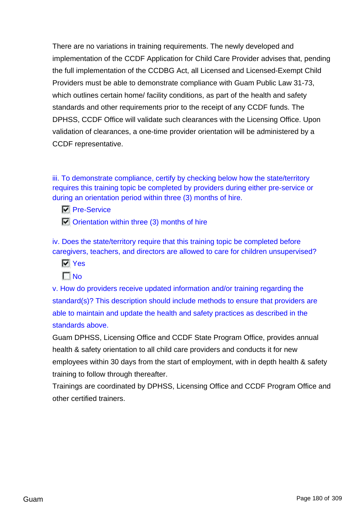There are no variations in training requirements. The newly developed and implementation of the CCDF Application for Child Care Provider advises that, pending the full implementation of the CCDBG Act, all Licensed and Licensed-Exempt Child Providers must be able to demonstrate compliance with Guam Public Law 31-73, which outlines certain home/ facility conditions, as part of the health and safety standards and other requirements prior to the receipt of any CCDF funds. The DPHSS, CCDF Office will validate such clearances with the Licensing Office. Upon validation of clearances, a one-time provider orientation will be administered by a CCDF representative.

iii. To demonstrate compliance, certify by checking below how the state/territory requires this training topic be completed by providers during either pre-service or during an orientation period within three (3) months of hire.

- **Pre-Service**
- $\Box$  Orientation within three (3) months of hire

iv. Does the state/territory require that this training topic be completed before caregivers, teachers, and directors are allowed to care for children unsupervised?

- **N** Yes
- $\Gamma$  No

v. How do providers receive updated information and/or training regarding the standard(s)? This description should include methods to ensure that providers are able to maintain and update the health and safety practices as described in the standards above.

Guam DPHSS, Licensing Office and CCDF State Program Office, provides annual health & safety orientation to all child care providers and conducts it for new employees within 30 days from the start of employment, with in depth health & safety training to follow through thereafter.

Trainings are coordinated by DPHSS, Licensing Office and CCDF Program Office and other certified trainers.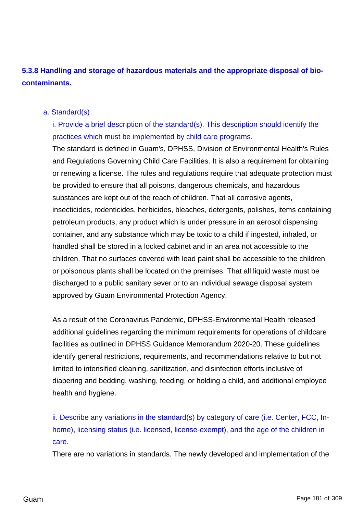# **5.3.8 Handling and storage of hazardous materials and the appropriate disposal of biocontaminants.**

#### a. Standard(s)

i. Provide a brief description of the standard(s). This description should identify the practices which must be implemented by child care programs.

The standard is defined in Guam's, DPHSS, Division of Environmental Health's Rules and Regulations Governing Child Care Facilities. It is also a requirement for obtaining or renewing a license. The rules and regulations require that adequate protection must be provided to ensure that all poisons, dangerous chemicals, and hazardous substances are kept out of the reach of children. That all corrosive agents, insecticides, rodenticides, herbicides, bleaches, detergents, polishes, items containing petroleum products, any product which is under pressure in an aerosol dispensing container, and any substance which may be toxic to a child if ingested, inhaled, or handled shall be stored in a locked cabinet and in an area not accessible to the children. That no surfaces covered with lead paint shall be accessible to the children or poisonous plants shall be located on the premises. That all liquid waste must be discharged to a public sanitary sever or to an individual sewage disposal system approved by Guam Environmental Protection Agency.

As a result of the Coronavirus Pandemic, DPHSS-Environmental Health released additional guidelines regarding the minimum requirements for operations of childcare facilities as outlined in DPHSS Guidance Memorandum 2020-20. These guidelines identify general restrictions, requirements, and recommendations relative to but not limited to intensified cleaning, sanitization, and disinfection efforts inclusive of diapering and bedding, washing, feeding, or holding a child, and additional employee health and hygiene.

ii. Describe any variations in the standard(s) by category of care (i.e. Center, FCC, Inhome), licensing status (i.e. licensed, license-exempt), and the age of the children in care.

There are no variations in standards. The newly developed and implementation of the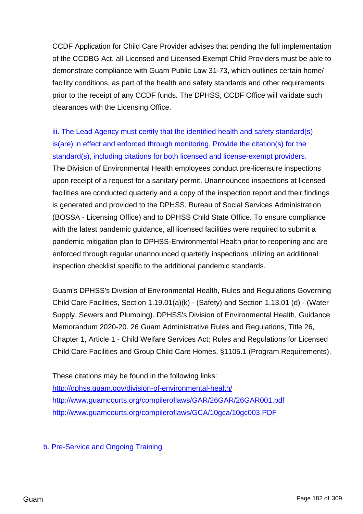CCDF Application for Child Care Provider advises that pending the full implementation of the CCDBG Act, all Licensed and Licensed-Exempt Child Providers must be able to demonstrate compliance with Guam Public Law 31-73, which outlines certain home/ facility conditions, as part of the health and safety standards and other requirements prior to the receipt of any CCDF funds. The DPHSS, CCDF Office will validate such clearances with the Licensing Office.

iii. The Lead Agency must certify that the identified health and safety standard(s) is(are) in effect and enforced through monitoring. Provide the citation(s) for the standard(s), including citations for both licensed and license-exempt providers. The Division of Environmental Health employees conduct pre-licensure inspections upon receipt of a request for a sanitary permit. Unannounced inspections at licensed facilities are conducted quarterly and a copy of the inspection report and their findings is generated and provided to the DPHSS, Bureau of Social Services Administration (BOSSA - Licensing Office) and to DPHSS Child State Office. To ensure compliance with the latest pandemic guidance, all licensed facilities were required to submit a pandemic mitigation plan to DPHSS-Environmental Health prior to reopening and are enforced through regular unannounced quarterly inspections utilizing an additional inspection checklist specific to the additional pandemic standards.

Guam's DPHSS's Division of Environmental Health, Rules and Regulations Governing Child Care Facilities, Section 1.19.01(a)(k) - (Safety) and Section 1.13.01 (d) - (Water Supply, Sewers and Plumbing). DPHSS's Division of Environmental Health, Guidance Memorandum 2020-20. 26 Guam Administrative Rules and Regulations, Title 26, Chapter 1, Article 1 - Child Welfare Services Act; Rules and Regulations for Licensed Child Care Facilities and Group Child Care Homes, §1105.1 (Program Requirements).

These citations may be found in the following links: <http://dphss.guam.gov/division-of-environmental-health/> <http://www.guamcourts.org/compileroflaws/GAR/26GAR/26GAR001.pdf> <http://www.guamcourts.org/compileroflaws/GCA/10gca/10gc003.PDF>

b. Pre-Service and Ongoing Training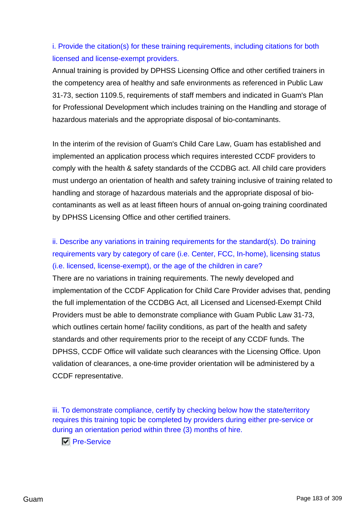# i. Provide the citation(s) for these training requirements, including citations for both licensed and license-exempt providers.

Annual training is provided by DPHSS Licensing Office and other certified trainers in the competency area of healthy and safe environments as referenced in Public Law 31-73, section 1109.5, requirements of staff members and indicated in Guam's Plan for Professional Development which includes training on the Handling and storage of hazardous materials and the appropriate disposal of bio-contaminants.

In the interim of the revision of Guam's Child Care Law, Guam has established and implemented an application process which requires interested CCDF providers to comply with the health & safety standards of the CCDBG act. All child care providers must undergo an orientation of health and safety training inclusive of training related to handling and storage of hazardous materials and the appropriate disposal of biocontaminants as well as at least fifteen hours of annual on-going training coordinated by DPHSS Licensing Office and other certified trainers.

# ii. Describe any variations in training requirements for the standard(s). Do training requirements vary by category of care (i.e. Center, FCC, In-home), licensing status (i.e. licensed, license-exempt), or the age of the children in care?

There are no variations in training requirements. The newly developed and implementation of the CCDF Application for Child Care Provider advises that, pending the full implementation of the CCDBG Act, all Licensed and Licensed-Exempt Child Providers must be able to demonstrate compliance with Guam Public Law 31-73, which outlines certain home/ facility conditions, as part of the health and safety standards and other requirements prior to the receipt of any CCDF funds. The DPHSS, CCDF Office will validate such clearances with the Licensing Office. Upon validation of clearances, a one-time provider orientation will be administered by a CCDF representative.

iii. To demonstrate compliance, certify by checking below how the state/territory requires this training topic be completed by providers during either pre-service or during an orientation period within three (3) months of hire.

**Pre-Service**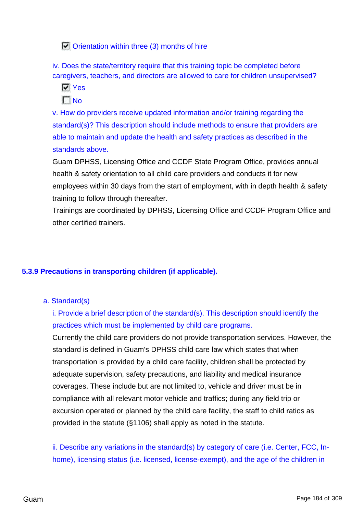$\Box$  Orientation within three (3) months of hire

iv. Does the state/territory require that this training topic be completed before caregivers, teachers, and directors are allowed to care for children unsupervised?

**Ves** 

 $\Gamma$ No

v. How do providers receive updated information and/or training regarding the standard(s)? This description should include methods to ensure that providers are able to maintain and update the health and safety practices as described in the standards above.

Guam DPHSS, Licensing Office and CCDF State Program Office, provides annual health & safety orientation to all child care providers and conducts it for new employees within 30 days from the start of employment, with in depth health & safety training to follow through thereafter.

Trainings are coordinated by DPHSS, Licensing Office and CCDF Program Office and other certified trainers.

### **5.3.9 Precautions in transporting children (if applicable).**

a. Standard(s)

i. Provide a brief description of the standard(s). This description should identify the practices which must be implemented by child care programs.

Currently the child care providers do not provide transportation services. However, the standard is defined in Guam's DPHSS child care law which states that when transportation is provided by a child care facility, children shall be protected by adequate supervision, safety precautions, and liability and medical insurance coverages. These include but are not limited to, vehicle and driver must be in compliance with all relevant motor vehicle and traffics; during any field trip or excursion operated or planned by the child care facility, the staff to child ratios as provided in the statute (§1106) shall apply as noted in the statute.

ii. Describe any variations in the standard(s) by category of care (i.e. Center, FCC, Inhome), licensing status (i.e. licensed, license-exempt), and the age of the children in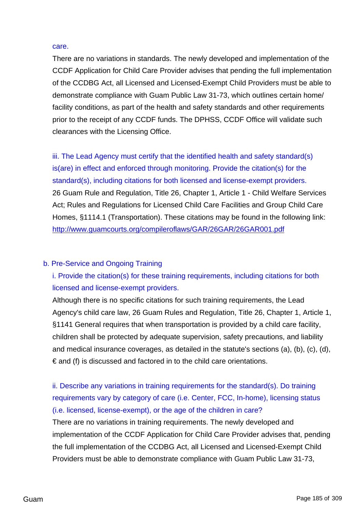#### care.

There are no variations in standards. The newly developed and implementation of the CCDF Application for Child Care Provider advises that pending the full implementation of the CCDBG Act, all Licensed and Licensed-Exempt Child Providers must be able to demonstrate compliance with Guam Public Law 31-73, which outlines certain home/ facility conditions, as part of the health and safety standards and other requirements prior to the receipt of any CCDF funds. The DPHSS, CCDF Office will validate such clearances with the Licensing Office.

iii. The Lead Agency must certify that the identified health and safety standard(s) is(are) in effect and enforced through monitoring. Provide the citation(s) for the standard(s), including citations for both licensed and license-exempt providers. 26 Guam Rule and Regulation, Title 26, Chapter 1, Article 1 - Child Welfare Services Act; Rules and Regulations for Licensed Child Care Facilities and Group Child Care Homes, §1114.1 (Transportation). These citations may be found in the following link: <http://www.guamcourts.org/compileroflaws/GAR/26GAR/26GAR001.pdf>

### b. Pre-Service and Ongoing Training

i. Provide the citation(s) for these training requirements, including citations for both licensed and license-exempt providers.

Although there is no specific citations for such training requirements, the Lead Agency's child care law, 26 Guam Rules and Regulation, Title 26, Chapter 1, Article 1, §1141 General requires that when transportation is provided by a child care facility, children shall be protected by adequate supervision, safety precautions, and liability and medical insurance coverages, as detailed in the statute's sections (a), (b), (c), (d),  $\epsilon$  and (f) is discussed and factored in to the child care orientations.

ii. Describe any variations in training requirements for the standard(s). Do training requirements vary by category of care (i.e. Center, FCC, In-home), licensing status (i.e. licensed, license-exempt), or the age of the children in care?

There are no variations in training requirements. The newly developed and implementation of the CCDF Application for Child Care Provider advises that, pending the full implementation of the CCDBG Act, all Licensed and Licensed-Exempt Child Providers must be able to demonstrate compliance with Guam Public Law 31-73,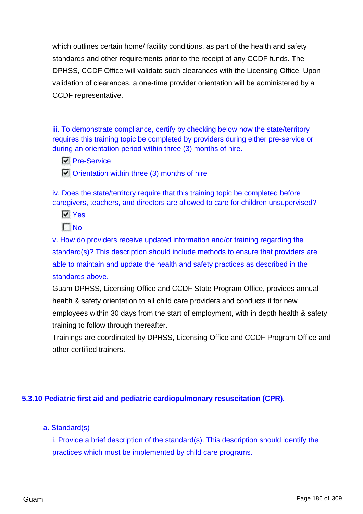which outlines certain home/ facility conditions, as part of the health and safety standards and other requirements prior to the receipt of any CCDF funds. The DPHSS, CCDF Office will validate such clearances with the Licensing Office. Upon validation of clearances, a one-time provider orientation will be administered by a CCDF representative.

iii. To demonstrate compliance, certify by checking below how the state/territory requires this training topic be completed by providers during either pre-service or during an orientation period within three (3) months of hire.

- **N** Pre-Service
- $\Box$  Orientation within three (3) months of hire

iv. Does the state/territory require that this training topic be completed before caregivers, teachers, and directors are allowed to care for children unsupervised?

**N** Yes

 $\Gamma$ No

v. How do providers receive updated information and/or training regarding the standard(s)? This description should include methods to ensure that providers are able to maintain and update the health and safety practices as described in the standards above.

Guam DPHSS, Licensing Office and CCDF State Program Office, provides annual health & safety orientation to all child care providers and conducts it for new employees within 30 days from the start of employment, with in depth health & safety training to follow through thereafter.

Trainings are coordinated by DPHSS, Licensing Office and CCDF Program Office and other certified trainers.

### **5.3.10 Pediatric first aid and pediatric cardiopulmonary resuscitation (CPR).**

a. Standard(s)

i. Provide a brief description of the standard(s). This description should identify the practices which must be implemented by child care programs.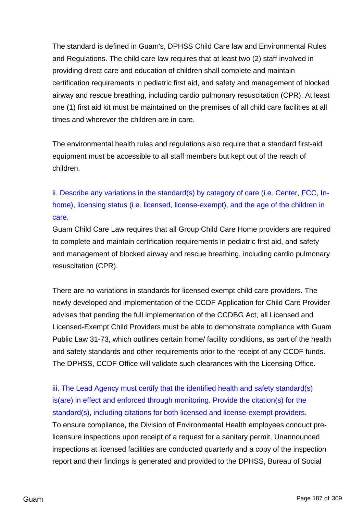The standard is defined in Guam's, DPHSS Child Care law and Environmental Rules and Regulations. The child care law requires that at least two (2) staff involved in providing direct care and education of children shall complete and maintain certification requirements in pediatric first aid, and safety and management of blocked airway and rescue breathing, including cardio pulmonary resuscitation (CPR). At least one (1) first aid kit must be maintained on the premises of all child care facilities at all times and wherever the children are in care.

The environmental health rules and regulations also require that a standard first-aid equipment must be accessible to all staff members but kept out of the reach of children.

ii. Describe any variations in the standard(s) by category of care (i.e. Center, FCC, Inhome), licensing status (i.e. licensed, license-exempt), and the age of the children in care.

Guam Child Care Law requires that all Group Child Care Home providers are required to complete and maintain certification requirements in pediatric first aid, and safety and management of blocked airway and rescue breathing, including cardio pulmonary resuscitation (CPR).

There are no variations in standards for licensed exempt child care providers. The newly developed and implementation of the CCDF Application for Child Care Provider advises that pending the full implementation of the CCDBG Act, all Licensed and Licensed-Exempt Child Providers must be able to demonstrate compliance with Guam Public Law 31-73, which outlines certain home/ facility conditions, as part of the health and safety standards and other requirements prior to the receipt of any CCDF funds. The DPHSS, CCDF Office will validate such clearances with the Licensing Office.

iii. The Lead Agency must certify that the identified health and safety standard(s) is(are) in effect and enforced through monitoring. Provide the citation(s) for the standard(s), including citations for both licensed and license-exempt providers. To ensure compliance, the Division of Environmental Health employees conduct prelicensure inspections upon receipt of a request for a sanitary permit. Unannounced inspections at licensed facilities are conducted quarterly and a copy of the inspection report and their findings is generated and provided to the DPHSS, Bureau of Social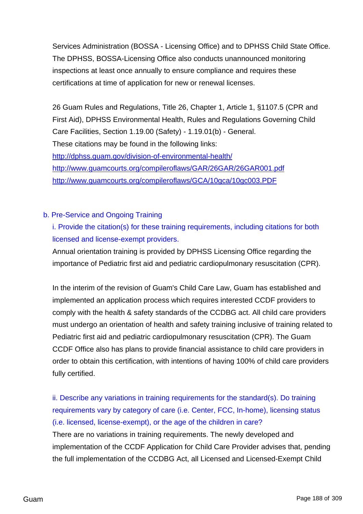Services Administration (BOSSA - Licensing Office) and to DPHSS Child State Office. The DPHSS, BOSSA-Licensing Office also conducts unannounced monitoring inspections at least once annually to ensure compliance and requires these certifications at time of application for new or renewal licenses.

26 Guam Rules and Regulations, Title 26, Chapter 1, Article 1, §1107.5 (CPR and First Aid), DPHSS Environmental Health, Rules and Regulations Governing Child Care Facilities, Section 1.19.00 (Safety) - 1.19.01(b) - General. These citations may be found in the following links: <http://dphss.guam.gov/division-of-environmental-health/> <http://www.guamcourts.org/compileroflaws/GAR/26GAR/26GAR001.pdf> <http://www.guamcourts.org/compileroflaws/GCA/10gca/10gc003.PDF>

### b. Pre-Service and Ongoing Training

i. Provide the citation(s) for these training requirements, including citations for both licensed and license-exempt providers.

Annual orientation training is provided by DPHSS Licensing Office regarding the importance of Pediatric first aid and pediatric cardiopulmonary resuscitation (CPR).

In the interim of the revision of Guam's Child Care Law, Guam has established and implemented an application process which requires interested CCDF providers to comply with the health & safety standards of the CCDBG act. All child care providers must undergo an orientation of health and safety training inclusive of training related to Pediatric first aid and pediatric cardiopulmonary resuscitation (CPR). The Guam CCDF Office also has plans to provide financial assistance to child care providers in order to obtain this certification, with intentions of having 100% of child care providers fully certified.

ii. Describe any variations in training requirements for the standard(s). Do training requirements vary by category of care (i.e. Center, FCC, In-home), licensing status (i.e. licensed, license-exempt), or the age of the children in care? There are no variations in training requirements. The newly developed and implementation of the CCDF Application for Child Care Provider advises that, pending the full implementation of the CCDBG Act, all Licensed and Licensed-Exempt Child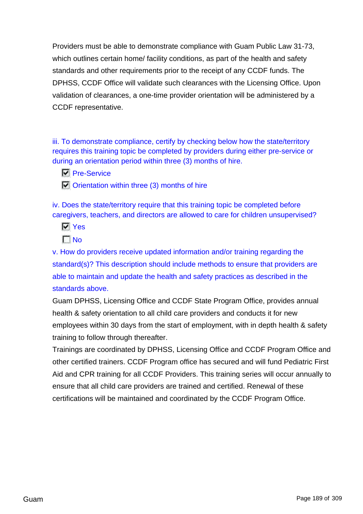Providers must be able to demonstrate compliance with Guam Public Law 31-73, which outlines certain home/ facility conditions, as part of the health and safety standards and other requirements prior to the receipt of any CCDF funds. The DPHSS, CCDF Office will validate such clearances with the Licensing Office. Upon validation of clearances, a one-time provider orientation will be administered by a CCDF representative.

iii. To demonstrate compliance, certify by checking below how the state/territory requires this training topic be completed by providers during either pre-service or during an orientation period within three (3) months of hire.

**N** Pre-Service

 $\Box$  Orientation within three (3) months of hire

iv. Does the state/territory require that this training topic be completed before caregivers, teachers, and directors are allowed to care for children unsupervised?

**N** Yes  $\Gamma$ No

v. How do providers receive updated information and/or training regarding the standard(s)? This description should include methods to ensure that providers are able to maintain and update the health and safety practices as described in the standards above.

Guam DPHSS, Licensing Office and CCDF State Program Office, provides annual health & safety orientation to all child care providers and conducts it for new employees within 30 days from the start of employment, with in depth health & safety training to follow through thereafter.

Trainings are coordinated by DPHSS, Licensing Office and CCDF Program Office and other certified trainers. CCDF Program office has secured and will fund Pediatric First Aid and CPR training for all CCDF Providers. This training series will occur annually to ensure that all child care providers are trained and certified. Renewal of these certifications will be maintained and coordinated by the CCDF Program Office.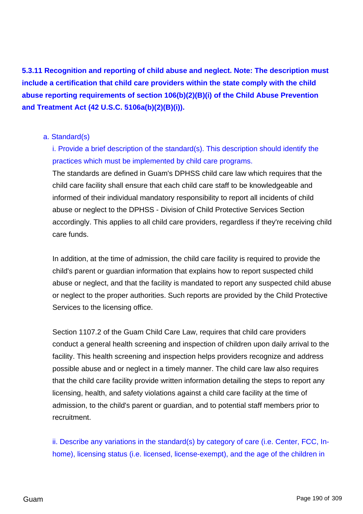**5.3.11 Recognition and reporting of child abuse and neglect. Note: The description must include a certification that child care providers within the state comply with the child abuse reporting requirements of section 106(b)(2)(B)(i) of the Child Abuse Prevention and Treatment Act (42 U.S.C. 5106a(b)(2)(B)(i)).**

### a. Standard(s)

i. Provide a brief description of the standard(s). This description should identify the practices which must be implemented by child care programs.

The standards are defined in Guam's DPHSS child care law which requires that the child care facility shall ensure that each child care staff to be knowledgeable and informed of their individual mandatory responsibility to report all incidents of child abuse or neglect to the DPHSS - Division of Child Protective Services Section accordingly. This applies to all child care providers, regardless if they're receiving child care funds.

In addition, at the time of admission, the child care facility is required to provide the child's parent or guardian information that explains how to report suspected child abuse or neglect, and that the facility is mandated to report any suspected child abuse or neglect to the proper authorities. Such reports are provided by the Child Protective Services to the licensing office.

Section 1107.2 of the Guam Child Care Law, requires that child care providers conduct a general health screening and inspection of children upon daily arrival to the facility. This health screening and inspection helps providers recognize and address possible abuse and or neglect in a timely manner. The child care law also requires that the child care facility provide written information detailing the steps to report any licensing, health, and safety violations against a child care facility at the time of admission, to the child's parent or guardian, and to potential staff members prior to recruitment.

ii. Describe any variations in the standard(s) by category of care (i.e. Center, FCC, Inhome), licensing status (i.e. licensed, license-exempt), and the age of the children in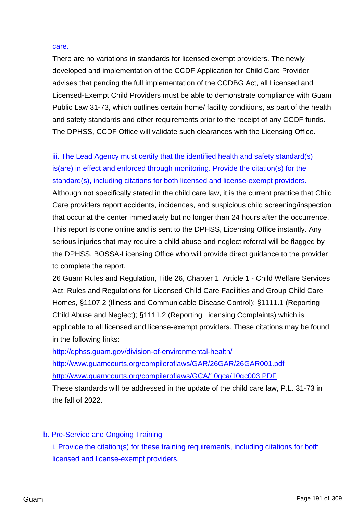#### care.

There are no variations in standards for licensed exempt providers. The newly developed and implementation of the CCDF Application for Child Care Provider advises that pending the full implementation of the CCDBG Act, all Licensed and Licensed-Exempt Child Providers must be able to demonstrate compliance with Guam Public Law 31-73, which outlines certain home/ facility conditions, as part of the health and safety standards and other requirements prior to the receipt of any CCDF funds. The DPHSS, CCDF Office will validate such clearances with the Licensing Office.

iii. The Lead Agency must certify that the identified health and safety standard(s) is(are) in effect and enforced through monitoring. Provide the citation(s) for the standard(s), including citations for both licensed and license-exempt providers. Although not specifically stated in the child care law, it is the current practice that Child Care providers report accidents, incidences, and suspicious child screening/inspection that occur at the center immediately but no longer than 24 hours after the occurrence. This report is done online and is sent to the DPHSS, Licensing Office instantly. Any serious injuries that may require a child abuse and neglect referral will be flagged by the DPHSS, BOSSA-Licensing Office who will provide direct guidance to the provider to complete the report.

26 Guam Rules and Regulation, Title 26, Chapter 1, Article 1 - Child Welfare Services Act; Rules and Regulations for Licensed Child Care Facilities and Group Child Care Homes, §1107.2 (Illness and Communicable Disease Control); §1111.1 (Reporting Child Abuse and Neglect); §1111.2 (Reporting Licensing Complaints) which is applicable to all licensed and license-exempt providers. These citations may be found in the following links:

<http://dphss.guam.gov/division-of-environmental-health/>

<http://www.guamcourts.org/compileroflaws/GAR/26GAR/26GAR001.pdf> <http://www.guamcourts.org/compileroflaws/GCA/10gca/10gc003.PDF>

These standards will be addressed in the update of the child care law, P.L. 31-73 in the fall of 2022.

b. Pre-Service and Ongoing Training

i. Provide the citation(s) for these training requirements, including citations for both licensed and license-exempt providers.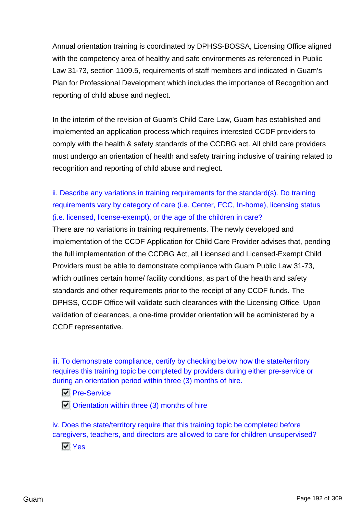Annual orientation training is coordinated by DPHSS-BOSSA, Licensing Office aligned with the competency area of healthy and safe environments as referenced in Public Law 31-73, section 1109.5, requirements of staff members and indicated in Guam's Plan for Professional Development which includes the importance of Recognition and reporting of child abuse and neglect.

In the interim of the revision of Guam's Child Care Law, Guam has established and implemented an application process which requires interested CCDF providers to comply with the health & safety standards of the CCDBG act. All child care providers must undergo an orientation of health and safety training inclusive of training related to recognition and reporting of child abuse and neglect.

ii. Describe any variations in training requirements for the standard(s). Do training requirements vary by category of care (i.e. Center, FCC, In-home), licensing status (i.e. licensed, license-exempt), or the age of the children in care?

There are no variations in training requirements. The newly developed and implementation of the CCDF Application for Child Care Provider advises that, pending the full implementation of the CCDBG Act, all Licensed and Licensed-Exempt Child Providers must be able to demonstrate compliance with Guam Public Law 31-73, which outlines certain home/ facility conditions, as part of the health and safety standards and other requirements prior to the receipt of any CCDF funds. The DPHSS, CCDF Office will validate such clearances with the Licensing Office. Upon validation of clearances, a one-time provider orientation will be administered by a CCDF representative.

iii. To demonstrate compliance, certify by checking below how the state/territory requires this training topic be completed by providers during either pre-service or during an orientation period within three (3) months of hire.

- **N** Pre-Service
- $\Box$  Orientation within three (3) months of hire

iv. Does the state/territory require that this training topic be completed before caregivers, teachers, and directors are allowed to care for children unsupervised?

**N** Yes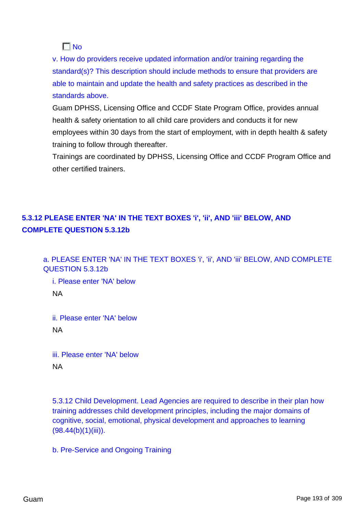$\Gamma$  No

v. How do providers receive updated information and/or training regarding the standard(s)? This description should include methods to ensure that providers are able to maintain and update the health and safety practices as described in the standards above.

Guam DPHSS, Licensing Office and CCDF State Program Office, provides annual health & safety orientation to all child care providers and conducts it for new employees within 30 days from the start of employment, with in depth health & safety training to follow through thereafter.

Trainings are coordinated by DPHSS, Licensing Office and CCDF Program Office and other certified trainers.

# **5.3.12 PLEASE ENTER 'NA' IN THE TEXT BOXES 'i', 'ii', AND 'iii' BELOW, AND COMPLETE QUESTION 5.3.12b**

a. PLEASE ENTER 'NA' IN THE TEXT BOXES 'i', 'ii', AND 'iii' BELOW, AND COMPLETE QUESTION 5.3.12b

i. Please enter 'NA' below NA

ii. Please enter 'NA' below NA

iii. Please enter 'NA' below NA

5.3.12 Child Development. Lead Agencies are required to describe in their plan how training addresses child development principles, including the major domains of cognitive, social, emotional, physical development and approaches to learning  $(98.44(b)(1)(iii))$ .

b. Pre-Service and Ongoing Training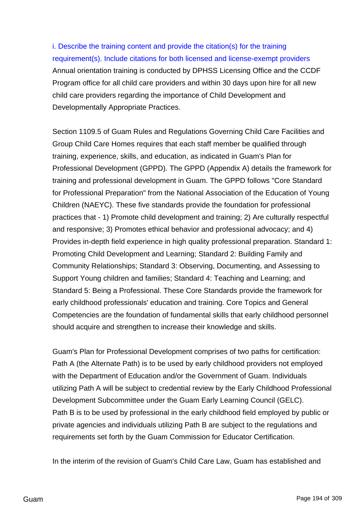i. Describe the training content and provide the citation(s) for the training requirement(s). Include citations for both licensed and license-exempt providers Annual orientation training is conducted by DPHSS Licensing Office and the CCDF Program office for all child care providers and within 30 days upon hire for all new child care providers regarding the importance of Child Development and Developmentally Appropriate Practices.

Section 1109.5 of Guam Rules and Regulations Governing Child Care Facilities and Group Child Care Homes requires that each staff member be qualified through training, experience, skills, and education, as indicated in Guam's Plan for Professional Development (GPPD). The GPPD (Appendix A) details the framework for training and professional development in Guam. The GPPD follows "Core Standard for Professional Preparation" from the National Association of the Education of Young Children (NAEYC). These five standards provide the foundation for professional practices that - 1) Promote child development and training; 2) Are culturally respectful and responsive; 3) Promotes ethical behavior and professional advocacy; and 4) Provides in-depth field experience in high quality professional preparation. Standard 1: Promoting Child Development and Learning; Standard 2: Building Family and Community Relationships; Standard 3: Observing, Documenting, and Assessing to Support Young children and families; Standard 4: Teaching and Learning; and Standard 5: Being a Professional. These Core Standards provide the framework for early childhood professionals' education and training. Core Topics and General Competencies are the foundation of fundamental skills that early childhood personnel should acquire and strengthen to increase their knowledge and skills.

Guam's Plan for Professional Development comprises of two paths for certification: Path A (the Alternate Path) is to be used by early childhood providers not employed with the Department of Education and/or the Government of Guam. Individuals utilizing Path A will be subject to credential review by the Early Childhood Professional Development Subcommittee under the Guam Early Learning Council (GELC). Path B is to be used by professional in the early childhood field employed by public or private agencies and individuals utilizing Path B are subject to the regulations and requirements set forth by the Guam Commission for Educator Certification.

In the interim of the revision of Guam's Child Care Law, Guam has established and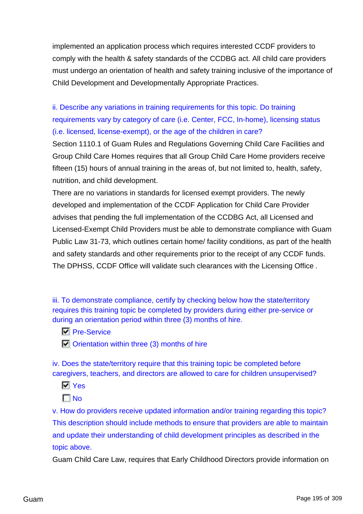implemented an application process which requires interested CCDF providers to comply with the health & safety standards of the CCDBG act. All child care providers must undergo an orientation of health and safety training inclusive of the importance of Child Development and Developmentally Appropriate Practices.

ii. Describe any variations in training requirements for this topic. Do training requirements vary by category of care (i.e. Center, FCC, In-home), licensing status (i.e. licensed, license-exempt), or the age of the children in care?

Section 1110.1 of Guam Rules and Regulations Governing Child Care Facilities and Group Child Care Homes requires that all Group Child Care Home providers receive fifteen (15) hours of annual training in the areas of, but not limited to, health, safety, nutrition, and child development.

There are no variations in standards for licensed exempt providers. The newly developed and implementation of the CCDF Application for Child Care Provider advises that pending the full implementation of the CCDBG Act, all Licensed and Licensed-Exempt Child Providers must be able to demonstrate compliance with Guam Public Law 31-73, which outlines certain home/ facility conditions, as part of the health and safety standards and other requirements prior to the receipt of any CCDF funds. The DPHSS, CCDF Office will validate such clearances with the Licensing Office .

iii. To demonstrate compliance, certify by checking below how the state/territory requires this training topic be completed by providers during either pre-service or during an orientation period within three (3) months of hire.

- **Pre-Service**
- $\overline{|\cdot|}$  Orientation within three (3) months of hire

iv. Does the state/territory require that this training topic be completed before caregivers, teachers, and directors are allowed to care for children unsupervised?

**N** Yes

 $\Gamma$ No

v. How do providers receive updated information and/or training regarding this topic? This description should include methods to ensure that providers are able to maintain and update their understanding of child development principles as described in the topic above.

Guam Child Care Law, requires that Early Childhood Directors provide information on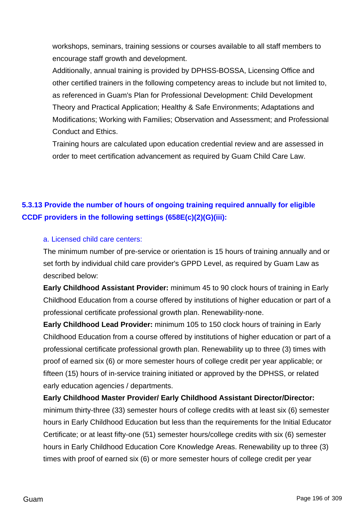workshops, seminars, training sessions or courses available to all staff members to encourage staff growth and development.

Additionally, annual training is provided by DPHSS-BOSSA, Licensing Office and other certified trainers in the following competency areas to include but not limited to, as referenced in Guam's Plan for Professional Development: Child Development Theory and Practical Application; Healthy & Safe Environments; Adaptations and Modifications; Working with Families; Observation and Assessment; and Professional Conduct and Ethics.

Training hours are calculated upon education credential review and are assessed in order to meet certification advancement as required by Guam Child Care Law.

# **5.3.13 Provide the number of hours of ongoing training required annually for eligible CCDF providers in the following settings (658E(c)(2)(G)(iii):**

### a. Licensed child care centers:

The minimum number of pre-service or orientation is 15 hours of training annually and or set forth by individual child care provider's GPPD Level, as required by Guam Law as described below:

**Early Childhood Assistant Provider:** minimum 45 to 90 clock hours of training in Early Childhood Education from a course offered by institutions of higher education or part of a professional certificate professional growth plan. Renewability-none.

**Early Childhood Lead Provider:** minimum 105 to 150 clock hours of training in Early Childhood Education from a course offered by institutions of higher education or part of a professional certificate professional growth plan. Renewability up to three (3) times with proof of earned six (6) or more semester hours of college credit per year applicable; or fifteen (15) hours of in-service training initiated or approved by the DPHSS, or related early education agencies / departments.

**Early Childhood Master Provider/ Early Childhood Assistant Director/Director:**

minimum thirty-three (33) semester hours of college credits with at least six (6) semester hours in Early Childhood Education but less than the requirements for the Initial Educator Certificate; or at least fifty-one (51) semester hours/college credits with six (6) semester hours in Early Childhood Education Core Knowledge Areas. Renewability up to three (3) times with proof of earned six (6) or more semester hours of college credit per year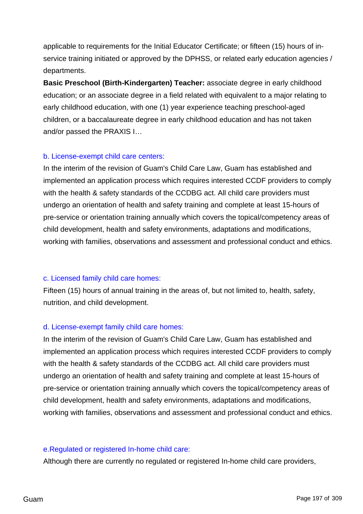applicable to requirements for the Initial Educator Certificate; or fifteen (15) hours of inservice training initiated or approved by the DPHSS, or related early education agencies / departments.

**Basic Preschool (Birth-Kindergarten) Teacher:** associate degree in early childhood education; or an associate degree in a field related with equivalent to a major relating to early childhood education, with one (1) year experience teaching preschool-aged children, or a baccalaureate degree in early childhood education and has not taken and/or passed the PRAXIS I…

### b. License-exempt child care centers:

In the interim of the revision of Guam's Child Care Law, Guam has established and implemented an application process which requires interested CCDF providers to comply with the health & safety standards of the CCDBG act. All child care providers must undergo an orientation of health and safety training and complete at least 15-hours of pre-service or orientation training annually which covers the topical/competency areas of child development, health and safety environments, adaptations and modifications, working with families, observations and assessment and professional conduct and ethics.

### c. Licensed family child care homes:

Fifteen (15) hours of annual training in the areas of, but not limited to, health, safety, nutrition, and child development.

### d. License-exempt family child care homes:

In the interim of the revision of Guam's Child Care Law, Guam has established and implemented an application process which requires interested CCDF providers to comply with the health & safety standards of the CCDBG act. All child care providers must undergo an orientation of health and safety training and complete at least 15-hours of pre-service or orientation training annually which covers the topical/competency areas of child development, health and safety environments, adaptations and modifications, working with families, observations and assessment and professional conduct and ethics.

#### e.Regulated or registered In-home child care:

Although there are currently no regulated or registered In-home child care providers,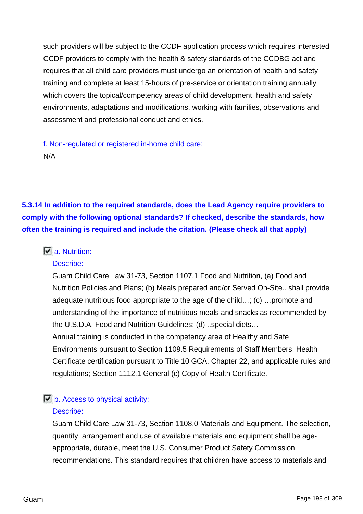such providers will be subject to the CCDF application process which requires interested CCDF providers to comply with the health & safety standards of the CCDBG act and requires that all child care providers must undergo an orientation of health and safety training and complete at least 15-hours of pre-service or orientation training annually which covers the topical/competency areas of child development, health and safety environments, adaptations and modifications, working with families, observations and assessment and professional conduct and ethics.

f. Non-regulated or registered in-home child care: N/A

**5.3.14 In addition to the required standards, does the Lead Agency require providers to comply with the following optional standards? If checked, describe the standards, how often the training is required and include the citation. (Please check all that apply)**

### **a.** Nutrition:

### Describe:

Guam Child Care Law 31-73, Section 1107.1 Food and Nutrition, (a) Food and Nutrition Policies and Plans; (b) Meals prepared and/or Served On-Site.. shall provide adequate nutritious food appropriate to the age of the child…; (c) …promote and understanding of the importance of nutritious meals and snacks as recommended by the U.S.D.A. Food and Nutrition Guidelines; (d) ..special diets… Annual training is conducted in the competency area of Healthy and Safe Environments pursuant to Section 1109.5 Requirements of Staff Members; Health Certificate certification pursuant to Title 10 GCA, Chapter 22, and applicable rules and

### regulations; Section 1112.1 General (c) Copy of Health Certificate.

### $\overline{b}$  b. Access to physical activity:

### Describe:

Guam Child Care Law 31-73, Section 1108.0 Materials and Equipment. The selection, quantity, arrangement and use of available materials and equipment shall be ageappropriate, durable, meet the U.S. Consumer Product Safety Commission recommendations. This standard requires that children have access to materials and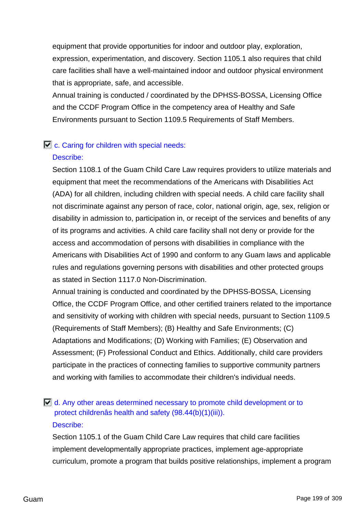equipment that provide opportunities for indoor and outdoor play, exploration, expression, experimentation, and discovery. Section 1105.1 also requires that child care facilities shall have a well-maintained indoor and outdoor physical environment that is appropriate, safe, and accessible.

Annual training is conducted / coordinated by the DPHSS-BOSSA, Licensing Office and the CCDF Program Office in the competency area of Healthy and Safe Environments pursuant to Section 1109.5 Requirements of Staff Members.

### $\Box$  c. Caring for children with special needs:

### Describe:

Section 1108.1 of the Guam Child Care Law requires providers to utilize materials and equipment that meet the recommendations of the Americans with Disabilities Act (ADA) for all children, including children with special needs. A child care facility shall not discriminate against any person of race, color, national origin, age, sex, religion or disability in admission to, participation in, or receipt of the services and benefits of any of its programs and activities. A child care facility shall not deny or provide for the access and accommodation of persons with disabilities in compliance with the Americans with Disabilities Act of 1990 and conform to any Guam laws and applicable rules and regulations governing persons with disabilities and other protected groups as stated in Section 1117.0 Non-Discrimination.

Annual training is conducted and coordinated by the DPHSS-BOSSA, Licensing Office, the CCDF Program Office, and other certified trainers related to the importance and sensitivity of working with children with special needs, pursuant to Section 1109.5 (Requirements of Staff Members); (B) Healthy and Safe Environments; (C) Adaptations and Modifications; (D) Working with Families; (E) Observation and Assessment; (F) Professional Conduct and Ethics. Additionally, child care providers participate in the practices of connecting families to supportive community partners and working with families to accommodate their children's individual needs.

### $\Box$  d. Any other areas determined necessary to promote child development or to protect childrenâs health and safety (98.44(b)(1)(iii)). Describe:

Section 1105.1 of the Guam Child Care Law requires that child care facilities implement developmentally appropriate practices, implement age-appropriate curriculum, promote a program that builds positive relationships, implement a program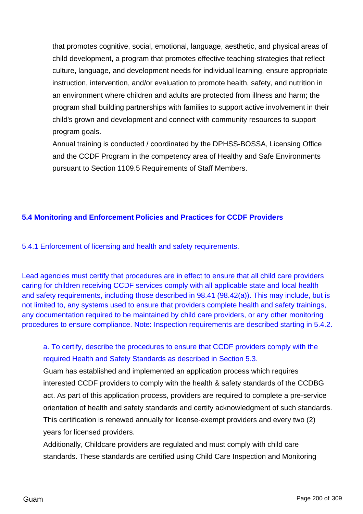that promotes cognitive, social, emotional, language, aesthetic, and physical areas of child development, a program that promotes effective teaching strategies that reflect culture, language, and development needs for individual learning, ensure appropriate instruction, intervention, and/or evaluation to promote health, safety, and nutrition in an environment where children and adults are protected from illness and harm; the program shall building partnerships with families to support active involvement in their child's grown and development and connect with community resources to support program goals.

Annual training is conducted / coordinated by the DPHSS-BOSSA, Licensing Office and the CCDF Program in the competency area of Healthy and Safe Environments pursuant to Section 1109.5 Requirements of Staff Members.

### **5.4 Monitoring and Enforcement Policies and Practices for CCDF Providers**

5.4.1 Enforcement of licensing and health and safety requirements.

Lead agencies must certify that procedures are in effect to ensure that all child care providers caring for children receiving CCDF services comply with all applicable state and local health and safety requirements, including those described in 98.41 (98.42(a)). This may include, but is not limited to, any systems used to ensure that providers complete health and safety trainings, any documentation required to be maintained by child care providers, or any other monitoring procedures to ensure compliance. Note: Inspection requirements are described starting in 5.4.2.

# a. To certify, describe the procedures to ensure that CCDF providers comply with the required Health and Safety Standards as described in Section 5.3.

Guam has established and implemented an application process which requires interested CCDF providers to comply with the health & safety standards of the CCDBG act. As part of this application process, providers are required to complete a pre-service orientation of health and safety standards and certify acknowledgment of such standards. This certification is renewed annually for license-exempt providers and every two (2) years for licensed providers.

Additionally, Childcare providers are regulated and must comply with child care standards. These standards are certified using Child Care Inspection and Monitoring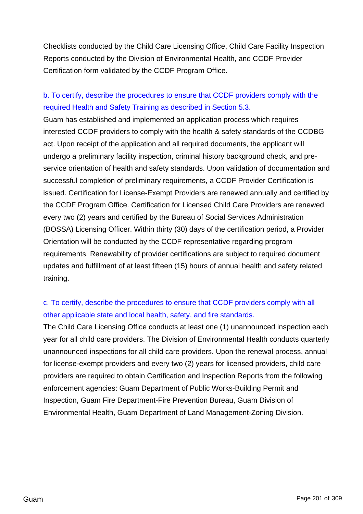Checklists conducted by the Child Care Licensing Office, Child Care Facility Inspection Reports conducted by the Division of Environmental Health, and CCDF Provider Certification form validated by the CCDF Program Office.

# b. To certify, describe the procedures to ensure that CCDF providers comply with the required Health and Safety Training as described in Section 5.3.

Guam has established and implemented an application process which requires interested CCDF providers to comply with the health & safety standards of the CCDBG act. Upon receipt of the application and all required documents, the applicant will undergo a preliminary facility inspection, criminal history background check, and preservice orientation of health and safety standards. Upon validation of documentation and successful completion of preliminary requirements, a CCDF Provider Certification is issued. Certification for License-Exempt Providers are renewed annually and certified by the CCDF Program Office. Certification for Licensed Child Care Providers are renewed every two (2) years and certified by the Bureau of Social Services Administration (BOSSA) Licensing Officer. Within thirty (30) days of the certification period, a Provider Orientation will be conducted by the CCDF representative regarding program requirements. Renewability of provider certifications are subject to required document updates and fulfillment of at least fifteen (15) hours of annual health and safety related training.

# c. To certify, describe the procedures to ensure that CCDF providers comply with all other applicable state and local health, safety, and fire standards.

The Child Care Licensing Office conducts at least one (1) unannounced inspection each year for all child care providers. The Division of Environmental Health conducts quarterly unannounced inspections for all child care providers. Upon the renewal process, annual for license-exempt providers and every two (2) years for licensed providers, child care providers are required to obtain Certification and Inspection Reports from the following enforcement agencies: Guam Department of Public Works-Building Permit and Inspection, Guam Fire Department-Fire Prevention Bureau, Guam Division of Environmental Health, Guam Department of Land Management-Zoning Division.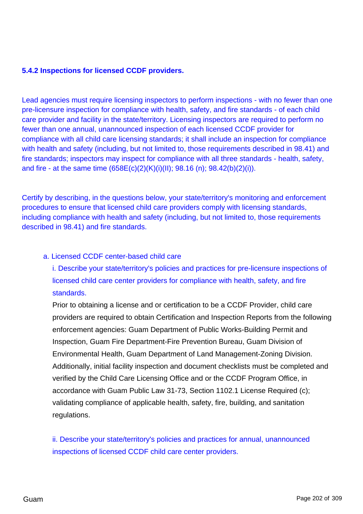### **5.4.2 Inspections for licensed CCDF providers.**

Lead agencies must require licensing inspectors to perform inspections - with no fewer than one pre-licensure inspection for compliance with health, safety, and fire standards - of each child care provider and facility in the state/territory. Licensing inspectors are required to perform no fewer than one annual, unannounced inspection of each licensed CCDF provider for compliance with all child care licensing standards; it shall include an inspection for compliance with health and safety (including, but not limited to, those requirements described in 98.41) and fire standards; inspectors may inspect for compliance with all three standards - health, safety, and fire - at the same time (658E(c)(2)(K)(i)(II); 98.16 (n); 98.42(b)(2)(i)).

Certify by describing, in the questions below, your state/territory's monitoring and enforcement procedures to ensure that licensed child care providers comply with licensing standards, including compliance with health and safety (including, but not limited to, those requirements described in 98.41) and fire standards.

#### a. Licensed CCDF center-based child care

i. Describe your state/territory's policies and practices for pre-licensure inspections of licensed child care center providers for compliance with health, safety, and fire standards.

Prior to obtaining a license and or certification to be a CCDF Provider, child care providers are required to obtain Certification and Inspection Reports from the following enforcement agencies: Guam Department of Public Works-Building Permit and Inspection, Guam Fire Department-Fire Prevention Bureau, Guam Division of Environmental Health, Guam Department of Land Management-Zoning Division. Additionally, initial facility inspection and document checklists must be completed and verified by the Child Care Licensing Office and or the CCDF Program Office, in accordance with Guam Public Law 31-73, Section 1102.1 License Required (c); validating compliance of applicable health, safety, fire, building, and sanitation regulations.

ii. Describe your state/territory's policies and practices for annual, unannounced inspections of licensed CCDF child care center providers.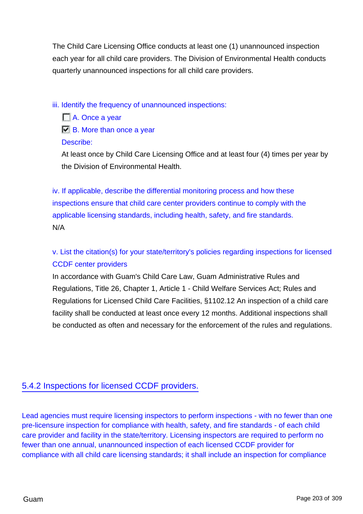The Child Care Licensing Office conducts at least one (1) unannounced inspection each year for all child care providers. The Division of Environmental Health conducts quarterly unannounced inspections for all child care providers.

iii. Identify the frequency of unannounced inspections:

■ A. Once a year **B.** More than once a year Describe:

At least once by Child Care Licensing Office and at least four (4) times per year by the Division of Environmental Health.

iv. If applicable, describe the differential monitoring process and how these inspections ensure that child care center providers continue to comply with the applicable licensing standards, including health, safety, and fire standards. N/A

v. List the citation(s) for your state/territory's policies regarding inspections for licensed CCDF center providers

In accordance with Guam's Child Care Law, Guam Administrative Rules and Regulations, Title 26, Chapter 1, Article 1 - Child Welfare Services Act; Rules and Regulations for Licensed Child Care Facilities, §1102.12 An inspection of a child care facility shall be conducted at least once every 12 months. Additional inspections shall be conducted as often and necessary for the enforcement of the rules and regulations.

# 5.4.2 Inspections for licensed CCDF providers.

Lead agencies must require licensing inspectors to perform inspections - with no fewer than one pre-licensure inspection for compliance with health, safety, and fire standards - of each child care provider and facility in the state/territory. Licensing inspectors are required to perform no fewer than one annual, unannounced inspection of each licensed CCDF provider for compliance with all child care licensing standards; it shall include an inspection for compliance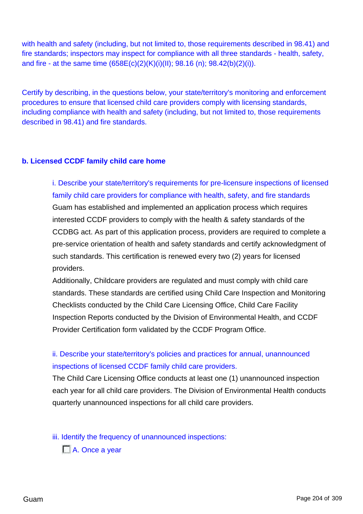with health and safety (including, but not limited to, those requirements described in 98.41) and fire standards; inspectors may inspect for compliance with all three standards - health, safety, and fire - at the same time (658E(c)(2)(K)(i)(II); 98.16 (n); 98.42(b)(2)(i)).

Certify by describing, in the questions below, your state/territory's monitoring and enforcement procedures to ensure that licensed child care providers comply with licensing standards, including compliance with health and safety (including, but not limited to, those requirements described in 98.41) and fire standards.

### **b. Licensed CCDF family child care home**

i. Describe your state/territory's requirements for pre-licensure inspections of licensed family child care providers for compliance with health, safety, and fire standards Guam has established and implemented an application process which requires interested CCDF providers to comply with the health & safety standards of the CCDBG act. As part of this application process, providers are required to complete a pre-service orientation of health and safety standards and certify acknowledgment of such standards. This certification is renewed every two (2) years for licensed providers.

Additionally, Childcare providers are regulated and must comply with child care standards. These standards are certified using Child Care Inspection and Monitoring Checklists conducted by the Child Care Licensing Office, Child Care Facility Inspection Reports conducted by the Division of Environmental Health, and CCDF Provider Certification form validated by the CCDF Program Office.

# ii. Describe your state/territory's policies and practices for annual, unannounced inspections of licensed CCDF family child care providers.

The Child Care Licensing Office conducts at least one (1) unannounced inspection each year for all child care providers. The Division of Environmental Health conducts quarterly unannounced inspections for all child care providers.

iii. Identify the frequency of unannounced inspections:

■ A. Once a year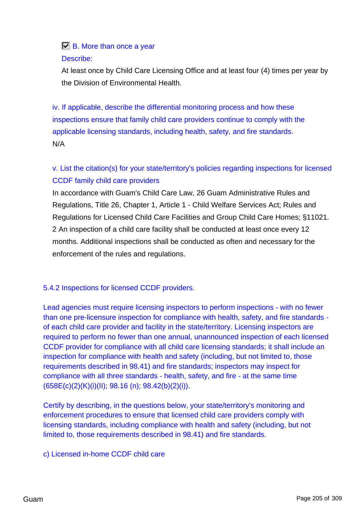# **B.** More than once a year Describe:

At least once by Child Care Licensing Office and at least four (4) times per year by the Division of Environmental Health.

iv. If applicable, describe the differential monitoring process and how these inspections ensure that family child care providers continue to comply with the applicable licensing standards, including health, safety, and fire standards. N/A

# v. List the citation(s) for your state/territory's policies regarding inspections for licensed CCDF family child care providers

In accordance with Guam's Child Care Law, 26 Guam Administrative Rules and Regulations, Title 26, Chapter 1, Article 1 - Child Welfare Services Act; Rules and Regulations for Licensed Child Care Facilities and Group Child Care Homes; §11021. 2 An inspection of a child care facility shall be conducted at least once every 12 months. Additional inspections shall be conducted as often and necessary for the enforcement of the rules and regulations.

### 5.4.2 Inspections for licensed CCDF providers.

Lead agencies must require licensing inspectors to perform inspections - with no fewer than one pre-licensure inspection for compliance with health, safety, and fire standards of each child care provider and facility in the state/territory. Licensing inspectors are required to perform no fewer than one annual, unannounced inspection of each licensed CCDF provider for compliance with all child care licensing standards; it shall include an inspection for compliance with health and safety (including, but not limited to, those requirements described in 98.41) and fire standards; inspectors may inspect for compliance with all three standards - health, safety, and fire - at the same time (658E(c)(2)(K)(i)(II); 98.16 (n); 98.42(b)(2)(i)).

Certify by describing, in the questions below, your state/territory's monitoring and enforcement procedures to ensure that licensed child care providers comply with licensing standards, including compliance with health and safety (including, but not limited to, those requirements described in 98.41) and fire standards.

### c) Licensed in-home CCDF child care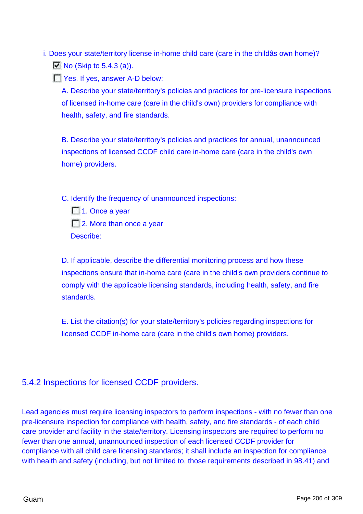i. Does your state/territory license in-home child care (care in the childâs own home)?  $\Box$  No (Skip to 5.4.3 (a)).

T Yes. If yes, answer A-D below:

A. Describe your state/territory's policies and practices for pre-licensure inspections of licensed in-home care (care in the child's own) providers for compliance with health, safety, and fire standards.

B. Describe your state/territory's policies and practices for annual, unannounced inspections of licensed CCDF child care in-home care (care in the child's own home) providers.

C. Identify the frequency of unannounced inspections:

□ 1. Once a year ■ 2. More than once a year Describe:

D. If applicable, describe the differential monitoring process and how these inspections ensure that in-home care (care in the child's own providers continue to comply with the applicable licensing standards, including health, safety, and fire standards.

E. List the citation(s) for your state/territory's policies regarding inspections for licensed CCDF in-home care (care in the child's own home) providers.

### 5.4.2 Inspections for licensed CCDF providers.

Lead agencies must require licensing inspectors to perform inspections - with no fewer than one pre-licensure inspection for compliance with health, safety, and fire standards - of each child care provider and facility in the state/territory. Licensing inspectors are required to perform no fewer than one annual, unannounced inspection of each licensed CCDF provider for compliance with all child care licensing standards; it shall include an inspection for compliance with health and safety (including, but not limited to, those requirements described in 98.41) and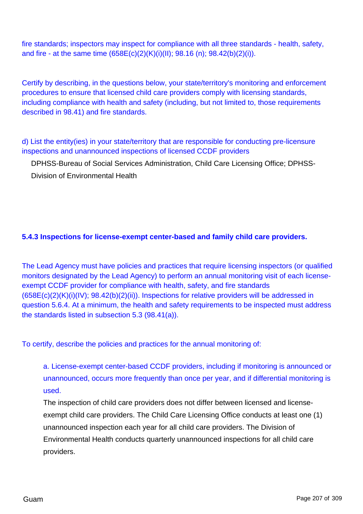fire standards; inspectors may inspect for compliance with all three standards - health, safety, and fire - at the same time (658E(c)(2)(K)(i)(II); 98.16 (n); 98.42(b)(2)(i)).

Certify by describing, in the questions below, your state/territory's monitoring and enforcement procedures to ensure that licensed child care providers comply with licensing standards, including compliance with health and safety (including, but not limited to, those requirements described in 98.41) and fire standards.

d) List the entity(ies) in your state/territory that are responsible for conducting pre-licensure inspections and unannounced inspections of licensed CCDF providers

DPHSS-Bureau of Social Services Administration, Child Care Licensing Office; DPHSS-Division of Environmental Health

### **5.4.3 Inspections for license-exempt center-based and family child care providers.**

The Lead Agency must have policies and practices that require licensing inspectors (or qualified monitors designated by the Lead Agency) to perform an annual monitoring visit of each licenseexempt CCDF provider for compliance with health, safety, and fire standards (658E(c)(2)(K)(i)(IV); 98.42(b)(2)(ii)). Inspections for relative providers will be addressed in question 5.6.4. At a minimum, the health and safety requirements to be inspected must address the standards listed in subsection 5.3 (98.41(a)).

To certify, describe the policies and practices for the annual monitoring of:

a. License-exempt center-based CCDF providers, including if monitoring is announced or unannounced, occurs more frequently than once per year, and if differential monitoring is used.

The inspection of child care providers does not differ between licensed and licenseexempt child care providers. The Child Care Licensing Office conducts at least one (1) unannounced inspection each year for all child care providers. The Division of Environmental Health conducts quarterly unannounced inspections for all child care providers.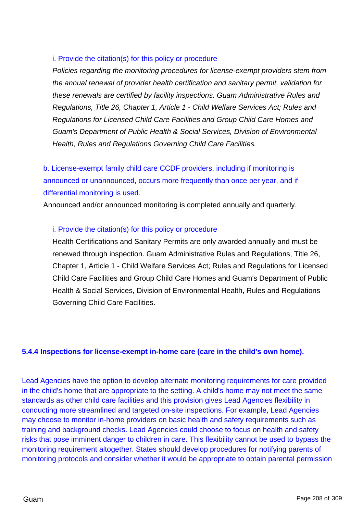### i. Provide the citation(s) for this policy or procedure

Policies regarding the monitoring procedures for license-exempt providers stem from the annual renewal of provider health certification and sanitary permit, validation for these renewals are certified by facility inspections. Guam Administrative Rules and Regulations, Title 26, Chapter 1, Article 1 - Child Welfare Services Act; Rules and Regulations for Licensed Child Care Facilities and Group Child Care Homes and Guam's Department of Public Health & Social Services, Division of Environmental Health, Rules and Regulations Governing Child Care Facilities.

b. License-exempt family child care CCDF providers, including if monitoring is announced or unannounced, occurs more frequently than once per year, and if differential monitoring is used.

Announced and/or announced monitoring is completed annually and quarterly.

### i. Provide the citation(s) for this policy or procedure

Health Certifications and Sanitary Permits are only awarded annually and must be renewed through inspection. Guam Administrative Rules and Regulations, Title 26, Chapter 1, Article 1 - Child Welfare Services Act; Rules and Regulations for Licensed Child Care Facilities and Group Child Care Homes and Guam's Department of Public Health & Social Services, Division of Environmental Health, Rules and Regulations Governing Child Care Facilities.

### **5.4.4 Inspections for license-exempt in-home care (care in the child's own home).**

Lead Agencies have the option to develop alternate monitoring requirements for care provided in the child's home that are appropriate to the setting. A child's home may not meet the same standards as other child care facilities and this provision gives Lead Agencies flexibility in conducting more streamlined and targeted on-site inspections. For example, Lead Agencies may choose to monitor in-home providers on basic health and safety requirements such as training and background checks. Lead Agencies could choose to focus on health and safety risks that pose imminent danger to children in care. This flexibility cannot be used to bypass the monitoring requirement altogether. States should develop procedures for notifying parents of monitoring protocols and consider whether it would be appropriate to obtain parental permission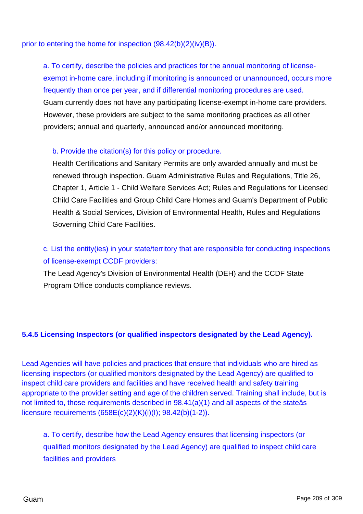prior to entering the home for inspection (98.42(b)(2)(iv)(B)).

a. To certify, describe the policies and practices for the annual monitoring of licenseexempt in-home care, including if monitoring is announced or unannounced, occurs more frequently than once per year, and if differential monitoring procedures are used. Guam currently does not have any participating license-exempt in-home care providers. However, these providers are subject to the same monitoring practices as all other providers; annual and quarterly, announced and/or announced monitoring.

### b. Provide the citation(s) for this policy or procedure.

Health Certifications and Sanitary Permits are only awarded annually and must be renewed through inspection. Guam Administrative Rules and Regulations, Title 26, Chapter 1, Article 1 - Child Welfare Services Act; Rules and Regulations for Licensed Child Care Facilities and Group Child Care Homes and Guam's Department of Public Health & Social Services, Division of Environmental Health, Rules and Regulations Governing Child Care Facilities.

# c. List the entity(ies) in your state/territory that are responsible for conducting inspections of license-exempt CCDF providers:

The Lead Agency's Division of Environmental Health (DEH) and the CCDF State Program Office conducts compliance reviews.

### **5.4.5 Licensing Inspectors (or qualified inspectors designated by the Lead Agency).**

Lead Agencies will have policies and practices that ensure that individuals who are hired as licensing inspectors (or qualified monitors designated by the Lead Agency) are qualified to inspect child care providers and facilities and have received health and safety training appropriate to the provider setting and age of the children served. Training shall include, but is not limited to, those requirements described in 98.41(a)(1) and all aspects of the stateâs licensure requirements (658E(c)(2)(K)(i)(I); 98.42(b)(1-2)).

a. To certify, describe how the Lead Agency ensures that licensing inspectors (or qualified monitors designated by the Lead Agency) are qualified to inspect child care facilities and providers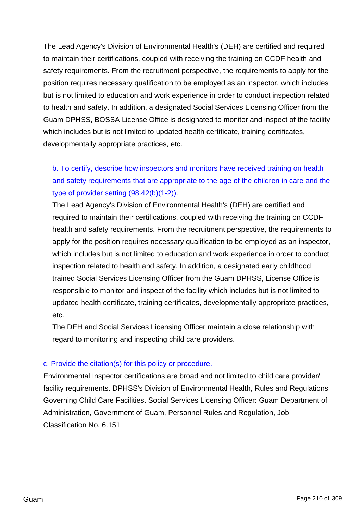The Lead Agency's Division of Environmental Health's (DEH) are certified and required to maintain their certifications, coupled with receiving the training on CCDF health and safety requirements. From the recruitment perspective, the requirements to apply for the position requires necessary qualification to be employed as an inspector, which includes but is not limited to education and work experience in order to conduct inspection related to health and safety. In addition, a designated Social Services Licensing Officer from the Guam DPHSS, BOSSA License Office is designated to monitor and inspect of the facility which includes but is not limited to updated health certificate, training certificates, developmentally appropriate practices, etc.

b. To certify, describe how inspectors and monitors have received training on health and safety requirements that are appropriate to the age of the children in care and the type of provider setting (98.42(b)(1-2)).

The Lead Agency's Division of Environmental Health's (DEH) are certified and required to maintain their certifications, coupled with receiving the training on CCDF health and safety requirements. From the recruitment perspective, the requirements to apply for the position requires necessary qualification to be employed as an inspector, which includes but is not limited to education and work experience in order to conduct inspection related to health and safety. In addition, a designated early childhood trained Social Services Licensing Officer from the Guam DPHSS, License Office is responsible to monitor and inspect of the facility which includes but is not limited to updated health certificate, training certificates, developmentally appropriate practices, etc.

The DEH and Social Services Licensing Officer maintain a close relationship with regard to monitoring and inspecting child care providers.

### c. Provide the citation(s) for this policy or procedure.

Environmental Inspector certifications are broad and not limited to child care provider/ facility requirements. DPHSS's Division of Environmental Health, Rules and Regulations Governing Child Care Facilities. Social Services Licensing Officer: Guam Department of Administration, Government of Guam, Personnel Rules and Regulation, Job Classification No. 6.151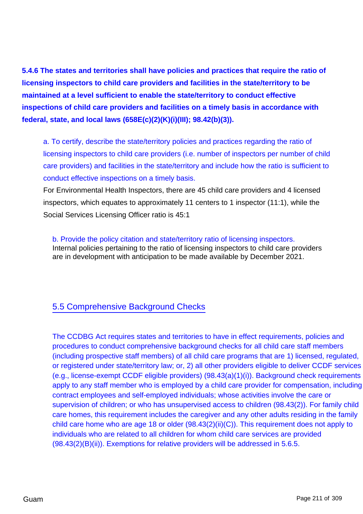**5.4.6 The states and territories shall have policies and practices that require the ratio of licensing inspectors to child care providers and facilities in the state/territory to be maintained at a level sufficient to enable the state/territory to conduct effective inspections of child care providers and facilities on a timely basis in accordance with federal, state, and local laws (658E(c)(2)(K)(i)(III); 98.42(b)(3)).**

a. To certify, describe the state/territory policies and practices regarding the ratio of licensing inspectors to child care providers (i.e. number of inspectors per number of child care providers) and facilities in the state/territory and include how the ratio is sufficient to conduct effective inspections on a timely basis.

For Environmental Health Inspectors, there are 45 child care providers and 4 licensed inspectors, which equates to approximately 11 centers to 1 inspector (11:1), while the Social Services Licensing Officer ratio is 45:1

b. Provide the policy citation and state/territory ratio of licensing inspectors. Internal policies pertaining to the ratio of licensing inspectors to child care providers are in development with anticipation to be made available by December 2021.

# 5.5 Comprehensive Background Checks

The CCDBG Act requires states and territories to have in effect requirements, policies and procedures to conduct comprehensive background checks for all child care staff members (including prospective staff members) of all child care programs that are 1) licensed, regulated, or registered under state/territory law; or, 2) all other providers eligible to deliver CCDF services (e.g., license-exempt CCDF eligible providers) (98.43(a)(1)(i)). Background check requirements apply to any staff member who is employed by a child care provider for compensation, including contract employees and self-employed individuals; whose activities involve the care or supervision of children; or who has unsupervised access to children (98.43(2)). For family child care homes, this requirement includes the caregiver and any other adults residing in the family child care home who are age 18 or older (98.43(2)(ii)(C)). This requirement does not apply to individuals who are related to all children for whom child care services are provided (98.43(2)(B)(ii)). Exemptions for relative providers will be addressed in 5.6.5.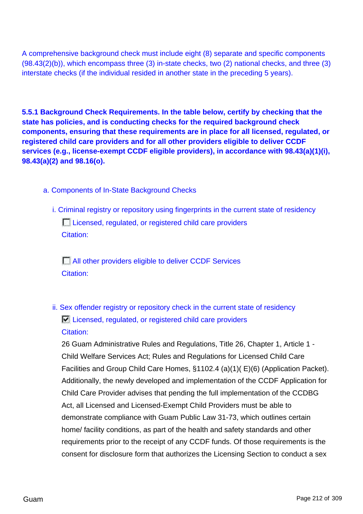A comprehensive background check must include eight (8) separate and specific components (98.43(2)(b)), which encompass three (3) in-state checks, two (2) national checks, and three (3) interstate checks (if the individual resided in another state in the preceding 5 years).

**5.5.1 Background Check Requirements. In the table below, certify by checking that the state has policies, and is conducting checks for the required background check components, ensuring that these requirements are in place for all licensed, regulated, or registered child care providers and for all other providers eligible to deliver CCDF services (e.g., license-exempt CCDF eligible providers), in accordance with 98.43(a)(1)(i), 98.43(a)(2) and 98.16(o).**

- a. Components of In-State Background Checks
	- i. Criminal registry or repository using fingerprints in the current state of residency Licensed, regulated, or registered child care providers Citation:

**All other providers eligible to deliver CCDF Services** Citation:

ii. Sex offender registry or repository check in the current state of residency  $\Box$  Licensed, regulated, or registered child care providers Citation:

26 Guam Administrative Rules and Regulations, Title 26, Chapter 1, Article 1 - Child Welfare Services Act; Rules and Regulations for Licensed Child Care Facilities and Group Child Care Homes, §1102.4 (a)(1)( E)(6) (Application Packet). Additionally, the newly developed and implementation of the CCDF Application for Child Care Provider advises that pending the full implementation of the CCDBG Act, all Licensed and Licensed-Exempt Child Providers must be able to demonstrate compliance with Guam Public Law 31-73, which outlines certain home/ facility conditions, as part of the health and safety standards and other requirements prior to the receipt of any CCDF funds. Of those requirements is the consent for disclosure form that authorizes the Licensing Section to conduct a sex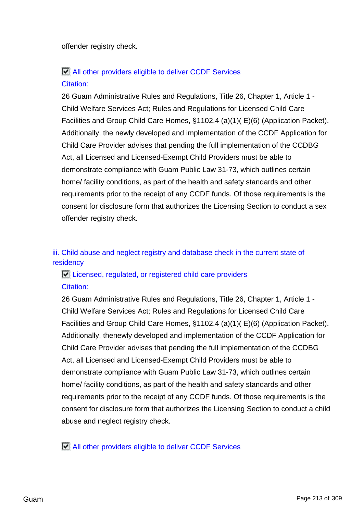offender registry check.

# All other providers eligible to deliver CCDF Services Citation:

26 Guam Administrative Rules and Regulations, Title 26, Chapter 1, Article 1 - Child Welfare Services Act; Rules and Regulations for Licensed Child Care Facilities and Group Child Care Homes, §1102.4 (a)(1)( E)(6) (Application Packet). Additionally, the newly developed and implementation of the CCDF Application for Child Care Provider advises that pending the full implementation of the CCDBG Act, all Licensed and Licensed-Exempt Child Providers must be able to demonstrate compliance with Guam Public Law 31-73, which outlines certain home/ facility conditions, as part of the health and safety standards and other requirements prior to the receipt of any CCDF funds. Of those requirements is the consent for disclosure form that authorizes the Licensing Section to conduct a sex offender registry check.

### iii. Child abuse and neglect registry and database check in the current state of residency

### $\Box$  Licensed, regulated, or registered child care providers Citation:

26 Guam Administrative Rules and Regulations, Title 26, Chapter 1, Article 1 - Child Welfare Services Act; Rules and Regulations for Licensed Child Care Facilities and Group Child Care Homes, §1102.4 (a)(1)( E)(6) (Application Packet). Additionally, thenewly developed and implementation of the CCDF Application for Child Care Provider advises that pending the full implementation of the CCDBG Act, all Licensed and Licensed-Exempt Child Providers must be able to demonstrate compliance with Guam Public Law 31-73, which outlines certain home/ facility conditions, as part of the health and safety standards and other requirements prior to the receipt of any CCDF funds. Of those requirements is the consent for disclosure form that authorizes the Licensing Section to conduct a child abuse and neglect registry check.

All other providers eligible to deliver CCDF Services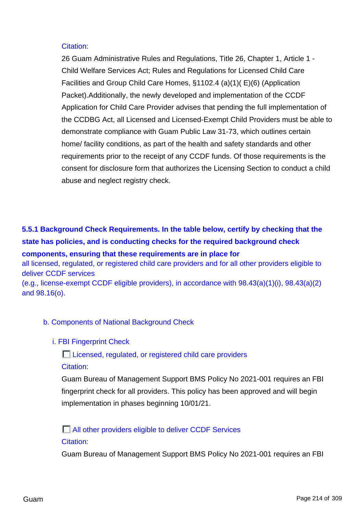#### Citation:

26 Guam Administrative Rules and Regulations, Title 26, Chapter 1, Article 1 - Child Welfare Services Act; Rules and Regulations for Licensed Child Care Facilities and Group Child Care Homes, §1102.4 (a)(1)( E)(6) (Application Packet).Additionally, the newly developed and implementation of the CCDF Application for Child Care Provider advises that pending the full implementation of the CCDBG Act, all Licensed and Licensed-Exempt Child Providers must be able to demonstrate compliance with Guam Public Law 31-73, which outlines certain home/ facility conditions, as part of the health and safety standards and other requirements prior to the receipt of any CCDF funds. Of those requirements is the consent for disclosure form that authorizes the Licensing Section to conduct a child abuse and neglect registry check.

# **5.5.1 Background Check Requirements. In the table below, certify by checking that the state has policies, and is conducting checks for the required background check components, ensuring that these requirements are in place for**

all licensed, regulated, or registered child care providers and for all other providers eligible to deliver CCDF services

(e.g., license-exempt CCDF eligible providers), in accordance with 98.43(a)(1)(i), 98.43(a)(2) and 98.16(o).

### b. Components of National Background Check

### i. FBI Fingerprint Check

Licensed, regulated, or registered child care providers Citation:

Guam Bureau of Management Support BMS Policy No 2021-001 requires an FBI fingerprint check for all providers. This policy has been approved and will begin implementation in phases beginning 10/01/21.

**All other providers eligible to deliver CCDF Services** Citation:

Guam Bureau of Management Support BMS Policy No 2021-001 requires an FBI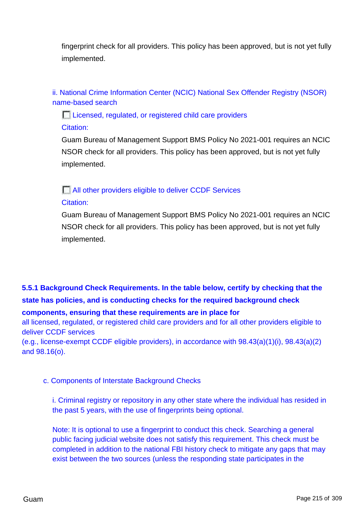fingerprint check for all providers. This policy has been approved, but is not yet fully implemented.

ii. National Crime Information Center (NCIC) National Sex Offender Registry (NSOR) name-based search

Licensed, regulated, or registered child care providers

Citation:

Guam Bureau of Management Support BMS Policy No 2021-001 requires an NCIC NSOR check for all providers. This policy has been approved, but is not yet fully implemented.

### All other providers eligible to deliver CCDF Services

### Citation:

Guam Bureau of Management Support BMS Policy No 2021-001 requires an NCIC NSOR check for all providers. This policy has been approved, but is not yet fully implemented.

# **5.5.1 Background Check Requirements. In the table below, certify by checking that the state has policies, and is conducting checks for the required background check**

**components, ensuring that these requirements are in place for**

all licensed, regulated, or registered child care providers and for all other providers eligible to deliver CCDF services

(e.g., license-exempt CCDF eligible providers), in accordance with 98.43(a)(1)(i), 98.43(a)(2) and 98.16(o).

### c. Components of Interstate Background Checks

i. Criminal registry or repository in any other state where the individual has resided in the past 5 years, with the use of fingerprints being optional.

Note: It is optional to use a fingerprint to conduct this check. Searching a general public facing judicial website does not satisfy this requirement. This check must be completed in addition to the national FBI history check to mitigate any gaps that may exist between the two sources (unless the responding state participates in the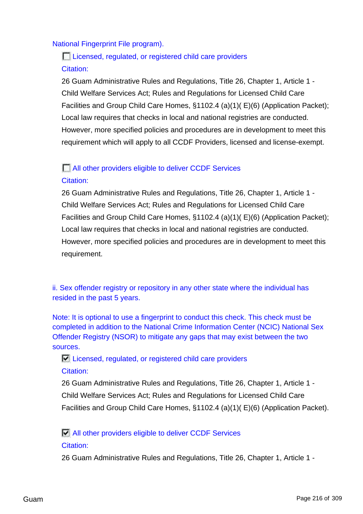### National Fingerprint File program).

# Licensed, regulated, or registered child care providers Citation:

26 Guam Administrative Rules and Regulations, Title 26, Chapter 1, Article 1 - Child Welfare Services Act; Rules and Regulations for Licensed Child Care Facilities and Group Child Care Homes, §1102.4 (a)(1)( E)(6) (Application Packet); Local law requires that checks in local and national registries are conducted. However, more specified policies and procedures are in development to meet this requirement which will apply to all CCDF Providers, licensed and license-exempt.

### **NUMBER 2018 12 In All other providers eligible to deliver CCDF Services**

### Citation:

26 Guam Administrative Rules and Regulations, Title 26, Chapter 1, Article 1 - Child Welfare Services Act; Rules and Regulations for Licensed Child Care Facilities and Group Child Care Homes, §1102.4 (a)(1)( E)(6) (Application Packet); Local law requires that checks in local and national registries are conducted. However, more specified policies and procedures are in development to meet this requirement.

ii. Sex offender registry or repository in any other state where the individual has resided in the past 5 years.

Note: It is optional to use a fingerprint to conduct this check. This check must be completed in addition to the National Crime Information Center (NCIC) National Sex Offender Registry (NSOR) to mitigate any gaps that may exist between the two sources.

Licensed, regulated, or registered child care providers Citation:

26 Guam Administrative Rules and Regulations, Title 26, Chapter 1, Article 1 - Child Welfare Services Act; Rules and Regulations for Licensed Child Care Facilities and Group Child Care Homes, §1102.4 (a)(1)( E)(6) (Application Packet).

All other providers eligible to deliver CCDF Services Citation:

26 Guam Administrative Rules and Regulations, Title 26, Chapter 1, Article 1 -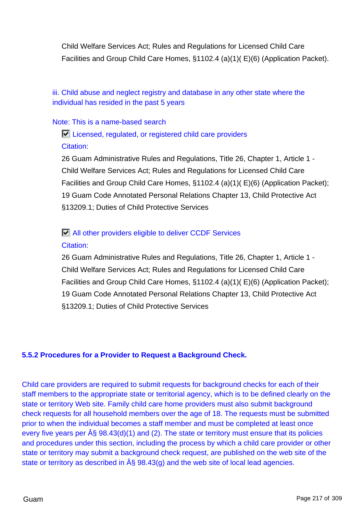Child Welfare Services Act; Rules and Regulations for Licensed Child Care Facilities and Group Child Care Homes, §1102.4 (a)(1)( E)(6) (Application Packet).

iii. Child abuse and neglect registry and database in any other state where the individual has resided in the past 5 years

#### Note: This is a name-based search

Licensed, regulated, or registered child care providers Citation:

26 Guam Administrative Rules and Regulations, Title 26, Chapter 1, Article 1 - Child Welfare Services Act; Rules and Regulations for Licensed Child Care Facilities and Group Child Care Homes, §1102.4 (a)(1)( E)(6) (Application Packet); 19 Guam Code Annotated Personal Relations Chapter 13, Child Protective Act §13209.1; Duties of Child Protective Services

## All other providers eligible to deliver CCDF Services Citation:

26 Guam Administrative Rules and Regulations, Title 26, Chapter 1, Article 1 - Child Welfare Services Act; Rules and Regulations for Licensed Child Care Facilities and Group Child Care Homes, §1102.4 (a)(1)( E)(6) (Application Packet); 19 Guam Code Annotated Personal Relations Chapter 13, Child Protective Act §13209.1; Duties of Child Protective Services

### **5.5.2 Procedures for a Provider to Request a Background Check.**

Child care providers are required to submit requests for background checks for each of their staff members to the appropriate state or territorial agency, which is to be defined clearly on the state or territory Web site. Family child care home providers must also submit background check requests for all household members over the age of 18. The requests must be submitted prior to when the individual becomes a staff member and must be completed at least once every five years per  $\hat{A}$ § 98.43(d)(1) and (2). The state or territory must ensure that its policies and procedures under this section, including the process by which a child care provider or other state or territory may submit a background check request, are published on the web site of the state or territory as described in  $\hat{A}$ § 98.43(q) and the web site of local lead agencies.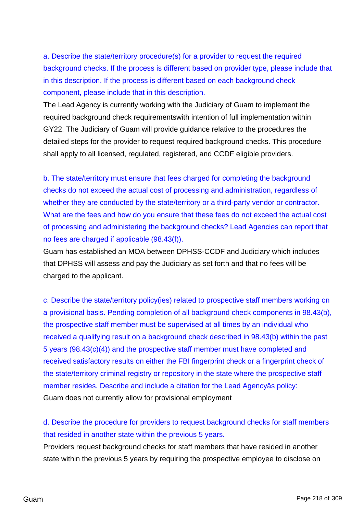a. Describe the state/territory procedure(s) for a provider to request the required background checks. If the process is different based on provider type, please include that in this description. If the process is different based on each background check component, please include that in this description.

The Lead Agency is currently working with the Judiciary of Guam to implement the required background check requirementswith intention of full implementation within GY22. The Judiciary of Guam will provide guidance relative to the procedures the detailed steps for the provider to request required background checks. This procedure shall apply to all licensed, regulated, registered, and CCDF eligible providers.

b. The state/territory must ensure that fees charged for completing the background checks do not exceed the actual cost of processing and administration, regardless of whether they are conducted by the state/territory or a third-party vendor or contractor. What are the fees and how do you ensure that these fees do not exceed the actual cost of processing and administering the background checks? Lead Agencies can report that no fees are charged if applicable (98.43(f)).

Guam has established an MOA between DPHSS-CCDF and Judiciary which includes that DPHSS will assess and pay the Judiciary as set forth and that no fees will be charged to the applicant.

c. Describe the state/territory policy(ies) related to prospective staff members working on a provisional basis. Pending completion of all background check components in 98.43(b), the prospective staff member must be supervised at all times by an individual who received a qualifying result on a background check described in 98.43(b) within the past 5 years (98.43(c)(4)) and the prospective staff member must have completed and received satisfactory results on either the FBI fingerprint check or a fingerprint check of the state/territory criminal registry or repository in the state where the prospective staff member resides. Describe and include a citation for the Lead Agencyâs policy: Guam does not currently allow for provisional employment

d. Describe the procedure for providers to request background checks for staff members that resided in another state within the previous 5 years.

Providers request background checks for staff members that have resided in another state within the previous 5 years by requiring the prospective employee to disclose on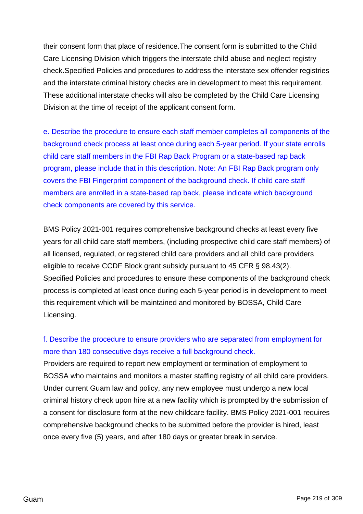their consent form that place of residence.The consent form is submitted to the Child Care Licensing Division which triggers the interstate child abuse and neglect registry check.Specified Policies and procedures to address the interstate sex offender registries and the interstate criminal history checks are in development to meet this requirement. These additional interstate checks will also be completed by the Child Care Licensing Division at the time of receipt of the applicant consent form.

e. Describe the procedure to ensure each staff member completes all components of the background check process at least once during each 5-year period. If your state enrolls child care staff members in the FBI Rap Back Program or a state-based rap back program, please include that in this description. Note: An FBI Rap Back program only covers the FBI Fingerprint component of the background check. If child care staff members are enrolled in a state-based rap back, please indicate which background check components are covered by this service.

BMS Policy 2021-001 requires comprehensive background checks at least every five years for all child care staff members, (including prospective child care staff members) of all licensed, regulated, or registered child care providers and all child care providers eligible to receive CCDF Block grant subsidy pursuant to 45 CFR § 98.43(2). Specified Policies and procedures to ensure these components of the background check process is completed at least once during each 5-year period is in development to meet this requirement which will be maintained and monitored by BOSSA, Child Care Licensing.

## f. Describe the procedure to ensure providers who are separated from employment for more than 180 consecutive days receive a full background check.

Providers are required to report new employment or termination of employment to BOSSA who maintains and monitors a master staffing registry of all child care providers. Under current Guam law and policy, any new employee must undergo a new local criminal history check upon hire at a new facility which is prompted by the submission of a consent for disclosure form at the new childcare facility. BMS Policy 2021-001 requires comprehensive background checks to be submitted before the provider is hired, least once every five (5) years, and after 180 days or greater break in service.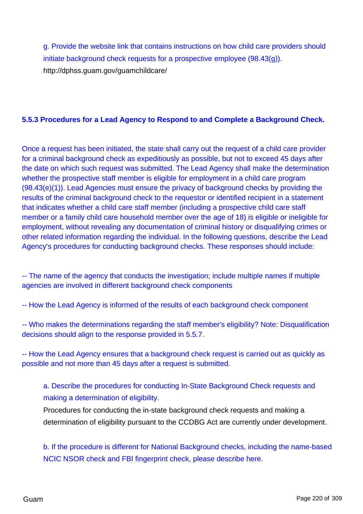g. Provide the website link that contains instructions on how child care providers should initiate background check requests for a prospective employee (98.43(g)). http://dphss.guam.gov/guamchildcare/

## **5.5.3 Procedures for a Lead Agency to Respond to and Complete a Background Check.**

Once a request has been initiated, the state shall carry out the request of a child care provider for a criminal background check as expeditiously as possible, but not to exceed 45 days after the date on which such request was submitted. The Lead Agency shall make the determination whether the prospective staff member is eligible for employment in a child care program (98.43(e)(1)). Lead Agencies must ensure the privacy of background checks by providing the results of the criminal background check to the requestor or identified recipient in a statement that indicates whether a child care staff member (including a prospective child care staff member or a family child care household member over the age of 18) is eligible or ineligible for employment, without revealing any documentation of criminal history or disqualifying crimes or other related information regarding the individual. In the following questions, describe the Lead Agency's procedures for conducting background checks. These responses should include:

-- The name of the agency that conducts the investigation; include multiple names if multiple agencies are involved in different background check components

-- How the Lead Agency is informed of the results of each background check component

-- Who makes the determinations regarding the staff member's eligibility? Note: Disqualification decisions should align to the response provided in 5.5.7.

-- How the Lead Agency ensures that a background check request is carried out as quickly as possible and not more than 45 days after a request is submitted.

a. Describe the procedures for conducting In-State Background Check requests and making a determination of eligibility.

Procedures for conducting the in-state background check requests and making a determination of eligibility pursuant to the CCDBG Act are currently under development.

b. If the procedure is different for National Background checks, including the name-based NCIC NSOR check and FBI fingerprint check, please describe here.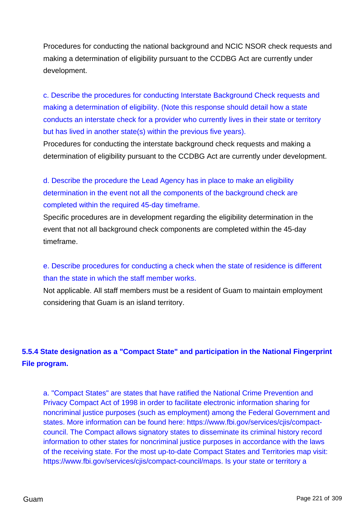Procedures for conducting the national background and NCIC NSOR check requests and making a determination of eligibility pursuant to the CCDBG Act are currently under development.

c. Describe the procedures for conducting Interstate Background Check requests and making a determination of eligibility. (Note this response should detail how a state conducts an interstate check for a provider who currently lives in their state or territory but has lived in another state(s) within the previous five years).

Procedures for conducting the interstate background check requests and making a determination of eligibility pursuant to the CCDBG Act are currently under development.

d. Describe the procedure the Lead Agency has in place to make an eligibility determination in the event not all the components of the background check are completed within the required 45-day timeframe.

Specific procedures are in development regarding the eligibility determination in the event that not all background check components are completed within the 45-day timeframe.

e. Describe procedures for conducting a check when the state of residence is different than the state in which the staff member works.

Not applicable. All staff members must be a resident of Guam to maintain employment considering that Guam is an island territory.

## **5.5.4 State designation as a "Compact State" and participation in the National Fingerprint File program.**

a. "Compact States" are states that have ratified the National Crime Prevention and Privacy Compact Act of 1998 in order to facilitate electronic information sharing for noncriminal justice purposes (such as employment) among the Federal Government and states. More information can be found here: https://www.fbi.gov/services/cjis/compactcouncil. The Compact allows signatory states to disseminate its criminal history record information to other states for noncriminal justice purposes in accordance with the laws of the receiving state. For the most up-to-date Compact States and Territories map visit: https://www.fbi.gov/services/cjis/compact-council/maps. Is your state or territory a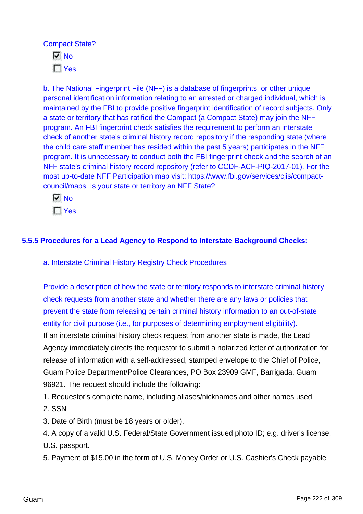Compact State?

 $\overline{M}$  No  $\Gamma$  Yes

b. The National Fingerprint File (NFF) is a database of fingerprints, or other unique personal identification information relating to an arrested or charged individual, which is maintained by the FBI to provide positive fingerprint identification of record subjects. Only a state or territory that has ratified the Compact (a Compact State) may join the NFF program. An FBI fingerprint check satisfies the requirement to perform an interstate check of another state's criminal history record repository if the responding state (where the child care staff member has resided within the past 5 years) participates in the NFF program. It is unnecessary to conduct both the FBI fingerprint check and the search of an NFF state's criminal history record repository (refer to CCDF-ACF-PIQ-2017-01). For the most up-to-date NFF Participation map visit: https://www.fbi.gov/services/cjis/compactcouncil/maps. Is your state or territory an NFF State?

 $\overline{M}$  No  $\Gamma$  Yes

## **5.5.5 Procedures for a Lead Agency to Respond to Interstate Background Checks:**

a. Interstate Criminal History Registry Check Procedures

Provide a description of how the state or territory responds to interstate criminal history check requests from another state and whether there are any laws or policies that prevent the state from releasing certain criminal history information to an out-of-state entity for civil purpose (i.e., for purposes of determining employment eligibility).

If an interstate criminal history check request from another state is made, the Lead Agency immediately directs the requestor to submit a notarized letter of authorization for release of information with a self-addressed, stamped envelope to the Chief of Police, Guam Police Department/Police Clearances, PO Box 23909 GMF, Barrigada, Guam 96921. The request should include the following:

1. Requestor's complete name, including aliases/nicknames and other names used.

- 2. SSN
- 3. Date of Birth (must be 18 years or older).

4. A copy of a valid U.S. Federal/State Government issued photo ID; e.g. driver's license,

U.S. passport.

5. Payment of \$15.00 in the form of U.S. Money Order or U.S. Cashier's Check payable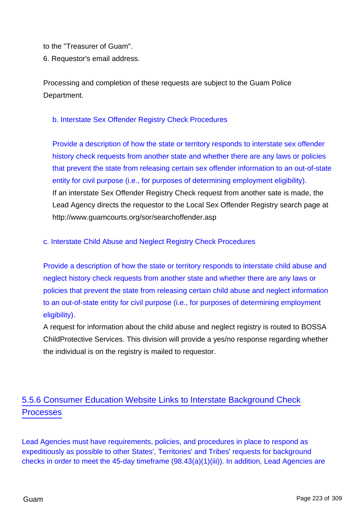to the "Treasurer of Guam".

6. Requestor's email address.

Processing and completion of these requests are subject to the Guam Police Department.

## b. Interstate Sex Offender Registry Check Procedures

Provide a description of how the state or territory responds to interstate sex offender history check requests from another state and whether there are any laws or policies that prevent the state from releasing certain sex offender information to an out-of-state entity for civil purpose (i.e., for purposes of determining employment eligibility). If an interstate Sex Offender Registry Check request from another sate is made, the Lead Agency directs the requestor to the Local Sex Offender Registry search page at http://www.guamcourts.org/sor/searchoffender.asp

### c. Interstate Child Abuse and Neglect Registry Check Procedures

Provide a description of how the state or territory responds to interstate child abuse and neglect history check requests from another state and whether there are any laws or policies that prevent the state from releasing certain child abuse and neglect information to an out-of-state entity for civil purpose (i.e., for purposes of determining employment eligibility).

A request for information about the child abuse and neglect registry is routed to BOSSA ChildProtective Services. This division will provide a yes/no response regarding whether the individual is on the registry is mailed to requestor.

# 5.5.6 Consumer Education Website Links to Interstate Background Check **Processes**

Lead Agencies must have requirements, policies, and procedures in place to respond as expeditiously as possible to other States', Territories' and Tribes' requests for background checks in order to meet the 45-day timeframe (98.43(a)(1)(iii)). In addition, Lead Agencies are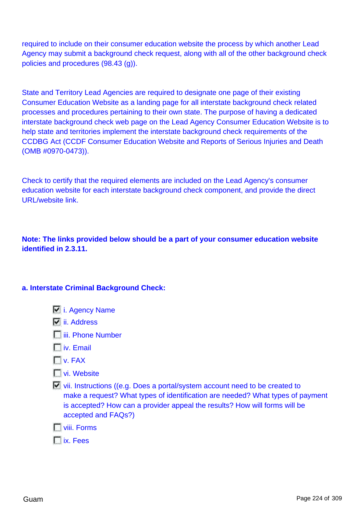required to include on their consumer education website the process by which another Lead Agency may submit a background check request, along with all of the other background check policies and procedures (98.43 (g)).

State and Territory Lead Agencies are required to designate one page of their existing Consumer Education Website as a landing page for all interstate background check related processes and procedures pertaining to their own state. The purpose of having a dedicated interstate background check web page on the Lead Agency Consumer Education Website is to help state and territories implement the interstate background check requirements of the CCDBG Act (CCDF Consumer Education Website and Reports of Serious Injuries and Death (OMB #0970-0473)).

Check to certify that the required elements are included on the Lead Agency's consumer education website for each interstate background check component, and provide the direct URL/website link.

**Note: The links provided below should be a part of your consumer education website identified in 2.3.11.**

### **a. Interstate Criminal Background Check:**

- **i.** Agency Name
- $\overline{V}$  ii. Address
- $\Box$  iii. Phone Number
- $\Box$  iv. Email
- $\Gamma$ v. FAX
- **T** vi. Website
- vii. Instructions ((e.g. Does a portal/system account need to be created to make a request? What types of identification are needed? What types of payment is accepted? How can a provider appeal the results? How will forms will be accepted and FAQs?)
- viii. Forms
- ix. Fees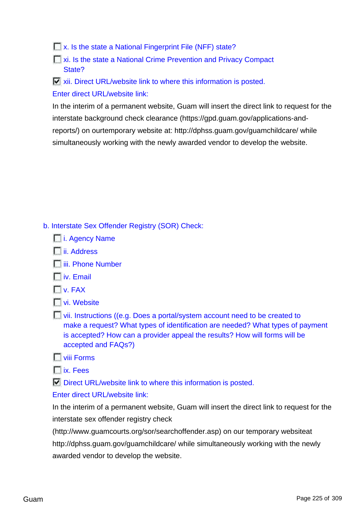**Ex.** Is the state a National Fingerprint File (NFF) state?

**xi. Is the state a National Crime Prevention and Privacy Compact** State?

**E** xii. Direct URL/website link to where this information is posted. Enter direct URL/website link:

In the interim of a permanent website, Guam will insert the direct link to request for the interstate background check clearance (https://gpd.guam.gov/applications-andreports/) on ourtemporary website at: http://dphss.guam.gov/guamchildcare/ while simultaneously working with the newly awarded vendor to develop the website.

- b. Interstate Sex Offender Registry (SOR) Check:
	- **i.** Agency Name
	- **T**ii. Address
	- $\Box$ iii. Phone Number
	- $\Box$  iv. Email
	- $\Gamma$ v. FAX
	- **Ni.** Website
	- vii. Instructions ((e.g. Does a portal/system account need to be created to make a request? What types of identification are needed? What types of payment is accepted? How can a provider appeal the results? How will forms will be accepted and FAQs?)
	- **T** viii Forms
	- ix. Fees

 $\nabla$  Direct URL/website link to where this information is posted.

#### Enter direct URL/website link:

In the interim of a permanent website, Guam will insert the direct link to request for the interstate sex offender registry check

(http://www.guamcourts.org/sor/searchoffender.asp) on our temporary websiteat http://dphss.guam.gov/guamchildcare/ while simultaneously working with the newly awarded vendor to develop the website.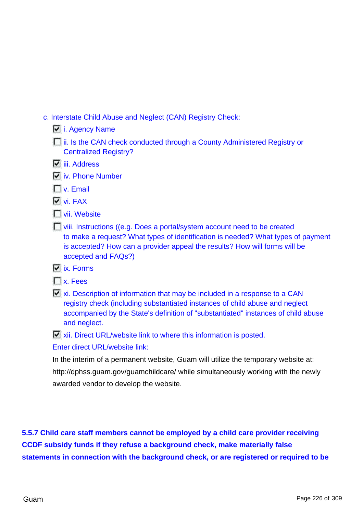c. Interstate Child Abuse and Neglect (CAN) Registry Check:

| i. Agency Name |  |
|----------------|--|
|                |  |

- **i**ii. Is the CAN check conducted through a County Administered Registry or Centralized Registry?
- $\nabla$  iii. Address
- **N** iv. Phone Number
- **TV.** Email
- **Vi.** FAX
- **T** vii. Website
- **T** viii. Instructions ((e.g. Does a portal/system account need to be created to make a request? What types of identification is needed? What types of payment is accepted? How can a provider appeal the results? How will forms will be accepted and FAQs?)
- $\overline{V}$  ix. Forms
- **Tx.** Fees
- $\Box$  xi. Description of information that may be included in a response to a CAN registry check (including substantiated instances of child abuse and neglect accompanied by the State's definition of "substantiated" instances of child abuse and neglect.

**E** xii. Direct URL/website link to where this information is posted.

Enter direct URL/website link:

In the interim of a permanent website, Guam will utilize the temporary website at: http://dphss.guam.gov/guamchildcare/ while simultaneously working with the newly awarded vendor to develop the website.

**5.5.7 Child care staff members cannot be employed by a child care provider receiving CCDF subsidy funds if they refuse a background check, make materially false statements in connection with the background check, or are registered or required to be**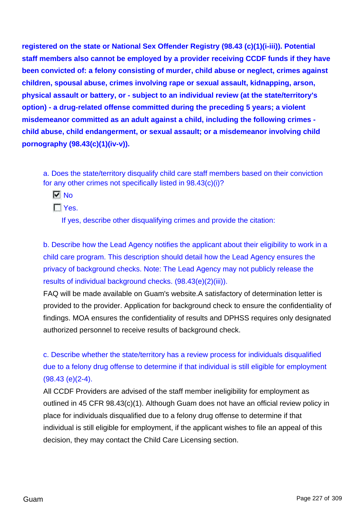**registered on the state or National Sex Offender Registry (98.43 (c)(1)(i-iii)). Potential staff members also cannot be employed by a provider receiving CCDF funds if they have been convicted of: a felony consisting of murder, child abuse or neglect, crimes against children, spousal abuse, crimes involving rape or sexual assault, kidnapping, arson, physical assault or battery, or - subject to an individual review (at the state/territory's option) - a drug-related offense committed during the preceding 5 years; a violent misdemeanor committed as an adult against a child, including the following crimes child abuse, child endangerment, or sexual assault; or a misdemeanor involving child pornography (98.43(c)(1)(iv-v)).**

a. Does the state/territory disqualify child care staff members based on their conviction for any other crimes not specifically listed in 98.43(c)(i)?

**No** 

 $\Gamma$  Yes.

If yes, describe other disqualifying crimes and provide the citation:

b. Describe how the Lead Agency notifies the applicant about their eligibility to work in a child care program. This description should detail how the Lead Agency ensures the privacy of background checks. Note: The Lead Agency may not publicly release the results of individual background checks. (98.43(e)(2)(iii)).

FAQ will be made available on Guam's website.A satisfactory of determination letter is provided to the provider. Application for background check to ensure the confidentiality of findings. MOA ensures the confidentiality of results and DPHSS requires only designated authorized personnel to receive results of background check.

c. Describe whether the state/territory has a review process for individuals disqualified due to a felony drug offense to determine if that individual is still eligible for employment (98.43 (e)(2-4).

All CCDF Providers are advised of the staff member ineligibility for employment as outlined in 45 CFR 98.43(c)(1). Although Guam does not have an official review policy in place for individuals disqualified due to a felony drug offense to determine if that individual is still eligible for employment, if the applicant wishes to file an appeal of this decision, they may contact the Child Care Licensing section.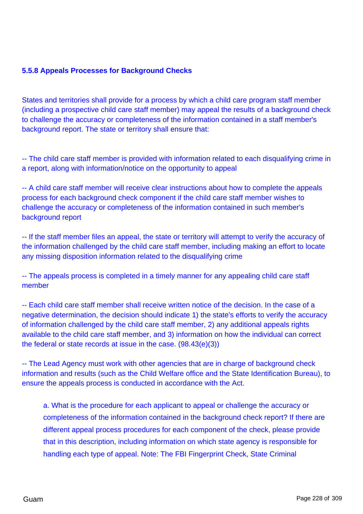## **5.5.8 Appeals Processes for Background Checks**

States and territories shall provide for a process by which a child care program staff member (including a prospective child care staff member) may appeal the results of a background check to challenge the accuracy or completeness of the information contained in a staff member's background report. The state or territory shall ensure that:

-- The child care staff member is provided with information related to each disqualifying crime in a report, along with information/notice on the opportunity to appeal

-- A child care staff member will receive clear instructions about how to complete the appeals process for each background check component if the child care staff member wishes to challenge the accuracy or completeness of the information contained in such member's background report

-- If the staff member files an appeal, the state or territory will attempt to verify the accuracy of the information challenged by the child care staff member, including making an effort to locate any missing disposition information related to the disqualifying crime

-- The appeals process is completed in a timely manner for any appealing child care staff member

-- Each child care staff member shall receive written notice of the decision. In the case of a negative determination, the decision should indicate 1) the state's efforts to verify the accuracy of information challenged by the child care staff member, 2) any additional appeals rights available to the child care staff member, and 3) information on how the individual can correct the federal or state records at issue in the case. (98.43(e)(3))

-- The Lead Agency must work with other agencies that are in charge of background check information and results (such as the Child Welfare office and the State Identification Bureau), to ensure the appeals process is conducted in accordance with the Act.

a. What is the procedure for each applicant to appeal or challenge the accuracy or completeness of the information contained in the background check report? If there are different appeal process procedures for each component of the check, please provide that in this description, including information on which state agency is responsible for handling each type of appeal. Note: The FBI Fingerprint Check, State Criminal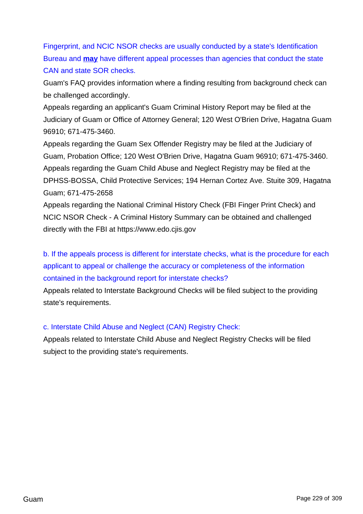Fingerprint, and NCIC NSOR checks are usually conducted by a state's Identification Bureau and **may** have different appeal processes than agencies that conduct the state CAN and state SOR checks.

Guam's FAQ provides information where a finding resulting from background check can be challenged accordingly.

Appeals regarding an applicant's Guam Criminal History Report may be filed at the Judiciary of Guam or Office of Attorney General; 120 West O'Brien Drive, Hagatna Guam 96910; 671-475-3460.

Appeals regarding the Guam Sex Offender Registry may be filed at the Judiciary of Guam, Probation Office; 120 West O'Brien Drive, Hagatna Guam 96910; 671-475-3460. Appeals regarding the Guam Child Abuse and Neglect Registry may be filed at the DPHSS-BOSSA, Child Protective Services; 194 Hernan Cortez Ave. Stuite 309, Hagatna Guam; 671-475-2658

Appeals regarding the National Criminal History Check (FBI Finger Print Check) and NCIC NSOR Check - A Criminal History Summary can be obtained and challenged directly with the FBI at https://www.edo.cjis.gov

b. If the appeals process is different for interstate checks, what is the procedure for each applicant to appeal or challenge the accuracy or completeness of the information contained in the background report for interstate checks?

Appeals related to Interstate Background Checks will be filed subject to the providing state's requirements.

### c. Interstate Child Abuse and Neglect (CAN) Registry Check:

Appeals related to Interstate Child Abuse and Neglect Registry Checks will be filed subject to the providing state's requirements.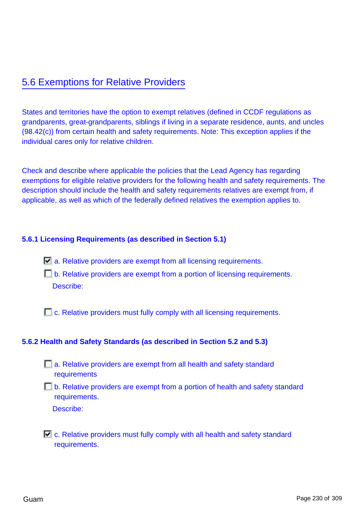# 5.6 Exemptions for Relative Providers

States and territories have the option to exempt relatives (defined in CCDF regulations as grandparents, great-grandparents, siblings if living in a separate residence, aunts, and uncles (98.42(c)) from certain health and safety requirements. Note: This exception applies if the individual cares only for relative children.

Check and describe where applicable the policies that the Lead Agency has regarding exemptions for eligible relative providers for the following health and safety requirements. The description should include the health and safety requirements relatives are exempt from, if applicable, as well as which of the federally defined relatives the exemption applies to.

#### **5.6.1 Licensing Requirements (as described in Section 5.1)**

- $\Box$  a. Relative providers are exempt from all licensing requirements.
- **b.** Relative providers are exempt from a portion of licensing requirements. Describe:

 $\Box$  c. Relative providers must fully comply with all licensing requirements.

#### **5.6.2 Health and Safety Standards (as described in Section 5.2 and 5.3)**

- **a. Relative providers are exempt from all health and safety standard** requirements
- **b.** Relative providers are exempt from a portion of health and safety standard requirements.

Describe:

 $\Box$  c. Relative providers must fully comply with all health and safety standard requirements.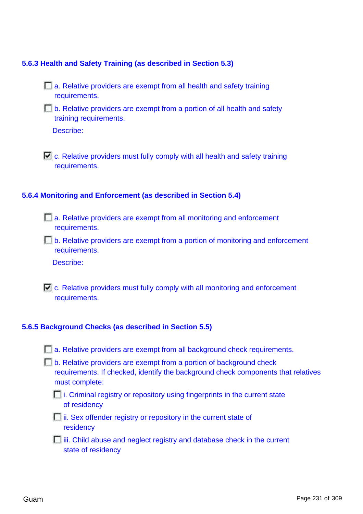#### **5.6.3 Health and Safety Training (as described in Section 5.3)**

- **a. Relative providers are exempt from all health and safety training** requirements.
- **b.** Relative providers are exempt from a portion of all health and safety training requirements.

Describe:

 $\Box$  c. Relative providers must fully comply with all health and safety training requirements.

#### **5.6.4 Monitoring and Enforcement (as described in Section 5.4)**

- a. Relative providers are exempt from all monitoring and enforcement requirements.
- **b.** Relative providers are exempt from a portion of monitoring and enforcement requirements.

Describe:

 $\Box$  c. Relative providers must fully comply with all monitoring and enforcement requirements.

#### **5.6.5 Background Checks (as described in Section 5.5)**

- **a. Relative providers are exempt from all background check requirements.**
- **b.** Relative providers are exempt from a portion of background check requirements. If checked, identify the background check components that relatives must complete:
	- $\Box$  i. Criminal registry or repository using fingerprints in the current state of residency
	- $\Box$  ii. Sex offender registry or repository in the current state of residency
	- $\Box$  iii. Child abuse and neglect registry and database check in the current state of residency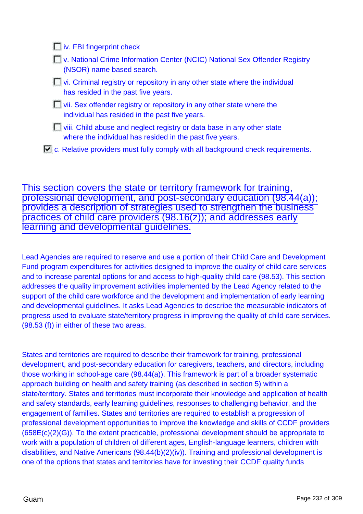**iv.** FBI fingerprint check

- **National Crime Information Center (NCIC) National Sex Offender Registry** (NSOR) name based search.
- $\Box$  vi. Criminal registry or repository in any other state where the individual has resided in the past five years.
- $\Box$  vii. Sex offender registry or repository in any other state where the individual has resided in the past five years.
- **Niii.** Child abuse and neglect registry or data base in any other state where the individual has resided in the past five years.
- $\Box$  c. Relative providers must fully comply with all background check requirements.

This section covers the state or territory framework for training, professional development, and post-secondary education (98.44(a)); provides a description of strategies used to strengthen the business practices of child care providers (98.16(z)); and addresses early learning and developmental guidelines.

Lead Agencies are required to reserve and use a portion of their Child Care and Development Fund program expenditures for activities designed to improve the quality of child care services and to increase parental options for and access to high-quality child care (98.53). This section addresses the quality improvement activities implemented by the Lead Agency related to the support of the child care workforce and the development and implementation of early learning and developmental guidelines. It asks Lead Agencies to describe the measurable indicators of progress used to evaluate state/territory progress in improving the quality of child care services. (98.53 (f)) in either of these two areas.

States and territories are required to describe their framework for training, professional development, and post-secondary education for caregivers, teachers, and directors, including those working in school-age care (98.44(a)). This framework is part of a broader systematic approach building on health and safety training (as described in section 5) within a state/territory. States and territories must incorporate their knowledge and application of health and safety standards, early learning guidelines, responses to challenging behavior, and the engagement of families. States and territories are required to establish a progression of professional development opportunities to improve the knowledge and skills of CCDF providers (658E(c)(2)(G)). To the extent practicable, professional development should be appropriate to work with a population of children of different ages, English-language learners, children with disabilities, and Native Americans (98.44(b)(2)(iv)). Training and professional development is one of the options that states and territories have for investing their CCDF quality funds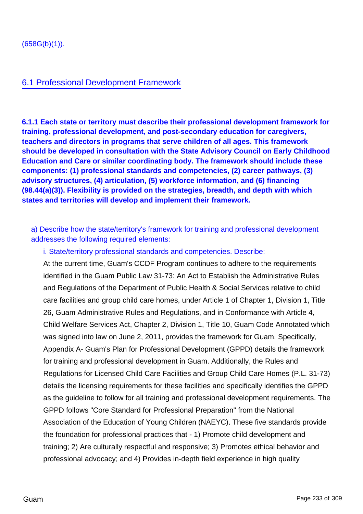## 6.1 Professional Development Framework

**6.1.1 Each state or territory must describe their professional development framework for training, professional development, and post-secondary education for caregivers, teachers and directors in programs that serve children of all ages. This framework should be developed in consultation with the State Advisory Council on Early Childhood Education and Care or similar coordinating body. The framework should include these components: (1) professional standards and competencies, (2) career pathways, (3) advisory structures, (4) articulation, (5) workforce information, and (6) financing (98.44(a)(3)). Flexibility is provided on the strategies, breadth, and depth with which states and territories will develop and implement their framework.**

a) Describe how the state/territory's framework for training and professional development addresses the following required elements:

i. State/territory professional standards and competencies. Describe:

At the current time, Guam's CCDF Program continues to adhere to the requirements identified in the Guam Public Law 31-73: An Act to Establish the Administrative Rules and Regulations of the Department of Public Health & Social Services relative to child care facilities and group child care homes, under Article 1 of Chapter 1, Division 1, Title 26, Guam Administrative Rules and Regulations, and in Conformance with Article 4, Child Welfare Services Act, Chapter 2, Division 1, Title 10, Guam Code Annotated which was signed into law on June 2, 2011, provides the framework for Guam. Specifically, Appendix A- Guam's Plan for Professional Development (GPPD) details the framework for training and professional development in Guam. Additionally, the Rules and Regulations for Licensed Child Care Facilities and Group Child Care Homes (P.L. 31-73) details the licensing requirements for these facilities and specifically identifies the GPPD as the guideline to follow for all training and professional development requirements. The GPPD follows "Core Standard for Professional Preparation" from the National Association of the Education of Young Children (NAEYC). These five standards provide the foundation for professional practices that - 1) Promote child development and training; 2) Are culturally respectful and responsive; 3) Promotes ethical behavior and professional advocacy; and 4) Provides in-depth field experience in high quality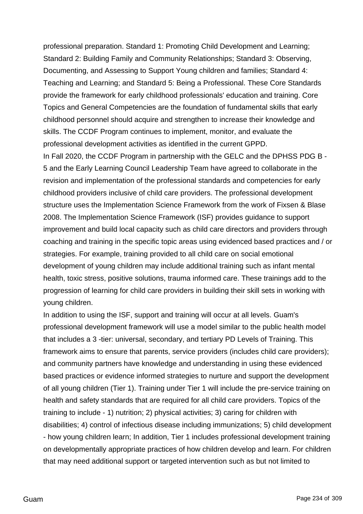professional preparation. Standard 1: Promoting Child Development and Learning; Standard 2: Building Family and Community Relationships; Standard 3: Observing, Documenting, and Assessing to Support Young children and families; Standard 4: Teaching and Learning; and Standard 5: Being a Professional. These Core Standards provide the framework for early childhood professionals' education and training. Core Topics and General Competencies are the foundation of fundamental skills that early childhood personnel should acquire and strengthen to increase their knowledge and skills. The CCDF Program continues to implement, monitor, and evaluate the professional development activities as identified in the current GPPD.

In Fall 2020, the CCDF Program in partnership with the GELC and the DPHSS PDG B - 5 and the Early Learning Council Leadership Team have agreed to collaborate in the revision and implementation of the professional standards and competencies for early childhood providers inclusive of child care providers. The professional development structure uses the Implementation Science Framework from the work of Fixsen & Blase 2008. The Implementation Science Framework (ISF) provides guidance to support improvement and build local capacity such as child care directors and providers through coaching and training in the specific topic areas using evidenced based practices and / or strategies. For example, training provided to all child care on social emotional development of young children may include additional training such as infant mental health, toxic stress, positive solutions, trauma informed care. These trainings add to the progression of learning for child care providers in building their skill sets in working with young children.

In addition to using the ISF, support and training will occur at all levels. Guam's professional development framework will use a model similar to the public health model that includes a 3 -tier: universal, secondary, and tertiary PD Levels of Training. This framework aims to ensure that parents, service providers (includes child care providers); and community partners have knowledge and understanding in using these evidenced based practices or evidence informed strategies to nurture and support the development of all young children (Tier 1). Training under Tier 1 will include the pre-service training on health and safety standards that are required for all child care providers. Topics of the training to include - 1) nutrition; 2) physical activities; 3) caring for children with disabilities; 4) control of infectious disease including immunizations; 5) child development - how young children learn; In addition, Tier 1 includes professional development training on developmentally appropriate practices of how children develop and learn. For children that may need additional support or targeted intervention such as but not limited to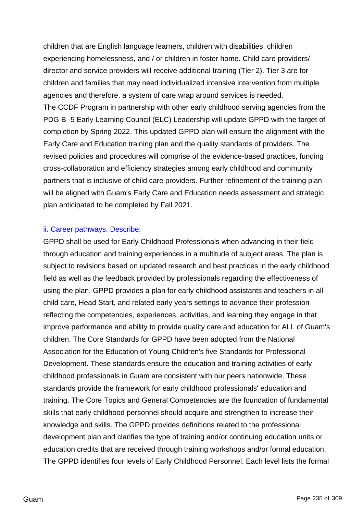children that are English language learners, children with disabilities, children experiencing homelessness, and / or children in foster home. Child care providers/ director and service providers will receive additional training (Tier 2). Tier 3 are for children and families that may need individualized intensive intervention from multiple agencies and therefore, a system of care wrap around services is needed. The CCDF Program in partnership with other early childhood serving agencies from the PDG B -5 Early Learning Council (ELC) Leadership will update GPPD with the target of completion by Spring 2022. This updated GPPD plan will ensure the alignment with the Early Care and Education training plan and the quality standards of providers. The revised policies and procedures will comprise of the evidence-based practices, funding cross-collaboration and efficiency strategies among early childhood and community partners that is inclusive of child care providers. Further refinement of the training plan will be aligned with Guam's Early Care and Education needs assessment and strategic plan anticipated to be completed by Fall 2021.

#### ii. Career pathways. Describe:

GPPD shall be used for Early Childhood Professionals when advancing in their field through education and training experiences in a multitude of subject areas. The plan is subject to revisions based on updated research and best practices in the early childhood field as well as the feedback provided by professionals regarding the effectiveness of using the plan. GPPD provides a plan for early childhood assistants and teachers in all child care, Head Start, and related early years settings to advance their profession reflecting the competencies, experiences, activities, and learning they engage in that improve performance and ability to provide quality care and education for ALL of Guam's children. The Core Standards for GPPD have been adopted from the National Association for the Education of Young Children's five Standards for Professional Development. These standards ensure the education and training activities of early childhood professionals in Guam are consistent with our peers nationwide. These standards provide the framework for early childhood professionals' education and training. The Core Topics and General Competencies are the foundation of fundamental skills that early childhood personnel should acquire and strengthen to increase their knowledge and skills. The GPPD provides definitions related to the professional development plan and clarifies the type of training and/or continuing education units or education credits that are received through training workshops and/or formal education. The GPPD identifies four levels of Early Childhood Personnel. Each level lists the formal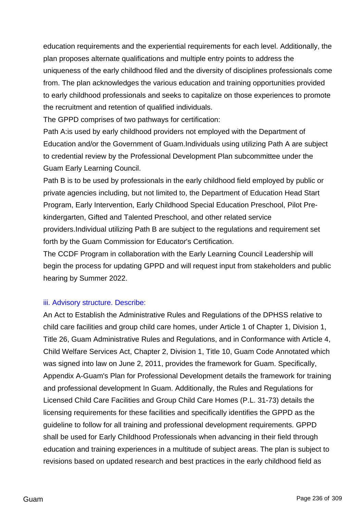education requirements and the experiential requirements for each level. Additionally, the plan proposes alternate qualifications and multiple entry points to address the uniqueness of the early childhood filed and the diversity of disciplines professionals come from. The plan acknowledges the various education and training opportunities provided to early childhood professionals and seeks to capitalize on those experiences to promote the recruitment and retention of qualified individuals.

The GPPD comprises of two pathways for certification:

Path A:is used by early childhood providers not employed with the Department of Education and/or the Government of Guam.Individuals using utilizing Path A are subject to credential review by the Professional Development Plan subcommittee under the Guam Early Learning Council.

Path B is to be used by professionals in the early childhood field employed by public or private agencies including, but not limited to, the Department of Education Head Start Program, Early Intervention, Early Childhood Special Education Preschool, Pilot Prekindergarten, Gifted and Talented Preschool, and other related service providers.Individual utilizing Path B are subject to the regulations and requirement set forth by the Guam Commission for Educator's Certification.

The CCDF Program in collaboration with the Early Learning Council Leadership will begin the process for updating GPPD and will request input from stakeholders and public hearing by Summer 2022.

### iii. Advisory structure. Describe:

An Act to Establish the Administrative Rules and Regulations of the DPHSS relative to child care facilities and group child care homes, under Article 1 of Chapter 1, Division 1, Title 26, Guam Administrative Rules and Regulations, and in Conformance with Article 4, Child Welfare Services Act, Chapter 2, Division 1, Title 10, Guam Code Annotated which was signed into law on June 2, 2011, provides the framework for Guam. Specifically, Appendix A-Guam's Plan for Professional Development details the framework for training and professional development In Guam. Additionally, the Rules and Regulations for Licensed Child Care Facilities and Group Child Care Homes (P.L. 31-73) details the licensing requirements for these facilities and specifically identifies the GPPD as the guideline to follow for all training and professional development requirements. GPPD shall be used for Early Childhood Professionals when advancing in their field through education and training experiences in a multitude of subject areas. The plan is subject to revisions based on updated research and best practices in the early childhood field as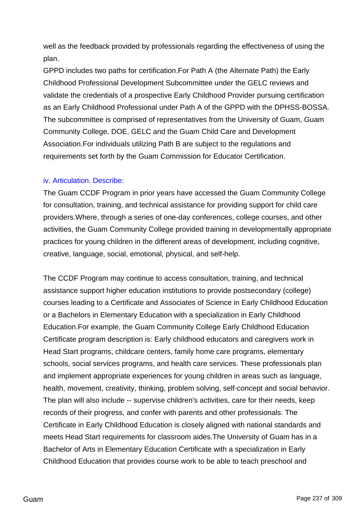well as the feedback provided by professionals regarding the effectiveness of using the plan.

GPPD includes two paths for certification.For Path A (the Alternate Path) the Early Childhood Professional Development Subcommittee under the GELC reviews and validate the credentials of a prospective Early Childhood Provider pursuing certification as an Early Childhood Professional under Path A of the GPPD with the DPHSS-BOSSA. The subcommittee is comprised of representatives from the University of Guam, Guam Community College, DOE, GELC and the Guam Child Care and Development Association.For individuals utilizing Path B are subject to the regulations and requirements set forth by the Guam Commission for Educator Certification.

### iv. Articulation. Describe:

The Guam CCDF Program in prior years have accessed the Guam Community College for consultation, training, and technical assistance for providing support for child care providers.Where, through a series of one-day conferences, college courses, and other activities, the Guam Community College provided training in developmentally appropriate practices for young children in the different areas of development, including cognitive, creative, language, social, emotional, physical, and self-help.

The CCDF Program may continue to access consultation, training, and technical assistance support higher education institutions to provide postsecondary (college) courses leading to a Certificate and Associates of Science in Early Childhood Education or a Bachelors in Elementary Education with a specialization in Early Childhood Education.For example, the Guam Community College Early Childhood Education Certificate program description is: Early childhood educators and caregivers work in Head Start programs, childcare centers, family home care programs, elementary schools, social services programs, and health care services. These professionals plan and implement appropriate experiences for young children in areas such as language, health, movement, creativity, thinking, problem solving, self-concept and social behavior. The plan will also include -- supervise children's activities, care for their needs, keep records of their progress, and confer with parents and other professionals. The Certificate in Early Childhood Education is closely aligned with national standards and meets Head Start requirements for classroom aides.The University of Guam has in a Bachelor of Arts in Elementary Education Certificate with a specialization in Early Childhood Education that provides course work to be able to teach preschool and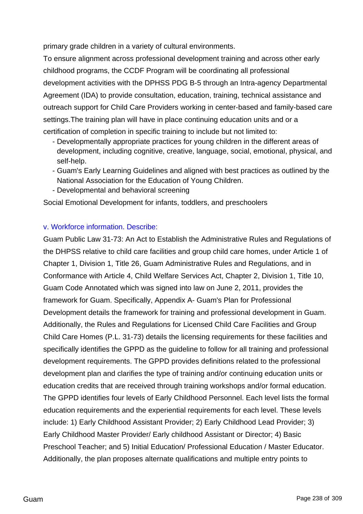primary grade children in a variety of cultural environments.

To ensure alignment across professional development training and across other early childhood programs, the CCDF Program will be coordinating all professional development activities with the DPHSS PDG B-5 through an Intra-agency Departmental Agreement (IDA) to provide consultation, education, training, technical assistance and outreach support for Child Care Providers working in center-based and family-based care settings.The training plan will have in place continuing education units and or a certification of completion in specific training to include but not limited to:

- Developmentally appropriate practices for young children in the different areas of development, including cognitive, creative, language, social, emotional, physical, and self-help.
- Guam's Early Learning Guidelines and aligned with best practices as outlined by the National Association for the Education of Young Children.
- Developmental and behavioral screening

Social Emotional Development for infants, toddlers, and preschoolers

## v. Workforce information. Describe:

Guam Public Law 31-73: An Act to Establish the Administrative Rules and Regulations of the DHPSS relative to child care facilities and group child care homes, under Article 1 of Chapter 1, Division 1, Title 26, Guam Administrative Rules and Regulations, and in Conformance with Article 4, Child Welfare Services Act, Chapter 2, Division 1, Title 10, Guam Code Annotated which was signed into law on June 2, 2011, provides the framework for Guam. Specifically, Appendix A- Guam's Plan for Professional Development details the framework for training and professional development in Guam. Additionally, the Rules and Regulations for Licensed Child Care Facilities and Group Child Care Homes (P.L. 31-73) details the licensing requirements for these facilities and specifically identifies the GPPD as the guideline to follow for all training and professional development requirements. The GPPD provides definitions related to the professional development plan and clarifies the type of training and/or continuing education units or education credits that are received through training workshops and/or formal education. The GPPD identifies four levels of Early Childhood Personnel. Each level lists the formal education requirements and the experiential requirements for each level. These levels include: 1) Early Childhood Assistant Provider; 2) Early Childhood Lead Provider; 3) Early Childhood Master Provider/ Early childhood Assistant or Director; 4) Basic Preschool Teacher; and 5) Initial Education/ Professional Education / Master Educator. Additionally, the plan proposes alternate qualifications and multiple entry points to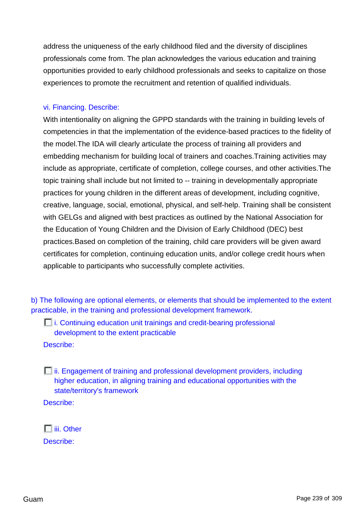address the uniqueness of the early childhood filed and the diversity of disciplines professionals come from. The plan acknowledges the various education and training opportunities provided to early childhood professionals and seeks to capitalize on those experiences to promote the recruitment and retention of qualified individuals.

#### vi. Financing. Describe:

With intentionality on aligning the GPPD standards with the training in building levels of competencies in that the implementation of the evidence-based practices to the fidelity of the model.The IDA will clearly articulate the process of training all providers and embedding mechanism for building local of trainers and coaches.Training activities may include as appropriate, certificate of completion, college courses, and other activities.The topic training shall include but not limited to -- training in developmentally appropriate practices for young children in the different areas of development, including cognitive, creative, language, social, emotional, physical, and self-help. Training shall be consistent with GELGs and aligned with best practices as outlined by the National Association for the Education of Young Children and the Division of Early Childhood (DEC) best practices.Based on completion of the training, child care providers will be given award certificates for completion, continuing education units, and/or college credit hours when applicable to participants who successfully complete activities.

b) The following are optional elements, or elements that should be implemented to the extent practicable, in the training and professional development framework.

i. Continuing education unit trainings and credit-bearing professional development to the extent practicable

Describe:

 $\Box$  ii. Engagement of training and professional development providers, including higher education, in aligning training and educational opportunities with the state/territory's framework

Describe:

 $\Box$ iii. Other Describe: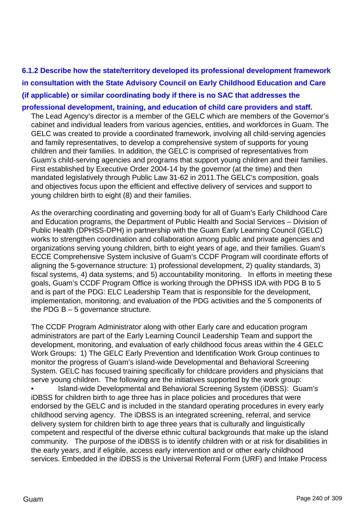**6.1.2 Describe how the state/territory developed its professional development framework in consultation with the State Advisory Council on Early Childhood Education and Care (if applicable) or similar coordinating body if there is no SAC that addresses the**

**professional development, training, and education of child care providers and staff.** The Lead Agency's director is a member of the GELC which are members of the Governor's cabinet and individual leaders from various agencies, entities, and workforces in Guam. The GELC was created to provide a coordinated framework, involving all child-serving agencies and family representatives, to develop a comprehensive system of supports for young children and their families. In addition, the GELC is comprised of representatives from Guam's child-serving agencies and programs that support young children and their families. First established by Executive Order 2004-14 by the governor (at the time) and then mandated legislatively through Public Law 31-62 in 2011.The GELC's composition, goals and objectives focus upon the efficient and effective delivery of services and support to young children birth to eight (8) and their families.

As the overarching coordinating and governing body for all of Guam's Early Childhood Care and Education programs, the Department of Public Health and Social Services – Division of Public Health (DPHSS-DPH) in partnership with the Guam Early Learning Council (GELC) works to strengthen coordination and collaboration among public and private agencies and organizations serving young children, birth to eight years of age, and their families. Guam's ECCE Comprehensive System inclusive of Guam's CCDF Program will coordinate efforts of aligning the 5-governance structure: 1) professional development, 2) quality standards, 3) fiscal systems, 4) data systems, and 5) accountability monitoring. In efforts in meeting these goals, Guam's CCDF Program Office is working through the DPHSS IDA with PDG B to 5 and is part of the PDG: ELC Leadership Team that is responsible for the development, implementation, monitoring, and evaluation of the PDG activities and the 5 components of the PDG  $B - 5$  governance structure.

The CCDF Program Administrator along with other Early care and education program administrators are part of the Early Learning Council Leadership Team and support the development, monitoring, and evaluation of early childhood focus areas within the 4 GELC Work Groups: 1) The GELC Early Prevention and Identification Work Group continues to monitor the progress of Guam's island-wide Developmental and Behavioral Screening System. GELC has focused training specifically for childcare providers and physicians that serve young children. The following are the initiatives supported by the work group: • Island-wide Developmental and Behavioral Screening System (iDBSS): Guam's iDBSS for children birth to age three has in place policies and procedures that were endorsed by the GELC and is included in the standard operating procedures in every early childhood serving agency. The iDBSS is an integrated screening, referral, and service delivery system for children birth to age three years that is culturally and linguistically competent and respectful of the diverse ethnic cultural backgrounds that make up the island community. The purpose of the iDBSS is to identify children with or at risk for disabilities in the early years, and if eligible, access early intervention and or other early childhood services. Embedded in the iDBSS is the Universal Referral Form (URF) and Intake Process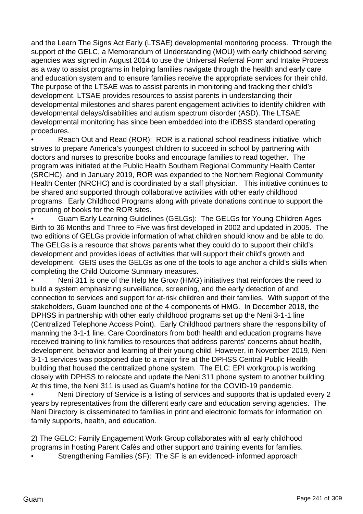and the Learn The Signs Act Early (LTSAE) developmental monitoring process. Through the support of the GELC, a Memorandum of Understanding (MOU) with early childhood serving agencies was signed in August 2014 to use the Universal Referral Form and Intake Process as a way to assist programs in helping families navigate through the health and early care and education system and to ensure families receive the appropriate services for their child. The purpose of the LTSAE was to assist parents in monitoring and tracking their child's development. LTSAE provides resources to assist parents in understanding their developmental milestones and shares parent engagement activities to identify children with developmental delays/disabilities and autism spectrum disorder (ASD). The LTSAE developmental monitoring has since been embedded into the iDBSS standard operating procedures.

Reach Out and Read (ROR): ROR is a national school readiness initiative, which strives to prepare America's youngest children to succeed in school by partnering with doctors and nurses to prescribe books and encourage families to read together. The program was initiated at the Public Health Southern Regional Community Health Center (SRCHC), and in January 2019, ROR was expanded to the Northern Regional Community Health Center (NRCHC) and is coordinated by a staff physician. This initiative continues to be shared and supported through collaborative activities with other early childhood programs. Early Childhood Programs along with private donations continue to support the procuring of books for the ROR sites.

• Guam Early Learning Guidelines (GELGs): The GELGs for Young Children Ages Birth to 36 Months and Three to Five was first developed in 2002 and updated in 2005. The two editions of GELGs provide information of what children should know and be able to do. The GELGs is a resource that shows parents what they could do to support their child's development and provides ideas of activities that will support their child's growth and development. GEIS uses the GELGs as one of the tools to age anchor a child's skills when completing the Child Outcome Summary measures.

• Neni 311 is one of the Help Me Grow (HMG) initiatives that reinforces the need to build a system emphasizing surveillance, screening, and the early detection of and connection to services and support for at-risk children and their families. With support of the stakeholders, Guam launched one of the 4 components of HMG. In December 2018, the DPHSS in partnership with other early childhood programs set up the Neni 3-1-1 line (Centralized Telephone Access Point). Early Childhood partners share the responsibility of manning the 3-1-1 line. Care Coordinators from both health and education programs have received training to link families to resources that address parents' concerns about health, development, behavior and learning of their young child. However, in November 2019, Neni 3-1-1 services was postponed due to a major fire at the DPHSS Central Public Health building that housed the centralized phone system. The ELC: EPI workgroup is working closely with DPHSS to relocate and update the Neni 311 phone system to another building. At this time, the Neni 311 is used as Guam's hotline for the COVID-19 pandemic.

• Neni Directory of Service is a listing of services and supports that is updated every 2 years by representatives from the different early care and education serving agencies. The Neni Directory is disseminated to families in print and electronic formats for information on family supports, health, and education.

2) The GELC: Family Engagement Work Group collaborates with all early childhood programs in hosting Parent Cafés and other support and training events for families.

• Strengthening Families (SF): The SF is an evidenced- informed approach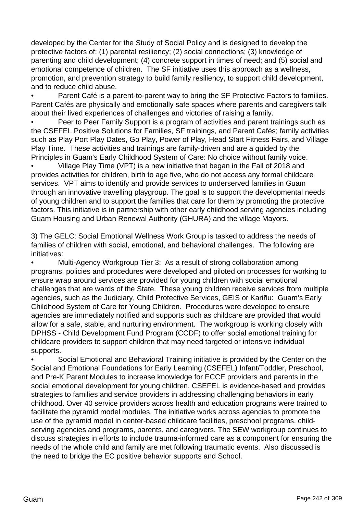developed by the Center for the Study of Social Policy and is designed to develop the protective factors of: (1) parental resiliency; (2) social connections; (3) knowledge of parenting and child development; (4) concrete support in times of need; and (5) social and emotional competence of children. The SF initiative uses this approach as a wellness, promotion, and prevention strategy to build family resiliency, to support child development, and to reduce child abuse.

Parent Café is a parent-to-parent way to bring the SF Protective Factors to families. Parent Cafés are physically and emotionally safe spaces where parents and caregivers talk about their lived experiences of challenges and victories of raising a family.

• Peer to Peer Family Support is a program of activities and parent trainings such as the CSEFEL Positive Solutions for Families, SF trainings, and Parent Cafés; family activities such as Play Port Play Dates, Go Play, Power of Play, Head Start Fitness Fairs, and Village Play Time. These activities and trainings are family-driven and are a guided by the Principles in Guam's Early Childhood System of Care: No choice without family voice.

• Village Play Time (VPT) is a new initiative that began in the Fall of 2018 and provides activities for children, birth to age five, who do not access any formal childcare services. VPT aims to identify and provide services to underserved families in Guam through an innovative travelling playgroup. The goal is to support the developmental needs of young children and to support the families that care for them by promoting the protective factors. This initiative is in partnership with other early childhood serving agencies including Guam Housing and Urban Renewal Authority (GHURA) and the village Mayors.

3) The GELC: Social Emotional Wellness Work Group is tasked to address the needs of families of children with social, emotional, and behavioral challenges. The following are initiatives:

• Multi-Agency Workgroup Tier 3: As a result of strong collaboration among programs, policies and procedures were developed and piloted on processes for working to ensure wrap around services are provided for young children with social emotional challenges that are wards of the State. These young children receive services from multiple agencies, such as the Judiciary, Child Protective Services, GEIS or Kariñu: Guam's Early Childhood System of Care for Young Children. Procedures were developed to ensure agencies are immediately notified and supports such as childcare are provided that would allow for a safe, stable, and nurturing environment. The workgroup is working closely with DPHSS - Child Development Fund Program (CCDF) to offer social emotional training for childcare providers to support children that may need targeted or intensive individual supports.

• Social Emotional and Behavioral Training initiative is provided by the Center on the Social and Emotional Foundations for Early Learning (CSEFEL) Infant/Toddler, Preschool, and Pre-K Parent Modules to increase knowledge for ECCE providers and parents in the social emotional development for young children. CSEFEL is evidence-based and provides strategies to families and service providers in addressing challenging behaviors in early childhood. Over 40 service providers across health and education programs were trained to facilitate the pyramid model modules. The initiative works across agencies to promote the use of the pyramid model in center-based childcare facilities, preschool programs, childserving agencies and programs, parents, and caregivers. The SEW workgroup continues to discuss strategies in efforts to include trauma-informed care as a component for ensuring the needs of the whole child and family are met following traumatic events. Also discussed is the need to bridge the EC positive behavior supports and School.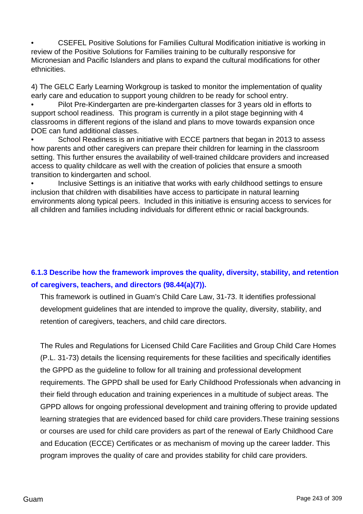• CSEFEL Positive Solutions for Families Cultural Modification initiative is working in review of the Positive Solutions for Families training to be culturally responsive for Micronesian and Pacific Islanders and plans to expand the cultural modifications for other ethnicities.

4) The GELC Early Learning Workgroup is tasked to monitor the implementation of quality early care and education to support young children to be ready for school entry.

• Pilot Pre-Kindergarten are pre-kindergarten classes for 3 years old in efforts to support school readiness. This program is currently in a pilot stage beginning with 4 classrooms in different regions of the island and plans to move towards expansion once DOE can fund additional classes.

School Readiness is an initiative with ECCE partners that began in 2013 to assess how parents and other caregivers can prepare their children for learning in the classroom setting. This further ensures the availability of well-trained childcare providers and increased access to quality childcare as well with the creation of policies that ensure a smooth transition to kindergarten and school.

Inclusive Settings is an initiative that works with early childhood settings to ensure inclusion that children with disabilities have access to participate in natural learning environments along typical peers. Included in this initiative is ensuring access to services for all children and families including individuals for different ethnic or racial backgrounds.

## **6.1.3 Describe how the framework improves the quality, diversity, stability, and retention of caregivers, teachers, and directors (98.44(a)(7)).**

This framework is outlined in Guam's Child Care Law, 31-73. It identifies professional development guidelines that are intended to improve the quality, diversity, stability, and retention of caregivers, teachers, and child care directors.

The Rules and Regulations for Licensed Child Care Facilities and Group Child Care Homes (P.L. 31-73) details the licensing requirements for these facilities and specifically identifies the GPPD as the guideline to follow for all training and professional development requirements. The GPPD shall be used for Early Childhood Professionals when advancing in their field through education and training experiences in a multitude of subject areas. The GPPD allows for ongoing professional development and training offering to provide updated learning strategies that are evidenced based for child care providers.These training sessions or courses are used for child care providers as part of the renewal of Early Childhood Care and Education (ECCE) Certificates or as mechanism of moving up the career ladder. This program improves the quality of care and provides stability for child care providers.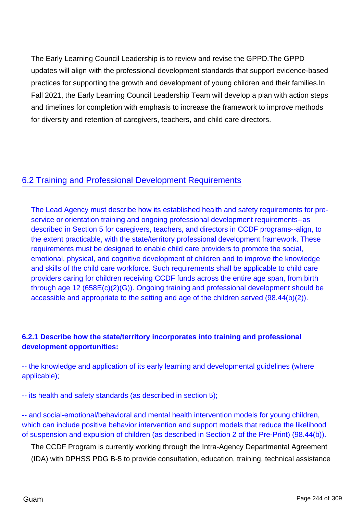The Early Learning Council Leadership is to review and revise the GPPD.The GPPD updates will align with the professional development standards that support evidence-based practices for supporting the growth and development of young children and their families.In Fall 2021, the Early Learning Council Leadership Team will develop a plan with action steps and timelines for completion with emphasis to increase the framework to improve methods for diversity and retention of caregivers, teachers, and child care directors.

## 6.2 Training and Professional Development Requirements

The Lead Agency must describe how its established health and safety requirements for preservice or orientation training and ongoing professional development requirements--as described in Section 5 for caregivers, teachers, and directors in CCDF programs--align, to the extent practicable, with the state/territory professional development framework. These requirements must be designed to enable child care providers to promote the social, emotional, physical, and cognitive development of children and to improve the knowledge and skills of the child care workforce. Such requirements shall be applicable to child care providers caring for children receiving CCDF funds across the entire age span, from birth through age 12 (658E(c)(2)(G)). Ongoing training and professional development should be accessible and appropriate to the setting and age of the children served (98.44(b)(2)).

## **6.2.1 Describe how the state/territory incorporates into training and professional development opportunities:**

-- the knowledge and application of its early learning and developmental guidelines (where applicable);

-- its health and safety standards (as described in section 5);

-- and social-emotional/behavioral and mental health intervention models for young children, which can include positive behavior intervention and support models that reduce the likelihood of suspension and expulsion of children (as described in Section 2 of the Pre-Print) (98.44(b)).

The CCDF Program is currently working through the Intra-Agency Departmental Agreement (IDA) with DPHSS PDG B-5 to provide consultation, education, training, technical assistance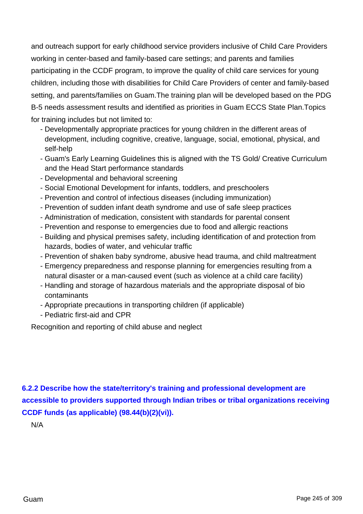and outreach support for early childhood service providers inclusive of Child Care Providers working in center-based and family-based care settings; and parents and families participating in the CCDF program, to improve the quality of child care services for young children, including those with disabilities for Child Care Providers of center and family-based setting, and parents/families on Guam.The training plan will be developed based on the PDG B-5 needs assessment results and identified as priorities in Guam ECCS State Plan.Topics for training includes but not limited to:

- Developmentally appropriate practices for young children in the different areas of development, including cognitive, creative, language, social, emotional, physical, and self-help
- Guam's Early Learning Guidelines this is aligned with the TS Gold/ Creative Curriculum and the Head Start performance standards
- Developmental and behavioral screening
- Social Emotional Development for infants, toddlers, and preschoolers
- Prevention and control of infectious diseases (including immunization)
- Prevention of sudden infant death syndrome and use of safe sleep practices
- Administration of medication, consistent with standards for parental consent
- Prevention and response to emergencies due to food and allergic reactions
- Building and physical premises safety, including identification of and protection from hazards, bodies of water, and vehicular traffic
- Prevention of shaken baby syndrome, abusive head trauma, and child maltreatment
- Emergency preparedness and response planning for emergencies resulting from a natural disaster or a man-caused event (such as violence at a child care facility)
- Handling and storage of hazardous materials and the appropriate disposal of bio contaminants
- Appropriate precautions in transporting children (if applicable)
- Pediatric first-aid and CPR

Recognition and reporting of child abuse and neglect

**6.2.2 Describe how the state/territory's training and professional development are accessible to providers supported through Indian tribes or tribal organizations receiving CCDF funds (as applicable) (98.44(b)(2)(vi)).**

N/A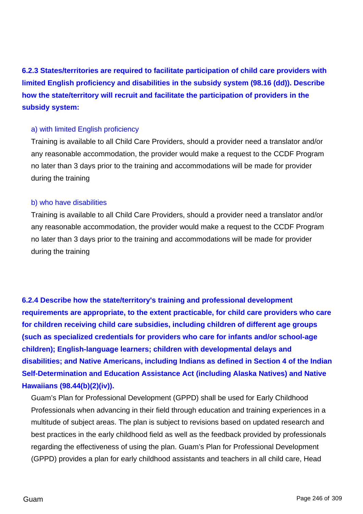**6.2.3 States/territories are required to facilitate participation of child care providers with limited English proficiency and disabilities in the subsidy system (98.16 (dd)). Describe how the state/territory will recruit and facilitate the participation of providers in the subsidy system:**

#### a) with limited English proficiency

Training is available to all Child Care Providers, should a provider need a translator and/or any reasonable accommodation, the provider would make a request to the CCDF Program no later than 3 days prior to the training and accommodations will be made for provider during the training

#### b) who have disabilities

Training is available to all Child Care Providers, should a provider need a translator and/or any reasonable accommodation, the provider would make a request to the CCDF Program no later than 3 days prior to the training and accommodations will be made for provider during the training

**6.2.4 Describe how the state/territory's training and professional development requirements are appropriate, to the extent practicable, for child care providers who care for children receiving child care subsidies, including children of different age groups (such as specialized credentials for providers who care for infants and/or school-age children); English-language learners; children with developmental delays and disabilities; and Native Americans, including Indians as defined in Section 4 of the Indian Self-Determination and Education Assistance Act (including Alaska Natives) and Native Hawaiians (98.44(b)(2)(iv)).**

Guam's Plan for Professional Development (GPPD) shall be used for Early Childhood Professionals when advancing in their field through education and training experiences in a multitude of subject areas. The plan is subject to revisions based on updated research and best practices in the early childhood field as well as the feedback provided by professionals regarding the effectiveness of using the plan. Guam's Plan for Professional Development (GPPD) provides a plan for early childhood assistants and teachers in all child care, Head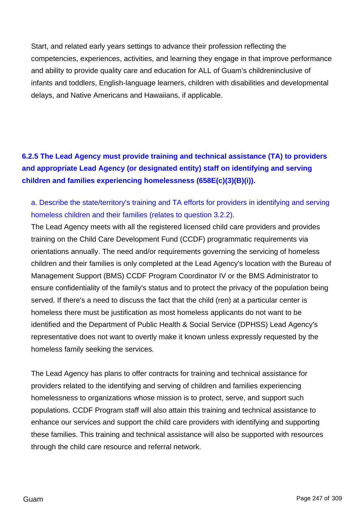Start, and related early years settings to advance their profession reflecting the competencies, experiences, activities, and learning they engage in that improve performance and ability to provide quality care and education for ALL of Guam's childreninclusive of infants and toddlers, English-language learners, children with disabilities and developmental delays, and Native Americans and Hawaiians, if applicable.

## **6.2.5 The Lead Agency must provide training and technical assistance (TA) to providers and appropriate Lead Agency (or designated entity) staff on identifying and serving children and families experiencing homelessness (658E(c)(3)(B)(i)).**

## a. Describe the state/territory's training and TA efforts for providers in identifying and serving homeless children and their families (relates to question 3.2.2).

The Lead Agency meets with all the registered licensed child care providers and provides training on the Child Care Development Fund (CCDF) programmatic requirements via orientations annually. The need and/or requirements governing the servicing of homeless children and their families is only completed at the Lead Agency's location with the Bureau of Management Support (BMS) CCDF Program Coordinator IV or the BMS Administrator to ensure confidentiality of the family's status and to protect the privacy of the population being served. If there's a need to discuss the fact that the child (ren) at a particular center is homeless there must be justification as most homeless applicants do not want to be identified and the Department of Public Health & Social Service (DPHSS) Lead Agency's representative does not want to overtly make it known unless expressly requested by the homeless family seeking the services.

The Lead Agency has plans to offer contracts for training and technical assistance for providers related to the identifying and serving of children and families experiencing homelessness to organizations whose mission is to protect, serve, and support such populations. CCDF Program staff will also attain this training and technical assistance to enhance our services and support the child care providers with identifying and supporting these families. This training and technical assistance will also be supported with resources through the child care resource and referral network.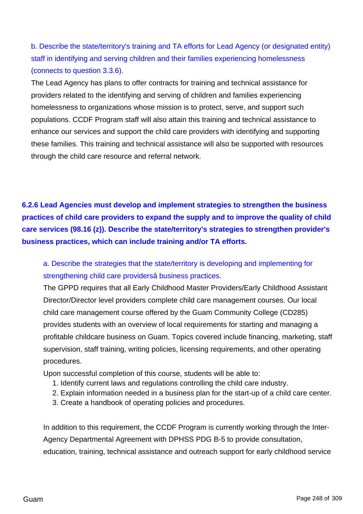b. Describe the state/territory's training and TA efforts for Lead Agency (or designated entity) staff in identifying and serving children and their families experiencing homelessness (connects to question 3.3.6).

The Lead Agency has plans to offer contracts for training and technical assistance for providers related to the identifying and serving of children and families experiencing homelessness to organizations whose mission is to protect, serve, and support such populations. CCDF Program staff will also attain this training and technical assistance to enhance our services and support the child care providers with identifying and supporting these families. This training and technical assistance will also be supported with resources through the child care resource and referral network.

**6.2.6 Lead Agencies must develop and implement strategies to strengthen the business practices of child care providers to expand the supply and to improve the quality of child care services (98.16 (z)). Describe the state/territory's strategies to strengthen provider's business practices, which can include training and/or TA efforts.**

a. Describe the strategies that the state/territory is developing and implementing for strengthening child care providersâ business practices.

The GPPD requires that all Early Childhood Master Providers/Early Childhood Assistant Director/Director level providers complete child care management courses. Our local child care management course offered by the Guam Community College (CD285) provides students with an overview of local requirements for starting and managing a profitable childcare business on Guam. Topics covered include financing, marketing, staff supervision, staff training, writing policies, licensing requirements, and other operating procedures.

Upon successful completion of this course, students will be able to:

- 1. Identify current laws and regulations controlling the child care industry.
- 2. Explain information needed in a business plan for the start-up of a child care center.
- 3. Create a handbook of operating policies and procedures.

In addition to this requirement, the CCDF Program is currently working through the Inter-Agency Departmental Agreement with DPHSS PDG B-5 to provide consultation, education, training, technical assistance and outreach support for early childhood service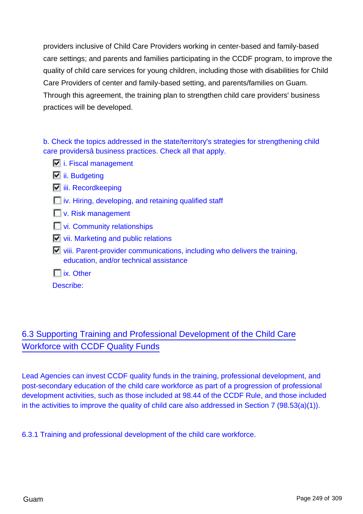providers inclusive of Child Care Providers working in center-based and family-based care settings; and parents and families participating in the CCDF program, to improve the quality of child care services for young children, including those with disabilities for Child Care Providers of center and family-based setting, and parents/families on Guam. Through this agreement, the training plan to strengthen child care providers' business practices will be developed.

b. Check the topics addressed in the state/territory's strategies for strengthening child care providersâ business practices. Check all that apply.

- $\overline{\mathbb{F}}$  i. Fiscal management
- **ii.** Budgeting
- **iii.** Recordkeeping
- **iv.** Hiring, developing, and retaining qualified staff
- **N**<sub>v</sub>. Risk management
- **Vi.** Community relationships
- $\Box$  vii. Marketing and public relations
- viii. Parent-provider communications, including who delivers the training, education, and/or technical assistance
- $\Gamma$  ix. Other

Describe:

# 6.3 Supporting Training and Professional Development of the Child Care Workforce with CCDF Quality Funds

Lead Agencies can invest CCDF quality funds in the training, professional development, and post-secondary education of the child care workforce as part of a progression of professional development activities, such as those included at 98.44 of the CCDF Rule, and those included in the activities to improve the quality of child care also addressed in Section 7 (98.53(a)(1)).

6.3.1 Training and professional development of the child care workforce.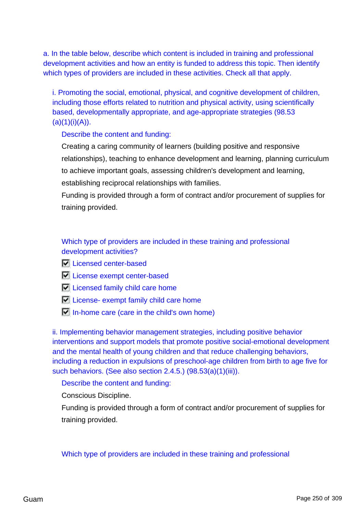a. In the table below, describe which content is included in training and professional development activities and how an entity is funded to address this topic. Then identify which types of providers are included in these activities. Check all that apply.

i. Promoting the social, emotional, physical, and cognitive development of children, including those efforts related to nutrition and physical activity, using scientifically based, developmentally appropriate, and age-appropriate strategies (98.53  $(a)(1)(i)(A)).$ 

## Describe the content and funding:

Creating a caring community of learners (building positive and responsive relationships), teaching to enhance development and learning, planning curriculum to achieve important goals, assessing children's development and learning, establishing reciprocal relationships with families.

Funding is provided through a form of contract and/or procurement of supplies for training provided.

## Which type of providers are included in these training and professional development activities?

- **Licensed center-based**
- **License exempt center-based**
- $\nabla$  Licensed family child care home
- $\nabla$  License- exempt family child care home
- $\Box$  In-home care (care in the child's own home)

ii. Implementing behavior management strategies, including positive behavior interventions and support models that promote positive social-emotional development and the mental health of young children and that reduce challenging behaviors, including a reduction in expulsions of preschool-age children from birth to age five for such behaviors. (See also section 2.4.5.) (98.53(a)(1)(iii)).

#### Describe the content and funding:

Conscious Discipline.

Funding is provided through a form of contract and/or procurement of supplies for training provided.

#### Which type of providers are included in these training and professional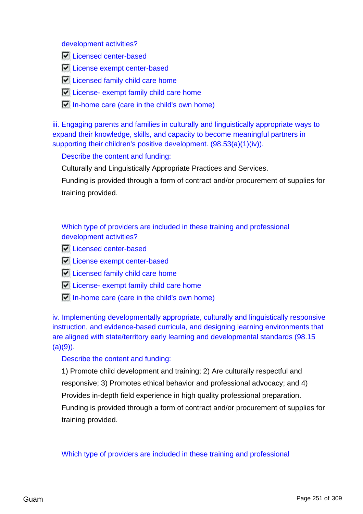development activities?

- **Licensed center-based**
- **License exempt center-based**
- **Licensed family child care home**
- $\Box$  License- exempt family child care home
- $\Box$  In-home care (care in the child's own home)

iii. Engaging parents and families in culturally and linguistically appropriate ways to expand their knowledge, skills, and capacity to become meaningful partners in supporting their children's positive development. (98.53(a)(1)(iv)).

### Describe the content and funding:

Culturally and Linguistically Appropriate Practices and Services.

Funding is provided through a form of contract and/or procurement of supplies for training provided.

Which type of providers are included in these training and professional development activities?

- **Licensed center-based**
- **License exempt center-based**
- $\nabla$  Licensed family child care home
- $\nabla$  License- exempt family child care home
- $\overline{V}$  In-home care (care in the child's own home)

iv. Implementing developmentally appropriate, culturally and linguistically responsive instruction, and evidence-based curricula, and designing learning environments that are aligned with state/territory early learning and developmental standards (98.15  $(a)(9)$ ).

#### Describe the content and funding:

1) Promote child development and training; 2) Are culturally respectful and responsive; 3) Promotes ethical behavior and professional advocacy; and 4) Provides in-depth field experience in high quality professional preparation. Funding is provided through a form of contract and/or procurement of supplies for training provided.

Which type of providers are included in these training and professional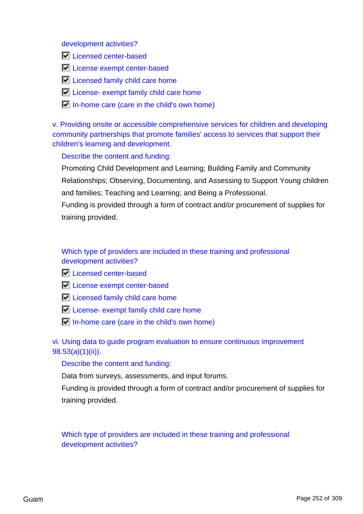development activities?

- **Licensed center-based**
- **License exempt center-based**
- **Licensed family child care home**
- $\Box$  License- exempt family child care home
- $\Box$  In-home care (care in the child's own home)

v. Providing onsite or accessible comprehensive services for children and developing community partnerships that promote families' access to services that support their children's learning and development.

#### Describe the content and funding:

Promoting Child Development and Learning; Building Family and Community Relationships; Observing, Documenting, and Assessing to Support Young children and families; Teaching and Learning; and Being a Professional.

Funding is provided through a form of contract and/or procurement of supplies for training provided.

## Which type of providers are included in these training and professional development activities?

- **Licensed center-based**
- **License exempt center-based**
- **Licensed family child care home**
- $\n  $\boxed{\circ}$  License- exempt family child care home$
- $\Box$  In-home care (care in the child's own home)

vi. Using data to guide program evaluation to ensure continuous improvement 98.53(a)(1)(ii)).

#### Describe the content and funding:

Data from surveys, assessments, and input forums.

Funding is provided through a form of contract and/or procurement of supplies for training provided.

Which type of providers are included in these training and professional development activities?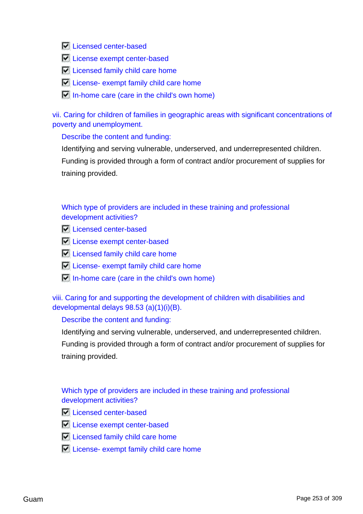**Licensed center-based** 

- **License exempt center-based**
- **Licensed family child care home**
- **License- exempt family child care home**
- $\Box$  In-home care (care in the child's own home)

vii. Caring for children of families in geographic areas with significant concentrations of poverty and unemployment.

### Describe the content and funding:

Identifying and serving vulnerable, underserved, and underrepresented children. Funding is provided through a form of contract and/or procurement of supplies for training provided.

### Which type of providers are included in these training and professional development activities?

- **Licensed center-based**
- **License exempt center-based**
- **Licensed family child care home**
- $\nabla$  License- exempt family child care home
- $\Box$  In-home care (care in the child's own home)

viii. Caring for and supporting the development of children with disabilities and developmental delays 98.53 (a)(1)(i)(B).

### Describe the content and funding:

Identifying and serving vulnerable, underserved, and underrepresented children.

Funding is provided through a form of contract and/or procurement of supplies for training provided.

### Which type of providers are included in these training and professional development activities?

- **N** Licensed center-based
- **License exempt center-based**
- **Licensed family child care home**
- $\nabla$  License- exempt family child care home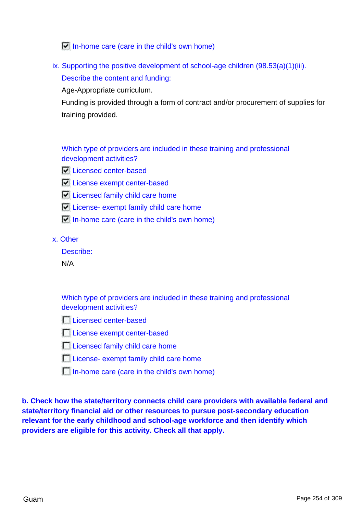$\Box$  In-home care (care in the child's own home)

ix. Supporting the positive development of school-age children  $(98.53(a)(1)(iii)$ . Describe the content and funding:

Age-Appropriate curriculum.

Funding is provided through a form of contract and/or procurement of supplies for training provided.

Which type of providers are included in these training and professional development activities?

- **Licensed center-based**
- **License exempt center-based**
- **Licensed family child care home**
- License- exempt family child care home
- $\Box$  In-home care (care in the child's own home)

x. Other

Describe:

N/A

Which type of providers are included in these training and professional development activities?

**Licensed center-based** 

**License exempt center-based** 

**Licensed family child care home** 

**License- exempt family child care home** 

In-home care (care in the child's own home)

**b. Check how the state/territory connects child care providers with available federal and state/territory financial aid or other resources to pursue post-secondary education relevant for the early childhood and school-age workforce and then identify which providers are eligible for this activity. Check all that apply.**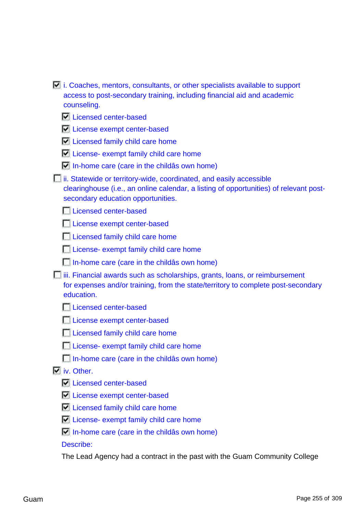| $\blacksquare$ i. Coaches, mentors, consultants, or other specialists available to support                                                                                                          |
|-----------------------------------------------------------------------------------------------------------------------------------------------------------------------------------------------------|
| access to post-secondary training, including financial aid and academic                                                                                                                             |
| counseling.                                                                                                                                                                                         |
| Licensed center-based                                                                                                                                                                               |
| License exempt center-based                                                                                                                                                                         |
| Licensed family child care home                                                                                                                                                                     |
| $\blacksquare$ License- exempt family child care home                                                                                                                                               |
| $\Box$ In-home care (care in the childas own home)                                                                                                                                                  |
| ii. Statewide or territory-wide, coordinated, and easily accessible<br>clearinghouse (i.e., an online calendar, a listing of opportunities) of relevant post-<br>secondary education opportunities. |
| Licensed center-based                                                                                                                                                                               |
| License exempt center-based                                                                                                                                                                         |
| Licensed family child care home                                                                                                                                                                     |
| Luicense- exempt family child care home                                                                                                                                                             |
| $\Box$ In-home care (care in the childas own home)                                                                                                                                                  |
| iii. Financial awards such as scholarships, grants, loans, or reimbursement<br>for expenses and/or training, from the state/territory to complete post-secondary<br>education.                      |
| Licensed center-based                                                                                                                                                                               |
| License exempt center-based                                                                                                                                                                         |
| Licensed family child care home                                                                                                                                                                     |
| License- exempt family child care home                                                                                                                                                              |
| $\Box$ In-home care (care in the childas own home)                                                                                                                                                  |
| $\Box$ iv. Other.                                                                                                                                                                                   |
| Licensed center-based                                                                                                                                                                               |
| License exempt center-based                                                                                                                                                                         |
| Let Licensed family child care home                                                                                                                                                                 |
| Let License- exempt family child care home                                                                                                                                                          |
| $\Box$ In-home care (care in the childas own home)                                                                                                                                                  |
| Describe:                                                                                                                                                                                           |
|                                                                                                                                                                                                     |

The Lead Agency had a contract in the past with the Guam Community College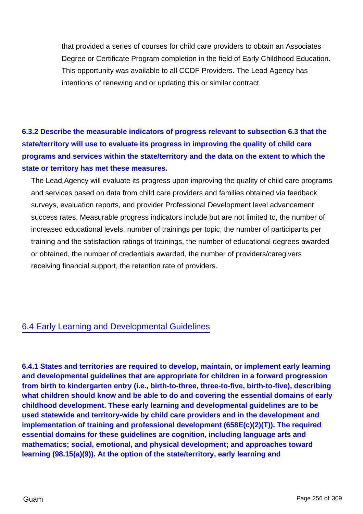that provided a series of courses for child care providers to obtain an Associates Degree or Certificate Program completion in the field of Early Childhood Education. This opportunity was available to all CCDF Providers. The Lead Agency has intentions of renewing and or updating this or similar contract.

# **6.3.2 Describe the measurable indicators of progress relevant to subsection 6.3 that the state/territory will use to evaluate its progress in improving the quality of child care programs and services within the state/territory and the data on the extent to which the state or territory has met these measures.**

The Lead Agency will evaluate its progress upon improving the quality of child care programs and services based on data from child care providers and families obtained via feedback surveys, evaluation reports, and provider Professional Development level advancement success rates. Measurable progress indicators include but are not limited to, the number of increased educational levels, number of trainings per topic, the number of participants per training and the satisfaction ratings of trainings, the number of educational degrees awarded or obtained, the number of credentials awarded, the number of providers/caregivers receiving financial support, the retention rate of providers.

## 6.4 Early Learning and Developmental Guidelines

**6.4.1 States and territories are required to develop, maintain, or implement early learning and developmental guidelines that are appropriate for children in a forward progression from birth to kindergarten entry (i.e., birth-to-three, three-to-five, birth-to-five), describing what children should know and be able to do and covering the essential domains of early childhood development. These early learning and developmental guidelines are to be used statewide and territory-wide by child care providers and in the development and implementation of training and professional development (658E(c)(2)(T)). The required essential domains for these guidelines are cognition, including language arts and mathematics; social, emotional, and physical development; and approaches toward learning (98.15(a)(9)). At the option of the state/territory, early learning and**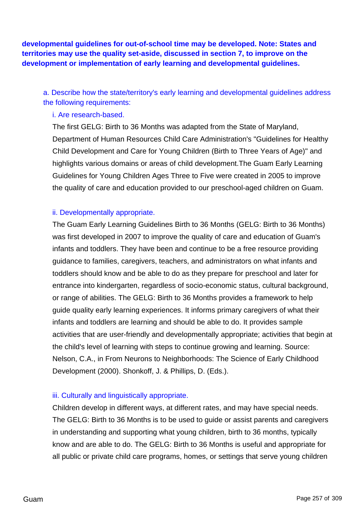**developmental guidelines for out-of-school time may be developed. Note: States and territories may use the quality set-aside, discussed in section 7, to improve on the development or implementation of early learning and developmental guidelines.**

a. Describe how the state/territory's early learning and developmental guidelines address the following requirements:

### i. Are research-based.

The first GELG: Birth to 36 Months was adapted from the State of Maryland, Department of Human Resources Child Care Administration's "Guidelines for Healthy Child Development and Care for Young Children (Birth to Three Years of Age)" and highlights various domains or areas of child development.The Guam Early Learning Guidelines for Young Children Ages Three to Five were created in 2005 to improve the quality of care and education provided to our preschool-aged children on Guam.

### ii. Developmentally appropriate.

The Guam Early Learning Guidelines Birth to 36 Months (GELG: Birth to 36 Months) was first developed in 2007 to improve the quality of care and education of Guam's infants and toddlers. They have been and continue to be a free resource providing guidance to families, caregivers, teachers, and administrators on what infants and toddlers should know and be able to do as they prepare for preschool and later for entrance into kindergarten, regardless of socio-economic status, cultural background, or range of abilities. The GELG: Birth to 36 Months provides a framework to help guide quality early learning experiences. It informs primary caregivers of what their infants and toddlers are learning and should be able to do. It provides sample activities that are user-friendly and developmentally appropriate; activities that begin at the child's level of learning with steps to continue growing and learning. Source: Nelson, C.A., in From Neurons to Neighborhoods: The Science of Early Childhood Development (2000). Shonkoff, J. & Phillips, D. (Eds.).

### iii. Culturally and linguistically appropriate.

Children develop in different ways, at different rates, and may have special needs. The GELG: Birth to 36 Months is to be used to guide or assist parents and caregivers in understanding and supporting what young children, birth to 36 months, typically know and are able to do. The GELG: Birth to 36 Months is useful and appropriate for all public or private child care programs, homes, or settings that serve young children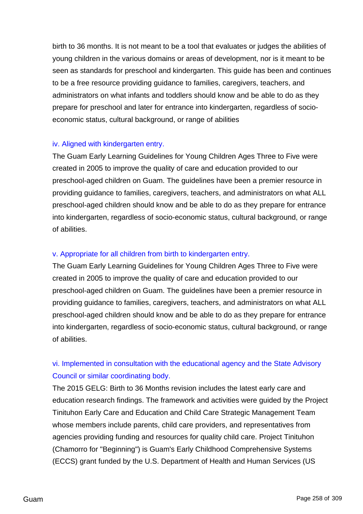birth to 36 months. It is not meant to be a tool that evaluates or judges the abilities of young children in the various domains or areas of development, nor is it meant to be seen as standards for preschool and kindergarten. This guide has been and continues to be a free resource providing guidance to families, caregivers, teachers, and administrators on what infants and toddlers should know and be able to do as they prepare for preschool and later for entrance into kindergarten, regardless of socioeconomic status, cultural background, or range of abilities

### iv. Aligned with kindergarten entry.

The Guam Early Learning Guidelines for Young Children Ages Three to Five were created in 2005 to improve the quality of care and education provided to our preschool-aged children on Guam. The guidelines have been a premier resource in providing guidance to families, caregivers, teachers, and administrators on what ALL preschool-aged children should know and be able to do as they prepare for entrance into kindergarten, regardless of socio-economic status, cultural background, or range of abilities.

### v. Appropriate for all children from birth to kindergarten entry.

The Guam Early Learning Guidelines for Young Children Ages Three to Five were created in 2005 to improve the quality of care and education provided to our preschool-aged children on Guam. The guidelines have been a premier resource in providing guidance to families, caregivers, teachers, and administrators on what ALL preschool-aged children should know and be able to do as they prepare for entrance into kindergarten, regardless of socio-economic status, cultural background, or range of abilities.

# vi. Implemented in consultation with the educational agency and the State Advisory Council or similar coordinating body.

The 2015 GELG: Birth to 36 Months revision includes the latest early care and education research findings. The framework and activities were guided by the Project Tinituhon Early Care and Education and Child Care Strategic Management Team whose members include parents, child care providers, and representatives from agencies providing funding and resources for quality child care. Project Tinituhon (Chamorro for "Beginning") is Guam's Early Childhood Comprehensive Systems (ECCS) grant funded by the U.S. Department of Health and Human Services (US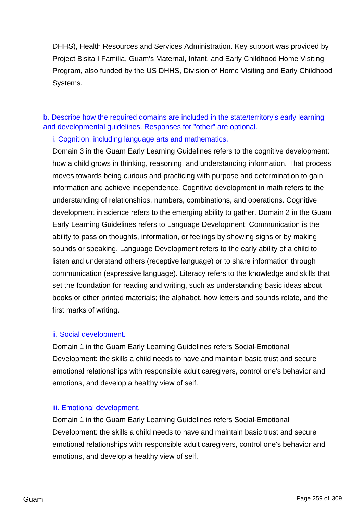DHHS), Health Resources and Services Administration. Key support was provided by Project Bisita I Familia, Guam's Maternal, Infant, and Early Childhood Home Visiting Program, also funded by the US DHHS, Division of Home Visiting and Early Childhood Systems.

b. Describe how the required domains are included in the state/territory's early learning and developmental guidelines. Responses for "other" are optional.

i. Cognition, including language arts and mathematics.

Domain 3 in the Guam Early Learning Guidelines refers to the cognitive development: how a child grows in thinking, reasoning, and understanding information. That process moves towards being curious and practicing with purpose and determination to gain information and achieve independence. Cognitive development in math refers to the understanding of relationships, numbers, combinations, and operations. Cognitive development in science refers to the emerging ability to gather. Domain 2 in the Guam Early Learning Guidelines refers to Language Development: Communication is the ability to pass on thoughts, information, or feelings by showing signs or by making sounds or speaking. Language Development refers to the early ability of a child to listen and understand others (receptive language) or to share information through communication (expressive language). Literacy refers to the knowledge and skills that set the foundation for reading and writing, such as understanding basic ideas about books or other printed materials; the alphabet, how letters and sounds relate, and the first marks of writing.

### ii. Social development.

Domain 1 in the Guam Early Learning Guidelines refers Social-Emotional Development: the skills a child needs to have and maintain basic trust and secure emotional relationships with responsible adult caregivers, control one's behavior and emotions, and develop a healthy view of self.

### iii. Emotional development.

Domain 1 in the Guam Early Learning Guidelines refers Social-Emotional Development: the skills a child needs to have and maintain basic trust and secure emotional relationships with responsible adult caregivers, control one's behavior and emotions, and develop a healthy view of self.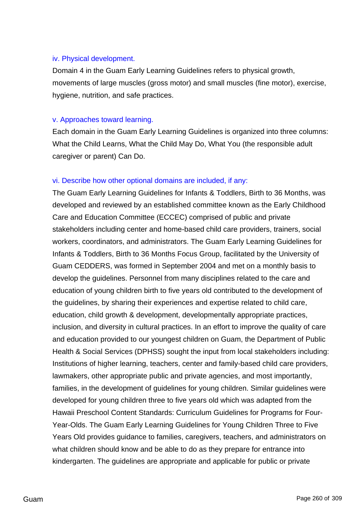### iv. Physical development.

Domain 4 in the Guam Early Learning Guidelines refers to physical growth, movements of large muscles (gross motor) and small muscles (fine motor), exercise, hygiene, nutrition, and safe practices.

### v. Approaches toward learning.

Each domain in the Guam Early Learning Guidelines is organized into three columns: What the Child Learns, What the Child May Do, What You (the responsible adult caregiver or parent) Can Do.

### vi. Describe how other optional domains are included, if any:

The Guam Early Learning Guidelines for Infants & Toddlers, Birth to 36 Months, was developed and reviewed by an established committee known as the Early Childhood Care and Education Committee (ECCEC) comprised of public and private stakeholders including center and home-based child care providers, trainers, social workers, coordinators, and administrators. The Guam Early Learning Guidelines for Infants & Toddlers, Birth to 36 Months Focus Group, facilitated by the University of Guam CEDDERS, was formed in September 2004 and met on a monthly basis to develop the guidelines. Personnel from many disciplines related to the care and education of young children birth to five years old contributed to the development of the guidelines, by sharing their experiences and expertise related to child care, education, child growth & development, developmentally appropriate practices, inclusion, and diversity in cultural practices. In an effort to improve the quality of care and education provided to our youngest children on Guam, the Department of Public Health & Social Services (DPHSS) sought the input from local stakeholders including: Institutions of higher learning, teachers, center and family-based child care providers, lawmakers, other appropriate public and private agencies, and most importantly, families, in the development of guidelines for young children. Similar guidelines were developed for young children three to five years old which was adapted from the Hawaii Preschool Content Standards: Curriculum Guidelines for Programs for Four-Year-Olds. The Guam Early Learning Guidelines for Young Children Three to Five Years Old provides guidance to families, caregivers, teachers, and administrators on what children should know and be able to do as they prepare for entrance into kindergarten. The guidelines are appropriate and applicable for public or private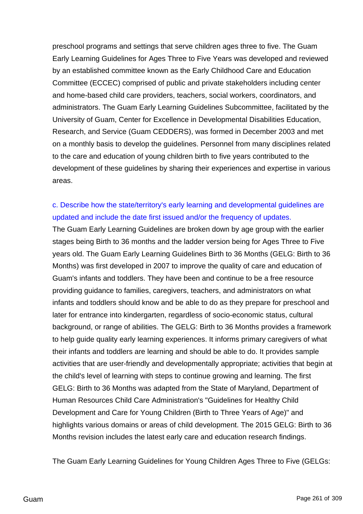preschool programs and settings that serve children ages three to five. The Guam Early Learning Guidelines for Ages Three to Five Years was developed and reviewed by an established committee known as the Early Childhood Care and Education Committee (ECCEC) comprised of public and private stakeholders including center and home-based child care providers, teachers, social workers, coordinators, and administrators. The Guam Early Learning Guidelines Subcommittee, facilitated by the University of Guam, Center for Excellence in Developmental Disabilities Education, Research, and Service (Guam CEDDERS), was formed in December 2003 and met on a monthly basis to develop the guidelines. Personnel from many disciplines related to the care and education of young children birth to five years contributed to the development of these guidelines by sharing their experiences and expertise in various areas.

# c. Describe how the state/territory's early learning and developmental guidelines are updated and include the date first issued and/or the frequency of updates.

The Guam Early Learning Guidelines are broken down by age group with the earlier stages being Birth to 36 months and the ladder version being for Ages Three to Five years old. The Guam Early Learning Guidelines Birth to 36 Months (GELG: Birth to 36 Months) was first developed in 2007 to improve the quality of care and education of Guam's infants and toddlers. They have been and continue to be a free resource providing guidance to families, caregivers, teachers, and administrators on what infants and toddlers should know and be able to do as they prepare for preschool and later for entrance into kindergarten, regardless of socio-economic status, cultural background, or range of abilities. The GELG: Birth to 36 Months provides a framework to help guide quality early learning experiences. It informs primary caregivers of what their infants and toddlers are learning and should be able to do. It provides sample activities that are user-friendly and developmentally appropriate; activities that begin at the child's level of learning with steps to continue growing and learning. The first GELG: Birth to 36 Months was adapted from the State of Maryland, Department of Human Resources Child Care Administration's "Guidelines for Healthy Child Development and Care for Young Children (Birth to Three Years of Age)" and highlights various domains or areas of child development. The 2015 GELG: Birth to 36 Months revision includes the latest early care and education research findings.

The Guam Early Learning Guidelines for Young Children Ages Three to Five (GELGs: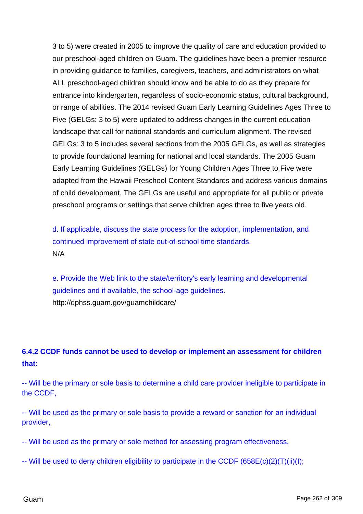3 to 5) were created in 2005 to improve the quality of care and education provided to our preschool-aged children on Guam. The guidelines have been a premier resource in providing guidance to families, caregivers, teachers, and administrators on what ALL preschool-aged children should know and be able to do as they prepare for entrance into kindergarten, regardless of socio-economic status, cultural background, or range of abilities. The 2014 revised Guam Early Learning Guidelines Ages Three to Five (GELGs: 3 to 5) were updated to address changes in the current education landscape that call for national standards and curriculum alignment. The revised GELGs: 3 to 5 includes several sections from the 2005 GELGs, as well as strategies to provide foundational learning for national and local standards. The 2005 Guam Early Learning Guidelines (GELGs) for Young Children Ages Three to Five were adapted from the Hawaii Preschool Content Standards and address various domains of child development. The GELGs are useful and appropriate for all public or private preschool programs or settings that serve children ages three to five years old.

d. If applicable, discuss the state process for the adoption, implementation, and continued improvement of state out-of-school time standards. N/A

e. Provide the Web link to the state/territory's early learning and developmental guidelines and if available, the school-age guidelines. http://dphss.guam.gov/guamchildcare/

# **6.4.2 CCDF funds cannot be used to develop or implement an assessment for children that:**

-- Will be the primary or sole basis to determine a child care provider ineligible to participate in the CCDF,

-- Will be used as the primary or sole basis to provide a reward or sanction for an individual provider,

-- Will be used as the primary or sole method for assessing program effectiveness,

-- Will be used to deny children eligibility to participate in the CCDF (658E(c)(2)(T)(ii)(I);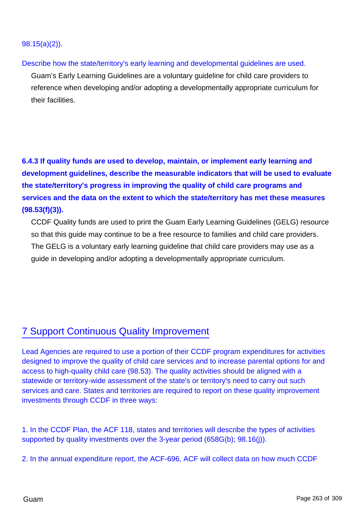### 98.15(a)(2)).

Describe how the state/territory's early learning and developmental guidelines are used.

Guam's Early Learning Guidelines are a voluntary guideline for child care providers to reference when developing and/or adopting a developmentally appropriate curriculum for their facilities.

**6.4.3 If quality funds are used to develop, maintain, or implement early learning and development guidelines, describe the measurable indicators that will be used to evaluate the state/territory's progress in improving the quality of child care programs and services and the data on the extent to which the state/territory has met these measures (98.53(f)(3)).**

CCDF Quality funds are used to print the Guam Early Learning Guidelines (GELG) resource so that this guide may continue to be a free resource to families and child care providers. The GELG is a voluntary early learning guideline that child care providers may use as a guide in developing and/or adopting a developmentally appropriate curriculum.

# 7 Support Continuous Quality Improvement

Lead Agencies are required to use a portion of their CCDF program expenditures for activities designed to improve the quality of child care services and to increase parental options for and access to high-quality child care (98.53). The quality activities should be aligned with a statewide or territory-wide assessment of the state's or territory's need to carry out such services and care. States and territories are required to report on these quality improvement investments through CCDF in three ways:

1. In the CCDF Plan, the ACF 118, states and territories will describe the types of activities supported by quality investments over the 3-year period (658G(b); 98.16(j)).

2. In the annual expenditure report, the ACF-696, ACF will collect data on how much CCDF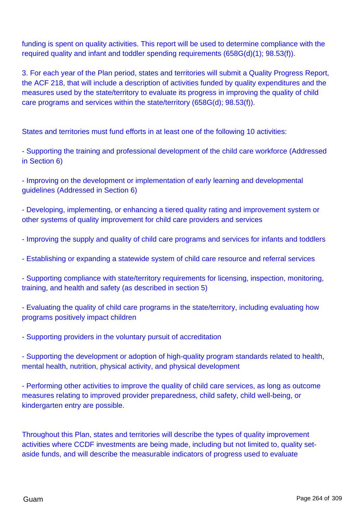funding is spent on quality activities. This report will be used to determine compliance with the required quality and infant and toddler spending requirements (658G(d)(1); 98.53(f)).

3. For each year of the Plan period, states and territories will submit a Quality Progress Report, the ACF 218, that will include a description of activities funded by quality expenditures and the measures used by the state/territory to evaluate its progress in improving the quality of child care programs and services within the state/territory (658G(d); 98.53(f)).

States and territories must fund efforts in at least one of the following 10 activities:

- Supporting the training and professional development of the child care workforce (Addressed in Section 6)

- Improving on the development or implementation of early learning and developmental guidelines (Addressed in Section 6)

- Developing, implementing, or enhancing a tiered quality rating and improvement system or other systems of quality improvement for child care providers and services

- Improving the supply and quality of child care programs and services for infants and toddlers

- Establishing or expanding a statewide system of child care resource and referral services

- Supporting compliance with state/territory requirements for licensing, inspection, monitoring, training, and health and safety (as described in section 5)

- Evaluating the quality of child care programs in the state/territory, including evaluating how programs positively impact children

- Supporting providers in the voluntary pursuit of accreditation

- Supporting the development or adoption of high-quality program standards related to health, mental health, nutrition, physical activity, and physical development

- Performing other activities to improve the quality of child care services, as long as outcome measures relating to improved provider preparedness, child safety, child well-being, or kindergarten entry are possible.

Throughout this Plan, states and territories will describe the types of quality improvement activities where CCDF investments are being made, including but not limited to, quality setaside funds, and will describe the measurable indicators of progress used to evaluate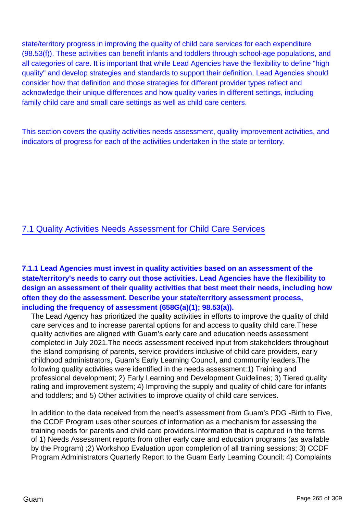state/territory progress in improving the quality of child care services for each expenditure (98.53(f)). These activities can benefit infants and toddlers through school-age populations, and all categories of care. It is important that while Lead Agencies have the flexibility to define "high quality" and develop strategies and standards to support their definition, Lead Agencies should consider how that definition and those strategies for different provider types reflect and acknowledge their unique differences and how quality varies in different settings, including family child care and small care settings as well as child care centers.

This section covers the quality activities needs assessment, quality improvement activities, and indicators of progress for each of the activities undertaken in the state or territory.

## 7.1 Quality Activities Needs Assessment for Child Care Services

**7.1.1 Lead Agencies must invest in quality activities based on an assessment of the state/territory's needs to carry out those activities. Lead Agencies have the flexibility to design an assessment of their quality activities that best meet their needs, including how often they do the assessment. Describe your state/territory assessment process, including the frequency of assessment (658G(a)(1); 98.53(a)).**

The Lead Agency has prioritized the quality activities in efforts to improve the quality of child care services and to increase parental options for and access to quality child care.These quality activities are aligned with Guam's early care and education needs assessment completed in July 2021.The needs assessment received input from stakeholders throughout the island comprising of parents, service providers inclusive of child care providers, early childhood administrators, Guam's Early Learning Council, and community leaders.The following quality activities were identified in the needs assessment:1) Training and professional development; 2) Early Learning and Development Guidelines; 3) Tiered quality rating and improvement system; 4) Improving the supply and quality of child care for infants and toddlers; and 5) Other activities to improve quality of child care services.

In addition to the data received from the need's assessment from Guam's PDG -Birth to Five, the CCDF Program uses other sources of information as a mechanism for assessing the training needs for parents and child care providers.Information that is captured in the forms of 1) Needs Assessment reports from other early care and education programs (as available by the Program) ;2) Workshop Evaluation upon completion of all training sessions; 3) CCDF Program Administrators Quarterly Report to the Guam Early Learning Council; 4) Complaints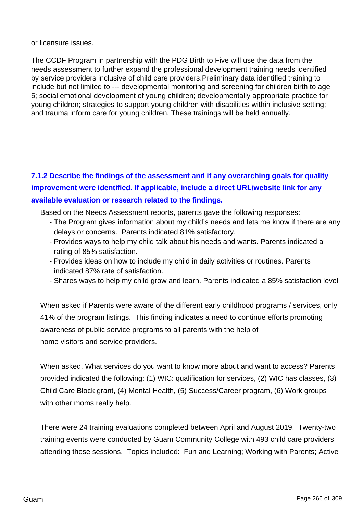or licensure issues.

The CCDF Program in partnership with the PDG Birth to Five will use the data from the needs assessment to further expand the professional development training needs identified by service providers inclusive of child care providers.Preliminary data identified training to include but not limited to --- developmental monitoring and screening for children birth to age 5; social emotional development of young children; developmentally appropriate practice for young children; strategies to support young children with disabilities within inclusive setting; and trauma inform care for young children. These trainings will be held annually.

# **7.1.2 Describe the findings of the assessment and if any overarching goals for quality improvement were identified. If applicable, include a direct URL/website link for any available evaluation or research related to the findings.**

Based on the Needs Assessment reports, parents gave the following responses:

- The Program gives information about my child's needs and lets me know if there are any delays or concerns. Parents indicated 81% satisfactory.
- Provides ways to help my child talk about his needs and wants. Parents indicated a rating of 85% satisfaction.
- Provides ideas on how to include my child in daily activities or routines. Parents indicated 87% rate of satisfaction.
- Shares ways to help my child grow and learn. Parents indicated a 85% satisfaction level

When asked if Parents were aware of the different early childhood programs / services, only 41% of the program listings. This finding indicates a need to continue efforts promoting awareness of public service programs to all parents with the help of home visitors and service providers.

When asked, What services do you want to know more about and want to access? Parents provided indicated the following: (1) WIC: qualification for services, (2) WIC has classes, (3) Child Care Block grant, (4) Mental Health, (5) Success/Career program, (6) Work groups with other moms really help.

There were 24 training evaluations completed between April and August 2019. Twenty-two training events were conducted by Guam Community College with 493 child care providers attending these sessions. Topics included: Fun and Learning; Working with Parents; Active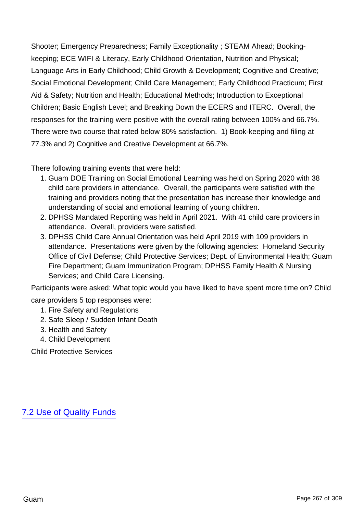Shooter; Emergency Preparedness; Family Exceptionality ; STEAM Ahead; Bookingkeeping; ECE WIFI & Literacy, Early Childhood Orientation, Nutrition and Physical; Language Arts in Early Childhood; Child Growth & Development; Cognitive and Creative; Social Emotional Development; Child Care Management; Early Childhood Practicum; First Aid & Safety; Nutrition and Health; Educational Methods; Introduction to Exceptional Children; Basic English Level; and Breaking Down the ECERS and ITERC. Overall, the responses for the training were positive with the overall rating between 100% and 66.7%. There were two course that rated below 80% satisfaction. 1) Book-keeping and filing at 77.3% and 2) Cognitive and Creative Development at 66.7%.

There following training events that were held:

- 1. Guam DOE Training on Social Emotional Learning was held on Spring 2020 with 38 child care providers in attendance. Overall, the participants were satisfied with the training and providers noting that the presentation has increase their knowledge and understanding of social and emotional learning of young children.
- 2. DPHSS Mandated Reporting was held in April 2021. With 41 child care providers in attendance. Overall, providers were satisfied.
- 3. DPHSS Child Care Annual Orientation was held April 2019 with 109 providers in attendance. Presentations were given by the following agencies: Homeland Security Office of Civil Defense; Child Protective Services; Dept. of Environmental Health; Guam Fire Department; Guam Immunization Program; DPHSS Family Health & Nursing Services; and Child Care Licensing.

Participants were asked: What topic would you have liked to have spent more time on? Child

care providers 5 top responses were:

- 1. Fire Safety and Regulations
- 2. Safe Sleep / Sudden Infant Death
- 3. Health and Safety
- 4. Child Development

Child Protective Services

7.2 Use of Quality Funds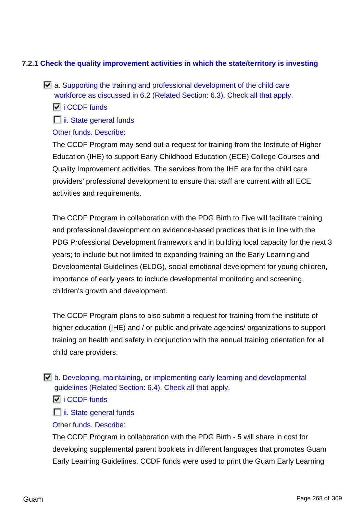### **7.2.1 Check the quality improvement activities in which the state/territory is investing**

- $\Box$  a. Supporting the training and professional development of the child care workforce as discussed in 6.2 (Related Section: 6.3). Check all that apply.
	- $\overline{V}$  i CCDF funds
	- $\Box$  ii. State general funds

### Other funds. Describe:

The CCDF Program may send out a request for training from the Institute of Higher Education (IHE) to support Early Childhood Education (ECE) College Courses and Quality Improvement activities. The services from the IHE are for the child care providers' professional development to ensure that staff are current with all ECE activities and requirements.

The CCDF Program in collaboration with the PDG Birth to Five will facilitate training and professional development on evidence-based practices that is in line with the PDG Professional Development framework and in building local capacity for the next 3 years; to include but not limited to expanding training on the Early Learning and Developmental Guidelines (ELDG), social emotional development for young children, importance of early years to include developmental monitoring and screening, children's growth and development.

The CCDF Program plans to also submit a request for training from the institute of higher education (IHE) and / or public and private agencies/ organizations to support training on health and safety in conjunction with the annual training orientation for all child care providers.

- b. Developing, maintaining, or implementing early learning and developmental guidelines (Related Section: 6.4). Check all that apply.
	- $\overline{M}$  i CCDF funds
	- $\Box$  ii. State general funds
	- Other funds. Describe:

The CCDF Program in collaboration with the PDG Birth - 5 will share in cost for developing supplemental parent booklets in different languages that promotes Guam Early Learning Guidelines. CCDF funds were used to print the Guam Early Learning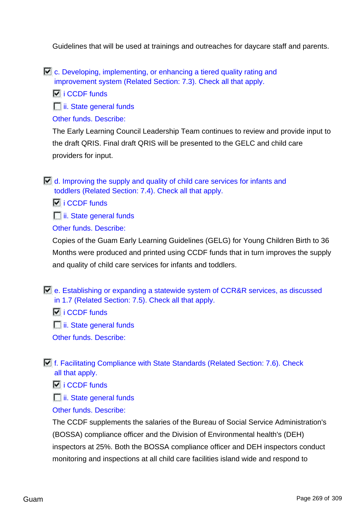Guidelines that will be used at trainings and outreaches for daycare staff and parents.

c. Developing, implementing, or enhancing a tiered quality rating and improvement system (Related Section: 7.3). Check all that apply.

 $\overline{M}$  i CCDF funds

**ii.** State general funds

Other funds. Describe:

The Early Learning Council Leadership Team continues to review and provide input to the draft QRIS. Final draft QRIS will be presented to the GELC and child care providers for input.

 $\Box$  d. Improving the supply and quality of child care services for infants and toddlers (Related Section: 7.4). Check all that apply.

 $\overline{V}$  i CCDF funds

 $\Box$  ii. State general funds

Other funds. Describe:

Copies of the Guam Early Learning Guidelines (GELG) for Young Children Birth to 36 Months were produced and printed using CCDF funds that in turn improves the supply and quality of child care services for infants and toddlers.

e. Establishing or expanding a statewide system of CCR&R services, as discussed in 1.7 (Related Section: 7.5). Check all that apply.

 $\overline{17}$  i CCDF funds

 $\Box$  ii. State general funds

Other funds. Describe:

f. Facilitating Compliance with State Standards (Related Section: 7.6). Check all that apply.

 $\overline{V}$  i CCDF funds

 $\Box$  ii. State general funds

## Other funds. Describe:

The CCDF supplements the salaries of the Bureau of Social Service Administration's (BOSSA) compliance officer and the Division of Environmental health's (DEH) inspectors at 25%. Both the BOSSA compliance officer and DEH inspectors conduct monitoring and inspections at all child care facilities island wide and respond to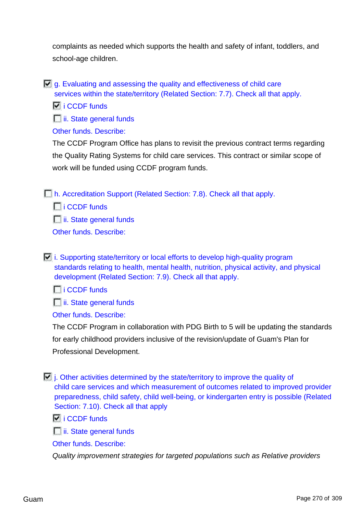complaints as needed which supports the health and safety of infant, toddlers, and school-age children.

 $\overline{V}$  a. Evaluating and assessing the quality and effectiveness of child care services within the state/territory (Related Section: 7.7). Check all that apply.

**I** i CCDF funds

 $\Box$  ii. State general funds

Other funds. Describe:

The CCDF Program Office has plans to revisit the previous contract terms regarding the Quality Rating Systems for child care services. This contract or similar scope of work will be funded using CCDF program funds.

h. Accreditation Support (Related Section: 7.8). Check all that apply.

 $\Box$  i CCDF funds

 $\Box$  ii. State general funds

Other funds. Describe:

 $\Box$  i. Supporting state/territory or local efforts to develop high-quality program standards relating to health, mental health, nutrition, physical activity, and physical development (Related Section: 7.9). Check all that apply.

 $\Box$  i CCDF funds

 $\Box$  ii. State general funds

Other funds. Describe:

The CCDF Program in collaboration with PDG Birth to 5 will be updating the standards for early childhood providers inclusive of the revision/update of Guam's Plan for Professional Development.

 $\Box$  j. Other activities determined by the state/territory to improve the quality of child care services and which measurement of outcomes related to improved provider preparedness, child safety, child well-being, or kindergarten entry is possible (Related Section: 7.10). Check all that apply

 $\overline{V}$  i CCDF funds

 $\Box$  ii. State general funds

Other funds. Describe:

Quality improvement strategies for targeted populations such as Relative providers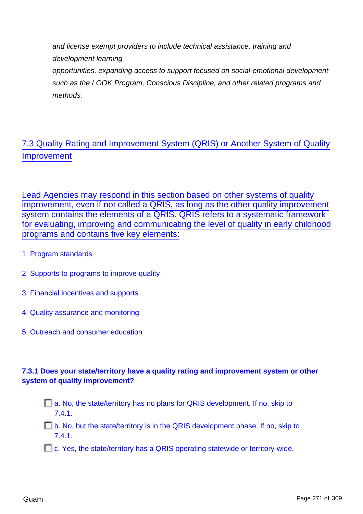and license exempt providers to include technical assistance, training and development learning opportunities, expanding access to support focused on social-emotional development such as the LOOK Program, Conscious Discipline, and other related programs and methods.

# 7.3 Quality Rating and Improvement System (QRIS) or Another System of Quality Improvement

Lead Agencies may respond in this section based on other systems of quality improvement, even if not called a QRIS, as long as the other quality improvement system contains the elements of a QRIS. QRIS refers to a systematic framework for evaluating, improving and communicating the level of quality in early childhood programs and contains five key elements:

- 1. Program standards
- 2. Supports to programs to improve quality
- 3. Financial incentives and supports
- 4. Quality assurance and monitoring
- 5. Outreach and consumer education

## **7.3.1 Does your state/territory have a quality rating and improvement system or other system of quality improvement?**

- $\Box$  a. No, the state/territory has no plans for QRIS development. If no, skip to 7.4.1.
- $\Box$  b. No, but the state/territory is in the QRIS development phase. If no, skip to 7.4.1.
- **E.** C. Yes, the state/territory has a QRIS operating statewide or territory-wide.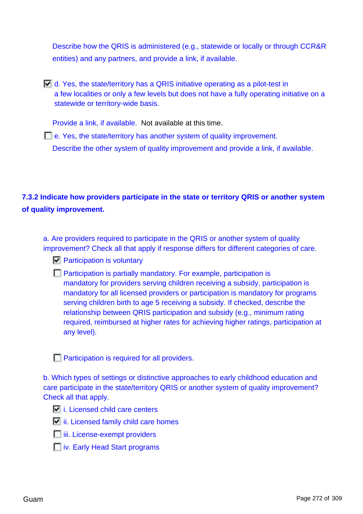Describe how the QRIS is administered (e.g., statewide or locally or through CCR&R entities) and any partners, and provide a link, if available.

d. Yes, the state/territory has a QRIS initiative operating as a pilot-test in a few localities or only a few levels but does not have a fully operating initiative on a statewide or territory-wide basis.

Provide a link, if available. Not available at this time.

e. Yes, the state/territory has another system of quality improvement. Describe the other system of quality improvement and provide a link, if available.

# **7.3.2 Indicate how providers participate in the state or territory QRIS or another system of quality improvement.**

a. Are providers required to participate in the QRIS or another system of quality improvement? Check all that apply if response differs for different categories of care.

- $\n **Participation** is voluntary$
- **Participation is partially mandatory. For example, participation is** mandatory for providers serving children receiving a subsidy, participation is mandatory for all licensed providers or participation is mandatory for programs serving children birth to age 5 receiving a subsidy. If checked, describe the relationship between QRIS participation and subsidy (e.g., minimum rating required, reimbursed at higher rates for achieving higher ratings, participation at any level).

**Participation is required for all providers.** 

b. Which types of settings or distinctive approaches to early childhood education and care participate in the state/territory QRIS or another system of quality improvement? Check all that apply.

- $\overline{v}$  i. Licensed child care centers
- $\boxed{\phantom{a}}$  ii. Licensed family child care homes
- **iii.** License-exempt providers
- **iv.** Early Head Start programs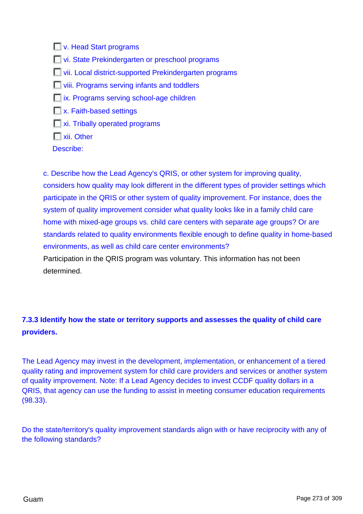**V.** Head Start programs **T** vi. State Prekindergarten or preschool programs **T** vii. Local district-supported Prekindergarten programs **No. 2.1 I** viii. Programs serving infants and toddlers  $\Box$  ix. Programs serving school-age children **No. Faith-based settings**  $\Box$  xi. Tribally operated programs **Nii.** Other Describe:

c. Describe how the Lead Agency's QRIS, or other system for improving quality, considers how quality may look different in the different types of provider settings which participate in the QRIS or other system of quality improvement. For instance, does the system of quality improvement consider what quality looks like in a family child care home with mixed-age groups vs. child care centers with separate age groups? Or are standards related to quality environments flexible enough to define quality in home-based environments, as well as child care center environments? Participation in the QRIS program was voluntary. This information has not been determined.

# **7.3.3 Identify how the state or territory supports and assesses the quality of child care providers.**

The Lead Agency may invest in the development, implementation, or enhancement of a tiered quality rating and improvement system for child care providers and services or another system of quality improvement. Note: If a Lead Agency decides to invest CCDF quality dollars in a QRIS, that agency can use the funding to assist in meeting consumer education requirements (98.33).

Do the state/territory's quality improvement standards align with or have reciprocity with any of the following standards?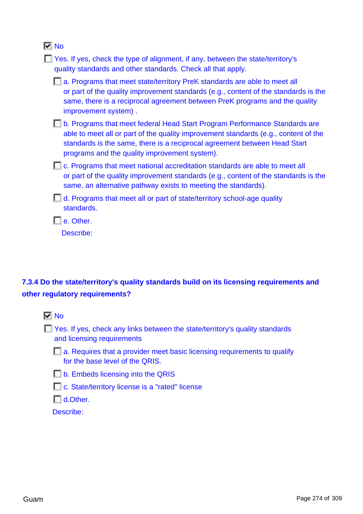## **No**

| Yes. If yes, check the type of alignment, if any, between the state/territory's<br>quality standards and other standards. Check all that apply.                                                                                                                                                 |
|-------------------------------------------------------------------------------------------------------------------------------------------------------------------------------------------------------------------------------------------------------------------------------------------------|
| a. Programs that meet state/territory PreK standards are able to meet all<br>or part of the quality improvement standards (e.g., content of the standards is the<br>same, there is a reciprocal agreement between PreK programs and the quality<br>improvement system).                         |
| b. Programs that meet federal Head Start Program Performance Standards are<br>able to meet all or part of the quality improvement standards (e.g., content of the<br>standards is the same, there is a reciprocal agreement between Head Start<br>programs and the quality improvement system). |
| <b>E.</b> c. Programs that meet national accreditation standards are able to meet all<br>or part of the quality improvement standards (e.g., content of the standards is the<br>same, an alternative pathway exists to meeting the standards).                                                  |
| d. Programs that meet all or part of state/territory school-age quality<br>standards.                                                                                                                                                                                                           |
| e. Other.                                                                                                                                                                                                                                                                                       |
| Describe:                                                                                                                                                                                                                                                                                       |
|                                                                                                                                                                                                                                                                                                 |

# **7.3.4 Do the state/territory's quality standards build on its licensing requirements and other regulatory requirements?**



T Yes. If yes, check any links between the state/territory's quality standards and licensing requirements

a. Requires that a provider meet basic licensing requirements to qualify for the base level of the QRIS.

b. Embeds licensing into the QRIS

□ c. State/territory license is a "rated" license

 $\Box$  d.Other.

Describe: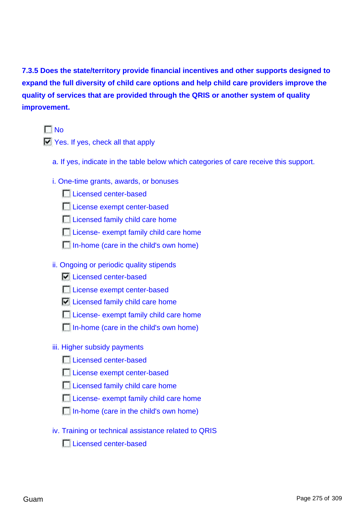**7.3.5 Does the state/territory provide financial incentives and other supports designed to expand the full diversity of child care options and help child care providers improve the quality of services that are provided through the QRIS or another system of quality improvement.**

 $\Gamma$  No

 $\Box$  Yes. If yes, check all that apply

- a. If yes, indicate in the table below which categories of care receive this support.
- i. One-time grants, awards, or bonuses

**Licensed center-based** 

License exempt center-based

**Licensed family child care home** 

**License- exempt family child care home** 

In-home (care in the child's own home)

ii. Ongoing or periodic quality stipends

**Licensed center-based** 

License exempt center-based

**Licensed family child care home** 

**License- exempt family child care home** 

In-home (care in the child's own home)

iii. Higher subsidy payments

**Licensed center-based** 

**License exempt center-based** 

Licensed family child care home

**License- exempt family child care home** 

In-home (care in the child's own home)

iv. Training or technical assistance related to QRIS

**Licensed center-based**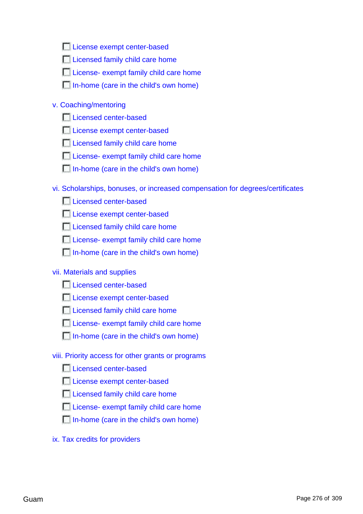License exempt center-based

**Licensed family child care home** 

**License- exempt family child care home** 

In-home (care in the child's own home)

### v. Coaching/mentoring

**Licensed center-based** 

**License exempt center-based** 

**Licensed family child care home** 

**License- exempt family child care home** 

In-home (care in the child's own home)

vi. Scholarships, bonuses, or increased compensation for degrees/certificates

**Licensed center-based** 

**License exempt center-based** 

**Licensed family child care home** 

**License- exempt family child care home** 

In-home (care in the child's own home)

### vii. Materials and supplies

**Licensed center-based** 

**License exempt center-based** 

Licensed family child care home

**License- exempt family child care home** 

In-home (care in the child's own home)

### viii. Priority access for other grants or programs

**L** Licensed center-based

License exempt center-based

**Licensed family child care home** 

**License- exempt family child care home** 

In-home (care in the child's own home)

ix. Tax credits for providers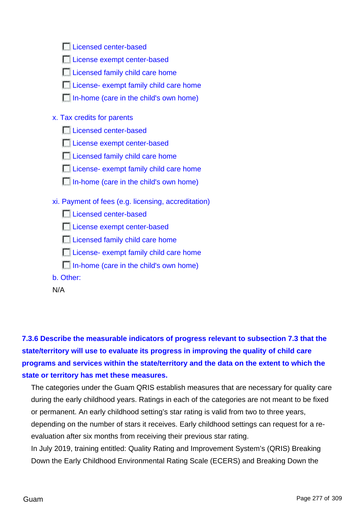| License exempt center-based                         |
|-----------------------------------------------------|
| Licensed family child care home                     |
| License- exempt family child care home              |
| In-home (care in the child's own home)              |
| x. Tax credits for parents                          |
| Licensed center-based                               |
| License exempt center-based                         |
| Licensed family child care home                     |
| License- exempt family child care home              |
| In-home (care in the child's own home)              |
| xi. Payment of fees (e.g. licensing, accreditation) |
| Licensed center-based                               |
| License exempt center-based                         |
| Licensed family child care home                     |
| License- exempt family child care home              |
| In-home (care in the child's own home)              |
| b. Other:                                           |
| N/A                                                 |

**Licensed center-based** 

**7.3.6 Describe the measurable indicators of progress relevant to subsection 7.3 that the state/territory will use to evaluate its progress in improving the quality of child care programs and services within the state/territory and the data on the extent to which the state or territory has met these measures.**

The categories under the Guam QRIS establish measures that are necessary for quality care during the early childhood years. Ratings in each of the categories are not meant to be fixed or permanent. An early childhood setting's star rating is valid from two to three years, depending on the number of stars it receives. Early childhood settings can request for a reevaluation after six months from receiving their previous star rating.

In July 2019, training entitled: Quality Rating and Improvement System's (QRIS) Breaking Down the Early Childhood Environmental Rating Scale (ECERS) and Breaking Down the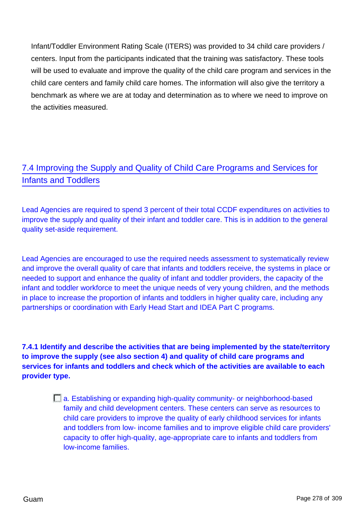Infant/Toddler Environment Rating Scale (ITERS) was provided to 34 child care providers / centers. Input from the participants indicated that the training was satisfactory. These tools will be used to evaluate and improve the quality of the child care program and services in the child care centers and family child care homes. The information will also give the territory a benchmark as where we are at today and determination as to where we need to improve on the activities measured.

# 7.4 Improving the Supply and Quality of Child Care Programs and Services for Infants and Toddlers

Lead Agencies are required to spend 3 percent of their total CCDF expenditures on activities to improve the supply and quality of their infant and toddler care. This is in addition to the general quality set-aside requirement.

Lead Agencies are encouraged to use the required needs assessment to systematically review and improve the overall quality of care that infants and toddlers receive, the systems in place or needed to support and enhance the quality of infant and toddler providers, the capacity of the infant and toddler workforce to meet the unique needs of very young children, and the methods in place to increase the proportion of infants and toddlers in higher quality care, including any partnerships or coordination with Early Head Start and IDEA Part C programs.

**7.4.1 Identify and describe the activities that are being implemented by the state/territory to improve the supply (see also section 4) and quality of child care programs and services for infants and toddlers and check which of the activities are available to each provider type.**

> a. Establishing or expanding high-quality community- or neighborhood-based family and child development centers. These centers can serve as resources to child care providers to improve the quality of early childhood services for infants and toddlers from low- income families and to improve eligible child care providers' capacity to offer high-quality, age-appropriate care to infants and toddlers from low-income families.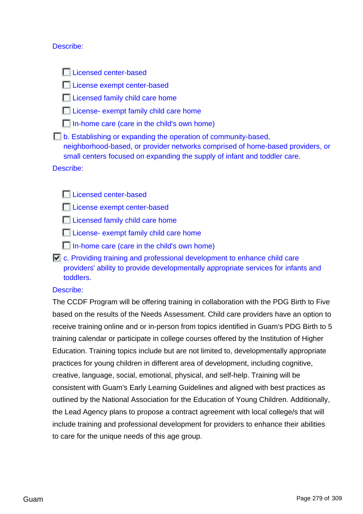### Describe:

**Licensed center-based** 

License exempt center-based

**Licensed family child care home** 

**License- exempt family child care home** 

 $\Box$  In-home care (care in the child's own home)

**b.** Establishing or expanding the operation of community-based, neighborhood-based, or provider networks comprised of home-based providers, or small centers focused on expanding the supply of infant and toddler care.

Describe:

**Licensed center-based** 

License exempt center-based

Licensed family child care home

**License- exempt family child care home** 

 $\Box$  In-home care (care in the child's own home)

 $\mathbf{\nabla}$  c. Providing training and professional development to enhance child care providers' ability to provide developmentally appropriate services for infants and toddlers.

### Describe:

The CCDF Program will be offering training in collaboration with the PDG Birth to Five based on the results of the Needs Assessment. Child care providers have an option to receive training online and or in-person from topics identified in Guam's PDG Birth to 5 training calendar or participate in college courses offered by the Institution of Higher Education. Training topics include but are not limited to, developmentally appropriate practices for young children in different area of development, including cognitive, creative, language, social, emotional, physical, and self-help. Training will be consistent with Guam's Early Learning Guidelines and aligned with best practices as outlined by the National Association for the Education of Young Children. Additionally, the Lead Agency plans to propose a contract agreement with local college/s that will include training and professional development for providers to enhance their abilities to care for the unique needs of this age group.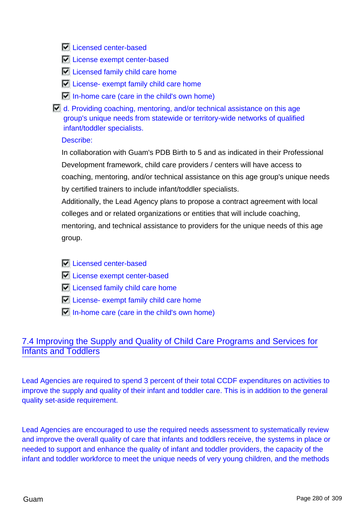**Licensed center-based** 

- **License exempt center-based**
- **Licensed family child care home**
- $\nabla$  License- exempt family child care home
- $\Box$  In-home care (care in the child's own home)

 $\Box$  d. Providing coaching, mentoring, and/or technical assistance on this age group's unique needs from statewide or territory-wide networks of qualified infant/toddler specialists.

### Describe:

In collaboration with Guam's PDB Birth to 5 and as indicated in their Professional Development framework, child care providers / centers will have access to coaching, mentoring, and/or technical assistance on this age group's unique needs by certified trainers to include infant/toddler specialists.

Additionally, the Lead Agency plans to propose a contract agreement with local colleges and or related organizations or entities that will include coaching, mentoring, and technical assistance to providers for the unique needs of this age group.

**Licensed center-based** 

- **License exempt center-based**
- **Licensed family child care home**
- **License- exempt family child care home**
- $\Box$  In-home care (care in the child's own home)

# 7.4 Improving the Supply and Quality of Child Care Programs and Services for Infants and Toddlers

Lead Agencies are required to spend 3 percent of their total CCDF expenditures on activities to improve the supply and quality of their infant and toddler care. This is in addition to the general quality set-aside requirement.

Lead Agencies are encouraged to use the required needs assessment to systematically review and improve the overall quality of care that infants and toddlers receive, the systems in place or needed to support and enhance the quality of infant and toddler providers, the capacity of the infant and toddler workforce to meet the unique needs of very young children, and the methods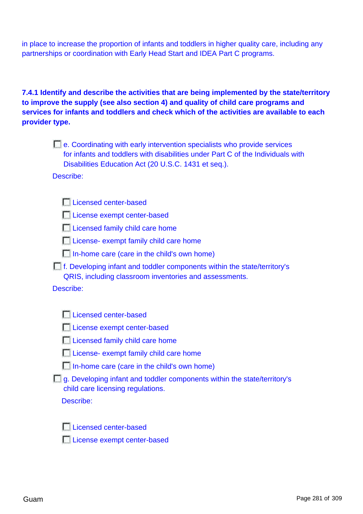in place to increase the proportion of infants and toddlers in higher quality care, including any partnerships or coordination with Early Head Start and IDEA Part C programs.

## **7.4.1 Identify and describe the activities that are being implemented by the state/territory to improve the supply (see also section 4) and quality of child care programs and services for infants and toddlers and check which of the activities are available to each provider type.**

| $\blacksquare$ e. Coordinating with early intervention specialists who provide services |
|-----------------------------------------------------------------------------------------|
| for infants and toddlers with disabilities under Part C of the Individuals with         |
| Disabilities Education Act (20 U.S.C. 1431 et seq.).                                    |

Describe:

|  | Licensed center-based |
|--|-----------------------|
|  |                       |
|  |                       |

License exempt center-based

**Licensed family child care home** 

**License- exempt family child care home** 

- In-home care (care in the child's own home)
- f. Developing infant and toddler components within the state/territory's QRIS, including classroom inventories and assessments.

Describe:

|  | Licensed center-based |
|--|-----------------------|
|  |                       |
|  |                       |

License exempt center-based

|  | Licensed family child care home |  |  |  |  |
|--|---------------------------------|--|--|--|--|
|--|---------------------------------|--|--|--|--|

| License- exempt family child care home |  |  |  |  |  |
|----------------------------------------|--|--|--|--|--|
|----------------------------------------|--|--|--|--|--|

| In-home care (care in the child's own home) |  |  |  |
|---------------------------------------------|--|--|--|
|---------------------------------------------|--|--|--|

|                                   | g. Developing infant and toddler components within the state/territory's |
|-----------------------------------|--------------------------------------------------------------------------|
| child care licensing regulations. |                                                                          |

Describe:

|  |  | Licensed center-based |
|--|--|-----------------------|
|  |  |                       |
|  |  |                       |
|  |  |                       |

License exempt center-based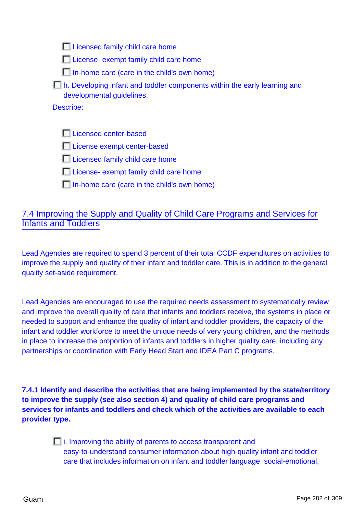**Licensed family child care home** 

**License- exempt family child care home** 

In-home care (care in the child's own home)

**Th. Developing infant and toddler components within the early learning and** developmental guidelines.

Describe:

**Licensed center-based** 

License exempt center-based

**Licensed family child care home** 

**License- exempt family child care home** 

 $\Box$  In-home care (care in the child's own home)

## 7.4 Improving the Supply and Quality of Child Care Programs and Services for Infants and Toddlers

Lead Agencies are required to spend 3 percent of their total CCDF expenditures on activities to improve the supply and quality of their infant and toddler care. This is in addition to the general quality set-aside requirement.

Lead Agencies are encouraged to use the required needs assessment to systematically review and improve the overall quality of care that infants and toddlers receive, the systems in place or needed to support and enhance the quality of infant and toddler providers, the capacity of the infant and toddler workforce to meet the unique needs of very young children, and the methods in place to increase the proportion of infants and toddlers in higher quality care, including any partnerships or coordination with Early Head Start and IDEA Part C programs.

**7.4.1 Identify and describe the activities that are being implemented by the state/territory to improve the supply (see also section 4) and quality of child care programs and services for infants and toddlers and check which of the activities are available to each provider type.**

> $\Box$  i. Improving the ability of parents to access transparent and easy-to-understand consumer information about high-quality infant and toddler care that includes information on infant and toddler language, social-emotional,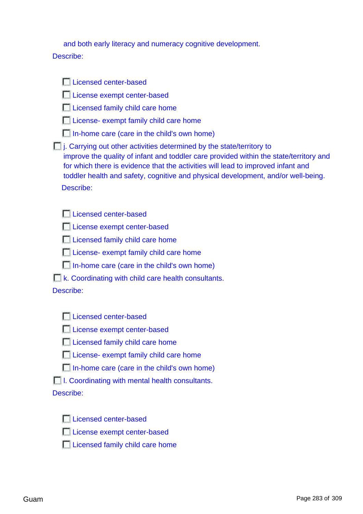| and both early literacy and numeracy cognitive development. |  |
|-------------------------------------------------------------|--|
|-------------------------------------------------------------|--|

### Describe:

| Licensed center-based                                                                                                                                                                                                                                                                                                                                        |
|--------------------------------------------------------------------------------------------------------------------------------------------------------------------------------------------------------------------------------------------------------------------------------------------------------------------------------------------------------------|
|                                                                                                                                                                                                                                                                                                                                                              |
| License exempt center-based                                                                                                                                                                                                                                                                                                                                  |
| Licensed family child care home                                                                                                                                                                                                                                                                                                                              |
| License- exempt family child care home                                                                                                                                                                                                                                                                                                                       |
| In-home care (care in the child's own home)                                                                                                                                                                                                                                                                                                                  |
| $\Box$ j. Carrying out other activities determined by the state/territory to<br>improve the quality of infant and toddler care provided within the state/territory and<br>for which there is evidence that the activities will lead to improved infant and<br>toddler health and safety, cognitive and physical development, and/or well-being.<br>Describe: |
| Licensed center-based                                                                                                                                                                                                                                                                                                                                        |
| License exempt center-based                                                                                                                                                                                                                                                                                                                                  |
| Licensed family child care home                                                                                                                                                                                                                                                                                                                              |
| License- exempt family child care home                                                                                                                                                                                                                                                                                                                       |
| In-home care (care in the child's own home)                                                                                                                                                                                                                                                                                                                  |
| <b>K.</b> Coordinating with child care health consultants.                                                                                                                                                                                                                                                                                                   |
| Describe:                                                                                                                                                                                                                                                                                                                                                    |
| Licensed center-based                                                                                                                                                                                                                                                                                                                                        |
|                                                                                                                                                                                                                                                                                                                                                              |
| License exempt center-based                                                                                                                                                                                                                                                                                                                                  |
| <b>El Licensed family child care home</b>                                                                                                                                                                                                                                                                                                                    |
| License- exempt family child care home                                                                                                                                                                                                                                                                                                                       |
| In-home care (care in the child's own home)                                                                                                                                                                                                                                                                                                                  |
| <b>1. Coordinating with mental health consultants.</b>                                                                                                                                                                                                                                                                                                       |
| Describe:                                                                                                                                                                                                                                                                                                                                                    |
| Licensed center-based                                                                                                                                                                                                                                                                                                                                        |

- License exempt center-based
- $\Box$  Licensed family child care home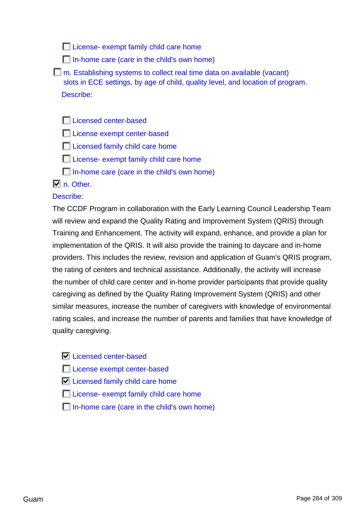**License- exempt family child care home** 

- In-home care (care in the child's own home)
- **The**. Establishing systems to collect real time data on available (vacant) slots in ECE settings, by age of child, quality level, and location of program. Describe:

**Licensed center-based** 

**License exempt center-based** 

Licensed family child care home

- **License- exempt family child care home**
- In-home care (care in the child's own home)

### $\nabla$  n. Other.

### Describe:

The CCDF Program in collaboration with the Early Learning Council Leadership Team will review and expand the Quality Rating and Improvement System (QRIS) through Training and Enhancement. The activity will expand, enhance, and provide a plan for implementation of the QRIS. It will also provide the training to daycare and in-home providers. This includes the review, revision and application of Guam's QRIS program, the rating of centers and technical assistance. Additionally, the activity will increase the number of child care center and in-home provider participants that provide quality caregiving as defined by the Quality Rating Improvement System (QRIS) and other similar measures, increase the number of caregivers with knowledge of environmental rating scales, and increase the number of parents and families that have knowledge of quality caregiving.

- **Licensed center-based**
- License exempt center-based
- $\nabla$  Licensed family child care home
- **License- exempt family child care home**
- In-home care (care in the child's own home)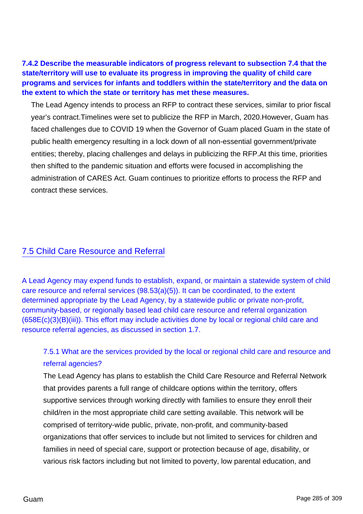**7.4.2 Describe the measurable indicators of progress relevant to subsection 7.4 that the state/territory will use to evaluate its progress in improving the quality of child care programs and services for infants and toddlers within the state/territory and the data on the extent to which the state or territory has met these measures.**

The Lead Agency intends to process an RFP to contract these services, similar to prior fiscal year's contract.Timelines were set to publicize the RFP in March, 2020.However, Guam has faced challenges due to COVID 19 when the Governor of Guam placed Guam in the state of public health emergency resulting in a lock down of all non-essential government/private entities; thereby, placing challenges and delays in publicizing the RFP.At this time, priorities then shifted to the pandemic situation and efforts were focused in accomplishing the administration of CARES Act. Guam continues to prioritize efforts to process the RFP and contract these services.

## 7.5 Child Care Resource and Referral

A Lead Agency may expend funds to establish, expand, or maintain a statewide system of child care resource and referral services (98.53(a)(5)). It can be coordinated, to the extent determined appropriate by the Lead Agency, by a statewide public or private non-profit, community-based, or regionally based lead child care resource and referral organization (658E(c)(3)(B)(iii)). This effort may include activities done by local or regional child care and resource referral agencies, as discussed in section 1.7.

## 7.5.1 What are the services provided by the local or regional child care and resource and referral agencies?

The Lead Agency has plans to establish the Child Care Resource and Referral Network that provides parents a full range of childcare options within the territory, offers supportive services through working directly with families to ensure they enroll their child/ren in the most appropriate child care setting available. This network will be comprised of territory-wide public, private, non-profit, and community-based organizations that offer services to include but not limited to services for children and families in need of special care, support or protection because of age, disability, or various risk factors including but not limited to poverty, low parental education, and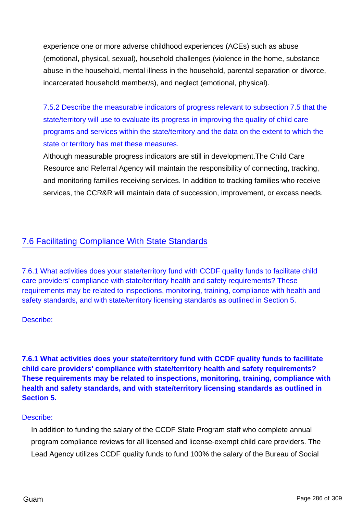experience one or more adverse childhood experiences (ACEs) such as abuse (emotional, physical, sexual), household challenges (violence in the home, substance abuse in the household, mental illness in the household, parental separation or divorce, incarcerated household member/s), and neglect (emotional, physical).

7.5.2 Describe the measurable indicators of progress relevant to subsection 7.5 that the state/territory will use to evaluate its progress in improving the quality of child care programs and services within the state/territory and the data on the extent to which the state or territory has met these measures.

Although measurable progress indicators are still in development.The Child Care Resource and Referral Agency will maintain the responsibility of connecting, tracking, and monitoring families receiving services. In addition to tracking families who receive services, the CCR&R will maintain data of succession, improvement, or excess needs.

# 7.6 Facilitating Compliance With State Standards

7.6.1 What activities does your state/territory fund with CCDF quality funds to facilitate child care providers' compliance with state/territory health and safety requirements? These requirements may be related to inspections, monitoring, training, compliance with health and safety standards, and with state/territory licensing standards as outlined in Section 5.

Describe:

**7.6.1 What activities does your state/territory fund with CCDF quality funds to facilitate child care providers' compliance with state/territory health and safety requirements? These requirements may be related to inspections, monitoring, training, compliance with health and safety standards, and with state/territory licensing standards as outlined in Section 5.**

### Describe:

In addition to funding the salary of the CCDF State Program staff who complete annual program compliance reviews for all licensed and license-exempt child care providers. The Lead Agency utilizes CCDF quality funds to fund 100% the salary of the Bureau of Social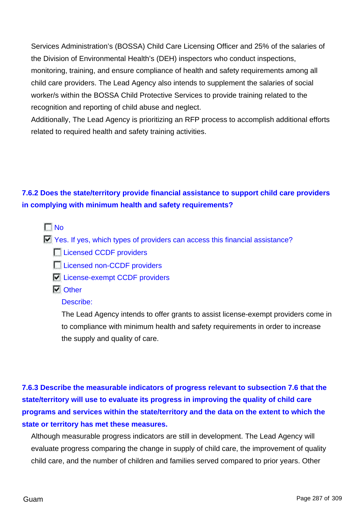Services Administration's (BOSSA) Child Care Licensing Officer and 25% of the salaries of the Division of Environmental Health's (DEH) inspectors who conduct inspections, monitoring, training, and ensure compliance of health and safety requirements among all child care providers. The Lead Agency also intends to supplement the salaries of social worker/s within the BOSSA Child Protective Services to provide training related to the recognition and reporting of child abuse and neglect.

Additionally, The Lead Agency is prioritizing an RFP process to accomplish additional efforts related to required health and safety training activities.

# **7.6.2 Does the state/territory provide financial assistance to support child care providers in complying with minimum health and safety requirements?**

### $\Gamma$ No

- $\blacksquare$  Yes. If yes, which types of providers can access this financial assistance?
	- **Licensed CCDF providers**
	- **Licensed non-CCDF providers**
	- **License-exempt CCDF providers**
	- **N** Other

### Describe:

The Lead Agency intends to offer grants to assist license-exempt providers come in to compliance with minimum health and safety requirements in order to increase the supply and quality of care.

**7.6.3 Describe the measurable indicators of progress relevant to subsection 7.6 that the state/territory will use to evaluate its progress in improving the quality of child care programs and services within the state/territory and the data on the extent to which the state or territory has met these measures.**

Although measurable progress indicators are still in development. The Lead Agency will evaluate progress comparing the change in supply of child care, the improvement of quality child care, and the number of children and families served compared to prior years. Other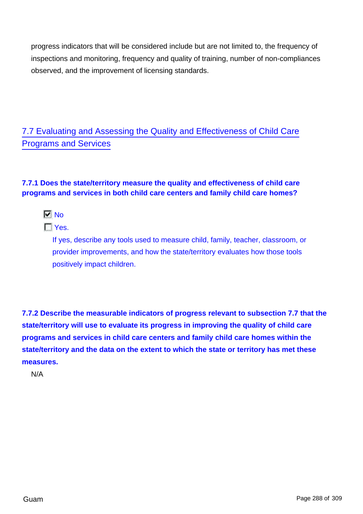progress indicators that will be considered include but are not limited to, the frequency of inspections and monitoring, frequency and quality of training, number of non-compliances observed, and the improvement of licensing standards.

7.7 Evaluating and Assessing the Quality and Effectiveness of Child Care Programs and Services

## **7.7.1 Does the state/territory measure the quality and effectiveness of child care programs and services in both child care centers and family child care homes?**

 $\nabla$  No

 $\Gamma$ Yes.

If yes, describe any tools used to measure child, family, teacher, classroom, or provider improvements, and how the state/territory evaluates how those tools positively impact children.

**7.7.2 Describe the measurable indicators of progress relevant to subsection 7.7 that the state/territory will use to evaluate its progress in improving the quality of child care programs and services in child care centers and family child care homes within the state/territory and the data on the extent to which the state or territory has met these measures.**

N/A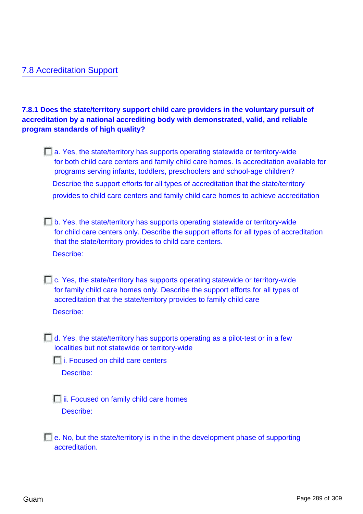## 7.8 Accreditation Support

**7.8.1 Does the state/territory support child care providers in the voluntary pursuit of accreditation by a national accrediting body with demonstrated, valid, and reliable program standards of high quality?**

- a. Yes, the state/territory has supports operating statewide or territory-wide for both child care centers and family child care homes. Is accreditation available for programs serving infants, toddlers, preschoolers and school-age children? Describe the support efforts for all types of accreditation that the state/territory provides to child care centers and family child care homes to achieve accreditation
- b. Yes, the state/territory has supports operating statewide or territory-wide for child care centers only. Describe the support efforts for all types of accreditation that the state/territory provides to child care centers. Describe:
- c. Yes, the state/territory has supports operating statewide or territory-wide for family child care homes only. Describe the support efforts for all types of accreditation that the state/territory provides to family child care Describe:
- $\Box$  d. Yes, the state/territory has supports operating as a pilot-test or in a few localities but not statewide or territory-wide

 $\Box$  i. Focused on child care centers

Describe:

**ii.** Focused on family child care homes Describe:

 $\Box$  e. No, but the state/territory is in the in the development phase of supporting accreditation.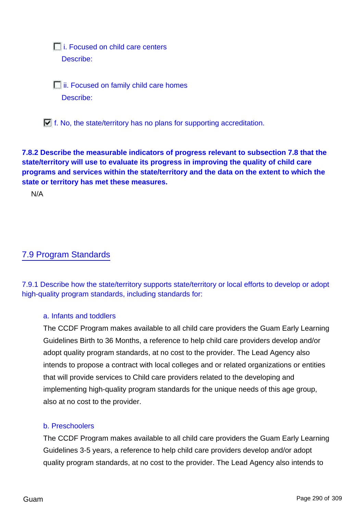*Eli.* Focused on child care centers Describe:

**iii. Focused on family child care homes** Describe:

 $\Box$  f. No, the state/territory has no plans for supporting accreditation.

## **7.8.2 Describe the measurable indicators of progress relevant to subsection 7.8 that the state/territory will use to evaluate its progress in improving the quality of child care programs and services within the state/territory and the data on the extent to which the state or territory has met these measures.**

N/A

# 7.9 Program Standards

7.9.1 Describe how the state/territory supports state/territory or local efforts to develop or adopt high-quality program standards, including standards for:

### a. Infants and toddlers

The CCDF Program makes available to all child care providers the Guam Early Learning Guidelines Birth to 36 Months, a reference to help child care providers develop and/or adopt quality program standards, at no cost to the provider. The Lead Agency also intends to propose a contract with local colleges and or related organizations or entities that will provide services to Child care providers related to the developing and implementing high-quality program standards for the unique needs of this age group, also at no cost to the provider.

#### b. Preschoolers

The CCDF Program makes available to all child care providers the Guam Early Learning Guidelines 3-5 years, a reference to help child care providers develop and/or adopt quality program standards, at no cost to the provider. The Lead Agency also intends to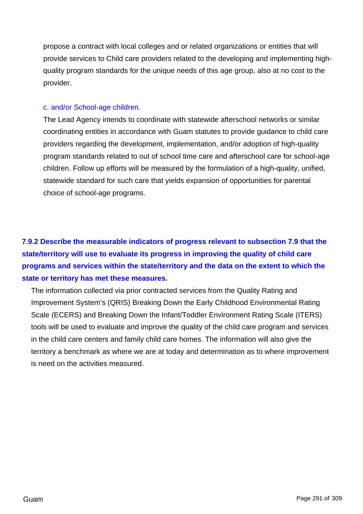propose a contract with local colleges and or related organizations or entities that will provide services to Child care providers related to the developing and implementing highquality program standards for the unique needs of this age group, also at no cost to the provider.

#### c. and/or School-age children.

The Lead Agency intends to coordinate with statewide afterschool networks or similar coordinating entities in accordance with Guam statutes to provide guidance to child care providers regarding the development, implementation, and/or adoption of high-quality program standards related to out of school time care and afterschool care for school-age children. Follow up efforts will be measured by the formulation of a high-quality, unified, statewide standard for such care that yields expansion of opportunities for parental choice of school-age programs.

**7.9.2 Describe the measurable indicators of progress relevant to subsection 7.9 that the state/territory will use to evaluate its progress in improving the quality of child care programs and services within the state/territory and the data on the extent to which the state or territory has met these measures.**

The information collected via prior contracted services from the Quality Rating and Improvement System's (QRIS) Breaking Down the Early Childhood Environmental Rating Scale (ECERS) and Breaking Down the Infant/Toddler Environment Rating Scale (ITERS) tools will be used to evaluate and improve the quality of the child care program and services in the child care centers and family child care homes. The information will also give the territory a benchmark as where we are at today and determination as to where improvement is need on the activities measured.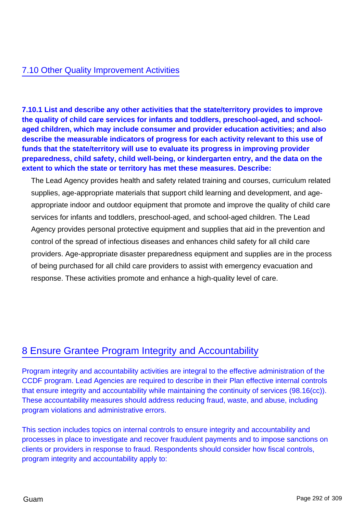## 7.10 Other Quality Improvement Activities

**7.10.1 List and describe any other activities that the state/territory provides to improve the quality of child care services for infants and toddlers, preschool-aged, and schoolaged children, which may include consumer and provider education activities; and also describe the measurable indicators of progress for each activity relevant to this use of funds that the state/territory will use to evaluate its progress in improving provider preparedness, child safety, child well-being, or kindergarten entry, and the data on the extent to which the state or territory has met these measures. Describe:**

The Lead Agency provides health and safety related training and courses, curriculum related supplies, age-appropriate materials that support child learning and development, and ageappropriate indoor and outdoor equipment that promote and improve the quality of child care services for infants and toddlers, preschool-aged, and school-aged children. The Lead Agency provides personal protective equipment and supplies that aid in the prevention and control of the spread of infectious diseases and enhances child safety for all child care providers. Age-appropriate disaster preparedness equipment and supplies are in the process of being purchased for all child care providers to assist with emergency evacuation and response. These activities promote and enhance a high-quality level of care.

# 8 Ensure Grantee Program Integrity and Accountability

Program integrity and accountability activities are integral to the effective administration of the CCDF program. Lead Agencies are required to describe in their Plan effective internal controls that ensure integrity and accountability while maintaining the continuity of services (98.16(cc)). These accountability measures should address reducing fraud, waste, and abuse, including program violations and administrative errors.

This section includes topics on internal controls to ensure integrity and accountability and processes in place to investigate and recover fraudulent payments and to impose sanctions on clients or providers in response to fraud. Respondents should consider how fiscal controls, program integrity and accountability apply to: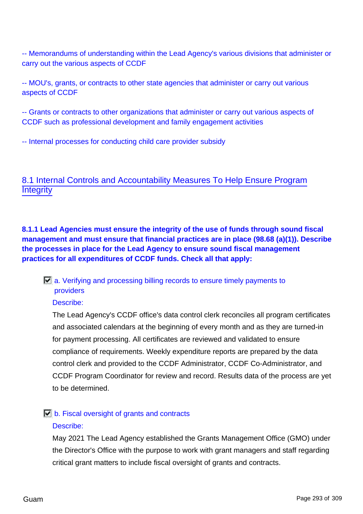-- Memorandums of understanding within the Lead Agency's various divisions that administer or carry out the various aspects of CCDF

-- MOU's, grants, or contracts to other state agencies that administer or carry out various aspects of CCDF

-- Grants or contracts to other organizations that administer or carry out various aspects of CCDF such as professional development and family engagement activities

-- Internal processes for conducting child care provider subsidy

# 8.1 Internal Controls and Accountability Measures To Help Ensure Program **Integrity**

**8.1.1 Lead Agencies must ensure the integrity of the use of funds through sound fiscal management and must ensure that financial practices are in place (98.68 (a)(1)). Describe the processes in place for the Lead Agency to ensure sound fiscal management practices for all expenditures of CCDF funds. Check all that apply:**

## $\Box$  a. Verifying and processing billing records to ensure timely payments to providers

#### Describe:

The Lead Agency's CCDF office's data control clerk reconciles all program certificates and associated calendars at the beginning of every month and as they are turned-in for payment processing. All certificates are reviewed and validated to ensure compliance of requirements. Weekly expenditure reports are prepared by the data control clerk and provided to the CCDF Administrator, CCDF Co-Administrator, and CCDF Program Coordinator for review and record. Results data of the process are yet to be determined.

# $\Box$  b. Fiscal oversight of grants and contracts

#### Describe:

May 2021 The Lead Agency established the Grants Management Office (GMO) under the Director's Office with the purpose to work with grant managers and staff regarding critical grant matters to include fiscal oversight of grants and contracts.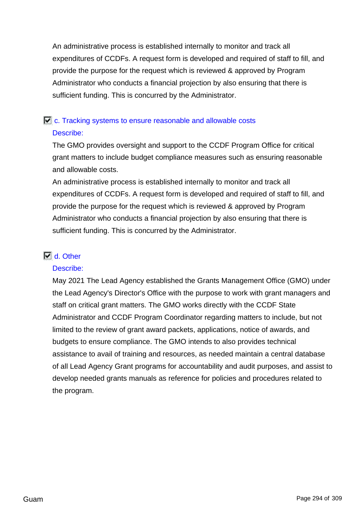An administrative process is established internally to monitor and track all expenditures of CCDFs. A request form is developed and required of staff to fill, and provide the purpose for the request which is reviewed & approved by Program Administrator who conducts a financial projection by also ensuring that there is sufficient funding. This is concurred by the Administrator.

# $\Box$  c. Tracking systems to ensure reasonable and allowable costs Describe:

The GMO provides oversight and support to the CCDF Program Office for critical grant matters to include budget compliance measures such as ensuring reasonable and allowable costs.

An administrative process is established internally to monitor and track all expenditures of CCDFs. A request form is developed and required of staff to fill, and provide the purpose for the request which is reviewed & approved by Program Administrator who conducts a financial projection by also ensuring that there is sufficient funding. This is concurred by the Administrator.

### M d. Other

#### Describe:

May 2021 The Lead Agency established the Grants Management Office (GMO) under the Lead Agency's Director's Office with the purpose to work with grant managers and staff on critical grant matters. The GMO works directly with the CCDF State Administrator and CCDF Program Coordinator regarding matters to include, but not limited to the review of grant award packets, applications, notice of awards, and budgets to ensure compliance. The GMO intends to also provides technical assistance to avail of training and resources, as needed maintain a central database of all Lead Agency Grant programs for accountability and audit purposes, and assist to develop needed grants manuals as reference for policies and procedures related to the program.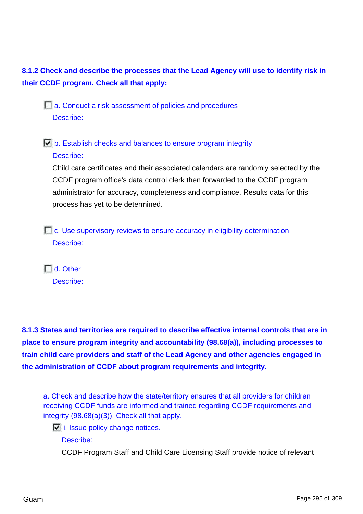**8.1.2 Check and describe the processes that the Lead Agency will use to identify risk in their CCDF program. Check all that apply:**

 $\Box$  a. Conduct a risk assessment of policies and procedures Describe:

 $\Box$  b. Establish checks and balances to ensure program integrity Describe:

Child care certificates and their associated calendars are randomly selected by the CCDF program office's data control clerk then forwarded to the CCDF program administrator for accuracy, completeness and compliance. Results data for this process has yet to be determined.

c. Use supervisory reviews to ensure accuracy in eligibility determination Describe:

 $\Box$  d. Other Describe:

**8.1.3 States and territories are required to describe effective internal controls that are in place to ensure program integrity and accountability (98.68(a)), including processes to train child care providers and staff of the Lead Agency and other agencies engaged in the administration of CCDF about program requirements and integrity.**

a. Check and describe how the state/territory ensures that all providers for children receiving CCDF funds are informed and trained regarding CCDF requirements and integrity (98.68(a)(3)). Check all that apply.

 $\Box$  i. Issue policy change notices.

Describe:

CCDF Program Staff and Child Care Licensing Staff provide notice of relevant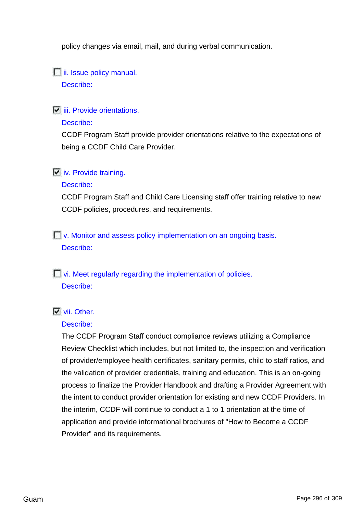policy changes via email, mail, and during verbal communication.

 $\Box$  ii. Issue policy manual.

Describe:

 $\overline{\phantom{a}}$  iii. Provide orientations.

### Describe:

CCDF Program Staff provide provider orientations relative to the expectations of being a CCDF Child Care Provider.

## $\overline{v}$  iv. Provide training.

### Describe:

CCDF Program Staff and Child Care Licensing staff offer training relative to new CCDF policies, procedures, and requirements.

**Nonitor and assess policy implementation on an ongoing basis.** Describe:

**F** vi. Meet regularly regarding the implementation of policies. Describe:

## **Vii.** Other.

## Describe:

The CCDF Program Staff conduct compliance reviews utilizing a Compliance Review Checklist which includes, but not limited to, the inspection and verification of provider/employee health certificates, sanitary permits, child to staff ratios, and the validation of provider credentials, training and education. This is an on-going process to finalize the Provider Handbook and drafting a Provider Agreement with the intent to conduct provider orientation for existing and new CCDF Providers. In the interim, CCDF will continue to conduct a 1 to 1 orientation at the time of application and provide informational brochures of "How to Become a CCDF Provider" and its requirements.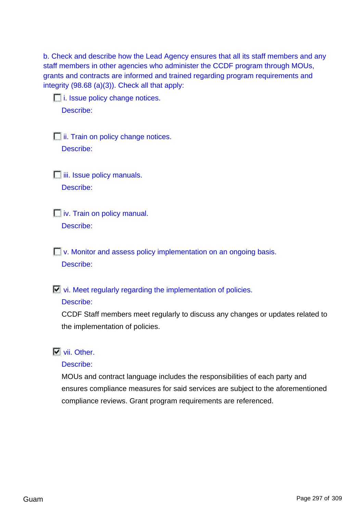b. Check and describe how the Lead Agency ensures that all its staff members and any staff members in other agencies who administer the CCDF program through MOUs, grants and contracts are informed and trained regarding program requirements and integrity (98.68 (a)(3)). Check all that apply:

**i.** Issue policy change notices. Describe:

 $\Box$  ii. Train on policy change notices.

Describe:

 $\Box$  iii. Issue policy manuals. Describe:

 $\Box$  iv. Train on policy manual. Describe:

**Nonitor and assess policy implementation on an ongoing basis.** Describe:

 $\Box$  vi. Meet regularly regarding the implementation of policies.

### Describe:

CCDF Staff members meet regularly to discuss any changes or updates related to the implementation of policies.

## **Vii.** Other.

### Describe:

MOUs and contract language includes the responsibilities of each party and ensures compliance measures for said services are subject to the aforementioned compliance reviews. Grant program requirements are referenced.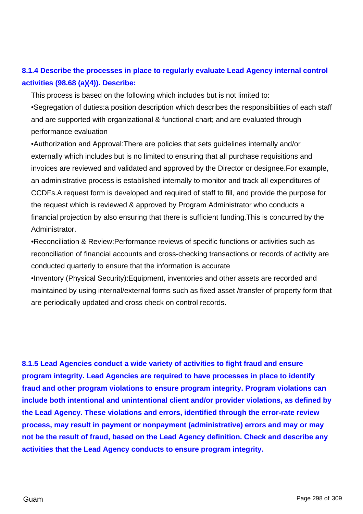# **8.1.4 Describe the processes in place to regularly evaluate Lead Agency internal control activities (98.68 (a)(4)). Describe:**

This process is based on the following which includes but is not limited to:

•Segregation of duties:a position description which describes the responsibilities of each staff and are supported with organizational & functional chart; and are evaluated through performance evaluation

•Authorization and Approval:There are policies that sets guidelines internally and/or externally which includes but is no limited to ensuring that all purchase requisitions and invoices are reviewed and validated and approved by the Director or designee.For example, an administrative process is established internally to monitor and track all expenditures of CCDFs.A request form is developed and required of staff to fill, and provide the purpose for the request which is reviewed & approved by Program Administrator who conducts a financial projection by also ensuring that there is sufficient funding.This is concurred by the Administrator.

•Reconciliation & Review:Performance reviews of specific functions or activities such as reconciliation of financial accounts and cross-checking transactions or records of activity are conducted quarterly to ensure that the information is accurate

•Inventory (Physical Security):Equipment, inventories and other assets are recorded and maintained by using internal/external forms such as fixed asset /transfer of property form that are periodically updated and cross check on control records.

**8.1.5 Lead Agencies conduct a wide variety of activities to fight fraud and ensure program integrity. Lead Agencies are required to have processes in place to identify fraud and other program violations to ensure program integrity. Program violations can include both intentional and unintentional client and/or provider violations, as defined by the Lead Agency. These violations and errors, identified through the error-rate review process, may result in payment or nonpayment (administrative) errors and may or may not be the result of fraud, based on the Lead Agency definition. Check and describe any activities that the Lead Agency conducts to ensure program integrity.**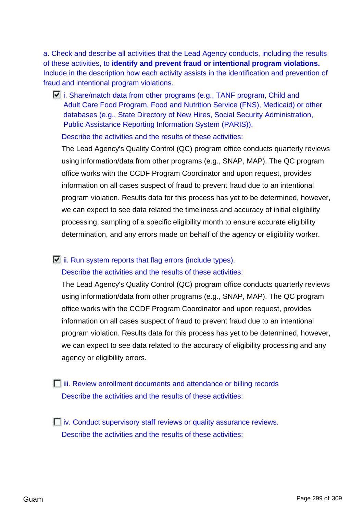a. Check and describe all activities that the Lead Agency conducts, including the results of these activities, to **identify and prevent fraud or intentional program violations.** Include in the description how each activity assists in the identification and prevention of fraud and intentional program violations.

 $\Box$  i. Share/match data from other programs (e.g., TANF program, Child and Adult Care Food Program, Food and Nutrition Service (FNS), Medicaid) or other databases (e.g., State Directory of New Hires, Social Security Administration, Public Assistance Reporting Information System (PARIS)).

Describe the activities and the results of these activities:

The Lead Agency's Quality Control (QC) program office conducts quarterly reviews using information/data from other programs (e.g., SNAP, MAP). The QC program office works with the CCDF Program Coordinator and upon request, provides information on all cases suspect of fraud to prevent fraud due to an intentional program violation. Results data for this process has yet to be determined, however, we can expect to see data related the timeliness and accuracy of initial eligibility processing, sampling of a specific eligibility month to ensure accurate eligibility determination, and any errors made on behalf of the agency or eligibility worker.

# $\Box$  ii. Run system reports that flag errors (include types).

#### Describe the activities and the results of these activities:

The Lead Agency's Quality Control (QC) program office conducts quarterly reviews using information/data from other programs (e.g., SNAP, MAP). The QC program office works with the CCDF Program Coordinator and upon request, provides information on all cases suspect of fraud to prevent fraud due to an intentional program violation. Results data for this process has yet to be determined, however, we can expect to see data related to the accuracy of eligibility processing and any agency or eligibility errors.

*Fiii. Review enrollment documents and attendance or billing records* Describe the activities and the results of these activities:

 $\Box$  iv. Conduct supervisory staff reviews or quality assurance reviews. Describe the activities and the results of these activities: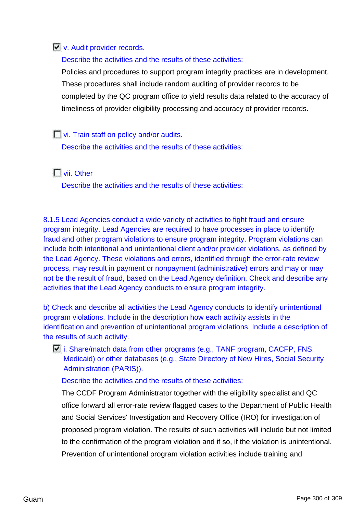## **V.** Audit provider records.

Describe the activities and the results of these activities:

Policies and procedures to support program integrity practices are in development. These procedures shall include random auditing of provider records to be completed by the QC program office to yield results data related to the accuracy of timeliness of provider eligibility processing and accuracy of provider records.

**vi.** Train staff on policy and/or audits.

Describe the activities and the results of these activities:

## **Nii.** Other

Describe the activities and the results of these activities:

8.1.5 Lead Agencies conduct a wide variety of activities to fight fraud and ensure program integrity. Lead Agencies are required to have processes in place to identify fraud and other program violations to ensure program integrity. Program violations can include both intentional and unintentional client and/or provider violations, as defined by the Lead Agency. These violations and errors, identified through the error-rate review process, may result in payment or nonpayment (administrative) errors and may or may not be the result of fraud, based on the Lead Agency definition. Check and describe any activities that the Lead Agency conducts to ensure program integrity.

b) Check and describe all activities the Lead Agency conducts to identify unintentional program violations. Include in the description how each activity assists in the identification and prevention of unintentional program violations. Include a description of the results of such activity.

 $\Box$  i. Share/match data from other programs (e.g., TANF program, CACFP, FNS, Medicaid) or other databases (e.g., State Directory of New Hires, Social Security Administration (PARIS)).

#### Describe the activities and the results of these activities:

The CCDF Program Administrator together with the eligibility specialist and QC office forward all error-rate review flagged cases to the Department of Public Health and Social Services' Investigation and Recovery Office (IRO) for investigation of proposed program violation. The results of such activities will include but not limited to the confirmation of the program violation and if so, if the violation is unintentional. Prevention of unintentional program violation activities include training and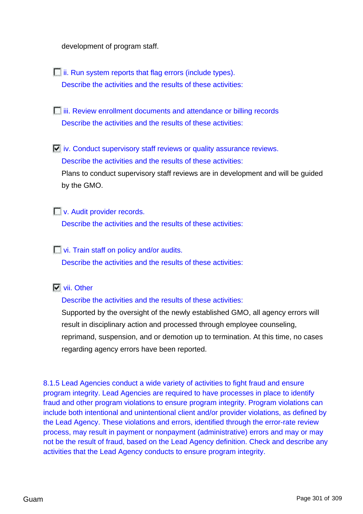development of program staff.

 $\Box$  ii. Run system reports that flag errors (include types). Describe the activities and the results of these activities:

*Fiii. Review enrollment documents and attendance or billing records* Describe the activities and the results of these activities:

 $\Box$  iv. Conduct supervisory staff reviews or quality assurance reviews. Describe the activities and the results of these activities: Plans to conduct supervisory staff reviews are in development and will be guided by the GMO.

**No.** Audit provider records.

Describe the activities and the results of these activities:

**vi.** Train staff on policy and/or audits. Describe the activities and the results of these activities:

### **Vii.** Other

Describe the activities and the results of these activities:

Supported by the oversight of the newly established GMO, all agency errors will result in disciplinary action and processed through employee counseling, reprimand, suspension, and or demotion up to termination. At this time, no cases regarding agency errors have been reported.

8.1.5 Lead Agencies conduct a wide variety of activities to fight fraud and ensure program integrity. Lead Agencies are required to have processes in place to identify fraud and other program violations to ensure program integrity. Program violations can include both intentional and unintentional client and/or provider violations, as defined by the Lead Agency. These violations and errors, identified through the error-rate review process, may result in payment or nonpayment (administrative) errors and may or may not be the result of fraud, based on the Lead Agency definition. Check and describe any activities that the Lead Agency conducts to ensure program integrity.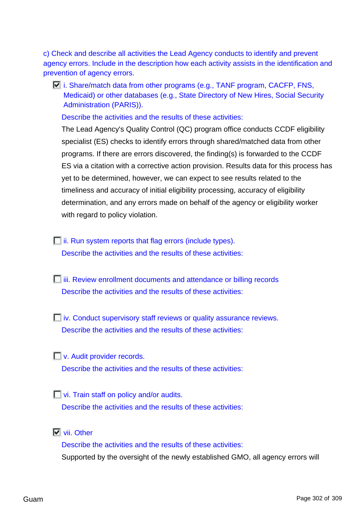c) Check and describe all activities the Lead Agency conducts to identify and prevent agency errors. Include in the description how each activity assists in the identification and prevention of agency errors.

 $\Box$  i. Share/match data from other programs (e.g., TANF program, CACFP, FNS, Medicaid) or other databases (e.g., State Directory of New Hires, Social Security Administration (PARIS)).

Describe the activities and the results of these activities:

The Lead Agency's Quality Control (QC) program office conducts CCDF eligibility specialist (ES) checks to identify errors through shared/matched data from other programs. If there are errors discovered, the finding(s) is forwarded to the CCDF ES via a citation with a corrective action provision. Results data for this process has yet to be determined, however, we can expect to see results related to the timeliness and accuracy of initial eligibility processing, accuracy of eligibility determination, and any errors made on behalf of the agency or eligibility worker with regard to policy violation.

**ii.** Run system reports that flag errors (include types). Describe the activities and the results of these activities:

- *Fiii. Review enrollment documents and attendance or billing records* Describe the activities and the results of these activities:
- $\Box$  iv. Conduct supervisory staff reviews or quality assurance reviews. Describe the activities and the results of these activities:

**V.** Audit provider records. Describe the activities and the results of these activities:

**Notify-** vi. Train staff on policy and/or audits. Describe the activities and the results of these activities:

**Vii.** Other

Describe the activities and the results of these activities: Supported by the oversight of the newly established GMO, all agency errors will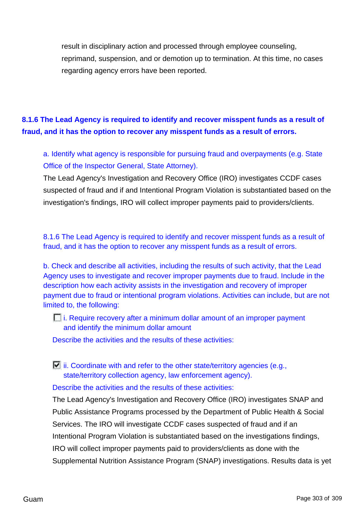result in disciplinary action and processed through employee counseling, reprimand, suspension, and or demotion up to termination. At this time, no cases regarding agency errors have been reported.

# **8.1.6 The Lead Agency is required to identify and recover misspent funds as a result of fraud, and it has the option to recover any misspent funds as a result of errors.**

a. Identify what agency is responsible for pursuing fraud and overpayments (e.g. State Office of the Inspector General, State Attorney).

The Lead Agency's Investigation and Recovery Office (IRO) investigates CCDF cases suspected of fraud and if and Intentional Program Violation is substantiated based on the investigation's findings, IRO will collect improper payments paid to providers/clients.

8.1.6 The Lead Agency is required to identify and recover misspent funds as a result of fraud, and it has the option to recover any misspent funds as a result of errors.

b. Check and describe all activities, including the results of such activity, that the Lead Agency uses to investigate and recover improper payments due to fraud. Include in the description how each activity assists in the investigation and recovery of improper payment due to fraud or intentional program violations. Activities can include, but are not limited to, the following:

 $\Box$  i. Require recovery after a minimum dollar amount of an improper payment and identify the minimum dollar amount

Describe the activities and the results of these activities:

 $\Box$  ii. Coordinate with and refer to the other state/territory agencies (e.g., state/territory collection agency, law enforcement agency).

Describe the activities and the results of these activities:

The Lead Agency's Investigation and Recovery Office (IRO) investigates SNAP and Public Assistance Programs processed by the Department of Public Health & Social Services. The IRO will investigate CCDF cases suspected of fraud and if an Intentional Program Violation is substantiated based on the investigations findings, IRO will collect improper payments paid to providers/clients as done with the Supplemental Nutrition Assistance Program (SNAP) investigations. Results data is yet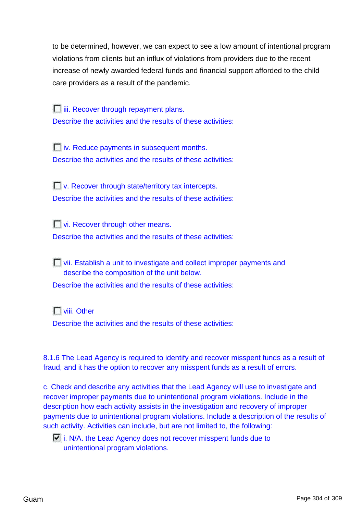to be determined, however, we can expect to see a low amount of intentional program violations from clients but an influx of violations from providers due to the recent increase of newly awarded federal funds and financial support afforded to the child care providers as a result of the pandemic.

 $\Box$  iii. Recover through repayment plans. Describe the activities and the results of these activities:

 $\Box$  iv. Reduce payments in subsequent months. Describe the activities and the results of these activities:

**T** v. Recover through state/territory tax intercepts. Describe the activities and the results of these activities:

**Vi. Recover through other means.** 

Describe the activities and the results of these activities:

**Notaila** vii. Establish a unit to investigate and collect improper payments and describe the composition of the unit below.

Describe the activities and the results of these activities:

**T** viii. Other

Describe the activities and the results of these activities:

8.1.6 The Lead Agency is required to identify and recover misspent funds as a result of fraud, and it has the option to recover any misspent funds as a result of errors.

c. Check and describe any activities that the Lead Agency will use to investigate and recover improper payments due to unintentional program violations. Include in the description how each activity assists in the investigation and recovery of improper payments due to unintentional program violations. Include a description of the results of such activity. Activities can include, but are not limited to, the following:

 $\Box$  i. N/A. the Lead Agency does not recover misspent funds due to unintentional program violations.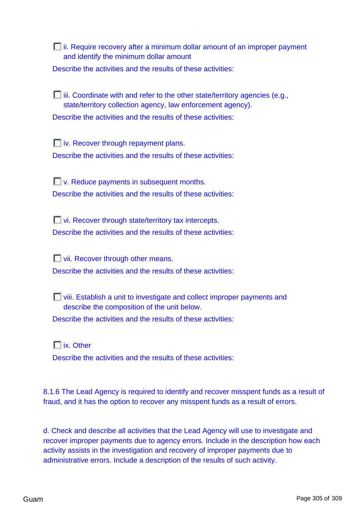$\Box$  ii. Require recovery after a minimum dollar amount of an improper payment and identify the minimum dollar amount

Describe the activities and the results of these activities:

 $\Box$  iii. Coordinate with and refer to the other state/territory agencies (e.g., state/territory collection agency, law enforcement agency). Describe the activities and the results of these activities:

 $\Box$  iv. Recover through repayment plans. Describe the activities and the results of these activities:

**No. Reduce payments in subsequent months.** Describe the activities and the results of these activities:

**Notify-** Vi. Recover through state/territory tax intercepts. Describe the activities and the results of these activities:

**Vii. Recover through other means.** 

Describe the activities and the results of these activities:

viii. Establish a unit to investigate and collect improper payments and describe the composition of the unit below.

Describe the activities and the results of these activities:

**T** ix. Other

Describe the activities and the results of these activities:

8.1.6 The Lead Agency is required to identify and recover misspent funds as a result of fraud, and it has the option to recover any misspent funds as a result of errors.

d. Check and describe all activities that the Lead Agency will use to investigate and recover improper payments due to agency errors. Include in the description how each activity assists in the investigation and recovery of improper payments due to administrative errors. Include a description of the results of such activity.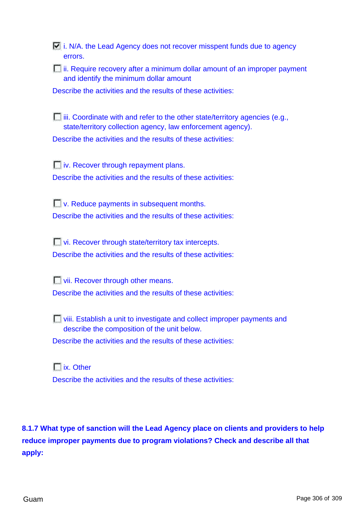$\Box$  i. N/A. the Lead Agency does not recover misspent funds due to agency errors.

**ii. Require recovery after a minimum dollar amount of an improper payment** and identify the minimum dollar amount

Describe the activities and the results of these activities:

 $\Box$  iii. Coordinate with and refer to the other state/territory agencies (e.g., state/territory collection agency, law enforcement agency). Describe the activities and the results of these activities:

 $\Box$  iv. Recover through repayment plans. Describe the activities and the results of these activities:

**No.** P. Reduce payments in subsequent months. Describe the activities and the results of these activities:

**vi. Recover through state/territory tax intercepts.** Describe the activities and the results of these activities:

**Vii. Recover through other means.** Describe the activities and the results of these activities:

viii. Establish a unit to investigate and collect improper payments and describe the composition of the unit below.

Describe the activities and the results of these activities:

**ix.** Other Describe the activities and the results of these activities:

**8.1.7 What type of sanction will the Lead Agency place on clients and providers to help reduce improper payments due to program violations? Check and describe all that apply:**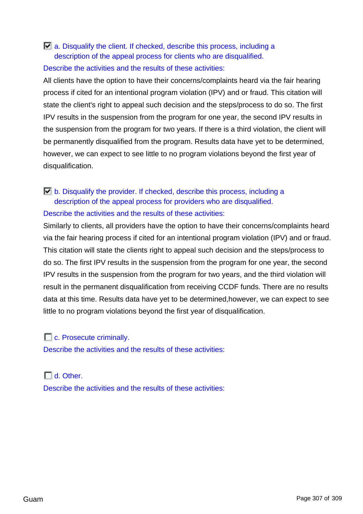## $\Box$  a. Disqualify the client. If checked, describe this process, including a description of the appeal process for clients who are disqualified.

### Describe the activities and the results of these activities:

All clients have the option to have their concerns/complaints heard via the fair hearing process if cited for an intentional program violation (IPV) and or fraud. This citation will state the client's right to appeal such decision and the steps/process to do so. The first IPV results in the suspension from the program for one year, the second IPV results in the suspension from the program for two years. If there is a third violation, the client will be permanently disqualified from the program. Results data have yet to be determined, however, we can expect to see little to no program violations beyond the first year of disqualification.

## b. Disqualify the provider. If checked, describe this process, including a description of the appeal process for providers who are disqualified. Describe the activities and the results of these activities:

Similarly to clients, all providers have the option to have their concerns/complaints heard via the fair hearing process if cited for an intentional program violation (IPV) and or fraud. This citation will state the clients right to appeal such decision and the steps/process to do so. The first IPV results in the suspension from the program for one year, the second IPV results in the suspension from the program for two years, and the third violation will result in the permanent disqualification from receiving CCDF funds. There are no results data at this time. Results data have yet to be determined,however, we can expect to see little to no program violations beyond the first year of disqualification.

## **C.** Prosecute criminally.

Describe the activities and the results of these activities:

# $\Box$  d. Other. Describe the activities and the results of these activities: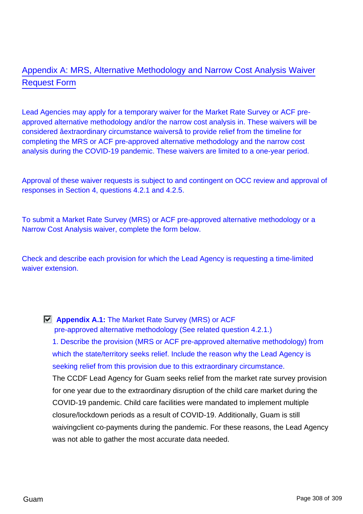# Appendix A: MRS, Alternative Methodology and Narrow Cost Analysis Waiver Request Form

Lead Agencies may apply for a temporary waiver for the Market Rate Survey or ACF preapproved alternative methodology and/or the narrow cost analysis in. These waivers will be considered âextraordinary circumstance waiversâ to provide relief from the timeline for completing the MRS or ACF pre-approved alternative methodology and the narrow cost analysis during the COVID-19 pandemic. These waivers are limited to a one-year period.

Approval of these waiver requests is subject to and contingent on OCC review and approval of responses in Section 4, questions 4.2.1 and 4.2.5.

To submit a Market Rate Survey (MRS) or ACF pre-approved alternative methodology or a Narrow Cost Analysis waiver, complete the form below.

Check and describe each provision for which the Lead Agency is requesting a time-limited waiver extension.

**Appendix A.1:** The Market Rate Survey (MRS) or ACF

pre-approved alternative methodology (See related question 4.2.1.)

1. Describe the provision (MRS or ACF pre-approved alternative methodology) from which the state/territory seeks relief. Include the reason why the Lead Agency is seeking relief from this provision due to this extraordinary circumstance.

The CCDF Lead Agency for Guam seeks relief from the market rate survey provision for one year due to the extraordinary disruption of the child care market during the COVID-19 pandemic. Child care facilities were mandated to implement multiple closure/lockdown periods as a result of COVID-19. Additionally, Guam is still waivingclient co-payments during the pandemic. For these reasons, the Lead Agency was not able to gather the most accurate data needed.